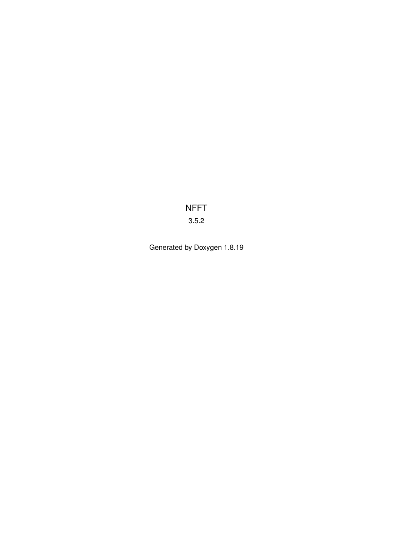NFFT 3.5.2

Generated by Doxygen 1.8.19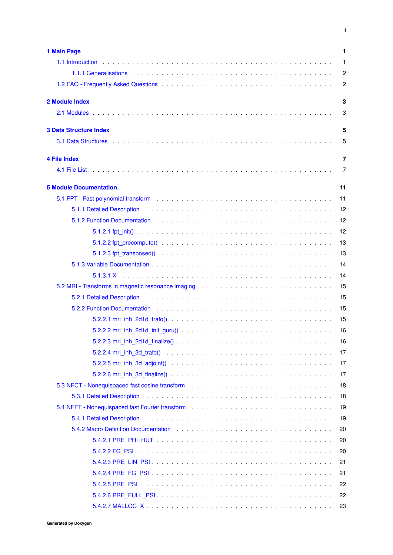| 1 Main Page                                                                                                                                                                                                                    | $\mathbf{1}$   |
|--------------------------------------------------------------------------------------------------------------------------------------------------------------------------------------------------------------------------------|----------------|
|                                                                                                                                                                                                                                | 1              |
|                                                                                                                                                                                                                                | $\overline{c}$ |
|                                                                                                                                                                                                                                | $\overline{c}$ |
| 2 Module Index                                                                                                                                                                                                                 | 3              |
|                                                                                                                                                                                                                                | 3              |
| <b>3 Data Structure Index</b>                                                                                                                                                                                                  | 5              |
|                                                                                                                                                                                                                                | 5              |
| <b>4 File Index</b>                                                                                                                                                                                                            | 7              |
|                                                                                                                                                                                                                                | 7              |
| <b>5 Module Documentation</b>                                                                                                                                                                                                  | 11             |
|                                                                                                                                                                                                                                | 11             |
|                                                                                                                                                                                                                                | 12             |
| 5.1.2 Function Documentation (ed. to a contract of the contract of the contract of the contract of the contract of the contract of the contract of the contract of the contract of the contract of the contract of the contrac | 12             |
|                                                                                                                                                                                                                                | 12             |
|                                                                                                                                                                                                                                | 13             |
|                                                                                                                                                                                                                                | 13             |
|                                                                                                                                                                                                                                | 14             |
|                                                                                                                                                                                                                                | 14             |
|                                                                                                                                                                                                                                | 15             |
|                                                                                                                                                                                                                                | 15             |
| 5.2.2 Function Documentation (ed. to a contract of the contract of the contract of the contract of the contract of the contract of the contract of the contract of the contract of the contract of the contract of the contrac | 15             |
|                                                                                                                                                                                                                                | 15             |
|                                                                                                                                                                                                                                | 16             |
|                                                                                                                                                                                                                                | 16             |
|                                                                                                                                                                                                                                | 17             |
|                                                                                                                                                                                                                                | 17             |
|                                                                                                                                                                                                                                | 17             |
| 5.3 NFCT - Nonequispaced fast cosine transform                                                                                                                                                                                 | 18             |
|                                                                                                                                                                                                                                | 18             |
|                                                                                                                                                                                                                                | 19             |
|                                                                                                                                                                                                                                | 19             |
|                                                                                                                                                                                                                                | 20             |
|                                                                                                                                                                                                                                | 20             |
|                                                                                                                                                                                                                                | 20             |
|                                                                                                                                                                                                                                | 21             |
|                                                                                                                                                                                                                                | 21             |
|                                                                                                                                                                                                                                | 22             |
|                                                                                                                                                                                                                                | 22             |
|                                                                                                                                                                                                                                | 23             |

**i**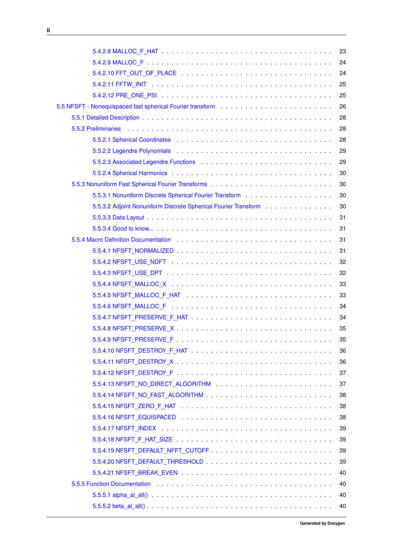|                                                                                                                                                                                                                                | 24 |
|--------------------------------------------------------------------------------------------------------------------------------------------------------------------------------------------------------------------------------|----|
|                                                                                                                                                                                                                                | 24 |
|                                                                                                                                                                                                                                | 25 |
|                                                                                                                                                                                                                                | 25 |
|                                                                                                                                                                                                                                | 26 |
|                                                                                                                                                                                                                                | 28 |
|                                                                                                                                                                                                                                | 28 |
|                                                                                                                                                                                                                                | 28 |
|                                                                                                                                                                                                                                | 29 |
|                                                                                                                                                                                                                                | 29 |
|                                                                                                                                                                                                                                | 30 |
|                                                                                                                                                                                                                                | 30 |
|                                                                                                                                                                                                                                | 30 |
| 5.5.3.2 Adjoint Nonuniform Discrete Spherical Fourier Transform                                                                                                                                                                | 30 |
|                                                                                                                                                                                                                                | 31 |
|                                                                                                                                                                                                                                | 31 |
|                                                                                                                                                                                                                                | 31 |
|                                                                                                                                                                                                                                | 31 |
|                                                                                                                                                                                                                                | 32 |
|                                                                                                                                                                                                                                | 32 |
|                                                                                                                                                                                                                                | 33 |
|                                                                                                                                                                                                                                | 33 |
|                                                                                                                                                                                                                                | 34 |
|                                                                                                                                                                                                                                | 34 |
|                                                                                                                                                                                                                                | 35 |
|                                                                                                                                                                                                                                | 35 |
|                                                                                                                                                                                                                                | 36 |
|                                                                                                                                                                                                                                | 36 |
|                                                                                                                                                                                                                                | 37 |
| 5.5.4.13 NFSFT_NO_DIRECT_ALGORITHM And and all and all and all and all and all and all and all and a                                                                                                                           | 37 |
|                                                                                                                                                                                                                                | 38 |
|                                                                                                                                                                                                                                | 38 |
|                                                                                                                                                                                                                                | 38 |
|                                                                                                                                                                                                                                | 39 |
|                                                                                                                                                                                                                                | 39 |
|                                                                                                                                                                                                                                | 39 |
|                                                                                                                                                                                                                                | 39 |
|                                                                                                                                                                                                                                | 40 |
| 5.5.5 Function Documentation enterprise to the contract of the contract of the contract of the contract of the contract of the contract of the contract of the contract of the contract of the contract of the contract of the | 40 |
|                                                                                                                                                                                                                                | 40 |
|                                                                                                                                                                                                                                | 40 |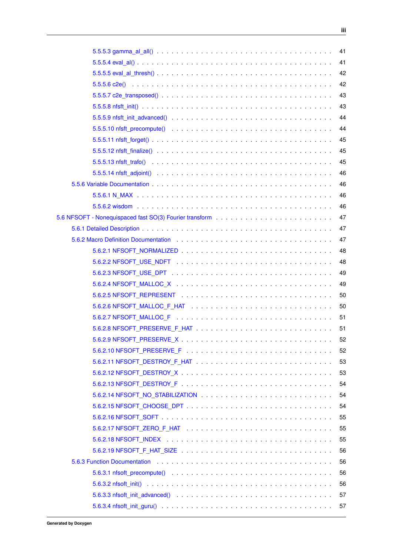|                                                                                                                                                                                                                                |  | 41 |
|--------------------------------------------------------------------------------------------------------------------------------------------------------------------------------------------------------------------------------|--|----|
|                                                                                                                                                                                                                                |  | 41 |
|                                                                                                                                                                                                                                |  | 42 |
|                                                                                                                                                                                                                                |  | 42 |
|                                                                                                                                                                                                                                |  | 43 |
|                                                                                                                                                                                                                                |  | 43 |
|                                                                                                                                                                                                                                |  | 44 |
|                                                                                                                                                                                                                                |  | 44 |
|                                                                                                                                                                                                                                |  | 45 |
|                                                                                                                                                                                                                                |  | 45 |
|                                                                                                                                                                                                                                |  | 45 |
|                                                                                                                                                                                                                                |  | 46 |
|                                                                                                                                                                                                                                |  | 46 |
|                                                                                                                                                                                                                                |  | 46 |
|                                                                                                                                                                                                                                |  | 46 |
|                                                                                                                                                                                                                                |  | 47 |
|                                                                                                                                                                                                                                |  | 47 |
| 5.6.2 Macro Definition Documentation enterstanding to the control of the control of the control of the control of the control of the control of the control of the control of the control of the control of the control of the |  | 47 |
|                                                                                                                                                                                                                                |  | 48 |
|                                                                                                                                                                                                                                |  | 48 |
|                                                                                                                                                                                                                                |  | 49 |
|                                                                                                                                                                                                                                |  | 49 |
|                                                                                                                                                                                                                                |  | 50 |
|                                                                                                                                                                                                                                |  | 50 |
|                                                                                                                                                                                                                                |  | 51 |
|                                                                                                                                                                                                                                |  | 51 |
|                                                                                                                                                                                                                                |  | 52 |
|                                                                                                                                                                                                                                |  | 52 |
|                                                                                                                                                                                                                                |  | 53 |
|                                                                                                                                                                                                                                |  | 53 |
|                                                                                                                                                                                                                                |  | 54 |
|                                                                                                                                                                                                                                |  | 54 |
|                                                                                                                                                                                                                                |  | 54 |
|                                                                                                                                                                                                                                |  | 55 |
|                                                                                                                                                                                                                                |  | 55 |
|                                                                                                                                                                                                                                |  | 55 |
|                                                                                                                                                                                                                                |  | 56 |
|                                                                                                                                                                                                                                |  | 56 |
|                                                                                                                                                                                                                                |  | 56 |
|                                                                                                                                                                                                                                |  | 56 |
| 5.6.3.3 nfsoft_init_advanced() $\ldots \ldots \ldots \ldots \ldots \ldots \ldots \ldots \ldots \ldots \ldots \ldots \ldots$                                                                                                    |  | 57 |
|                                                                                                                                                                                                                                |  |    |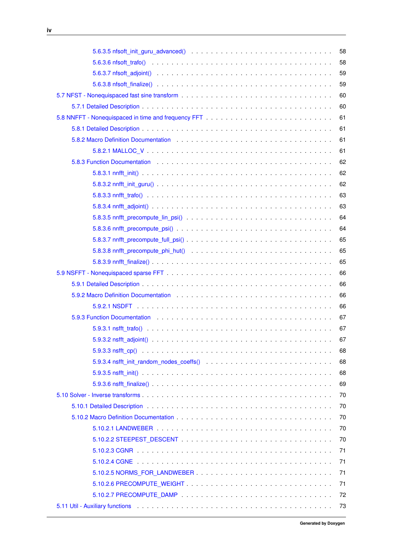|                                                                                                                      | 58 |
|----------------------------------------------------------------------------------------------------------------------|----|
|                                                                                                                      | 58 |
|                                                                                                                      | 59 |
|                                                                                                                      | 59 |
|                                                                                                                      | 60 |
|                                                                                                                      | 60 |
|                                                                                                                      | 61 |
|                                                                                                                      | 61 |
|                                                                                                                      | 61 |
|                                                                                                                      | 61 |
|                                                                                                                      | 62 |
|                                                                                                                      | 62 |
|                                                                                                                      | 62 |
|                                                                                                                      | 63 |
|                                                                                                                      | 63 |
|                                                                                                                      | 64 |
|                                                                                                                      | 64 |
|                                                                                                                      | 65 |
| 5.8.3.8 nnfft_precompute_phi_hut() $\ldots \ldots \ldots \ldots \ldots \ldots \ldots \ldots \ldots \ldots \ldots$    | 65 |
|                                                                                                                      | 65 |
|                                                                                                                      | 66 |
|                                                                                                                      | 66 |
|                                                                                                                      | 66 |
|                                                                                                                      | 66 |
|                                                                                                                      | 67 |
|                                                                                                                      | 67 |
|                                                                                                                      | 67 |
|                                                                                                                      | 68 |
|                                                                                                                      | 68 |
|                                                                                                                      | 68 |
|                                                                                                                      | 69 |
|                                                                                                                      | 70 |
|                                                                                                                      | 70 |
|                                                                                                                      | 70 |
|                                                                                                                      | 70 |
|                                                                                                                      | 70 |
|                                                                                                                      | 71 |
|                                                                                                                      | 71 |
|                                                                                                                      | 71 |
|                                                                                                                      | 71 |
|                                                                                                                      | 72 |
| 5.11 Util - Auxiliary functions (et al., and et al., and et al., and et al., and et al., and et al., and et al., and | 73 |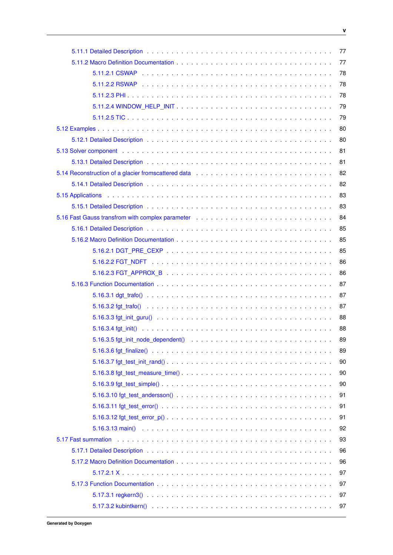|                                                                                                                       | 77 |
|-----------------------------------------------------------------------------------------------------------------------|----|
|                                                                                                                       | 77 |
|                                                                                                                       | 78 |
|                                                                                                                       | 78 |
|                                                                                                                       | 78 |
|                                                                                                                       | 79 |
|                                                                                                                       | 79 |
|                                                                                                                       | 80 |
|                                                                                                                       | 80 |
|                                                                                                                       | 81 |
|                                                                                                                       | 81 |
|                                                                                                                       | 82 |
|                                                                                                                       | 82 |
|                                                                                                                       | 83 |
|                                                                                                                       | 83 |
|                                                                                                                       | 84 |
|                                                                                                                       | 85 |
|                                                                                                                       | 85 |
|                                                                                                                       | 85 |
|                                                                                                                       | 86 |
|                                                                                                                       | 86 |
|                                                                                                                       | 87 |
|                                                                                                                       | 87 |
|                                                                                                                       | 87 |
|                                                                                                                       | 88 |
|                                                                                                                       | 88 |
| 5.16.3.5 fgt init node dependent $($ $\ldots$ $\ldots$ $\ldots$ $\ldots$ $\ldots$ $\ldots$ $\ldots$ $\ldots$ $\ldots$ | 89 |
|                                                                                                                       | 89 |
|                                                                                                                       | 90 |
|                                                                                                                       | 90 |
|                                                                                                                       | 90 |
|                                                                                                                       | 91 |
|                                                                                                                       | 91 |
|                                                                                                                       | 91 |
|                                                                                                                       | 92 |
|                                                                                                                       | 93 |
|                                                                                                                       | 96 |
|                                                                                                                       | 96 |
|                                                                                                                       | 97 |
|                                                                                                                       | 97 |
|                                                                                                                       | 97 |
|                                                                                                                       | 97 |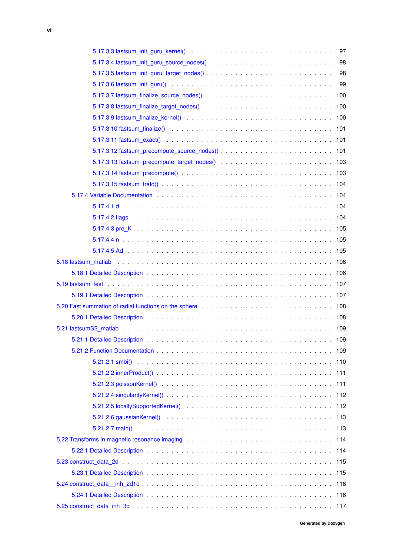|                                                                                                                                                 | 97 |
|-------------------------------------------------------------------------------------------------------------------------------------------------|----|
|                                                                                                                                                 | 98 |
| 5.17.3.5 fastsum_init_guru_target_nodes()                                                                                                       | 98 |
|                                                                                                                                                 | 99 |
|                                                                                                                                                 |    |
|                                                                                                                                                 |    |
|                                                                                                                                                 |    |
|                                                                                                                                                 |    |
|                                                                                                                                                 |    |
|                                                                                                                                                 |    |
|                                                                                                                                                 |    |
|                                                                                                                                                 |    |
|                                                                                                                                                 |    |
|                                                                                                                                                 |    |
|                                                                                                                                                 |    |
|                                                                                                                                                 |    |
|                                                                                                                                                 |    |
|                                                                                                                                                 |    |
|                                                                                                                                                 |    |
|                                                                                                                                                 |    |
|                                                                                                                                                 |    |
|                                                                                                                                                 |    |
|                                                                                                                                                 |    |
| 5.20 Fast summation of radial functions on the sphere entitled and and all contacts and all the sphere entitled and all contacts are set of 108 |    |
|                                                                                                                                                 |    |
|                                                                                                                                                 |    |
|                                                                                                                                                 |    |
|                                                                                                                                                 |    |
|                                                                                                                                                 |    |
|                                                                                                                                                 |    |
|                                                                                                                                                 |    |
|                                                                                                                                                 |    |
|                                                                                                                                                 |    |
|                                                                                                                                                 |    |
|                                                                                                                                                 |    |
|                                                                                                                                                 |    |
|                                                                                                                                                 |    |
|                                                                                                                                                 |    |
|                                                                                                                                                 |    |
|                                                                                                                                                 |    |
|                                                                                                                                                 |    |
|                                                                                                                                                 |    |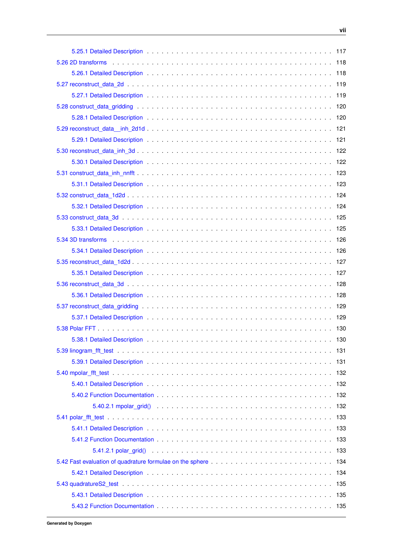| 5.32.1 Detailed Description enterprise and and all the series of the series and all the series of the series of the series of the series of the series of the series of the series of the series of the series of the series o |  |
|--------------------------------------------------------------------------------------------------------------------------------------------------------------------------------------------------------------------------------|--|
|                                                                                                                                                                                                                                |  |
|                                                                                                                                                                                                                                |  |
|                                                                                                                                                                                                                                |  |
|                                                                                                                                                                                                                                |  |
|                                                                                                                                                                                                                                |  |
|                                                                                                                                                                                                                                |  |
|                                                                                                                                                                                                                                |  |
|                                                                                                                                                                                                                                |  |
|                                                                                                                                                                                                                                |  |
|                                                                                                                                                                                                                                |  |
|                                                                                                                                                                                                                                |  |
|                                                                                                                                                                                                                                |  |
|                                                                                                                                                                                                                                |  |
|                                                                                                                                                                                                                                |  |
|                                                                                                                                                                                                                                |  |
|                                                                                                                                                                                                                                |  |
|                                                                                                                                                                                                                                |  |
|                                                                                                                                                                                                                                |  |
|                                                                                                                                                                                                                                |  |
|                                                                                                                                                                                                                                |  |
|                                                                                                                                                                                                                                |  |
|                                                                                                                                                                                                                                |  |
|                                                                                                                                                                                                                                |  |
|                                                                                                                                                                                                                                |  |
|                                                                                                                                                                                                                                |  |
|                                                                                                                                                                                                                                |  |
|                                                                                                                                                                                                                                |  |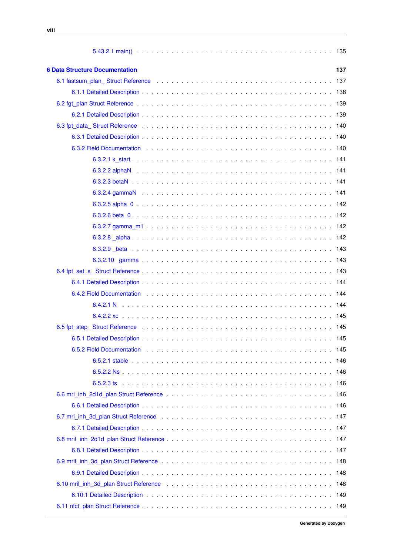| <b>6 Data Structure Documentation</b>                                                                                                                                                                                          | 137 |
|--------------------------------------------------------------------------------------------------------------------------------------------------------------------------------------------------------------------------------|-----|
| 6.1 fastsum_plan_Struct Reference education of the contract of the state of the contract of the contract of the contract of the contract of the contract of the contract of the contract of the contract of the contract of th |     |
|                                                                                                                                                                                                                                |     |
|                                                                                                                                                                                                                                |     |
|                                                                                                                                                                                                                                |     |
| 6.3 fpt_data_Struct Reference enterprise on the contract of the contract of the contract of the contract of the contract of the contract of the contract of the contract of the contract of the contract of the contract of th |     |
|                                                                                                                                                                                                                                |     |
|                                                                                                                                                                                                                                |     |
|                                                                                                                                                                                                                                |     |
|                                                                                                                                                                                                                                |     |
|                                                                                                                                                                                                                                |     |
|                                                                                                                                                                                                                                |     |
|                                                                                                                                                                                                                                |     |
|                                                                                                                                                                                                                                |     |
|                                                                                                                                                                                                                                |     |
|                                                                                                                                                                                                                                |     |
|                                                                                                                                                                                                                                |     |
|                                                                                                                                                                                                                                |     |
|                                                                                                                                                                                                                                |     |
|                                                                                                                                                                                                                                |     |
|                                                                                                                                                                                                                                |     |
|                                                                                                                                                                                                                                |     |
|                                                                                                                                                                                                                                |     |
| 6.5 fpt_step_Struct Reference education of the contract of the state of the contract of the state of the state of the state of the state of the state of the state of the state of the state of the state of the state of the  |     |
|                                                                                                                                                                                                                                | 145 |
| 6.5.2 Field Documentation entertainment and the contract of the contract of the contract of the contract of the contract of the contract of the contract of the contract of the contract of the contract of the contract of th |     |
|                                                                                                                                                                                                                                |     |
|                                                                                                                                                                                                                                |     |
|                                                                                                                                                                                                                                |     |
|                                                                                                                                                                                                                                | 146 |
|                                                                                                                                                                                                                                | 146 |
|                                                                                                                                                                                                                                |     |
|                                                                                                                                                                                                                                |     |
|                                                                                                                                                                                                                                |     |
|                                                                                                                                                                                                                                |     |
|                                                                                                                                                                                                                                | 148 |
|                                                                                                                                                                                                                                | 148 |
|                                                                                                                                                                                                                                |     |
|                                                                                                                                                                                                                                | 149 |
|                                                                                                                                                                                                                                |     |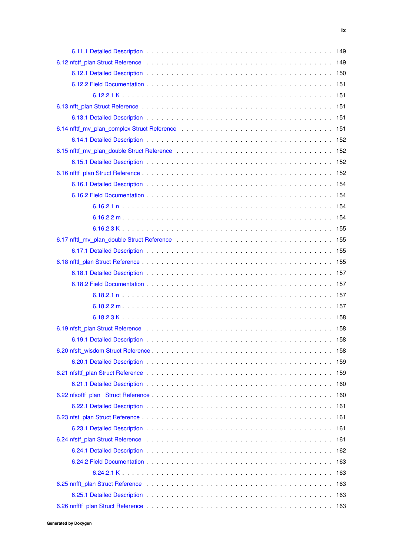|                                                                                                                                                                                                                               | 160 |
|-------------------------------------------------------------------------------------------------------------------------------------------------------------------------------------------------------------------------------|-----|
|                                                                                                                                                                                                                               | 161 |
|                                                                                                                                                                                                                               | 161 |
|                                                                                                                                                                                                                               |     |
| 6.24 nfstf_plan Struct Reference education of the contract of the contract of the contract of the contract of the contract of the contract of the contract of the contract of the contract of the contract of the contract of |     |
|                                                                                                                                                                                                                               | 162 |
|                                                                                                                                                                                                                               | 163 |
|                                                                                                                                                                                                                               | 163 |
|                                                                                                                                                                                                                               |     |
|                                                                                                                                                                                                                               |     |
|                                                                                                                                                                                                                               |     |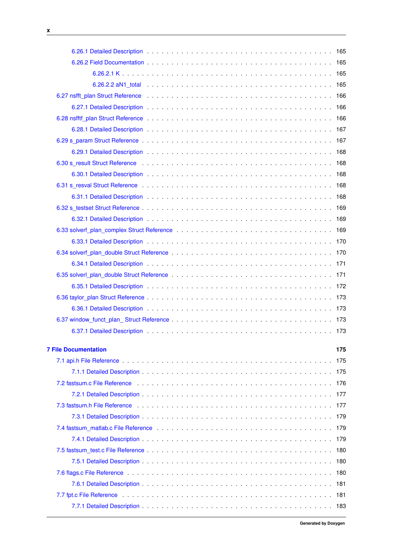<u> 1980 - Johann Barn, mars ar breithinn ar breithinn ar breithinn ar breithinn ar breithinn ar breithinn ar br</u>

| 6.30 s result Struct Reference education of the contract of the contract of the contract of the contract of the contract of the contract of the contract of the contract of the contract of the contract of the contract of th |      |
|--------------------------------------------------------------------------------------------------------------------------------------------------------------------------------------------------------------------------------|------|
|                                                                                                                                                                                                                                |      |
| 6.31 s_resval Struct Reference enterprised by contact the contract of the contract of the contract of the contract of the contract of the contract of the contract of the contract of the contract of the contract of the cont |      |
|                                                                                                                                                                                                                                |      |
|                                                                                                                                                                                                                                |      |
|                                                                                                                                                                                                                                |      |
|                                                                                                                                                                                                                                |      |
|                                                                                                                                                                                                                                |      |
|                                                                                                                                                                                                                                |      |
|                                                                                                                                                                                                                                |      |
|                                                                                                                                                                                                                                |      |
|                                                                                                                                                                                                                                |      |
|                                                                                                                                                                                                                                |      |
|                                                                                                                                                                                                                                |      |
|                                                                                                                                                                                                                                |      |
|                                                                                                                                                                                                                                | 173  |
| <b>7 File Documentation</b>                                                                                                                                                                                                    | 175  |
|                                                                                                                                                                                                                                | 175  |
|                                                                                                                                                                                                                                |      |
|                                                                                                                                                                                                                                | -176 |
|                                                                                                                                                                                                                                | 177  |
|                                                                                                                                                                                                                                | 177  |
|                                                                                                                                                                                                                                | 179  |
| 7.4 fastsum_matlab.c File Reference enterprise on the content of the Reference of the content of the content of the content of the content of the content of the content of the content of the content of the content of the c |      |
|                                                                                                                                                                                                                                |      |
|                                                                                                                                                                                                                                |      |
|                                                                                                                                                                                                                                | 180  |
|                                                                                                                                                                                                                                | 180  |
|                                                                                                                                                                                                                                | 181  |
|                                                                                                                                                                                                                                | 181  |
|                                                                                                                                                                                                                                | 183  |
|                                                                                                                                                                                                                                |      |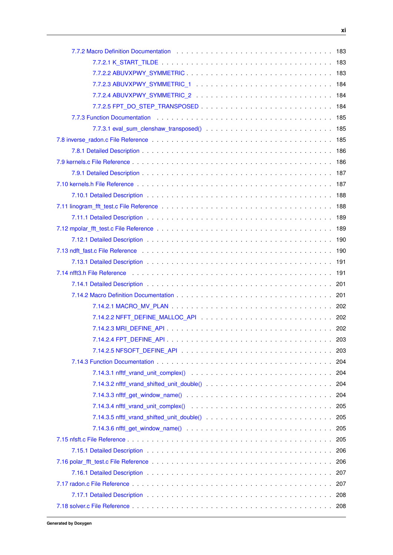| 7.7.2 Macro Definition Documentation education of the contract of the contract of the contract of the contract of the contract of the contract of the contract of the contract of the contract of the contract of the contract<br>183 |
|---------------------------------------------------------------------------------------------------------------------------------------------------------------------------------------------------------------------------------------|
|                                                                                                                                                                                                                                       |
|                                                                                                                                                                                                                                       |
|                                                                                                                                                                                                                                       |
|                                                                                                                                                                                                                                       |
|                                                                                                                                                                                                                                       |
| 7.7.3 Function Documentation (assembly) and a series are contained as a series of the series and the series of                                                                                                                        |
|                                                                                                                                                                                                                                       |
| 185                                                                                                                                                                                                                                   |
|                                                                                                                                                                                                                                       |
|                                                                                                                                                                                                                                       |
|                                                                                                                                                                                                                                       |
| 187                                                                                                                                                                                                                                   |
| 188                                                                                                                                                                                                                                   |
|                                                                                                                                                                                                                                       |
| 189                                                                                                                                                                                                                                   |
|                                                                                                                                                                                                                                       |
|                                                                                                                                                                                                                                       |
| 7.13 ndft_fast.c File Reference enterpretation of the contract of the contract of the contract of the contract of the contract of the contract of the contract of the contract of the contract of the contract of the contract<br>190 |
| -191                                                                                                                                                                                                                                  |
|                                                                                                                                                                                                                                       |
|                                                                                                                                                                                                                                       |
|                                                                                                                                                                                                                                       |
|                                                                                                                                                                                                                                       |
|                                                                                                                                                                                                                                       |
|                                                                                                                                                                                                                                       |
| 203                                                                                                                                                                                                                                   |
| 203                                                                                                                                                                                                                                   |
| 204                                                                                                                                                                                                                                   |
| 204                                                                                                                                                                                                                                   |
| 204                                                                                                                                                                                                                                   |
| 204                                                                                                                                                                                                                                   |
| $7.14.3.4$ nfftl_vrand_unit_complex() $\ldots \ldots \ldots \ldots \ldots \ldots \ldots \ldots \ldots \ldots \ldots$<br>205                                                                                                           |
| 205                                                                                                                                                                                                                                   |
| 205                                                                                                                                                                                                                                   |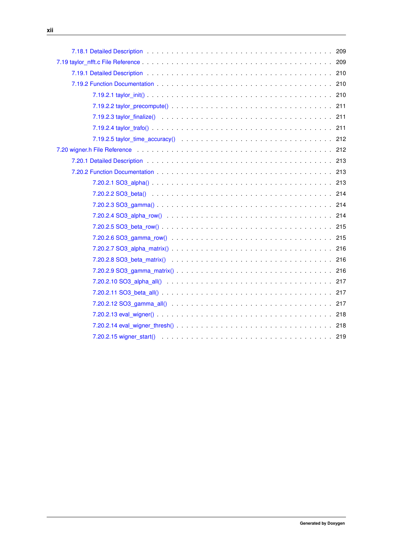| 7.19.1 Detailed Description et al., which is a series of the contract of the contract of the contract of the contract of the contract of the contract of the contract of the contract of the contract of the contract of the c |  |
|--------------------------------------------------------------------------------------------------------------------------------------------------------------------------------------------------------------------------------|--|
| - 7.19.2 Function Documentation<br>$\sim$ 210                                                                                                                                                                                  |  |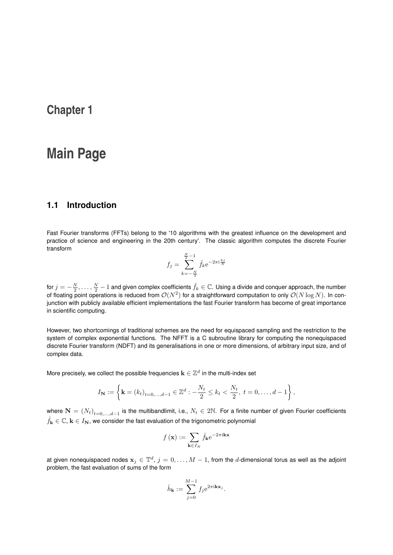# <span id="page-14-0"></span>**Main Page**

# <span id="page-14-1"></span>**1.1 Introduction**

Fast Fourier transforms (FFTs) belong to the '10 algorithms with the greatest influence on the development and practice of science and engineering in the 20th century'. The classic algorithm computes the discrete Fourier transform

$$
f_j = \sum_{k=-\frac{N}{2}}^{\frac{N}{2}-1} \hat{f}_k e^{-2\pi i \frac{k j}{N}}
$$

for  $j=-\frac{N}{2},\ldots,\frac{N}{2}-1$  and given complex coefficients  $\hat{f}_k\in\mathbb{C}.$  Using a divide and conquer approach, the number of floating point operations is reduced from  $\mathcal{O}(N^2)$  for a straightforward computation to only  $\mathcal{O}(N\log N)$ . In conjunction with publicly available efficient implementations the fast Fourier transform has become of great importance in scientific computing.

However, two shortcomings of traditional schemes are the need for equispaced sampling and the restriction to the system of complex exponential functions. The NFFT is a C subroutine library for computing the nonequispaced discrete Fourier transform (NDFT) and its generalisations in one or more dimensions, of arbitrary input size, and of complex data.

More precisely, we collect the possible frequencies  $\mathbf{k}\in\mathbb{Z}^{d}$  in the multi-index set

$$
I_{\mathbf{N}} := \left\{ \mathbf{k} = (k_t)_{t=0,...,d-1} \in \mathbb{Z}^d : -\frac{N_t}{2} \le k_t < \frac{N_t}{2}, \ t = 0, \dots, d-1 \right\},
$$

where  $\mathbf{N}=(N_t)_{t=0,...,d-1}$  is the multibandlimit, i.e.,  $N_t\in 2\mathbb{N}$ . For a finite number of given Fourier coefficients  $\hat{f}_{\mathbf{k}} \in \mathbb{C}$ ,  $\mathbf{k} \in I_{\mathbf{N}}$ , we consider the fast evaluation of the trigonometric polynomial

$$
f(\mathbf{x}) := \sum_{\mathbf{k} \in I_N} \hat{f}_{\mathbf{k}} e^{-2\pi i \mathbf{k} \mathbf{x}}
$$

at given nonequispaced nodes  $\mathbf{x}_j\in\mathbb{T}^d$ ,  $j=0,\ldots,M-1,$  from the  $d$ -dimensional torus as well as the adjoint problem, the fast evaluation of sums of the form

$$
\hat{h}_{\mathbf{k}} := \sum_{j=0}^{M-1} f_j e^{2\pi i \mathbf{k} \mathbf{x}_j}.
$$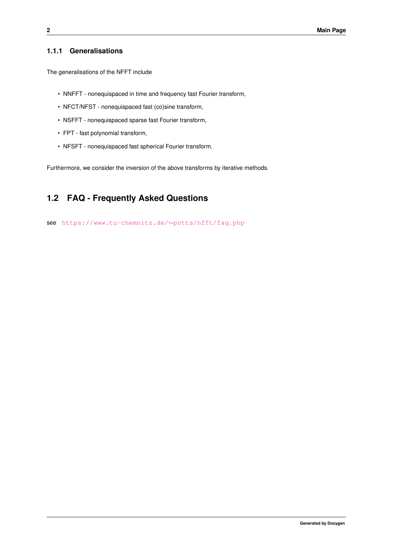# <span id="page-15-0"></span>**1.1.1 Generalisations**

The generalisations of the NFFT include

- NNFFT nonequispaced in time and frequency fast Fourier transform,
- NFCT/NFST nonequispaced fast (co)sine transform,
- NSFFT nonequispaced sparse fast Fourier transform,
- FPT fast polynomial transform,
- NFSFT nonequispaced fast spherical Fourier transform.

Furthermore, we consider the inversion of the above transforms by iterative methods.

# <span id="page-15-1"></span>**1.2 FAQ - Frequently Asked Questions**

see [https://www.tu-chemnitz.de/](https://www.tu-chemnitz.de/~potts/nfft/faq.php)∼potts/nfft/faq.php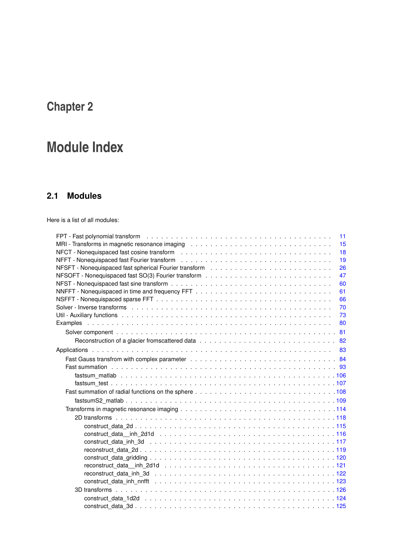# <span id="page-16-0"></span>**Module Index**

# <span id="page-16-1"></span>**2.1 Modules**

Here is a list of all modules:

| 11 |
|----|
| 15 |
| 18 |
| 19 |
| 26 |
| 47 |
| 60 |
| 61 |
| 66 |
| 70 |
| 73 |
| 80 |
| 81 |
| 82 |
| 83 |
|    |
|    |
|    |
|    |
|    |
|    |
|    |
|    |
|    |
|    |
|    |
|    |
|    |
|    |
|    |
|    |
|    |
|    |
|    |
|    |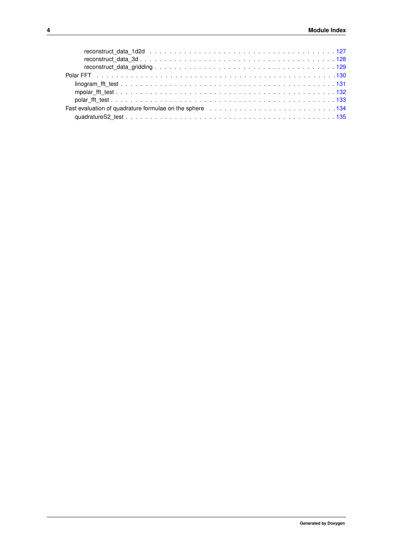| Fast evaluation of quadrature formulae on the sphere entitled by resonance and solve the sphere and state and t |  |  |  |  |  |  |  |  |  |  |  |  |  |  |  |  |
|-----------------------------------------------------------------------------------------------------------------|--|--|--|--|--|--|--|--|--|--|--|--|--|--|--|--|
|                                                                                                                 |  |  |  |  |  |  |  |  |  |  |  |  |  |  |  |  |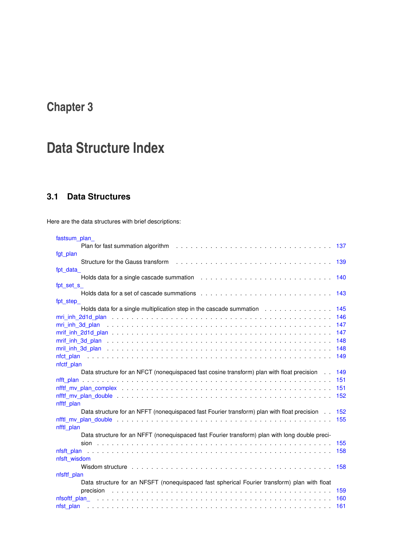# <span id="page-18-0"></span>**Data Structure Index**

# <span id="page-18-1"></span>**3.1 Data Structures**

Here are the data structures with brief descriptions:

| fastsum_plan_                                                                                                                                                                                                                  |     |
|--------------------------------------------------------------------------------------------------------------------------------------------------------------------------------------------------------------------------------|-----|
|                                                                                                                                                                                                                                | 137 |
| fgt_plan                                                                                                                                                                                                                       |     |
| Structure for the Gauss transform                                                                                                                                                                                              | 139 |
| fpt data                                                                                                                                                                                                                       |     |
|                                                                                                                                                                                                                                | 140 |
| fpt set s                                                                                                                                                                                                                      |     |
|                                                                                                                                                                                                                                | 143 |
| fpt step                                                                                                                                                                                                                       |     |
| Holds data for a single multiplication step in the cascade summation                                                                                                                                                           | 145 |
|                                                                                                                                                                                                                                | 146 |
|                                                                                                                                                                                                                                | 147 |
|                                                                                                                                                                                                                                | 147 |
|                                                                                                                                                                                                                                | 148 |
|                                                                                                                                                                                                                                | 148 |
| nfot plan because the contract of the contract of the contract of the contract of the contract of the contract of the contract of the contract of the contract of the contract of the contract of the contract of the contract | 149 |
| nfctf plan                                                                                                                                                                                                                     |     |
| Data structure for an NFCT (nonequispaced fast cosine transform) plan with float precision                                                                                                                                     | 149 |
|                                                                                                                                                                                                                                | 151 |
|                                                                                                                                                                                                                                | 151 |
|                                                                                                                                                                                                                                | 152 |
| nfftf plan                                                                                                                                                                                                                     |     |
| Data structure for an NFFT (nonequispaced fast Fourier transform) plan with float precision                                                                                                                                    | 152 |
|                                                                                                                                                                                                                                | 155 |
| nfftl plan                                                                                                                                                                                                                     |     |
| Data structure for an NFFT (nonequispaced fast Fourier transform) plan with long double preci-                                                                                                                                 |     |
|                                                                                                                                                                                                                                | 155 |
| nfsft plan                                                                                                                                                                                                                     | 158 |
| nfsft wisdom                                                                                                                                                                                                                   |     |
|                                                                                                                                                                                                                                | 158 |
| nfsftf plan                                                                                                                                                                                                                    |     |
| Data structure for an NFSFT (nonequispaced fast spherical Fourier transform) plan with float                                                                                                                                   |     |
| precision                                                                                                                                                                                                                      | 159 |
|                                                                                                                                                                                                                                | 160 |
| nfst plan                                                                                                                                                                                                                      | 161 |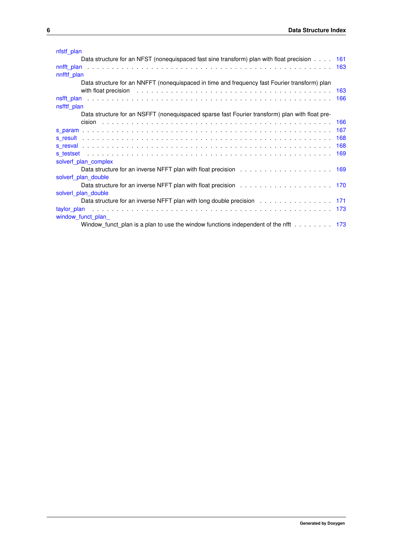| nfstf plan                                                                                                                                                                                                                     |     |
|--------------------------------------------------------------------------------------------------------------------------------------------------------------------------------------------------------------------------------|-----|
| Data structure for an NFST (nonequispaced fast sine transform) plan with float precision 161                                                                                                                                   |     |
|                                                                                                                                                                                                                                |     |
| nnfftf plan                                                                                                                                                                                                                    |     |
| Data structure for an NNFFT (nonequispaced in time and frequency fast Fourier transform) plan                                                                                                                                  |     |
| with float precision enterpretation of the set of the set of the set of the set of the set of the set of the set of the set of the set of the set of the set of the set of the set of the set of the set of the set of the set |     |
|                                                                                                                                                                                                                                |     |
| nsfftf plan                                                                                                                                                                                                                    |     |
| Data structure for an NSFFT (nonequispaced sparse fast Fourier transform) plan with float pre-                                                                                                                                 |     |
|                                                                                                                                                                                                                                |     |
|                                                                                                                                                                                                                                |     |
|                                                                                                                                                                                                                                | 168 |
|                                                                                                                                                                                                                                | 168 |
|                                                                                                                                                                                                                                |     |
| solverf plan complex                                                                                                                                                                                                           |     |
|                                                                                                                                                                                                                                |     |
| solverf plan double                                                                                                                                                                                                            |     |
|                                                                                                                                                                                                                                |     |
| solverl plan double                                                                                                                                                                                                            |     |
| Data structure for an inverse NFFT plan with long double precision 171                                                                                                                                                         |     |
|                                                                                                                                                                                                                                |     |
| window_funct_plan_                                                                                                                                                                                                             |     |
| Window funct plan is a plan to use the window functions independent of the nfft $\dots \dots$ 173                                                                                                                              |     |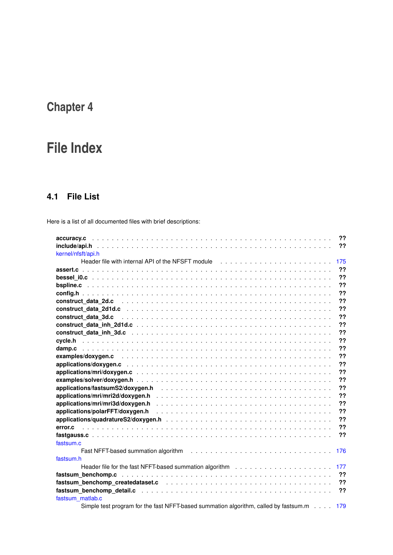# <span id="page-20-0"></span>**File Index**

# <span id="page-20-1"></span>**4.1 File List**

Here is a list of all documented files with brief descriptions:

| ??                                                                                                                                                                                                                                   |
|--------------------------------------------------------------------------------------------------------------------------------------------------------------------------------------------------------------------------------------|
| ??                                                                                                                                                                                                                                   |
| kernel/nfsft/api.h                                                                                                                                                                                                                   |
| Header file with internal API of the NFSFT module<br>175                                                                                                                                                                             |
| ??                                                                                                                                                                                                                                   |
| ??                                                                                                                                                                                                                                   |
| ??                                                                                                                                                                                                                                   |
| ??                                                                                                                                                                                                                                   |
| ??                                                                                                                                                                                                                                   |
| ??                                                                                                                                                                                                                                   |
| ??                                                                                                                                                                                                                                   |
| 22                                                                                                                                                                                                                                   |
| ??                                                                                                                                                                                                                                   |
| ??                                                                                                                                                                                                                                   |
| ??                                                                                                                                                                                                                                   |
| ??                                                                                                                                                                                                                                   |
| ??                                                                                                                                                                                                                                   |
| ??                                                                                                                                                                                                                                   |
| 22                                                                                                                                                                                                                                   |
| 22                                                                                                                                                                                                                                   |
| ??                                                                                                                                                                                                                                   |
| ??                                                                                                                                                                                                                                   |
| ??                                                                                                                                                                                                                                   |
| ??                                                                                                                                                                                                                                   |
| 22<br>error.c                                                                                                                                                                                                                        |
| ??                                                                                                                                                                                                                                   |
| fastsum.c                                                                                                                                                                                                                            |
| Fast NFFT-based summation algorithm (and all contained all contained all contained as $\blacksquare$<br>176                                                                                                                          |
| fastsum.h                                                                                                                                                                                                                            |
| 177                                                                                                                                                                                                                                  |
| ??                                                                                                                                                                                                                                   |
| ??<br>fastsum_benchomp_createdataset.c interview interview intervention and the set of the set of the set of the set of the set of the set of the set of the set of the set of the set of the set of the set of the set of the set o |
| 22                                                                                                                                                                                                                                   |
| fastsum matlab.c                                                                                                                                                                                                                     |
| Simple test program for the fast NFFT-based summation algorithm, called by fastsum.m<br>179                                                                                                                                          |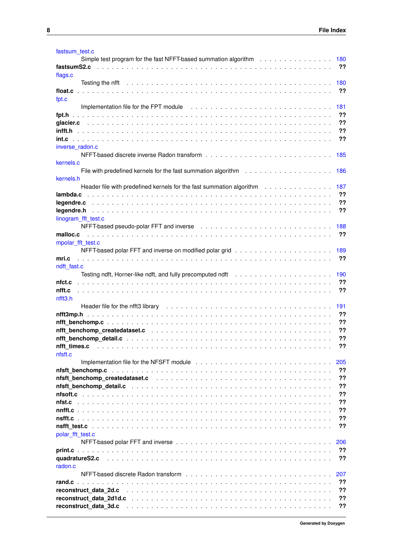| fastsum test.c<br>Simple test program for the fast NFFT-based summation algorithm $\ldots \ldots \ldots \ldots \ldots$                                                                                                         | 180       |
|--------------------------------------------------------------------------------------------------------------------------------------------------------------------------------------------------------------------------------|-----------|
| fastsumS2.c                                                                                                                                                                                                                    | ??        |
| flags.c                                                                                                                                                                                                                        |           |
|                                                                                                                                                                                                                                | 180<br>?? |
| float.c<br>fpt.c                                                                                                                                                                                                               |           |
| Implementation file for the FPT module (a) and (b) and (b) and (b) and (b) and (b) and (b) and (b) and (b) are $\alpha$                                                                                                        | 181       |
|                                                                                                                                                                                                                                | ??        |
|                                                                                                                                                                                                                                | ??        |
| infft.h                                                                                                                                                                                                                        | ??        |
| inverse_radon.c                                                                                                                                                                                                                | ??        |
|                                                                                                                                                                                                                                | 185       |
| kernels.c                                                                                                                                                                                                                      | 186       |
| kernels.h                                                                                                                                                                                                                      |           |
| Header file with predefined kernels for the fast summation algorithm                                                                                                                                                           | 187       |
| lambda.c                                                                                                                                                                                                                       | ??        |
| legendre.c                                                                                                                                                                                                                     | ??        |
| legendre.h                                                                                                                                                                                                                     | ??        |
| linogram_fft_test.c                                                                                                                                                                                                            | 188       |
| malloc.c                                                                                                                                                                                                                       | ??        |
| mpolar_fft_test.c                                                                                                                                                                                                              | 189       |
| mri.c                                                                                                                                                                                                                          | ??        |
| ndft fast.c                                                                                                                                                                                                                    |           |
|                                                                                                                                                                                                                                | 190       |
| nfct.c                                                                                                                                                                                                                         | ??        |
| nfft.c<br>nfft3.h                                                                                                                                                                                                              | ??        |
| Header file for the nfft3 library enterpretation of the content of the content of the content of the content of the content of the content of the content of the content of the content of the content of the content of the c | 191       |
|                                                                                                                                                                                                                                | ??        |
|                                                                                                                                                                                                                                | ??        |
|                                                                                                                                                                                                                                | ??        |
|                                                                                                                                                                                                                                | ??        |
| nfft times.c<br>nfsft.c                                                                                                                                                                                                        | ??        |
|                                                                                                                                                                                                                                | 205       |
|                                                                                                                                                                                                                                | ??        |
| nfsft benchomp createdataset.c                                                                                                                                                                                                 | ??        |
|                                                                                                                                                                                                                                | ??        |
| nfsoft.c                                                                                                                                                                                                                       | ??        |
| nfst.c                                                                                                                                                                                                                         | ??        |
|                                                                                                                                                                                                                                | 22        |
|                                                                                                                                                                                                                                | ??        |
| nsfft test.c                                                                                                                                                                                                                   | ??        |
| polar fft test.c                                                                                                                                                                                                               | 206       |
|                                                                                                                                                                                                                                | ??        |
| quadratureS2.c                                                                                                                                                                                                                 | ??        |
| radon.c                                                                                                                                                                                                                        |           |
|                                                                                                                                                                                                                                | 207       |
| rand.c                                                                                                                                                                                                                         | ??        |
| reconstruct data 2d.c                                                                                                                                                                                                          | ??<br>??  |
| reconstruct data 2d1d.c                                                                                                                                                                                                        | ??        |
| reconstruct data 3d.c                                                                                                                                                                                                          |           |

**Generated by Doxygen**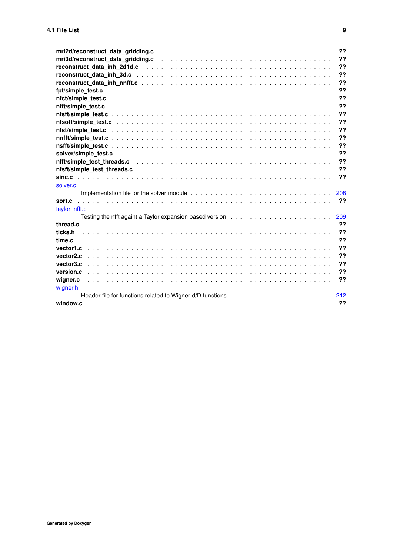| mri2d/reconstruct_data_gridding.c enterpreservatives and contact the set of the contact of the contact of the                                                                                                                  | 22  |
|--------------------------------------------------------------------------------------------------------------------------------------------------------------------------------------------------------------------------------|-----|
| mri3d/reconstruct_data_gridding.c enterpresent services and contact the contract of the contract of the contract of the contract of the contract of the contract of the contract of the contract of the contract of the contra | 22  |
|                                                                                                                                                                                                                                | 22  |
|                                                                                                                                                                                                                                | ??  |
|                                                                                                                                                                                                                                | ??  |
|                                                                                                                                                                                                                                | 22  |
|                                                                                                                                                                                                                                | ??  |
|                                                                                                                                                                                                                                | ??  |
|                                                                                                                                                                                                                                | ??  |
|                                                                                                                                                                                                                                | 22  |
|                                                                                                                                                                                                                                | 22  |
|                                                                                                                                                                                                                                | ??  |
|                                                                                                                                                                                                                                | 22  |
|                                                                                                                                                                                                                                | 22  |
|                                                                                                                                                                                                                                | ??  |
|                                                                                                                                                                                                                                | ??  |
|                                                                                                                                                                                                                                | ??  |
| solver.c                                                                                                                                                                                                                       |     |
|                                                                                                                                                                                                                                | 208 |
| taylor nfft.c                                                                                                                                                                                                                  | ??  |
| Testing the nfft againt a Taylor expansion based version $\ldots \ldots \ldots \ldots \ldots \ldots \ldots \ldots$                                                                                                             | 209 |
| thread.c                                                                                                                                                                                                                       | ??  |
| ticks.h                                                                                                                                                                                                                        | 22  |
|                                                                                                                                                                                                                                | 22  |
|                                                                                                                                                                                                                                | ??  |
| vector <sub>2.c</sub>                                                                                                                                                                                                          | ??  |
| vector3.c                                                                                                                                                                                                                      | 22  |
| version.c                                                                                                                                                                                                                      | ??  |
| wigner.c                                                                                                                                                                                                                       | ??  |
| wigner.h                                                                                                                                                                                                                       |     |
|                                                                                                                                                                                                                                |     |
|                                                                                                                                                                                                                                |     |
|                                                                                                                                                                                                                                |     |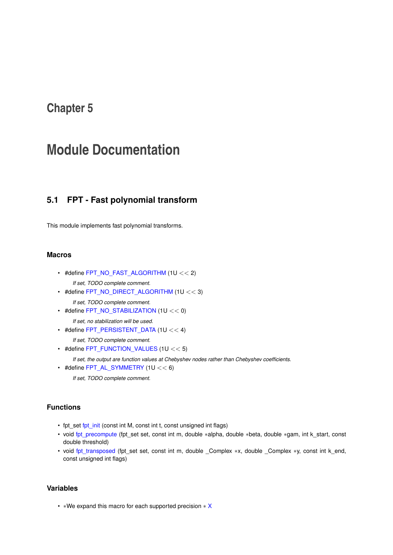# <span id="page-24-0"></span>**Module Documentation**

# <span id="page-24-1"></span>**5.1 FPT - Fast polynomial transform**

This module implements fast polynomial transforms.

### **Macros**

<span id="page-24-2"></span> $\cdot$  #define [FPT\\_NO\\_FAST\\_ALGORITHM](#page-24-2) (1U << 2)

*If set, TODO complete comment.*

- <span id="page-24-3"></span>• #define [FPT\\_NO\\_DIRECT\\_ALGORITHM](#page-24-3) (1U << 3) *If set, TODO complete comment.*
- <span id="page-24-4"></span> $\cdot$  #define [FPT\\_NO\\_STABILIZATION](#page-24-4) (1U << 0)

*If set, no stabilization will be used.*

<span id="page-24-5"></span> $\cdot$  #define [FPT\\_PERSISTENT\\_DATA](#page-24-5) (1U << 4)

*If set, TODO complete comment.*

<span id="page-24-6"></span>• #define [FPT\\_FUNCTION\\_VALUES](#page-24-6) (1U << 5)

*If set, the output are function values at Chebyshev nodes rather than Chebyshev coefficients.*

<span id="page-24-7"></span>• #define  $FPT\_AL\_SYMMETRY$  (1U  $<< 6$ ) *If set, TODO complete comment.*

## **Functions**

- fpt\_set [fpt\\_init](#page-25-3) (const int M, const int t, const unsigned int flags)
- void [fpt\\_precompute](#page-25-4) (fpt\_set set, const int m, double ∗alpha, double ∗beta, double ∗gam, int k\_start, const double threshold)
- void [fpt\\_transposed](#page-26-2) (fpt\_set set, const int m, double \_Complex ∗x, double \_Complex ∗y, const int k\_end, const unsigned int flags)

# **Variables**

• ∗We expand this macro for each supported precision ∗ [X](#page-27-2)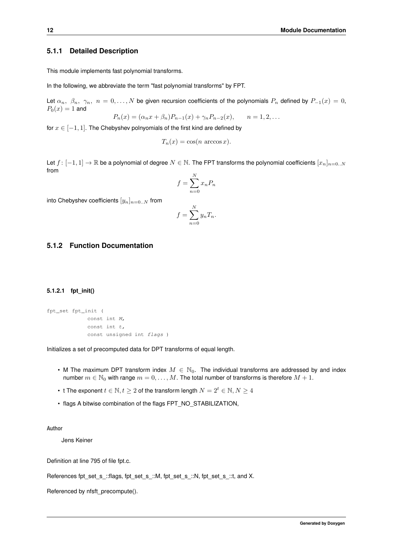### <span id="page-25-0"></span>**5.1.1 Detailed Description**

This module implements fast polynomial transforms.

In the following, we abbreviate the term "fast polynomial transforms" by FPT.

Let  $\alpha_n$ ,  $\beta_n$ ,  $\gamma_n$ ,  $n = 0, \ldots, N$  be given recursion coefficients of the polynomials  $P_n$  defined by  $P_{-1}(x) = 0$ ,  $P_0(x) = 1$  and

 $P_n(x) = (\alpha_n x + \beta_n) P_{n-1}(x) + \gamma_n P_{n-2}(x), \qquad n = 1, 2, ...$ 

for  $x \in [-1, 1]$ . The Chebyshev polnyomials of the first kind are defined by

$$
T_n(x) = \cos(n \arccos x).
$$

Let  $f: [-1,1] \to \mathbb{R}$  be a polynomial of degree  $N \in \mathbb{N}$ . The FPT transforms the polynomial coefficients  $[x_n]_{n=0..N}$ from  $\lambda$ r

$$
f = \sum_{n=0}^{N} x_n P_n
$$

into Chebyshev coefficients  $[y_n]_{n=0..N}$  from

$$
f = \sum_{n=0}^{N} y_n T_n.
$$

## <span id="page-25-3"></span><span id="page-25-1"></span>**5.1.2 Function Documentation**

#### <span id="page-25-2"></span>**5.1.2.1 fpt\_init()**

```
fpt_set fpt_init (
             const int M,
             const int t,
             const unsigned int flags )
```
Initializes a set of precomputed data for DPT transforms of equal length.

- M The maximum DPT transform index  $M \in \mathbb{N}_0$ . The individual transforms are addressed by and index number  $m \in \mathbb{N}_0$  with range  $m = 0, \ldots, M$ . The total number of transforms is therefore  $M + 1$ .
- t The exponent  $t \in \mathbb{N}, t \geq 2$  of the transform length  $N = 2^t \in \mathbb{N}, N \geq 4$
- flags A bitwise combination of the flags FPT\_NO\_STABILIZATION,

**Author**

Jens Keiner

Definition at line 795 of file fpt.c.

References fpt\_set\_s\_::flags, fpt\_set\_s\_::M, fpt\_set\_s\_::N, fpt\_set\_s\_::t, and X.

<span id="page-25-4"></span>Referenced by nfsft\_precompute().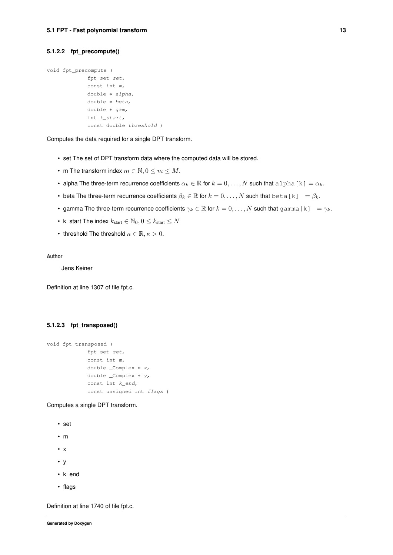#### <span id="page-26-0"></span>**5.1.2.2 fpt\_precompute()**

```
void fpt_precompute (
             fpt_set set,
             const int m,
             double ∗ alpha,
             double ∗ beta,
             double ∗ gam,
             int k_start,
             const double threshold )
```
Computes the data required for a single DPT transform.

- set The set of DPT transform data where the computed data will be stored.
- m The transform index  $m \in \mathbb{N}, 0 \le m \le M$ .
- alpha The three-term recurrence coefficients  $\alpha_k \in \mathbb{R}$  for  $k = 0, \ldots, N$  such that alpha [k] =  $\alpha_k$ .
- beta The three-term recurrence coefficients  $\beta_k \in \mathbb{R}$  for  $k = 0, \ldots, N$  such that  $\text{beta}[k] = \beta_k$ .
- gamma The three-term recurrence coefficients  $\gamma_k \in \mathbb{R}$  for  $k = 0, \ldots, N$  such that gamma [k] =  $\gamma_k$ .
- k\_start The index  $k_{\text{start}} \in \mathbb{N}_0, 0 \leq k_{\text{start}} \leq N$
- threshold The threshold  $\kappa \in \mathbb{R}, \kappa > 0$ .

**Author**

Jens Keiner

<span id="page-26-2"></span>Definition at line 1307 of file fpt.c.

#### <span id="page-26-1"></span>**5.1.2.3 fpt\_transposed()**

```
void fpt_transposed (
             fpt_set set,
             const int m,
             double _Complex ∗ x,
             double _Complex ∗ y,
             const int k_end,
             const unsigned int flags )
```
Computes a single DPT transform.

```
• set
```
- m
- x
- y
- k\_end
- flags

Definition at line 1740 of file fpt.c.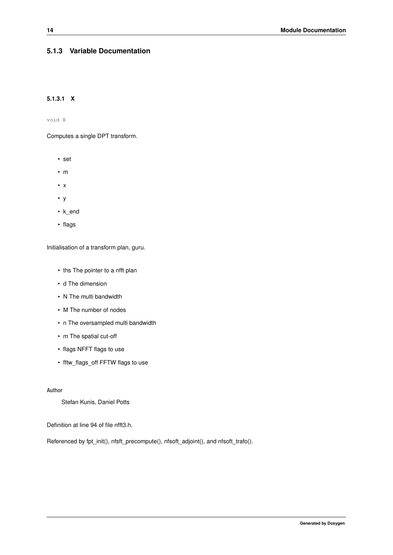## <span id="page-27-2"></span><span id="page-27-0"></span>**5.1.3 Variable Documentation**

## <span id="page-27-1"></span>**5.1.3.1 X**

void X

Computes a single DPT transform.

- set
- m
- x
- y
- k\_end
- flags

Initialisation of a transform plan, guru.

- ths The pointer to a nfft plan
- d The dimension
- N The multi bandwidth
- M The number of nodes
- n The oversampled multi bandwidth
- m The spatial cut-off
- flags NFFT flags to use
- fftw\_flags\_off FFTW flags to use

#### **Author**

Stefan Kunis, Daniel Potts

Definition at line 94 of file nfft3.h.

Referenced by fpt\_init(), nfsft\_precompute(), nfsoft\_adjoint(), and nfsoft\_trafo().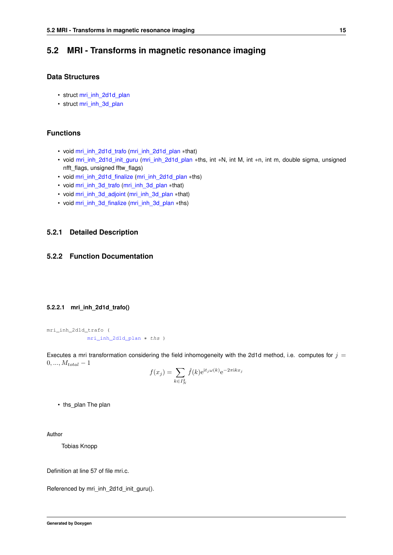# <span id="page-28-0"></span>**5.2 MRI - Transforms in magnetic resonance imaging**

# **Data Structures**

- struct [mri\\_inh\\_2d1d\\_plan](#page-159-5)
- struct [mri\\_inh\\_3d\\_plan](#page-159-6)

## **Functions**

- void [mri\\_inh\\_2d1d\\_trafo](#page-28-4) [\(mri\\_inh\\_2d1d\\_plan](#page-159-5) ∗that)
- void [mri\\_inh\\_2d1d\\_init\\_guru](#page-28-5) [\(mri\\_inh\\_2d1d\\_plan](#page-159-5) ∗ths, int ∗N, int M, int ∗n, int m, double sigma, unsigned nfft\_flags, unsigned fftw\_flags)
- void [mri\\_inh\\_2d1d\\_finalize](#page-29-2) [\(mri\\_inh\\_2d1d\\_plan](#page-159-5) ∗ths)
- void [mri\\_inh\\_3d\\_trafo](#page-29-3) [\(mri\\_inh\\_3d\\_plan](#page-159-6) ∗that)
- void [mri\\_inh\\_3d\\_adjoint](#page-30-3) [\(mri\\_inh\\_3d\\_plan](#page-159-6) ∗that)
- void [mri\\_inh\\_3d\\_finalize](#page-30-4) [\(mri\\_inh\\_3d\\_plan](#page-159-6) ∗ths)

## <span id="page-28-1"></span>**5.2.1 Detailed Description**

# <span id="page-28-4"></span><span id="page-28-2"></span>**5.2.2 Function Documentation**

#### <span id="page-28-3"></span>**5.2.2.1 mri\_inh\_2d1d\_trafo()**

```
mri_inh_2d1d_trafo (
            mri_inh_2d1d_plan ∗ ths )
```
Executes a mri transformation considering the field inhomogeneity with the 2d1d method, i.e. computes for  $j =$  $0, ..., M_{total} - 1$ 

$$
f(x_j) = \sum_{k \in I_N^2} \hat{f}(k) e^{\mathrm{i} t_j \omega(k)} e^{-2\pi \mathrm{i} k x_j}
$$

• ths plan The plan

**Author**

Tobias Knopp

Definition at line 57 of file mri.c.

<span id="page-28-5"></span>Referenced by mri\_inh\_2d1d\_init\_guru().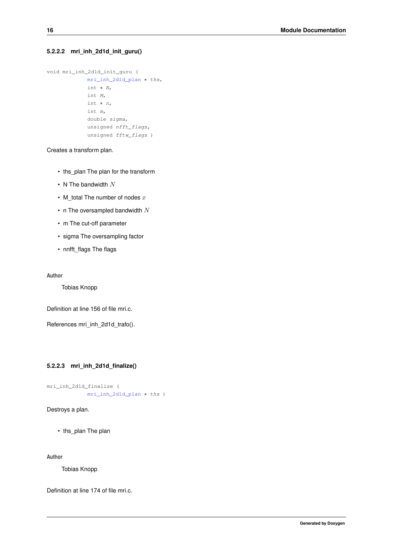### <span id="page-29-0"></span>**5.2.2.2 mri\_inh\_2d1d\_init\_guru()**

```
void mri_inh_2d1d_init_guru (
            mri_inh_2d1d_plan ∗ ths,
             int ∗ N,
             int M,
             int ∗ n,
             int m,
             double sigma,
             unsigned nfft_flags,
             unsigned fftw_flags )
```
Creates a transform plan.

- ths\_plan The plan for the transform
- N The bandwidth  $N$
- M\_total The number of nodes  $x$
- n The oversampled bandwidth  $N$
- m The cut-off parameter
- sigma The oversampling factor
- nnfft\_flags The flags

**Author**

Tobias Knopp

Definition at line 156 of file mri.c.

<span id="page-29-2"></span>References mri\_inh\_2d1d\_trafo().

### <span id="page-29-1"></span>**5.2.2.3 mri\_inh\_2d1d\_finalize()**

```
mri_inh_2d1d_finalize (
           mri inh 2d1d plan ∗ ths )
```
Destroys a plan.

• ths\_plan The plan

**Author**

Tobias Knopp

<span id="page-29-3"></span>Definition at line 174 of file mri.c.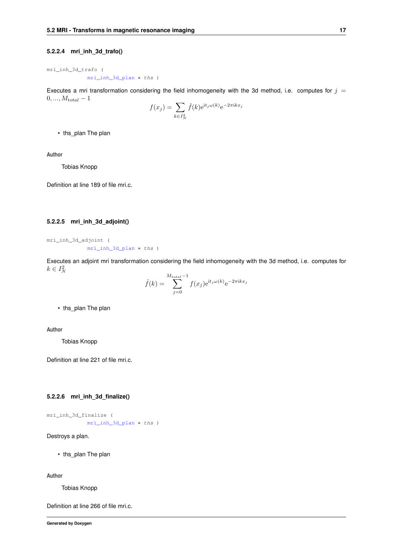#### <span id="page-30-0"></span>**5.2.2.4 mri\_inh\_3d\_trafo()**

mri\_inh\_3d\_trafo ( [mri\\_inh\\_3d\\_plan](#page-159-6) ∗ ths )

Executes a mri transformation considering the field inhomogeneity with the 3d method, i.e. computes for  $j =$  $0, ..., M_{total} - 1$ 

$$
f(x_j) = \sum_{k \in I_N^2} \hat{f}(k) e^{\mathrm{i}t_j \omega(k)} e^{-2\pi \mathrm{i}kx_j}
$$

• ths\_plan The plan

**Author**

Tobias Knopp

<span id="page-30-3"></span>Definition at line 189 of file mri.c.

### <span id="page-30-1"></span>**5.2.2.5 mri\_inh\_3d\_adjoint()**

```
mri_inh_3d_adjoint (
            mri_inh_3d_plan ∗ ths )
```
Executes an adjoint mri transformation considering the field inhomogeneity with the 3d method, i.e. computes for  $k \in I_N^2$  $M_{\odot}$ 

$$
\hat{f}(k) = \sum_{j=0}^{M_{total}-1} f(x_j) e^{\mathrm{i}t_j \omega(k)} e^{-2\pi \mathrm{i}kx_j}
$$

• ths plan The plan

**Author**

Tobias Knopp

<span id="page-30-4"></span>Definition at line 221 of file mri.c.

#### <span id="page-30-2"></span>**5.2.2.6 mri\_inh\_3d\_finalize()**

```
mri_inh_3d_finalize (
           mri_inh_3d_plan ∗ ths )
```
Destroys a plan.

• ths\_plan The plan

**Author**

Tobias Knopp

Definition at line 266 of file mri.c.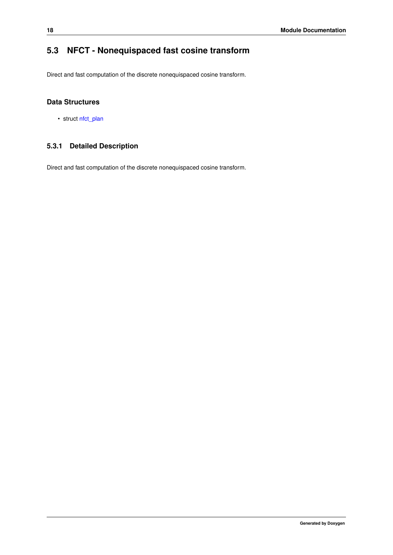# <span id="page-31-0"></span>**5.3 NFCT - Nonequispaced fast cosine transform**

Direct and fast computation of the discrete nonequispaced cosine transform.

# **Data Structures**

• struct [nfct\\_plan](#page-162-4)

# <span id="page-31-1"></span>**5.3.1 Detailed Description**

Direct and fast computation of the discrete nonequispaced cosine transform.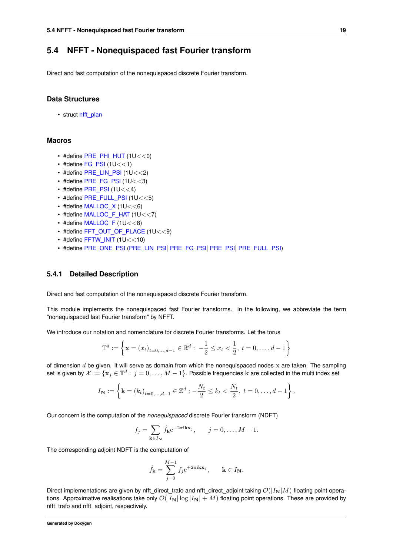# <span id="page-32-0"></span>**5.4 NFFT - Nonequispaced fast Fourier transform**

Direct and fast computation of the nonequispaced discrete Fourier transform.

### **Data Structures**

• struct [nfft\\_plan](#page-164-5)

## **Macros**

- $\cdot$  #define [PRE\\_PHI\\_HUT](#page-33-3) (1U<<0)
- #define [FG\\_PSI](#page-33-4)  $(1U<<1)$
- #define [PRE\\_LIN\\_PSI](#page-33-5) (1U<<2)
- #define [PRE\\_FG\\_PSI](#page-34-2) (1U $<<$ 3)
- #define  $PRE$   $PSI$  (1U $<<$ 4)
- #define [PRE\\_FULL\\_PSI](#page-35-2) (1U<<5)
- $\cdot$  #define MALLOC X (1U<<6)
- #define [MALLOC\\_F\\_HAT](#page-36-2) (1U<<7)
- $\cdot$  #define [MALLOC\\_F](#page-36-3) (1U $<<$ 8)
- #define [FFT\\_OUT\\_OF\\_PLACE](#page-37-2) (1U<<9)
- $\cdot$  #define [FFTW\\_INIT](#page-37-3) (1U  $<<$  10)
- #define [PRE\\_ONE\\_PSI](#page-38-2) [\(PRE\\_LIN\\_PSI](#page-33-5)| [PRE\\_FG\\_PSI](#page-34-2)| [PRE\\_PSI](#page-34-3)| [PRE\\_FULL\\_PSI\)](#page-35-2)

#### <span id="page-32-1"></span>**5.4.1 Detailed Description**

Direct and fast computation of the nonequispaced discrete Fourier transform.

This module implements the nonequispaced fast Fourier transforms. In the following, we abbreviate the term "nonequispaced fast Fourier transform" by NFFT.

We introduce our notation and nomenclature for discrete Fourier transforms. Let the torus

$$
\mathbb{T}^d := \left\{ \mathbf{x} = (x_t)_{t=0,\dots,d-1} \in \mathbb{R}^d : -\frac{1}{2} \le x_t < \frac{1}{2}, \ t = 0,\dots,d-1 \right\}
$$

of dimension  $d$  be given. It will serve as domain from which the nonequispaced nodes  $x$  are taken. The sampling set is given by  $\mathcal{X}:=\{\mathbf{x}_j\in\mathbb{T}^d:\,j=0,\ldots,M-1\}.$  Possible frequencies  $\mathbf k$  are collected in the multi index set

$$
I_{\mathbf{N}} := \left\{ \mathbf{k} = (k_t)_{t=0,...,d-1} \in \mathbb{Z}^d : -\frac{N_t}{2} \le k_t < \frac{N_t}{2}, \ t = 0, \dots, d-1 \right\}.
$$

Our concern is the computation of the *nonequispaced* discrete Fourier transform (NDFT)

$$
f_j = \sum_{\mathbf{k} \in I_{\mathbf{N}}} \hat{f}_{\mathbf{k}} e^{-2\pi i \mathbf{k} \mathbf{x}_j}, \quad j = 0, \dots, M - 1.
$$

The corresponding adjoint NDFT is the computation of

$$
\hat{f}_{\mathbf{k}} = \sum_{j=0}^{M-1} f_j e^{+2\pi i \mathbf{k} \mathbf{x}_j}, \qquad \mathbf{k} \in I_{\mathbf{N}}.
$$

Direct implementations are given by nfft\_direct\_trafo and nfft\_direct\_adjoint taking  $\mathcal{O}(|I_N|M)$  floating point operations. Approximative realisations take only  $\mathcal{O}(|I_N| \log |I_N| + M)$  floating point operations. These are provided by nfft\_trafo and nfft\_adjoint, respectively.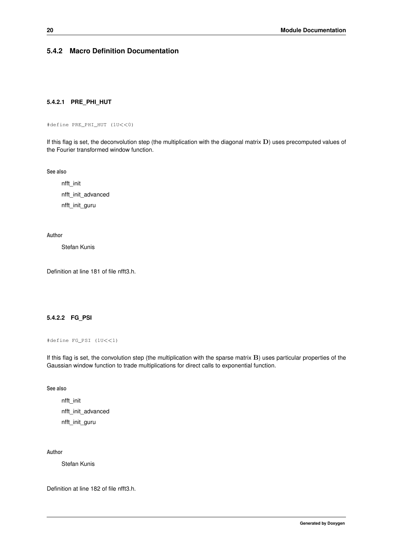# <span id="page-33-3"></span><span id="page-33-0"></span>**5.4.2 Macro Definition Documentation**

#### <span id="page-33-1"></span>**5.4.2.1 PRE\_PHI\_HUT**

#define PRE\_PHI\_HUT (1U<<0)

If this flag is set, the deconvolution step (the multiplication with the diagonal matrix  $D$ ) uses precomputed values of the Fourier transformed window function.

**See also**

nfft\_init nfft\_init\_advanced nfft\_init\_guru

#### **Author**

Stefan Kunis

<span id="page-33-4"></span>Definition at line 181 of file nfft3.h.

### <span id="page-33-2"></span>**5.4.2.2 FG\_PSI**

```
#define FG_PSI (1U<<1)
```
If this flag is set, the convolution step (the multiplication with the sparse matrix  $B$ ) uses particular properties of the Gaussian window function to trade multiplications for direct calls to exponential function.

#### **See also**

nfft\_init nfft\_init\_advanced nfft\_init\_guru

**Author**

Stefan Kunis

<span id="page-33-5"></span>Definition at line 182 of file nfft3.h.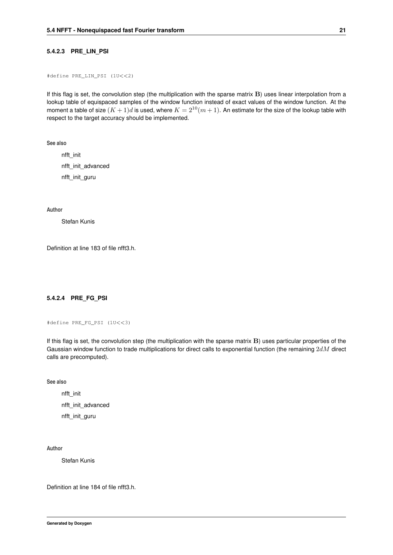#### <span id="page-34-0"></span>**5.4.2.3 PRE\_LIN\_PSI**

#define PRE\_LIN\_PSI (1U<<2)

If this flag is set, the convolution step (the multiplication with the sparse matrix B) uses linear interpolation from a lookup table of equispaced samples of the window function instead of exact values of the window function. At the moment a table of size  $(K + 1)d$  is used, where  $K = 2^{10}(m + 1)$ . An estimate for the size of the lookup table with respect to the target accuracy should be implemented.

**See also**

nfft\_init nfft\_init\_advanced nfft\_init\_guru

**Author**

Stefan Kunis

<span id="page-34-2"></span>Definition at line 183 of file nfft3.h.

#### <span id="page-34-1"></span>**5.4.2.4 PRE\_FG\_PSI**

```
#define PRE_FG_PSI (1U<<3)
```
If this flag is set, the convolution step (the multiplication with the sparse matrix B) uses particular properties of the Gaussian window function to trade multiplications for direct calls to exponential function (the remaining  $2dM$  direct calls are precomputed).

**See also**

nfft\_init nfft\_init\_advanced nfft\_init\_guru

**Author**

Stefan Kunis

<span id="page-34-3"></span>Definition at line 184 of file nfft3.h.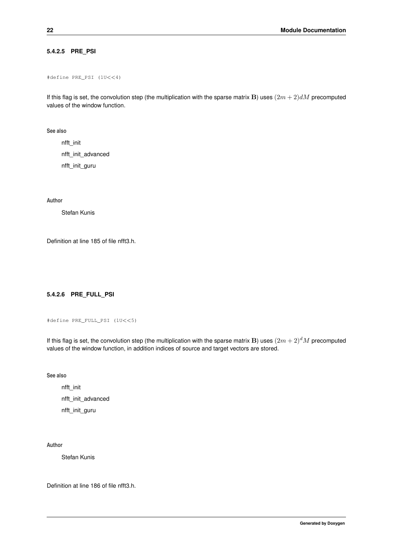## <span id="page-35-0"></span>**5.4.2.5 PRE\_PSI**

#define PRE\_PSI (1U<<4)

If this flag is set, the convolution step (the multiplication with the sparse matrix B) uses  $(2m + 2)dM$  precomputed values of the window function.

**See also**

nfft\_init nfft\_init\_advanced nfft\_init\_guru

**Author**

Stefan Kunis

<span id="page-35-2"></span>Definition at line 185 of file nfft3.h.

## <span id="page-35-1"></span>**5.4.2.6 PRE\_FULL\_PSI**

```
#define PRE_FULL_PSI (1U<<5)
```
If this flag is set, the convolution step (the multiplication with the sparse matrix B) uses  $(2m+2)^dM$  precomputed values of the window function, in addition indices of source and target vectors are stored.

**See also**

nfft\_init nfft\_init\_advanced nfft\_init\_guru

**Author**

Stefan Kunis

<span id="page-35-3"></span>Definition at line 186 of file nfft3.h.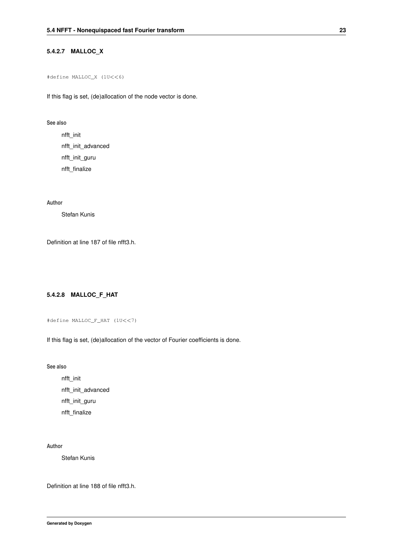# **5.4.2.7 MALLOC\_X**

#define MALLOC\_X (1U<<6)

If this flag is set, (de)allocation of the node vector is done.

### **See also**

nfft\_init nfft\_init\_advanced nfft\_init\_guru nfft\_finalize

**Author**

Stefan Kunis

Definition at line 187 of file nfft3.h.

## **5.4.2.8 MALLOC\_F\_HAT**

#define MALLOC\_F\_HAT (1U<<7)

If this flag is set, (de)allocation of the vector of Fourier coefficients is done.

**See also**

nfft\_init nfft\_init\_advanced nfft\_init\_guru nfft\_finalize

**Author**

Stefan Kunis

Definition at line 188 of file nfft3.h.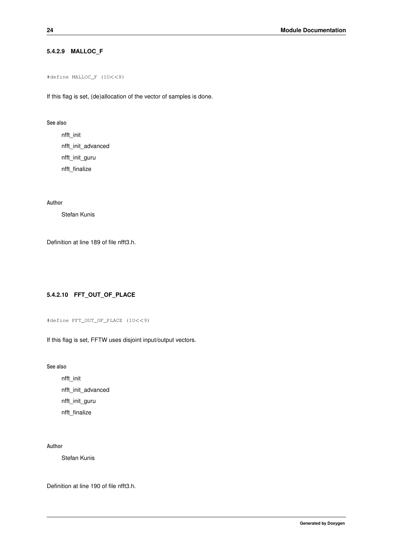## **5.4.2.9 MALLOC\_F**

```
#define MALLOC_F (1U<<8)
```
If this flag is set, (de)allocation of the vector of samples is done.

### **See also**

nfft\_init nfft\_init\_advanced nfft\_init\_guru nfft\_finalize

**Author**

Stefan Kunis

Definition at line 189 of file nfft3.h.

## **5.4.2.10 FFT\_OUT\_OF\_PLACE**

```
#define FFT_OUT_OF_PLACE (1U<<9)
```
If this flag is set, FFTW uses disjoint input/output vectors.

**See also**

nfft\_init nfft\_init\_advanced nfft\_init\_guru nfft\_finalize

### **Author**

Stefan Kunis

Definition at line 190 of file nfft3.h.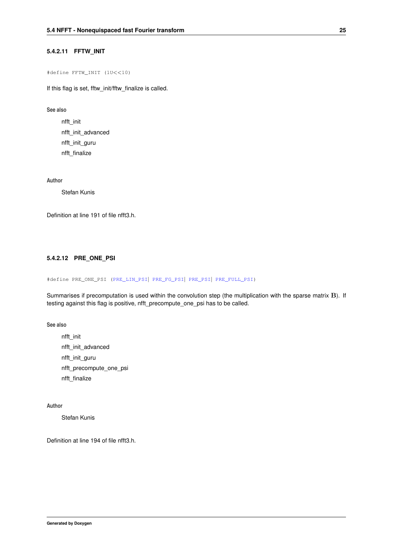### **5.4.2.11 FFTW\_INIT**

```
#define FFTW_INIT (1U<<10)
```
If this flag is set, fftw\_init/fftw\_finalize is called.

### **See also**

nfft\_init nfft\_init\_advanced nfft\_init\_guru nfft\_finalize

**Author**

Stefan Kunis

Definition at line 191 of file nfft3.h.

# **5.4.2.12 PRE\_ONE\_PSI**

#define PRE\_ONE\_PSI [\(PRE\\_LIN\\_PSI](#page-33-0)| [PRE\\_FG\\_PSI](#page-34-0)| [PRE\\_PSI](#page-34-1)| [PRE\\_FULL\\_PSI\)](#page-35-0)

Summarises if precomputation is used within the convolution step (the multiplication with the sparse matrix B). If testing against this flag is positive, nfft\_precompute\_one\_psi has to be called.

**See also**

nfft\_init nfft\_init\_advanced nfft\_init\_guru nfft\_precompute\_one\_psi nfft\_finalize

### **Author**

Stefan Kunis

Definition at line 194 of file nfft3.h.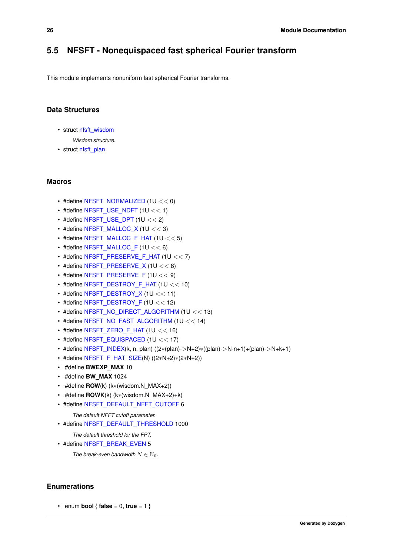# **5.5 NFSFT - Nonequispaced fast spherical Fourier transform**

This module implements nonuniform fast spherical Fourier transforms.

# **Data Structures**

- struct [nfsft\\_wisdom](#page-171-0)
	- *Wisdom structure.*
- struct [nfsft\\_plan](#page-171-1)

### **Macros**

- $\cdot$  #define [NFSFT\\_NORMALIZED](#page-44-0) (1U << 0)
- $\cdot$  #define [NFSFT\\_USE\\_NDFT](#page-45-0) (1U << 1)
- $\cdot$  #define [NFSFT\\_USE\\_DPT](#page-45-1) (1U << 2)
- $\cdot$  #define [NFSFT\\_MALLOC\\_X](#page-45-2) (1U << 3)
- #define [NFSFT\\_MALLOC\\_F\\_HAT](#page-46-0) (1U << 5)
- $\cdot$  #define [NFSFT\\_MALLOC\\_F](#page-46-1) (1U << 6)
- #define [NFSFT\\_PRESERVE\\_F\\_HAT](#page-47-0)  $(1U << 7)$
- #define [NFSFT\\_PRESERVE\\_X](#page-47-1) (1U  $<< 8$ )
- #define [NFSFT\\_PRESERVE\\_F](#page-48-0)  $(1U << 9)$
- #define [NFSFT\\_DESTROY\\_F\\_HAT](#page-48-1) (1U << 10)
- #define [NFSFT\\_DESTROY\\_X](#page-49-0) (1U  $<< 11$ )
- #define [NFSFT\\_DESTROY\\_F](#page-49-1) (1U  $<< 12$ )
- #define [NFSFT\\_NO\\_DIRECT\\_ALGORITHM](#page-50-0) (1U << 13)
- #define [NFSFT\\_NO\\_FAST\\_ALGORITHM](#page-50-1) (1U << 14)
- #define [NFSFT\\_ZERO\\_F\\_HAT](#page-51-0)  $(1U << 16)$
- #define [NFSFT\\_EQUISPACED](#page-51-1) (1U << 17)
- #define [NFSFT\\_INDEX\(](#page-51-2)k, n, plan) ((2∗(plan)->N+2)∗((plan)->N-n+1)+(plan)->N+k+1)
- #define [NFSFT\\_F\\_HAT\\_SIZE\(](#page-52-0)N) ((2∗N+2)∗(2∗N+2))
- #define **BWEXP\_MAX** 10
- #define **BW\_MAX** 1024
- #define **ROW**(k) (k∗(wisdom.N\_MAX+2))
- #define **ROWK**(k) (k∗(wisdom.N\_MAX+2)+k)
- #define [NFSFT\\_DEFAULT\\_NFFT\\_CUTOFF](#page-52-1) 6

*The default NFFT cutoff parameter.*

• #define [NFSFT\\_DEFAULT\\_THRESHOLD](#page-52-2) 1000

*The default threshold for the FPT.*

• #define [NFSFT\\_BREAK\\_EVEN](#page-52-3) 5

*The break-even bandwidth*  $N \in \mathbb{N}_0$ .

# **Enumerations**

• enum **bool**  $\{$  **false** = 0, **true** = 1  $\}$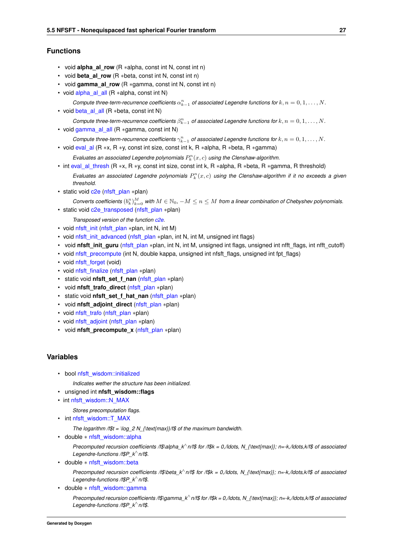## **Functions**

- void **alpha\_al\_row** (R ∗alpha, const int N, const int n)
- void **beta\_al\_row** (R ∗beta, const int N, const int n)
- void **gamma\_al\_row** (R ∗gamma, const int N, const int n)
- void [alpha\\_al\\_all](#page-53-0) (R ∗alpha, const int N)
- *Compute three-term-recurrence coefficients*  $\alpha_{k-1}^n$  *of associated Legendre functions for*  $k, n = 0, 1, ..., N$ .
- void [beta\\_al\\_all](#page-53-1) (R ∗beta, const int N)
	- *Compute three-term-recurrence coefficients*  $\beta_{k-1}^n$  *of associated Legendre functions for*  $k, n = 0, 1, ..., N$ .
- void [gamma\\_al\\_all](#page-53-2) (R ∗gamma, const int N)
	- *Compute three-term-recurrence coefficients*  $\gamma_{k-1}^n$  *of associated Legendre functions for*  $k, n = 0, 1, ..., N$ .
- void [eval\\_al](#page-54-0) (R ∗x, R ∗y, const int size, const int k, R ∗alpha, R ∗beta, R ∗gamma) Evaluates an associated Legendre polynomials  $P_k^n(x, c)$  using the Clenshaw-algorithm.
- int [eval\\_al\\_thresh](#page-54-1) (R ∗x, R ∗y, const int size, const int k, R ∗alpha, R ∗beta, R ∗gamma, R threshold)
	- Evaluates an associated Legendre polynomials  $P_k^n(x, c)$  using the Clenshaw-algorithm if it no exceeds a given *threshold.*
- static void [c2e](#page-55-0) [\(nfsft\\_plan](#page-171-1) ∗plan)

 ${\it Conversely}$  *Converts coefficients*  $(b_k^n)_{k=0}^M$  *with*  $M\in\mathbb N_0$ ,  $-M\le n\le M$  from a linear combination of Chebyshev polynomials. • static void [c2e\\_transposed](#page-56-0) [\(nfsft\\_plan](#page-171-1) ∗plan)

*Transposed version of the function [c2e.](#page-55-0)*

- void [nfsft\\_init](#page-56-1) [\(nfsft\\_plan](#page-171-1) ∗plan, int N, int M)
- void [nfsft\\_init\\_advanced](#page-56-2) [\(nfsft\\_plan](#page-171-1) ∗plan, int N, int M, unsigned int flags)
- void **nfsft\_init\_guru** [\(nfsft\\_plan](#page-171-1) ∗plan, int N, int M, unsigned int flags, unsigned int nfft\_flags, int nfft\_cutoff)
- void [nfsft\\_precompute](#page-57-0) (int N, double kappa, unsigned int nfsft\_flags, unsigned int fpt\_flags)
- void [nfsft\\_forget](#page-57-1) (void)
- void [nfsft\\_finalize](#page-58-0) [\(nfsft\\_plan](#page-171-1) ∗plan)
- static void **nfsft\_set\_f\_nan** [\(nfsft\\_plan](#page-171-1) ∗plan)
- void **nfsft\_trafo\_direct** [\(nfsft\\_plan](#page-171-1) ∗plan)
- static void **nfsft\_set\_f\_hat\_nan** [\(nfsft\\_plan](#page-171-1) ∗plan)
- void **nfsft\_adjoint\_direct** [\(nfsft\\_plan](#page-171-1) ∗plan)
- void [nfsft\\_trafo](#page-58-1) [\(nfsft\\_plan](#page-171-1) ∗plan)
- void [nfsft\\_adjoint](#page-58-2) [\(nfsft\\_plan](#page-171-1) ∗plan)
- void **nfsft\_precompute\_x** [\(nfsft\\_plan](#page-171-1) ∗plan)

## **Variables**

- <span id="page-40-0"></span>• bool [nfsft\\_wisdom::initialized](#page-40-0)
	- *Indicates wether the structure has been initialized.*
- unsigned int **nfsft\_wisdom::flags**
- int [nfsft\\_wisdom::N\\_MAX](#page-59-0)

*Stores precomputation flags.*

<span id="page-40-1"></span>• int [nfsft\\_wisdom::T\\_MAX](#page-40-1)

*The logarithm /f\$t = \log\_2 N\_{\text{max}}/f\$ of the maximum bandwidth.*

<span id="page-40-2"></span>• double ∗ [nfsft\\_wisdom::alpha](#page-40-2)

*Precomputed recursion coefficients /f\$\alpha\_k*<sup>∧</sup> *n/f\$ for /f\$k = 0,/ldots, N\_{\text{max}}; n=-k,/ldots,k/f\$ of associated Legendre-functions /f\$P\_k*<sup>∧</sup> *n/f\$.*

<span id="page-40-3"></span>• double ∗ [nfsft\\_wisdom::beta](#page-40-3)

*Precomputed recursion coefficients /f\$\beta\_k*<sup>∧</sup> *n/f\$ for /f\$k = 0,/ldots, N\_{\text{max}}; n=-k,/ldots,k/f\$ of associated Legendre-functions /f\$P\_k*<sup>∧</sup> *n/f\$.*

<span id="page-40-4"></span>• double ∗ [nfsft\\_wisdom::gamma](#page-40-4)

*Precomputed recursion coefficients* /f\$\gamma\_k<sup>\</sup> n/f\$ for /f\$k = 0,/ldots, N\_{\text{max}}; n=-k,/ldots,k/f\$ of associated *Legendre-functions /f\$P\_k*<sup>∧</sup> *n/f\$.*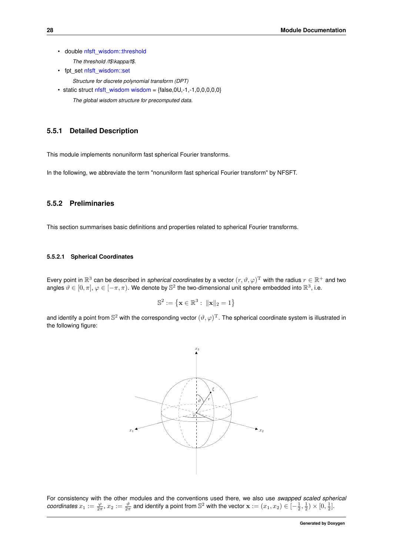<span id="page-41-0"></span>• double [nfsft\\_wisdom::threshold](#page-41-0)

*The threshold /f\$\kappa/f\$.*

- <span id="page-41-1"></span>• fpt\_set [nfsft\\_wisdom::set](#page-41-1)
	- *Structure for discrete polynomial transform (DPT)*
- $\bullet$  static struct [nfsft\\_wisdom](#page-171-0) [wisdom](#page-59-1) = {false, 0U, -1, -1, 0, 0, 0, 0, 0}
	- *The global wisdom structure for precomputed data.*

### **5.5.1 Detailed Description**

This module implements nonuniform fast spherical Fourier transforms.

In the following, we abbreviate the term "nonuniform fast spherical Fourier transform" by NFSFT.

### **5.5.2 Preliminaries**

This section summarises basic definitions and properties related to spherical Fourier transforms.

#### **5.5.2.1 Spherical Coordinates**

Every point in  $\R^3$  can be described in *spherical coordinates* by a vector  $(r,\vartheta,\varphi)^{\rm T}$  with the radius  $r\in\R^+$  and two angles  $\vartheta \in [0, \pi], \varphi \in [-\pi, \pi)$ . We denote by  $\mathbb{S}^2$  the two-dimensional unit sphere embedded into  $\mathbb{R}^3$ , i.e.

$$
\mathbb{S}^2 := \left\{ \mathbf{x} \in \mathbb{R}^3 : \ \|\mathbf{x}\|_2 = 1 \right\}
$$

and identify a point from  $\mathbb{S}^2$  with the corresponding vector  $(\vartheta,\varphi)^{\rm T}$ . The spherical coordinate system is illustrated in the following figure:



For consistency with the other modules and the conventions used there, we also use *swapped scaled spherical* coordinates  $x_1 := \frac{\varphi}{2\pi}$ ,  $x_2 := \frac{\vartheta}{2\pi}$  and identify a point from  $\mathbb{S}^2$  with the vector  $\mathbf{x} := (x_1, x_2) \in [-\frac{1}{2}, \frac{1}{2}) \times [0, \frac{1}{2}]$ .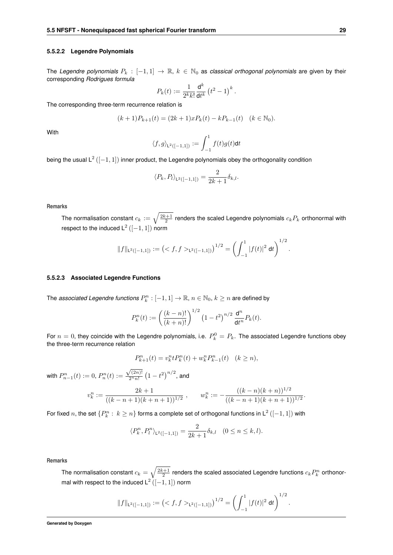#### **5.5.2.2 Legendre Polynomials**

The *Legendre polynomials* P<sup>k</sup> : [−1, 1] → R, k ∈ N<sup>0</sup> as *classical orthogonal polynomials* are given by their corresponding *Rodrigues formula*

$$
P_k(t):=\frac{1}{2^kk!}\frac{\mathrm{d}^k}{\mathrm{d}t^k}\left(t^2-1\right)^k
$$

.

The corresponding three-term recurrence relation is

$$
(k+1)P_{k+1}(t) = (2k+1)xP_k(t) - kP_{k-1}(t) \quad (k \in \mathbb{N}_0).
$$

With

$$
\langle f, g \rangle_{\mathsf{L}^2([-1,1])} := \int_{-1}^1 f(t)g(t)\mathrm{d}t
$$

being the usual  $\mathsf{L}^2\left([-1,1]\right)$  inner product, the Legendre polynomials obey the orthogonality condition

$$
\langle P_k, P_l \rangle_{L^2([-1,1])} = \frac{2}{2k+1} \delta_{k,l}.
$$

**Remarks**

The normalisation constant  $c_k := \sqrt{\frac{2k+1}{2}}$  renders the scaled Legendre polynomials  $c_k P_k$  orthonormal with respect to the induced  $\mathsf{L}^2\left([-1,1]\right)$  norm

$$
||f||_{\mathsf{L}^2([-1,1])} := \left( \langle f, f \rangle_{\mathsf{L}^2([-1,1])} \right)^{1/2} = \left( \int_{-1}^1 |f(t)|^2 \, \mathrm{d}t \right)^{1/2}.
$$

### **5.5.2.3 Associated Legendre Functions**

The *associated Legendre functions*  $P_k^n: [-1,1] \to \mathbb{R}, n \in \mathbb{N}_0, k \geq n$  *are defined by* 

$$
P_k^n(t) := \left(\frac{(k-n)!}{(k+n)!}\right)^{1/2} \left(1-t^2\right)^{n/2} \frac{\mathrm{d}^n}{\mathrm{d}t^n} P_k(t).
$$

For  $n=0$ , they coincide with the Legendre polynomials, i.e.  $P_k^0=P_k$ . The associated Legendre functions obey the three-term recurrence relation

$$
P_{k+1}^n(t) = v_k^n t P_k^n(t) + w_k^n P_{k-1}^n(t) \quad (k \ge n),
$$

with  $P_{n-1}^n(t) := 0$ ,  $P_n^n(t) :=$  $\sqrt{(2n)!}$  $\frac{\sqrt{(2n)!}}{2^n n!}\left(1-t^2\right)^{n/2}$ , and

$$
v_k^n := \frac{2k+1}{((k-n+1)(k+n+1))^{1/2}}, \qquad w_k^n := -\frac{((k-n)(k+n))^{1/2}}{((k-n+1)(k+n+1))^{1/2}}.
$$

For fixed  $n$ , the set  $\{P_k^n:\,k\ge n\}$  forms a complete set of orthogonal functions in  $\mathsf{L}^2\left([-1,1]\right)$  with

$$
\langle P_k^n, P_l^n \rangle_{\mathsf{L}^2([-1,1])} = \frac{2}{2k+1} \delta_{k,l} \quad (0 \le n \le k, l).
$$

**Remarks**

The normalisation constant  $c_k=\sqrt{\frac{2k+1}{2}}$  renders the scaled associated Legendre functions  $c_kP_k^n$  orthonormal with respect to the induced  $\mathsf{L}^2\left([-1,1]\right)$  norm

$$
\|f\|_{\operatorname{L}^2([-1,1])}:=\left(_{\operatorname{L}^2([-1,1])}\right)^{1/2}=\left(\int_{-1}^1|f(t)|^2\ \mathrm{d} t\right)^{1/2}.
$$

**Generated by Doxygen**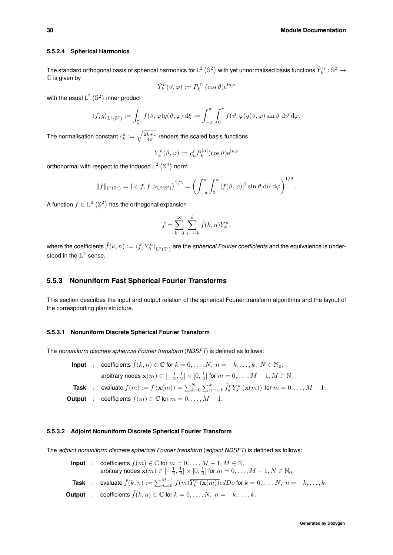#### **5.5.2.4 Spherical Harmonics**

The standard orthogonal basis of spherical harmonics for L $^2$   $(\Bbb S^2)$  with yet unnormalised basis functions  $\tilde Y_k^n:\Bbb S^2\to$  $\mathbb C$  is given by

$$
\tilde{Y}_k^n(\vartheta,\varphi) := P_k^{|n|}(\cos\vartheta) e^{\mathrm{i}n\varphi}
$$

with the usual  $\mathsf{L}^2\left(\mathbb{S}^2\right)$  inner product

$$
\langle f, g \rangle_{\mathcal{L}^2(\mathbb{S}^2)} := \int_{\mathbb{S}^2} f(\vartheta, \varphi) \overline{g(\vartheta, \varphi)} \, d\xi := \int_{-\pi}^{\pi} \int_0^{\pi} f(\vartheta, \varphi) \overline{g(\vartheta, \varphi)} \sin \vartheta \, d\vartheta \, d\varphi.
$$

The normalisation constant  $c^n_k:=\sqrt{\frac{2k+1}{4\pi}}$  renders the scaled basis functions

$$
Y_k^n(\vartheta,\varphi) := c_k^n P_k^{|n|}(\cos\vartheta) e^{\mathrm{i} n\varphi}
$$

orthonormal with respect to the induced  $\mathsf{L}^2$  (S<sup>2</sup>) norm

$$
||f||_{\mathsf{L}^{2}(\mathbb{S}^{2})} = (f, f>_{\mathsf{L}^{2}(\mathbb{S}^{2})})^{1/2} = \left(\int_{-\pi}^{\pi} \int_{0}^{\pi} |f(\vartheta, \varphi)|^{2} \sin \vartheta \, d\vartheta \, d\varphi\right)^{1/2}.
$$

A function  $f \in \mathrm{L}^2\left(\mathbb{S}^2\right)$  has the orthogonal expansion

$$
f = \sum_{k=0}^{\infty} \sum_{n=-k}^{k} \hat{f}(k, n) Y_{k}^{n},
$$

where the coefficients  $\hat{f}(k,n):=\bra{f, Y^n_k}_{\text{L}^2(\mathbb{S}^2)}$  are the *spherical Fourier coefficients* and the equivalence is understood in the  $\mathrm{L}^2$ -sense.

## **5.5.3 Nonuniform Fast Spherical Fourier Transforms**

This section describes the input and output relation of the spherical Fourier transform algorithms and the layout of the corresponding plan structure.

### **5.5.3.1 Nonuniform Discrete Spherical Fourier Transform**

The *nonuniform discrete spherical Fourier transform* (*NDSFT*) is defined as follows:

| Input | : coefficients $\hat{f}(k,n) \in \mathbb{C}$ for $k = 0, ..., N$ , $n = -k, ..., k$ , $N \in \mathbb{N}_0$ ,<br>arbitrary nodes $\mathbf{x}(m) \in [-\frac{1}{2}, \frac{1}{2}] \times [0, \frac{1}{2}]$ for $m = 0, ..., M - 1, M \in \mathbb{N}$ . |
|-------|-----------------------------------------------------------------------------------------------------------------------------------------------------------------------------------------------------------------------------------------------------|
| Task  | : evaluate $f(m) := f(\mathbf{x}(m)) = \sum_{k=0}^{N} \sum_{n=-k}^{k} \hat{f}_k^n Y_k^n(\mathbf{x}(m))$ for $m = 0, ..., M - 1$ .                                                                                                                   |

**Output** : coefficients  $f(m) \in \mathbb{C}$  for  $m = 0, \ldots, M - 1$ .

### **5.5.3.2 Adjoint Nonuniform Discrete Spherical Fourier Transform**

The *adjoint nonuniform discrete spherical Fourier transform* (*adjoint NDSFT*) is defined as follows:

|  | <b>Input</b> : coefficients $f(m) \in \mathbb{C}$ for $m = 0, \ldots, M - 1, M \in \mathbb{N}$ ,<br>arbitrary nodes $\mathbf{x}(m) \in [-\frac{1}{2}, \frac{1}{2}] \times [0, \frac{1}{2}]$ for $m = 0, , M - 1, N \in \mathbb{N}_0$ . |
|--|----------------------------------------------------------------------------------------------------------------------------------------------------------------------------------------------------------------------------------------|
|  | <b>Task</b> : evaluate $\hat{f}(k,n) := \sum_{m=0}^{M-1} f(m) \overline{Y_k^n(\mathbf{x}(m))} c dDo$ for $k = 0, \ldots, N, n = -k, \ldots, k$ .                                                                                       |
|  | <b>Output</b> : coefficients $\hat{f}(k,n) \in \mathbb{C}$ for $k = 0, \ldots, N, n = -k, \ldots, k$ .                                                                                                                                 |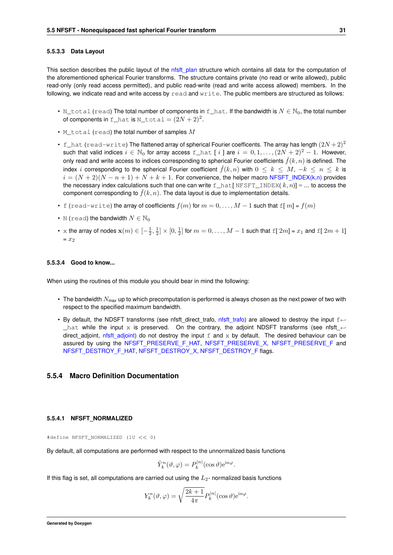#### **5.5.3.3 Data Layout**

This section describes the public layout of the nfsft plan structure which contains all data for the computation of the aforementioned spherical Fourier transforms. The structure contains private (no read or write allowed), public read-only (only read access permitted), and public read-write (read and write access allowed) members. In the following, we indicate read and write access by  $read$  and  $write$ . The public members are structured as follows:

- N\_total (read) The total number of components in  $f_{\text{hat}}$ . If the bandwidth is  $N \in \mathbb{N}_0$ , the total number of components in <code>f\_hat</code> is <code>N\_total</code>  $=(2N+2)^2$ .
- M\_total (read) the total number of samples  $M$
- f\_hat (read-write) The flattened array of spherical Fourier coefficents. The array has length  $(2N+2)^2$ such that valid indices  $i \in \mathbb{N}_0$  for array access f\_hat [ i ] are  $i = 0, 1, ..., (2N + 2)^2 - 1$ . However, only read and write access to indices corresponding to spherical Fourier coefficients  $\hat{f}(k,n)$  is defined. The index i corresponding to the spherical Fourier coefficient  $\hat{f}(k,n)$  with  $0 \leq k \leq M, -k \leq n \leq k$  is  $i = (N + 2)(N - n + 1) + N + k + 1$ . For convenience, the helper macro [NFSFT\\_INDEX\(k,n\)](#page-51-2) provides the necessary index calculations such that one can write f\_hat[ NFSFT\_INDEX(  $k, n$ )] = ... to access the component corresponding to  $\hat{f}(k,n)$ . The data layout is due to implementation details.
- f (read-write) the array of coefficients  $f(m)$  for  $m = 0, \ldots, M 1$  such that  $f[m] = f(m)$
- N (read) the bandwidth  $N \in \mathbb{N}_0$
- $\bullet\;$  x the array of nodes  $\mathbf{x}(m)\in[-\frac{1}{2},\frac{1}{2}]\times[0,\frac{1}{2}]$  for  $m=0,\ldots,M-1$  such that  $\mathrm{f}[~2m]$  =  $x_1$  and  $\mathrm{f}[~2m+1]$  $= x_2$

#### **5.5.3.4 Good to know...**

When using the routines of this module you should bear in mind the following:

- The bandwidth  $N_{\text{max}}$  up to which precomputation is performed is always chosen as the next power of two with respect to the specified maximum bandwidth.
- By default, the NDSFT transforms (see nfsft direct trafo, nfsft trafo) are allowed to destroy the input f←  $_$ hat while the input x is preserved. On the contrary, the adjoint NDSFT transforms (see nfsft  $\leftrightarrow$ direct\_adjoint, [nfsft\\_adjoint\)](#page-58-2) do not destroy the input f and x by default. The desired behaviour can be assured by using the [NFSFT\\_PRESERVE\\_F\\_HAT,](#page-47-0) [NFSFT\\_PRESERVE\\_X,](#page-47-1) [NFSFT\\_PRESERVE\\_F](#page-48-0)\_and [NFSFT\\_DESTROY\\_F\\_HAT,](#page-48-1) [NFSFT\\_DESTROY\\_X,](#page-49-0) [NFSFT\\_DESTROY\\_F](#page-49-1) flags.

#### <span id="page-44-0"></span>**5.5.4 Macro Definition Documentation**

#### **5.5.4.1 NFSFT\_NORMALIZED**

#define NFSFT\_NORMALIZED (1U << 0)

By default, all computations are performed with respect to the unnormalized basis functions

$$
\tilde{Y}_k^n(\vartheta,\varphi) = P_k^{|n|}(\cos\vartheta) e^{in\varphi}.
$$

If this flag is set, all computations are carried out using the  $L_2$ - normalized basis functions

$$
Y_k^n(\vartheta,\varphi) = \sqrt{\frac{2k+1}{4\pi}} P_k^{|n|}(\cos\vartheta) e^{in\varphi}.
$$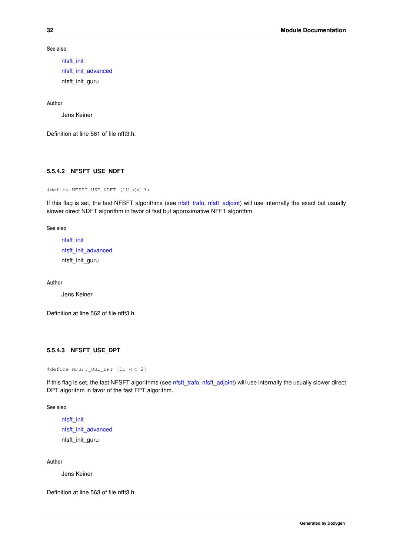**See also**

```
nfsft_init
nfsft_init_advanced
nfsft_init_guru
```
**Author**

Jens Keiner

<span id="page-45-0"></span>Definition at line 561 of file nfft3.h.

### **5.5.4.2 NFSFT\_USE\_NDFT**

#define NFSFT\_USE\_NDFT (1U << 1)

If this flag is set, the fast NFSFT algorithms (see [nfsft\\_trafo,](#page-58-1) [nfsft\\_adjoint\)](#page-58-2) will use internally the exact but usually slower direct NDFT algorithm in favor of fast but approximative NFFT algorithm.

**See also**

```
nfsft_init
nfsft_init_advanced
nfsft_init_guru
```
**Author**

Jens Keiner

<span id="page-45-1"></span>Definition at line 562 of file nfft3.h.

## **5.5.4.3 NFSFT\_USE\_DPT**

```
#define NFSFT_USE_DPT (1U << 2)
```
If this flag is set, the fast NFSFT algorithms (see [nfsft\\_trafo,](#page-58-1) [nfsft\\_adjoint\)](#page-58-2) will use internally the usually slower direct DPT algorithm in favor of the fast FPT algorithm.

**See also**

```
nfsft_init
nfsft_init_advanced
nfsft_init_guru
```
**Author**

Jens Keiner

<span id="page-45-2"></span>Definition at line 563 of file nfft3.h.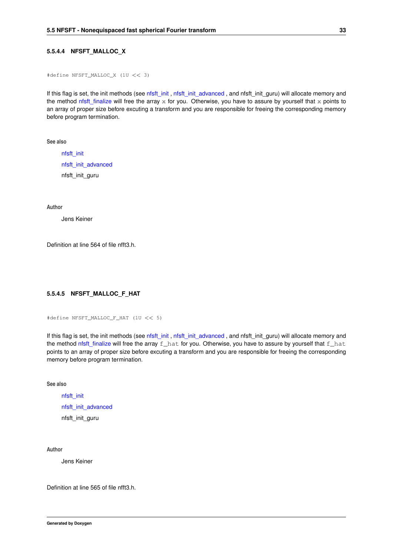### **5.5.4.4 NFSFT\_MALLOC\_X**

```
#define NFSFT_MALLOC_X (1U << 3)
```
If this flag is set, the init methods (see [nfsft\\_init](#page-56-1), [nfsft\\_init\\_advanced](#page-56-2), and nfsft\_init\_guru) will allocate memory and the method nfsft finalize will free the array x for you. Otherwise, you have to assure by yourself that x points to an array of proper size before excuting a transform and you are responsible for freeing the corresponding memory before program termination.

**See also**

[nfsft\\_init](#page-56-1) [nfsft\\_init\\_advanced](#page-56-2) nfsft\_init\_guru

**Author**

Jens Keiner

<span id="page-46-0"></span>Definition at line 564 of file nfft3.h.

## **5.5.4.5 NFSFT\_MALLOC\_F\_HAT**

#define NFSFT\_MALLOC\_F\_HAT (1U << 5)

If this flag is set, the init methods (see [nfsft\\_init](#page-56-1), [nfsft\\_init\\_advanced](#page-56-2), and nfsft\_init\_guru) will allocate memory and the method nfsft finalize will free the array  $f$  hat for you. Otherwise, you have to assure by yourself that  $f$  hat points to an array of proper size before excuting a transform and you are responsible for freeing the corresponding memory before program termination.

**See also**

[nfsft\\_init](#page-56-1) [nfsft\\_init\\_advanced](#page-56-2) nfsft\_init\_guru

**Author**

Jens Keiner

<span id="page-46-1"></span>Definition at line 565 of file nfft3.h.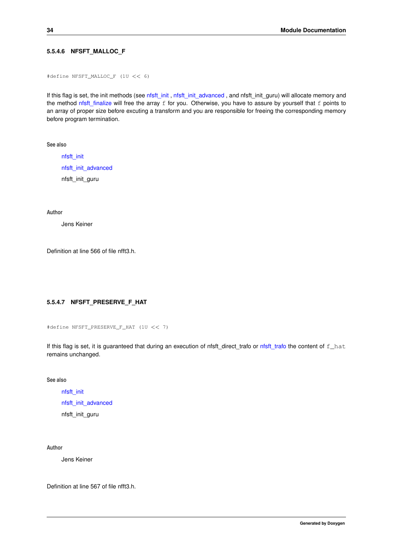### **5.5.4.6 NFSFT\_MALLOC\_F**

```
#define NFSFT_MALLOC_F (1U << 6)
```
If this flag is set, the init methods (see [nfsft\\_init](#page-56-1), [nfsft\\_init\\_advanced](#page-56-2), and nfsft\_init\_guru) will allocate memory and the method nfsft finalize will free the array  $f$  for you. Otherwise, you have to assure by yourself that  $f$  points to an array of proper size before excuting a transform and you are responsible for freeing the corresponding memory before program termination.

**See also**

[nfsft\\_init](#page-56-1) [nfsft\\_init\\_advanced](#page-56-2) nfsft\_init\_guru

**Author**

Jens Keiner

<span id="page-47-0"></span>Definition at line 566 of file nfft3.h.

### **5.5.4.7 NFSFT\_PRESERVE\_F\_HAT**

```
#define NFSFT_PRESERVE_F_HAT (1U << 7)
```
If this flag is set, it is guaranteed that during an execution of nfsft\_direct\_trafo or [nfsft\\_trafo](#page-58-1) the content of f\_hat remains unchanged.

**See also**

[nfsft\\_init](#page-56-1) [nfsft\\_init\\_advanced](#page-56-2) nfsft\_init\_guru

**Author**

Jens Keiner

<span id="page-47-1"></span>Definition at line 567 of file nfft3.h.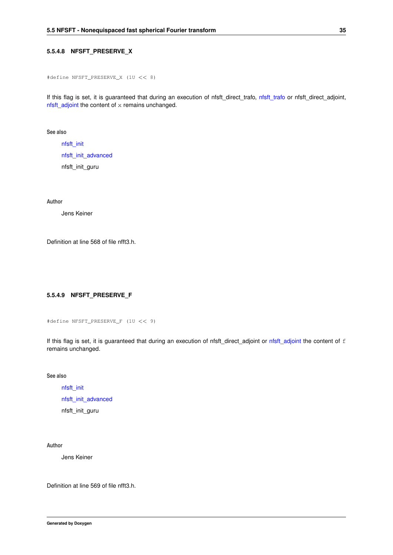### **5.5.4.8 NFSFT\_PRESERVE\_X**

```
#define NFSFT_PRESERVE_X (1U << 8)
```
If this flag is set, it is guaranteed that during an execution of nfsft\_direct\_trafo, [nfsft\\_trafo](#page-58-1) or nfsft\_direct\_adjoint, [nfsft\\_adjoint](#page-58-2) the content of x remains unchanged.

**See also**

[nfsft\\_init](#page-56-1) [nfsft\\_init\\_advanced](#page-56-2) nfsft\_init\_guru

**Author**

Jens Keiner

<span id="page-48-0"></span>Definition at line 568 of file nfft3.h.

## **5.5.4.9 NFSFT\_PRESERVE\_F**

```
#define NFSFT_PRESERVE_F (1U << 9)
```
If this flag is set, it is guaranteed that during an execution of nfsft\_direct\_adjoint or [nfsft\\_adjoint](#page-58-2) the content of f remains unchanged.

**See also**

[nfsft\\_init](#page-56-1) [nfsft\\_init\\_advanced](#page-56-2) nfsft\_init\_guru

**Author**

Jens Keiner

<span id="page-48-1"></span>Definition at line 569 of file nfft3.h.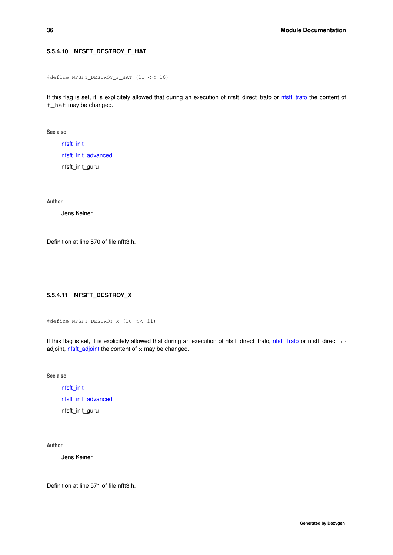## **5.5.4.10 NFSFT\_DESTROY\_F\_HAT**

```
#define NFSFT_DESTROY_F_HAT (1U << 10)
```
If this flag is set, it is explicitely allowed that during an execution of nfsft\_direct\_trafo or [nfsft\\_trafo](#page-58-1) the content of f\_hat may be changed.

**See also**

[nfsft\\_init](#page-56-1) [nfsft\\_init\\_advanced](#page-56-2) nfsft\_init\_guru

**Author**

Jens Keiner

<span id="page-49-0"></span>Definition at line 570 of file nfft3.h.

# **5.5.4.11 NFSFT\_DESTROY\_X**

```
#define NFSFT_DESTROY_X (1U << 11)
```
If this flag is set, it is explicitely allowed that during an execution of nfsft\_direct\_trafo, [nfsft\\_trafo](#page-58-1) or nfsft\_direct\_← adjoint,  $n$ fsft\_adjoint the content of  $x$  may be changed.

**See also**

[nfsft\\_init](#page-56-1) [nfsft\\_init\\_advanced](#page-56-2) nfsft\_init\_guru

**Author**

Jens Keiner

<span id="page-49-1"></span>Definition at line 571 of file nfft3.h.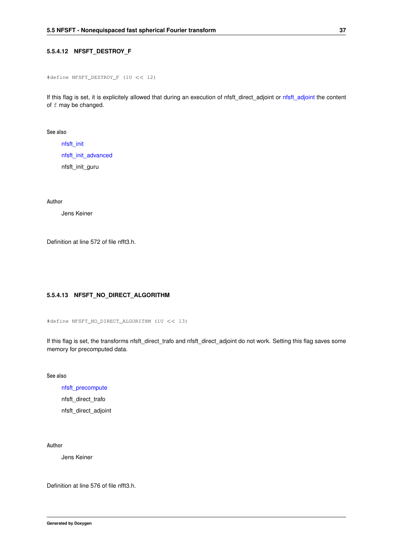### **5.5.4.12 NFSFT\_DESTROY\_F**

```
#define NFSFT_DESTROY_F (1U << 12)
```
If this flag is set, it is explicitely allowed that during an execution of nfsft\_direct\_adjoint or [nfsft\\_adjoint](#page-58-2) the content of f may be changed.

**See also**

[nfsft\\_init](#page-56-1) [nfsft\\_init\\_advanced](#page-56-2) nfsft\_init\_guru

**Author**

Jens Keiner

<span id="page-50-0"></span>Definition at line 572 of file nfft3.h.

## **5.5.4.13 NFSFT\_NO\_DIRECT\_ALGORITHM**

#define NFSFT\_NO\_DIRECT\_ALGORITHM (1U << 13)

If this flag is set, the transforms nfsft\_direct\_trafo and nfsft\_direct\_adjoint do not work. Setting this flag saves some memory for precomputed data.

**See also**

[nfsft\\_precompute](#page-57-0)

nfsft\_direct\_trafo

nfsft\_direct\_adjoint

**Author**

Jens Keiner

<span id="page-50-1"></span>Definition at line 576 of file nfft3.h.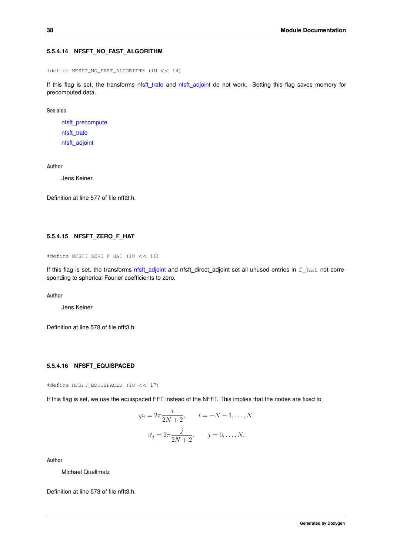### **5.5.4.14 NFSFT\_NO\_FAST\_ALGORITHM**

#define NFSFT\_NO\_FAST\_ALGORITHM (1U << 14)

If this flag is set, the transforms nfsft trafo and nfsft adjoint do not work. Setting this flag saves memory for precomputed data.

**See also**

[nfsft\\_precompute](#page-57-0) [nfsft\\_trafo](#page-58-1) [nfsft\\_adjoint](#page-58-2)

**Author**

Jens Keiner

<span id="page-51-0"></span>Definition at line 577 of file nfft3.h.

### **5.5.4.15 NFSFT\_ZERO\_F\_HAT**

```
#define NFSFT_ZERO_F_HAT (1U << 16)
```
If this flag is set, the transforms [nfsft\\_adjoint](#page-58-2) and nfsft\_direct\_adjoint set all unused entries in f\_hat not corresponding to spherical Fourier coefficients to zero.

**Author**

Jens Keiner

<span id="page-51-1"></span>Definition at line 578 of file nfft3.h.

### **5.5.4.16 NFSFT\_EQUISPACED**

#define NFSFT\_EQUISPACED (1U << 17)

If this flag is set, we use the equispaced FFT instead of the NFFT. This implies that the nodes are fixed to

$$
\varphi_i = 2\pi \frac{i}{2N+2}, \qquad i = -N-1, \dots, N,
$$

$$
\vartheta_j = 2\pi \frac{j}{2N+2}, \qquad j = 0, \dots, N.
$$

**Author**

Michael Quellmalz

<span id="page-51-2"></span>Definition at line 573 of file nfft3.h.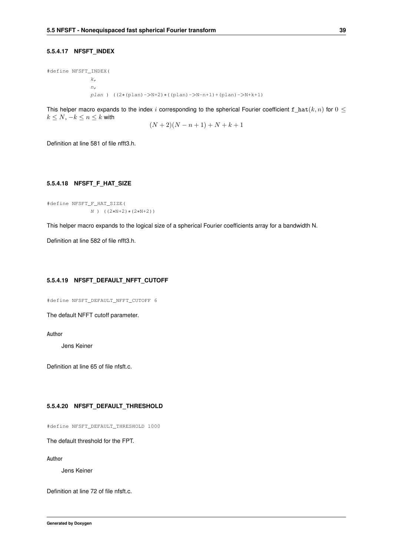### **5.5.4.17 NFSFT\_INDEX**

#define NFSFT\_INDEX(  $k$ ,  $n<sub>l</sub>$ plan ) ((2∗(plan)->N+2)∗((plan)->N-n+1)+(plan)->N+k+1)

This helper macro expands to the index i corresponding to the spherical Fourier coefficient  $f_{\text{nat}}(k, n)$  for  $0 \leq$  $k \leq N, -k \leq n \leq k$  with

$$
(N+2)(N-n+1)+N+k+1
$$

<span id="page-52-0"></span>Definition at line 581 of file nfft3.h.

### **5.5.4.18 NFSFT\_F\_HAT\_SIZE**

#define NFSFT\_F\_HAT\_SIZE( N ) ((2∗N+2)∗(2∗N+2))

This helper macro expands to the logical size of a spherical Fourier coefficients array for a bandwidth N.

<span id="page-52-1"></span>Definition at line 582 of file nfft3.h.

### **5.5.4.19 NFSFT\_DEFAULT\_NFFT\_CUTOFF**

#define NFSFT\_DEFAULT\_NFFT\_CUTOFF 6

The default NFFT cutoff parameter.

**Author**

Jens Keiner

<span id="page-52-2"></span>Definition at line 65 of file nfsft.c.

### **5.5.4.20 NFSFT\_DEFAULT\_THRESHOLD**

#define NFSFT\_DEFAULT\_THRESHOLD 1000

The default threshold for the FPT.

**Author**

Jens Keiner

<span id="page-52-3"></span>Definition at line 72 of file nfsft.c.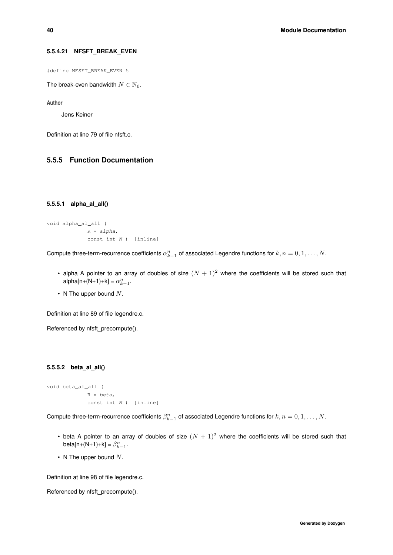### **5.5.4.21 NFSFT\_BREAK\_EVEN**

#define NFSFT\_BREAK\_EVEN 5

The break-even bandwidth  $N \in \mathbb{N}_0$ .

**Author**

Jens Keiner

Definition at line 79 of file nfsft.c.

## <span id="page-53-0"></span>**5.5.5 Function Documentation**

#### **5.5.5.1 alpha\_al\_all()**

```
void alpha_al_all (
            R ∗ alpha,
            const int N ) [inline]
```
Compute three-term-recurrence coefficients  $\alpha_{k-1}^n$  of associated Legendre functions for  $k,n=0,1,\ldots,N.$ 

- alpha A pointer to an array of doubles of size  $(N + 1)^2$  where the coefficients will be stored such that alpha[n+(N+1)+k] =  $\alpha_{k-1}^n$ .
- N The upper bound  $N$ .

Definition at line 89 of file legendre.c.

<span id="page-53-1"></span>Referenced by nfsft\_precompute().

### **5.5.5.2 beta\_al\_all()**

```
void beta_al_all (
            R ∗ beta,
             const int N ) [inline]
```
Compute three-term-recurrence coefficients  $\beta_{k-1}^n$  of associated Legendre functions for  $k,n=0,1,\ldots,N.$ 

- beta A pointer to an array of doubles of size  $(N + 1)^2$  where the coefficients will be stored such that beta[n+(N+1)+k] =  $\beta_{k-1}^n$ .
- N The upper bound  $N$ .

Definition at line 98 of file legendre.c.

<span id="page-53-2"></span>Referenced by nfsft\_precompute().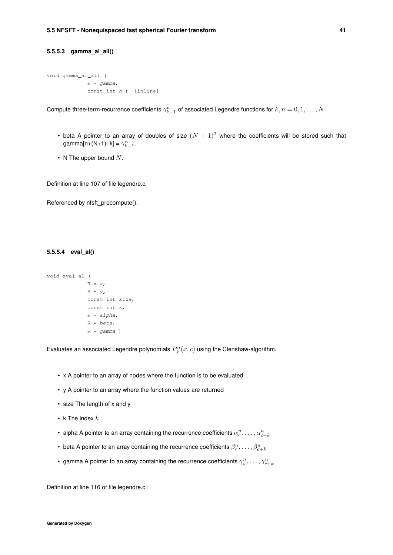### **5.5.5.3 gamma\_al\_all()**

```
void gamma_al_all (
            R ∗ gamma,
            const int N ) [inline]
```
Compute three-term-recurrence coefficients  $\gamma_{k-1}^n$  of associated Legendre functions for  $k,n=0,1,\ldots,N.$ 

- beta A pointer to an array of doubles of size  $(N + 1)^2$  where the coefficients will be stored such that gamma[n+(N+1)+k] =  $\gamma_{k-1}^n$ .
- N The upper bound  $N$ .

Definition at line 107 of file legendre.c.

<span id="page-54-0"></span>Referenced by nfsft\_precompute().

### **5.5.5.4 eval\_al()**

```
void eval_al (
             R ∗ x,
             R ∗ y,
             const int size,
             const int k,
             R ∗ alpha,
             R ∗ beta,
             R ∗ gamma )
```
Evaluates an associated Legendre polynomials  $P_k^n(x,c)$  using the Clenshaw-algorithm.

- x A pointer to an array of nodes where the function is to be evaluated
- y A pointer to an array where the function values are returned
- size The length of x and y
- k The index  $k$
- alpha A pointer to an array containing the recurrence coefficients  $\alpha_c^n,\ldots,\alpha_{c+k}^n$
- beta A pointer to an array containing the recurrence coefficients  $\beta_c^n,\ldots,\beta_{c+k}^n$
- gamma A pointer to an array containing the recurrence coefficients  $\gamma_c^n,\ldots,\gamma_{c+k}^n$

<span id="page-54-1"></span>Definition at line 116 of file legendre.c.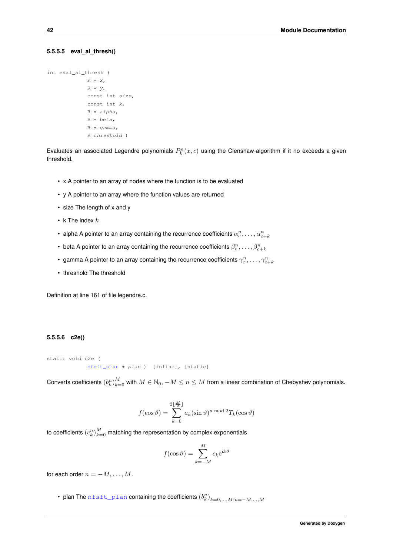#### **5.5.5.5 eval\_al\_thresh()**

```
int eval_al_thresh (
             R ∗ x,
             R ∗ y,
             const int size,
             const int k,
             R ∗ alpha,
             R ∗ beta,
             R ∗ gamma,
             R threshold )
```
Evaluates an associated Legendre polynomials  $P_k^n(x, c)$  using the Clenshaw-algorithm if it no exceeds a given threshold.

- x A pointer to an array of nodes where the function is to be evaluated
- y A pointer to an array where the function values are returned
- size The length of x and y
- k The index  $k$
- alpha A pointer to an array containing the recurrence coefficients  $\alpha_c^n,\ldots,\alpha_{c+k}^n$
- beta A pointer to an array containing the recurrence coefficients  $\beta_c^n,\ldots,\beta_{c+k}^n$
- gamma A pointer to an array containing the recurrence coefficients  $\gamma_c^n,\ldots,\gamma_{c+k}^n$
- threshold The threshold

<span id="page-55-0"></span>Definition at line 161 of file legendre.c.

### **5.5.5.6 c2e()**

```
static void c2e (
             nfsft_plan ∗ plan ) [inline], [static]
```
Converts coefficients  $(b^n_k)_{k=0}^M$  with  $M\in\mathbb{N}_0,$   $-M\leq n\leq M$  from a linear combination of Chebyshev polynomials.

$$
f(\cos \vartheta) = \sum_{k=0}^{2\lfloor \frac{M}{2} \rfloor} a_k (\sin \vartheta)^{n \mod 2} T_k (\cos \vartheta)
$$

to coefficients  $(c^n_k)_{k=0}^M$  matching the representation by complex exponentials

$$
f(\cos \vartheta) = \sum_{k=-M}^{M} c_k e^{ik\vartheta}
$$

for each order  $n = -M, \ldots, M$ .

• plan The  $\mathtt{nfsft\_plan}$  containing the coefficients  $(b_k^n)_{k=0,...,M;n=-M,...,M}$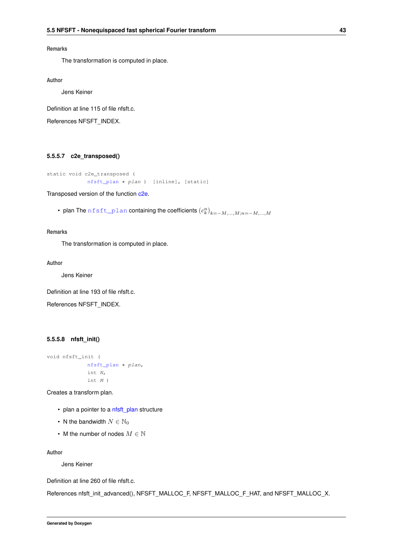## **Remarks**

The transformation is computed in place.

**Author**

Jens Keiner

Definition at line 115 of file nfsft.c.

<span id="page-56-0"></span>References NFSFT\_INDEX.

### **5.5.5.7 c2e\_transposed()**

```
static void c2e_transposed (
            nfsft_plan ∗ plan ) [inline], [static]
```
Transposed version of the function [c2e.](#page-55-0)

• plan The  $\texttt{nfst}$  plan containing the coefficients  $(c^n_k)_{k=-M,...,M;n=-M,...,M}$ 

**Remarks**

The transformation is computed in place.

**Author**

Jens Keiner

Definition at line 193 of file nfsft.c.

<span id="page-56-1"></span>References NFSFT\_INDEX.

## **5.5.5.8 nfsft\_init()**

```
void nfsft_init (
            nfsft_plan ∗ plan,
             int N,
             int M )
```
Creates a transform plan.

- plan a pointer to a [nfsft\\_plan](#page-171-1) structure
- N the bandwidth  $N \in \mathbb{N}_0$
- M the number of nodes  $M \in \mathbb{N}$

**Author**

Jens Keiner

Definition at line 260 of file nfsft.c.

<span id="page-56-2"></span>References nfsft\_init\_advanced(), NFSFT\_MALLOC\_F, NFSFT\_MALLOC\_F\_HAT, and NFSFT\_MALLOC\_X.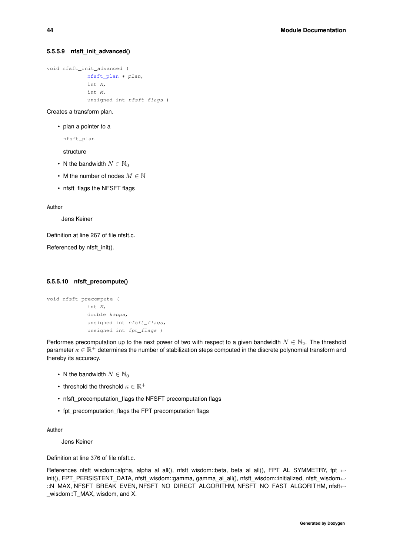#### **5.5.5.9 nfsft\_init\_advanced()**

```
void nfsft_init_advanced (
             nfsft_plan ∗ plan,
             int N,
             int M,
             unsigned int nfsft_flags )
```
### Creates a transform plan.

• plan a pointer to a

nfsft\_plan

structure

- N the bandwidth  $N \in \mathbb{N}_0$
- M the number of nodes  $M \in \mathbb{N}$
- nfsft\_flags the NFSFT flags

**Author**

Jens Keiner

Definition at line 267 of file nfsft.c.

<span id="page-57-0"></span>Referenced by nfsft\_init().

#### **5.5.5.10 nfsft\_precompute()**

```
void nfsft_precompute (
             int N,
             double kappa,
             unsigned int nfsft_flags,
             unsigned int fpt_flags )
```
Performes precomputation up to the next power of two with respect to a given bandwidth  $N \in \mathbb{N}_2$ . The threshold parameter  $\kappa\in\mathbb{R}^+$  determines the number of stabilization steps computed in the discrete polynomial transform and thereby its accuracy.

- N the bandwidth  $N \in \mathbb{N}_0$
- threshold the threshold  $\kappa \in \mathbb{R}^+$
- nfsft\_precomputation\_flags the NFSFT precomputation flags
- fpt\_precomputation\_flags the FPT precomputation flags

**Author**

Jens Keiner

Definition at line 376 of file nfsft.c.

<span id="page-57-1"></span>References nfsft\_wisdom::alpha, alpha\_al\_all(), nfsft\_wisdom::beta, beta\_al\_all(), FPT\_AL\_SYMMETRY, fpt\_← init(), FPT\_PERSISTENT\_DATA, nfsft\_wisdom::gamma, gamma\_al\_all(), nfsft\_wisdom::initialized, nfsft\_wisdom← ::N\_MAX, NFSFT\_BREAK\_EVEN, NFSFT\_NO\_DIRECT\_ALGORITHM, NFSFT\_NO\_FAST\_ALGORITHM, nfsft←-\_wisdom::T\_MAX, wisdom, and X.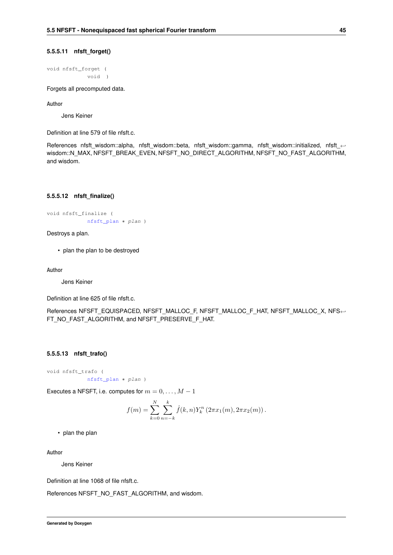### **5.5.5.11 nfsft\_forget()**

void nfsft\_forget ( void )

Forgets all precomputed data.

**Author**

Jens Keiner

Definition at line 579 of file nfsft.c.

References nfsft\_wisdom::alpha, nfsft\_wisdom::beta, nfsft\_wisdom::gamma, nfsft\_wisdom::initialized, nfsft\_← wisdom::N\_MAX, NFSFT\_BREAK\_EVEN, NFSFT\_NO\_DIRECT\_ALGORITHM, NFSFT\_NO\_FAST\_ALGORITHM, and wisdom.

#### <span id="page-58-0"></span>**5.5.5.12 nfsft\_finalize()**

```
void nfsft_finalize (
            nfsft_plan ∗ plan )
```
Destroys a plan.

• plan the plan to be destroyed

**Author**

Jens Keiner

Definition at line 625 of file nfsft.c.

<span id="page-58-1"></span>References NFSFT\_EQUISPACED, NFSFT\_MALLOC\_F, NFSFT\_MALLOC\_F\_HAT, NFSFT\_MALLOC\_X, NFS← FT\_NO\_FAST\_ALGORITHM, and NFSFT\_PRESERVE\_F\_HAT.

### **5.5.5.13 nfsft\_trafo()**

```
void nfsft_trafo (
            nfsft_plan ∗ plan )
```
Executes a NFSFT, i.e. computes for  $m = 0, \ldots, M - 1$ 

$$
f(m) = \sum_{k=0}^{N} \sum_{n=-k}^{k} \hat{f}(k,n) Y_{k}^{n} (2\pi x_{1}(m), 2\pi x_{2}(m)).
$$

• plan the plan

**Author**

Jens Keiner

Definition at line 1068 of file nfsft.c.

<span id="page-58-2"></span>References NFSFT\_NO\_FAST\_ALGORITHM, and wisdom.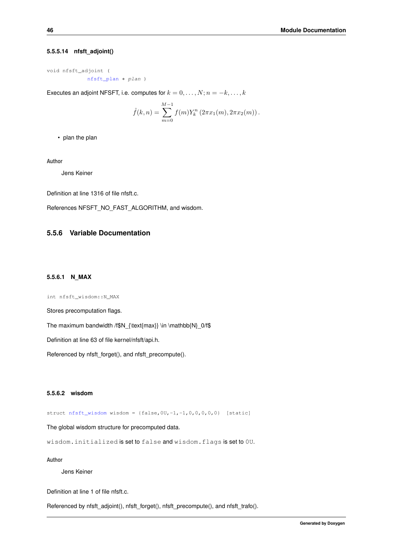#### **5.5.5.14 nfsft\_adjoint()**

void nfsft\_adjoint ( [nfsft\\_plan](#page-171-1) ∗ plan )

Executes an adjoint NFSFT, i.e. computes for  $k = 0, \ldots, N; n = -k, \ldots, k$ 

$$
\hat{f}(k,n) = \sum_{m=0}^{M-1} f(m) Y_k^n (2\pi x_1(m), 2\pi x_2(m)).
$$

• plan the plan

**Author**

Jens Keiner

Definition at line 1316 of file nfsft.c.

References NFSFT\_NO\_FAST\_ALGORITHM, and wisdom.

## <span id="page-59-0"></span>**5.5.6 Variable Documentation**

### **5.5.6.1 N\_MAX**

int nfsft\_wisdom::N\_MAX

Stores precomputation flags.

The maximum bandwidth /f\$N\_{\text{max}} \in \mathbb{N}\_0/f\$

Definition at line 63 of file kernel/nfsft/api.h.

<span id="page-59-1"></span>Referenced by nfsft\_forget(), and nfsft\_precompute().

### **5.5.6.2 wisdom**

struct  $nfsft\_ wisdom$  wisdom = {false, 0U, -1, -1, 0, 0, 0, 0, 0} [static]

The global wisdom structure for precomputed data.

wisdom.initialized is set to false and wisdom.flags is set to 0U.

**Author**

Jens Keiner

Definition at line 1 of file nfsft.c.

Referenced by nfsft\_adjoint(), nfsft\_forget(), nfsft\_precompute(), and nfsft\_trafo().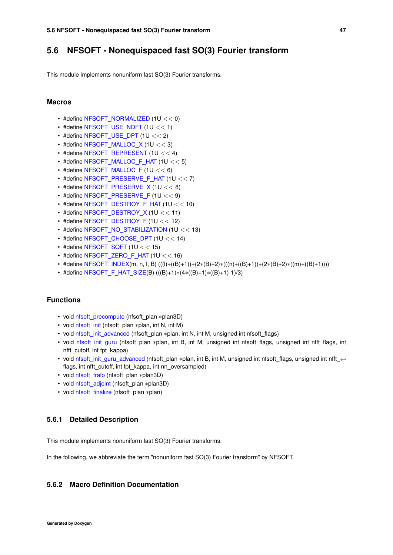# **5.6 NFSOFT - Nonequispaced fast SO(3) Fourier transform**

This module implements nonuniform fast SO(3) Fourier transforms.

### **Macros**

- #define [NFSOFT\\_NORMALIZED](#page-60-0) (1U << 0)
- $\cdot$  #define [NFSOFT\\_USE\\_NDFT](#page-61-0) (1U << 1)
- $\cdot$  #define [NFSOFT\\_USE\\_DPT](#page-61-1) (1U << 2)
- #define [NFSOFT\\_MALLOC\\_X](#page-62-0) (1U  $<<$  3)
- #define [NFSOFT\\_REPRESENT](#page-62-1) (1U << 4)
- $\cdot$  #define [NFSOFT\\_MALLOC\\_F\\_HAT](#page-63-0) (1U << 5)
- #define [NFSOFT\\_MALLOC\\_F](#page-63-1)  $(1U << 6)$
- #define [NFSOFT\\_PRESERVE\\_F\\_HAT](#page-64-0)  $(1U << 7)$
- #define [NFSOFT\\_PRESERVE\\_X](#page-64-1) (1U << 8)
- #define [NFSOFT\\_PRESERVE\\_F](#page-65-0)  $(1U << 9)$
- #define [NFSOFT\\_DESTROY\\_F\\_HAT](#page-65-1) (1U << 10)
- #define [NFSOFT\\_DESTROY\\_X](#page-66-0) (1U << 11)
- #define [NFSOFT\\_DESTROY\\_F](#page-66-1) (1U  $<< 12$ )
- #define [NFSOFT\\_NO\\_STABILIZATION](#page-67-0) (1U << 13)
- #define NFSOFT CHOOSE DPT  $(1U << 14)$
- #define NFSOFT SOFT  $(1U << 15)$
- $\cdot$  #define [NFSOFT\\_ZERO\\_F\\_HAT](#page-68-0) (1U << 16)
- #define [NFSOFT\\_INDEX\(](#page-68-1)m, n, l, B) (((l)+((B)+1))+(2∗(B)+2)∗(((n)+((B)+1))+(2∗(B)+2)∗((m)+((B)+1))))
- #define [NFSOFT\\_F\\_HAT\\_SIZE\(](#page-68-2)B) (((B)+1)∗(4∗((B)+1)∗((B)+1)-1)/3)

# **Functions**

- void [nfsoft\\_precompute](#page-69-0) (nfsoft\_plan ∗plan3D)
- void [nfsoft\\_init](#page-69-1) (nfsoft\_plan ∗plan, int N, int M)
- void [nfsoft\\_init\\_advanced](#page-69-2) (nfsoft\_plan ∗plan, int N, int M, unsigned int nfsoft\_flags)
- void nfsoft init guru (nfsoft plan ∗plan, int B, int M, unsigned int nfsoft flags, unsigned int nfft flags, int nfft\_cutoff, int fpt\_kappa)
- void [nfsoft\\_init\\_guru\\_advanced](#page-70-1) (nfsoft\_plan ∗plan, int B, int M, unsigned int nfsoft\_flags, unsigned int nfft  $\leftrightarrow$ flags, int nfft\_cutoff, int fpt\_kappa, int nn\_oversampled)
- void [nfsoft\\_trafo](#page-71-0) (nfsoft\_plan ∗plan3D)
- void [nfsoft\\_adjoint](#page-71-1) (nfsoft\_plan ∗plan3D)
- void [nfsoft\\_finalize](#page-72-0) (nfsoft\_plan ∗plan)

### **5.6.1 Detailed Description**

This module implements nonuniform fast SO(3) Fourier transforms.

In the following, we abbreviate the term "nonuniform fast SO(3) Fourier transform" by NFSOFT.

### <span id="page-60-0"></span>**5.6.2 Macro Definition Documentation**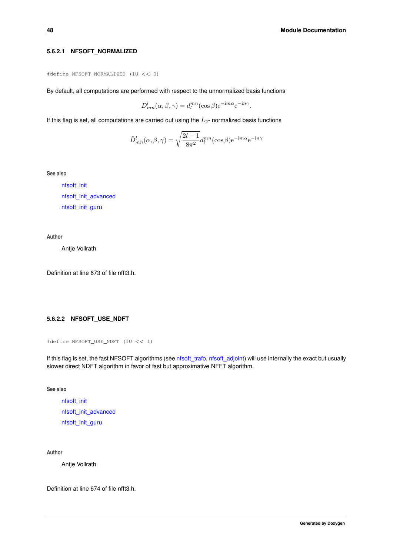### **5.6.2.1 NFSOFT\_NORMALIZED**

```
#define NFSOFT_NORMALIZED (1U << 0)
```
By default, all computations are performed with respect to the unnormalized basis functions

$$
D_{mn}^{l}(\alpha, \beta, \gamma) = d_{l}^{mn}(\cos \beta) e^{-im\alpha} e^{-in\gamma}.
$$

If this flag is set, all computations are carried out using the  $L_2$ - normalized basis functions

$$
\tilde{D}_{mn}^l(\alpha, \beta, \gamma) = \sqrt{\frac{2l+1}{8\pi^2}} d_l^{mn}(\cos \beta) e^{-im\alpha} e^{-in\gamma}
$$

**See also**

[nfsoft\\_init](#page-69-1) [nfsoft\\_init\\_advanced](#page-69-2) [nfsoft\\_init\\_guru](#page-70-0)

#### **Author**

Antje Vollrath

<span id="page-61-0"></span>Definition at line 673 of file nfft3.h.

### **5.6.2.2 NFSOFT\_USE\_NDFT**

```
#define NFSOFT_USE_NDFT (1U << 1)
```
If this flag is set, the fast NFSOFT algorithms (see [nfsoft\\_trafo,](#page-71-0) [nfsoft\\_adjoint\)](#page-71-1) will use internally the exact but usually slower direct NDFT algorithm in favor of fast but approximative NFFT algorithm.

**See also**

[nfsoft\\_init](#page-69-1) [nfsoft\\_init\\_advanced](#page-69-2) [nfsoft\\_init\\_guru](#page-70-0)

**Author**

Antje Vollrath

<span id="page-61-1"></span>Definition at line 674 of file nfft3.h.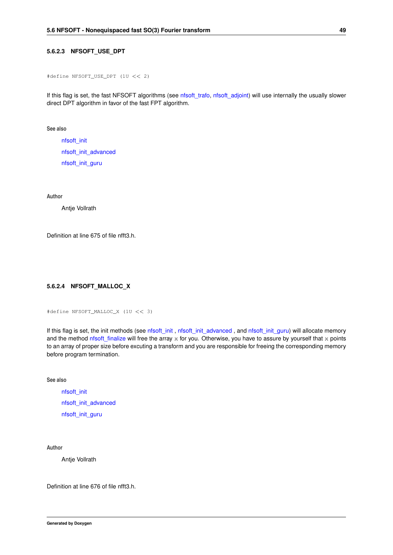#### **5.6.2.3 NFSOFT\_USE\_DPT**

#define NFSOFT\_USE\_DPT (1U << 2)

If this flag is set, the fast NFSOFT algorithms (see [nfsoft\\_trafo,](#page-71-0) [nfsoft\\_adjoint\)](#page-71-1) will use internally the usually slower direct DPT algorithm in favor of the fast FPT algorithm.

**See also**

[nfsoft\\_init](#page-69-1) [nfsoft\\_init\\_advanced](#page-69-2) [nfsoft\\_init\\_guru](#page-70-0)

**Author**

Antje Vollrath

<span id="page-62-0"></span>Definition at line 675 of file nfft3.h.

### **5.6.2.4 NFSOFT\_MALLOC\_X**

#define NFSOFT\_MALLOC\_X (1U << 3)

If this flag is set, the init methods (see [nfsoft\\_init](#page-69-1), [nfsoft\\_init\\_advanced](#page-69-2), and [nfsoft\\_init\\_guru\)](#page-70-0) will allocate memory and the method nfsoft finalize will free the array  $x$  for you. Otherwise, you have to assure by yourself that  $x$  points to an array of proper size before excuting a transform and you are responsible for freeing the corresponding memory before program termination.

**See also**

[nfsoft\\_init](#page-69-1) [nfsoft\\_init\\_advanced](#page-69-2) [nfsoft\\_init\\_guru](#page-70-0)

**Author**

Antje Vollrath

<span id="page-62-1"></span>Definition at line 676 of file nfft3.h.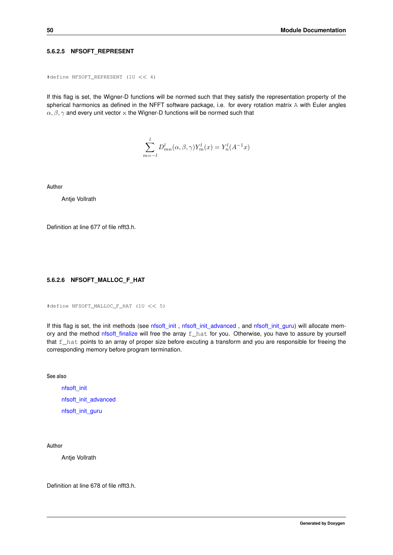### **5.6.2.5 NFSOFT\_REPRESENT**

```
#define NFSOFT_REPRESENT (1U << 4)
```
If this flag is set, the Wigner-D functions will be normed such that they satisfy the representation property of the spherical harmonics as defined in the NFFT software package, i.e. for every rotation matrix A with Euler angles  $\alpha, \beta, \gamma$  and every unit vector x the Wigner-D functions will be normed such that

$$
\sum_{m=-l}^{l} D_{mn}^{l}(\alpha, \beta, \gamma) Y_m^l(x) = Y_n^l(A^{-1}x)
$$

**Author**

Antje Vollrath

<span id="page-63-0"></span>Definition at line 677 of file nfft3.h.

### **5.6.2.6 NFSOFT\_MALLOC\_F\_HAT**

#define NFSOFT\_MALLOC\_F\_HAT (1U << 5)

If this flag is set, the init methods (see [nfsoft\\_init](#page-69-1), [nfsoft\\_init\\_advanced](#page-69-2), and [nfsoft\\_init\\_guru\)](#page-70-0) will allocate memory and the method [nfsoft\\_finalize](#page-72-0) will free the array f\_hat for you. Otherwise, you have to assure by yourself that  $f_{h}$ hat points to an array of proper size before excuting a transform and you are responsible for freeing the corresponding memory before program termination.

**See also**

[nfsoft\\_init](#page-69-1) [nfsoft\\_init\\_advanced](#page-69-2) [nfsoft\\_init\\_guru](#page-70-0)

**Author**

Antje Vollrath

<span id="page-63-1"></span>Definition at line 678 of file nfft3.h.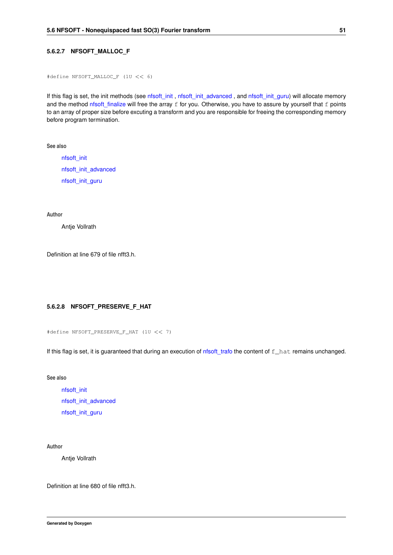### **5.6.2.7 NFSOFT\_MALLOC\_F**

```
#define NFSOFT_MALLOC_F (1U << 6)
```
If this flag is set, the init methods (see [nfsoft\\_init](#page-69-1) , [nfsoft\\_init\\_advanced](#page-69-2) , and [nfsoft\\_init\\_guru\)](#page-70-0) will allocate memory and the method [nfsoft\\_finalize](#page-72-0) will free the array f for you. Otherwise, you have to assure by yourself that f points to an array of proper size before excuting a transform and you are responsible for freeing the corresponding memory before program termination.

**See also**

[nfsoft\\_init](#page-69-1) [nfsoft\\_init\\_advanced](#page-69-2) [nfsoft\\_init\\_guru](#page-70-0)

**Author**

Antje Vollrath

<span id="page-64-0"></span>Definition at line 679 of file nfft3.h.

### **5.6.2.8 NFSOFT\_PRESERVE\_F\_HAT**

#define NFSOFT\_PRESERVE\_F\_HAT (1U << 7)

If this flag is set, it is guaranteed that during an execution of [nfsoft\\_trafo](#page-71-0) the content of f\_hat remains unchanged.

**See also**

[nfsoft\\_init](#page-69-1) [nfsoft\\_init\\_advanced](#page-69-2) [nfsoft\\_init\\_guru](#page-70-0)

### **Author**

Antje Vollrath

<span id="page-64-1"></span>Definition at line 680 of file nfft3.h.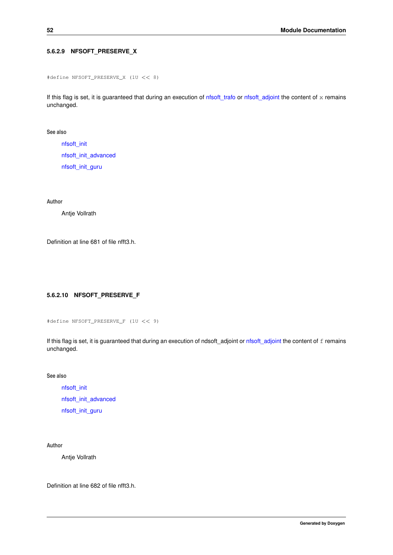## **5.6.2.9 NFSOFT\_PRESERVE\_X**

```
#define NFSOFT_PRESERVE_X (1U << 8)
```
If this flag is set, it is guaranteed that during an execution of [nfsoft\\_trafo](#page-71-0) or [nfsoft\\_adjoint](#page-71-1) the content of  $x$  remains unchanged.

**See also**

[nfsoft\\_init](#page-69-1) [nfsoft\\_init\\_advanced](#page-69-2) [nfsoft\\_init\\_guru](#page-70-0)

**Author**

Antje Vollrath

<span id="page-65-0"></span>Definition at line 681 of file nfft3.h.

## **5.6.2.10 NFSOFT\_PRESERVE\_F**

```
#define NFSOFT_PRESERVE_F (1U << 9)
```
If this flag is set, it is guaranteed that during an execution of ndsoft\_adjoint or [nfsoft\\_adjoint](#page-71-1) the content of f remains unchanged.

**See also**

[nfsoft\\_init](#page-69-1) [nfsoft\\_init\\_advanced](#page-69-2) [nfsoft\\_init\\_guru](#page-70-0)

## **Author**

Antje Vollrath

<span id="page-65-1"></span>Definition at line 682 of file nfft3.h.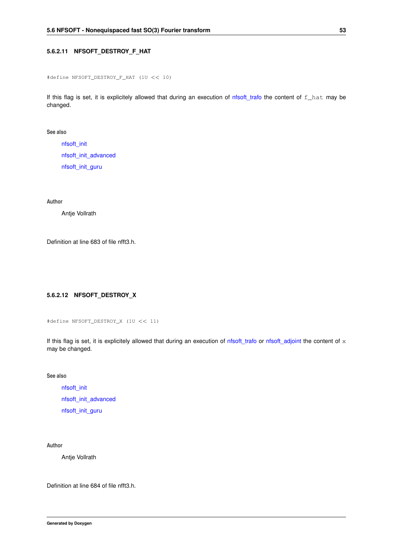### **5.6.2.11 NFSOFT\_DESTROY\_F\_HAT**

```
#define NFSOFT_DESTROY_F_HAT (1U << 10)
```
If this flag is set, it is explicitely allowed that during an execution of [nfsoft\\_trafo](#page-71-0) the content of f\_hat may be changed.

**See also**

[nfsoft\\_init](#page-69-1) [nfsoft\\_init\\_advanced](#page-69-2) [nfsoft\\_init\\_guru](#page-70-0)

**Author**

Antje Vollrath

<span id="page-66-0"></span>Definition at line 683 of file nfft3.h.

## **5.6.2.12 NFSOFT\_DESTROY\_X**

```
#define NFSOFT_DESTROY_X (1U << 11)
```
If this flag is set, it is explicitely allowed that during an execution of  $n$ fsoft\_trafo or [nfsoft\\_adjoint](#page-71-1) the content of  $x$ may be changed.

**See also**

[nfsoft\\_init](#page-69-1) [nfsoft\\_init\\_advanced](#page-69-2) [nfsoft\\_init\\_guru](#page-70-0)

## **Author**

Antje Vollrath

<span id="page-66-1"></span>Definition at line 684 of file nfft3.h.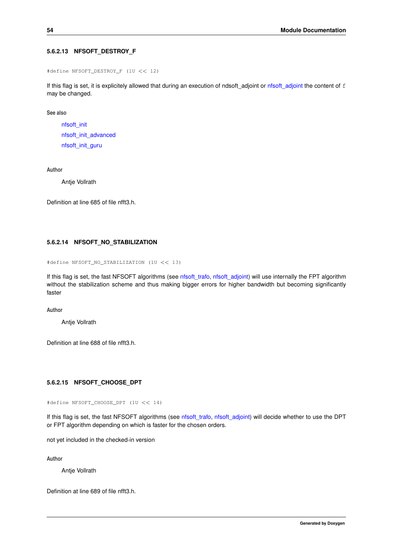### **5.6.2.13 NFSOFT\_DESTROY\_F**

```
#define NFSOFT_DESTROY_F (1U << 12)
```
If this flag is set, it is explicitely allowed that during an execution of ndsoft\_adjoint or [nfsoft\\_adjoint](#page-71-1) the content of f may be changed.

**See also**

[nfsoft\\_init](#page-69-1) [nfsoft\\_init\\_advanced](#page-69-2) [nfsoft\\_init\\_guru](#page-70-0)

**Author**

Antje Vollrath

<span id="page-67-0"></span>Definition at line 685 of file nfft3.h.

### **5.6.2.14 NFSOFT\_NO\_STABILIZATION**

```
#define NFSOFT_NO_STABILIZATION (1U << 13)
```
If this flag is set, the fast NFSOFT algorithms (see [nfsoft\\_trafo,](#page-71-0) [nfsoft\\_adjoint\)](#page-71-1) will use internally the FPT algorithm without the stabilization scheme and thus making bigger errors for higher bandwidth but becoming significantly faster

**Author**

Antje Vollrath

<span id="page-67-1"></span>Definition at line 688 of file nfft3.h.

### **5.6.2.15 NFSOFT\_CHOOSE\_DPT**

#define NFSOFT\_CHOOSE\_DPT (1U << 14)

If this flag is set, the fast NFSOFT algorithms (see [nfsoft\\_trafo,](#page-71-0) [nfsoft\\_adjoint\)](#page-71-1) will decide whether to use the DPT or FPT algorithm depending on which is faster for the chosen orders.

not yet included in the checked-in version

**Author**

Antje Vollrath

<span id="page-67-2"></span>Definition at line 689 of file nfft3.h.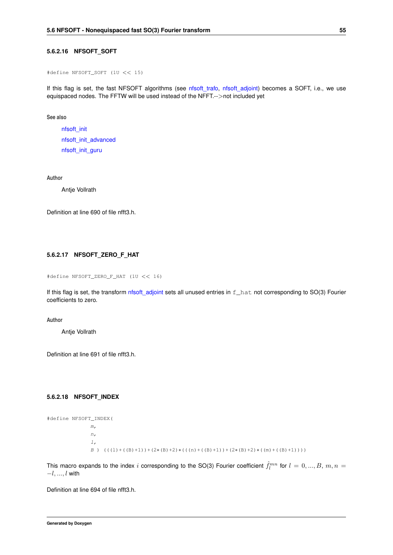### **5.6.2.16 NFSOFT\_SOFT**

#define NFSOFT\_SOFT (1U << 15)

If this flag is set, the fast NFSOFT algorithms (see nfsoft trafo, nfsoft adjoint) becomes a SOFT, i.e., we use equispaced nodes. The FFTW will be used instead of the NFFT.-->not included yet

**See also**

[nfsoft\\_init](#page-69-1) [nfsoft\\_init\\_advanced](#page-69-2) [nfsoft\\_init\\_guru](#page-70-0)

**Author**

Antje Vollrath

<span id="page-68-0"></span>Definition at line 690 of file nfft3.h.

#### **5.6.2.17 NFSOFT\_ZERO\_F\_HAT**

#define NFSOFT\_ZERO\_F\_HAT (1U << 16)

If this flag is set, the transform [nfsoft\\_adjoint](#page-71-1) sets all unused entries in  $f$ \_hat not corresponding to SO(3) Fourier coefficients to zero.

**Author**

Antje Vollrath

<span id="page-68-1"></span>Definition at line 691 of file nfft3.h.

#### **5.6.2.18 NFSOFT\_INDEX**

```
#define NFSOFT_INDEX(
               m<sub>r</sub>n,
               l,
               B ) (((1)+((B)+1))+(2*(B)+2)*(((n)+((B)+1))+(2*(B)+2)*((m)+((B)+1))))
```
This macro expands to the index  $i$  corresponding to the SO(3) Fourier coefficient  $\hat{f}^{mn}_l$  for  $l=0,...,B,$   $m,n=$  $-l, ..., l$  with

<span id="page-68-2"></span>Definition at line 694 of file nfft3.h.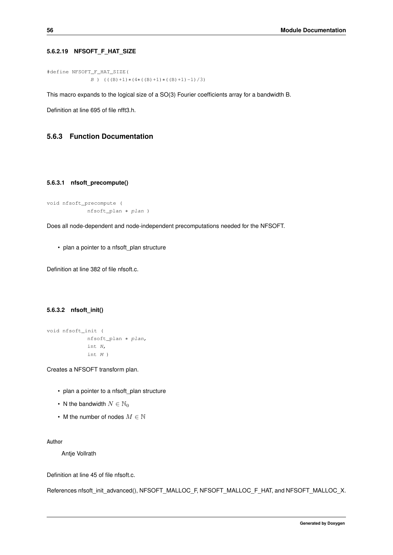## **5.6.2.19 NFSOFT\_F\_HAT\_SIZE**

```
#define NFSOFT_F_HAT_SIZE(
               B ) (((B) +1) * (4* ((B) +1) * ((B) +1) -1) /3)
```
This macro expands to the logical size of a SO(3) Fourier coefficients array for a bandwidth B.

Definition at line 695 of file nfft3.h.

# <span id="page-69-0"></span>**5.6.3 Function Documentation**

#### **5.6.3.1 nfsoft\_precompute()**

```
void nfsoft_precompute (
            nfsoft_plan ∗ plan )
```
Does all node-dependent and node-independent precomputations needed for the NFSOFT.

• plan a pointer to a nfsoft plan structure

<span id="page-69-1"></span>Definition at line 382 of file nfsoft.c.

### **5.6.3.2 nfsoft\_init()**

```
void nfsoft_init (
            nfsoft_plan ∗ plan,
            int N,
            int M )
```
Creates a NFSOFT transform plan.

- plan a pointer to a nfsoft\_plan structure
- N the bandwidth  $N \in \mathbb{N}_0$
- M the number of nodes  $M \in \mathbb{N}$

**Author**

Antje Vollrath

Definition at line 45 of file nfsoft.c.

<span id="page-69-2"></span>References nfsoft\_init\_advanced(), NFSOFT\_MALLOC\_F, NFSOFT\_MALLOC\_F\_HAT, and NFSOFT\_MALLOC\_X.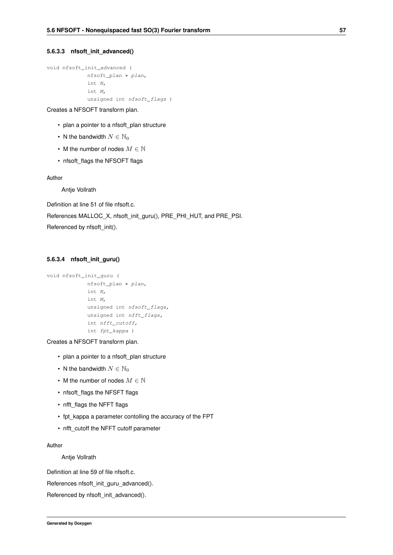#### **5.6.3.3 nfsoft\_init\_advanced()**

```
void nfsoft_init_advanced (
            nfsoft_plan ∗ plan,
            int N,
             int M,
             unsigned int nfsoft_flags )
```
Creates a NFSOFT transform plan.

- plan a pointer to a nfsoft\_plan structure
- N the bandwidth  $N \in \mathbb{N}_0$
- M the number of nodes  $M \in \mathbb{N}$
- nfsoft\_flags the NFSOFT flags

### **Author**

Antje Vollrath

Definition at line 51 of file nfsoft.c. References MALLOC\_X, nfsoft\_init\_guru(), PRE\_PHI\_HUT, and PRE\_PSI.

<span id="page-70-0"></span>Referenced by nfsoft\_init().

#### **5.6.3.4 nfsoft\_init\_guru()**

```
void nfsoft_init_guru (
            nfsoft_plan ∗ plan,
             int N,
             int M,
             unsigned int nfsoft_flags,
             unsigned int nfft_flags,
             int nfft_cutoff,
             int fpt_kappa )
```
Creates a NFSOFT transform plan.

- plan a pointer to a nfsoft plan structure
- N the bandwidth  $N \in \mathbb{N}_0$
- M the number of nodes  $M \in \mathbb{N}$
- nfsoft\_flags the NFSFT flags
- nfft flags the NFFT flags
- fpt\_kappa a parameter contolling the accuracy of the FPT
- nfft\_cutoff the NFFT cutoff parameter

#### **Author**

### Antje Vollrath

Definition at line 59 of file nfsoft.c.

References nfsoft\_init\_guru\_advanced().

<span id="page-70-1"></span>Referenced by nfsoft\_init\_advanced().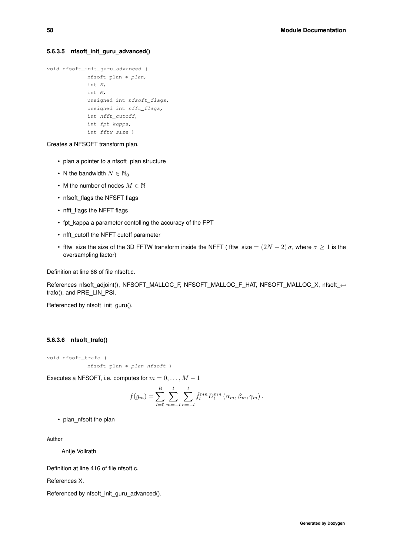#### **5.6.3.5 nfsoft\_init\_guru\_advanced()**

```
void nfsoft_init_guru_advanced (
             nfsoft_plan ∗ plan,
             int N,
             int M,
             unsigned int nfsoft_flags,
             unsigned int nfft_flags,
             int nfft_cutoff,
             int fpt_kappa,
             int fftw_size )
```
Creates a NFSOFT transform plan.

- plan a pointer to a nfsoft plan structure
- N the bandwidth  $N \in \mathbb{N}_0$
- M the number of nodes  $M \in \mathbb{N}$
- nfsoft\_flags the NFSFT flags
- nfft flags the NFFT flags
- fpt\_kappa a parameter contolling the accuracy of the FPT
- nfft\_cutoff the NFFT cutoff parameter
- fftw\_size the size of the 3D FFTW transform inside the NFFT ( fftw\_size  $=(2N+2)\sigma$ , where  $\sigma \geq 1$  is the oversampling factor)

Definition at line 66 of file nfsoft.c.

References nfsoft\_adjoint(), NFSOFT\_MALLOC\_F, NFSOFT\_MALLOC\_F\_HAT, NFSOFT\_MALLOC\_X, nfsoft ← trafo(), and PRE\_LIN\_PSI.

<span id="page-71-0"></span>Referenced by nfsoft\_init\_guru().

#### **5.6.3.6 nfsoft\_trafo()**

void nfsoft\_trafo ( nfsoft\_plan ∗ plan\_nfsoft )

Executes a NFSOFT, i.e. computes for  $m = 0, \ldots, M - 1$ 

$$
f(g_m) = \sum_{l=0}^{B} \sum_{m=-l}^{l} \sum_{n=-l}^{l} \hat{f}_l^{mn} D_l^{mn} (\alpha_m, \beta_m, \gamma_m).
$$

• plan\_nfsoft the plan

**Author**

Antje Vollrath

Definition at line 416 of file nfsoft.c.

References X.

<span id="page-71-1"></span>Referenced by nfsoft\_init\_guru\_advanced().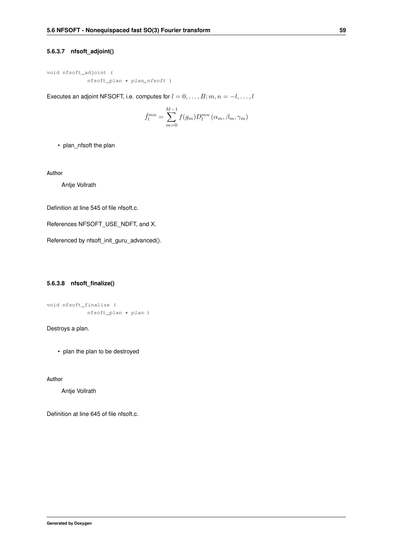#### **5.6.3.7 nfsoft\_adjoint()**

```
void nfsoft_adjoint (
            nfsoft_plan ∗ plan_nfsoft )
```
Executes an adjoint NFSOFT, i.e. computes for  $l = 0, \ldots, B; m, n = -l, \ldots, l$ 

$$
\hat{f}_l^{mn} = \sum_{m=0}^{M-1} f(g_m) D_l^{mn} (\alpha_m, \beta_m, \gamma_m)
$$

• plan\_nfsoft the plan

**Author**

Antje Vollrath

Definition at line 545 of file nfsoft.c.

References NFSOFT\_USE\_NDFT, and X.

Referenced by nfsoft\_init\_guru\_advanced().

#### **5.6.3.8 nfsoft\_finalize()**

```
void nfsoft_finalize (
            nfsoft_plan ∗ plan )
```
Destroys a plan.

• plan the plan to be destroyed

**Author**

Antje Vollrath

Definition at line 645 of file nfsoft.c.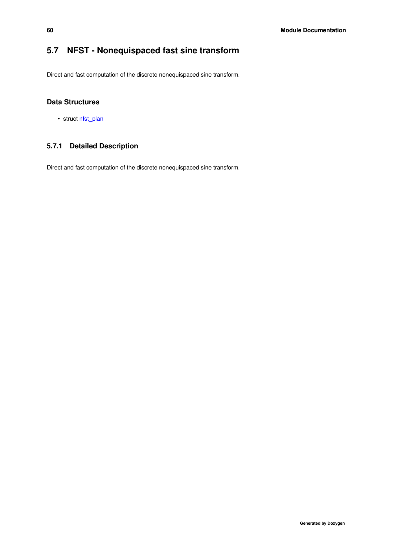# **5.7 NFST - Nonequispaced fast sine transform**

Direct and fast computation of the discrete nonequispaced sine transform.

## **Data Structures**

• struct [nfst\\_plan](#page-174-0)

## **5.7.1 Detailed Description**

Direct and fast computation of the discrete nonequispaced sine transform.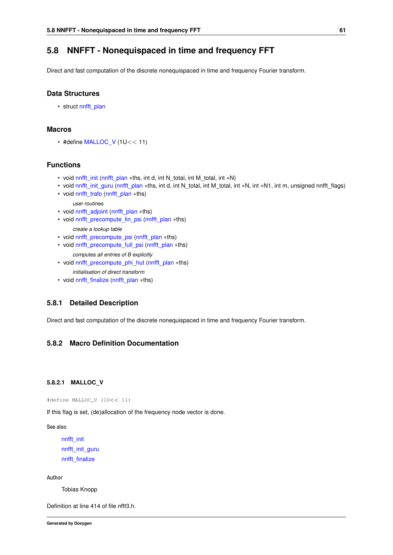## **5.8 NNFFT - Nonequispaced in time and frequency FFT**

Direct and fast computation of the discrete nonequispaced in time and frequency Fourier transform.

#### **Data Structures**

• struct [nnfft\\_plan](#page-176-0)

## **Macros**

 $\cdot$  #define [MALLOC\\_V](#page-74-0) (1U<< 11)

### **Functions**

- void [nnfft\\_init](#page-75-0) [\(nnfft\\_plan](#page-176-0) ∗ths, int d, int N\_total, int M\_total, int ∗N)
- void [nnfft\\_init\\_guru](#page-75-1) [\(nnfft\\_plan](#page-176-0) ∗ths, int d, int N\_total, int M\_total, int \*N, int \*N1, int m, unsigned nnfft\_flags)
- void [nnfft\\_trafo](#page-76-0) [\(nnfft\\_plan](#page-176-0) ∗ths) *user routines*
- void [nnfft\\_adjoint](#page-76-1) [\(nnfft\\_plan](#page-176-0) ∗ths)
- void [nnfft\\_precompute\\_lin\\_psi](#page-76-2) [\(nnfft\\_plan](#page-176-0) ∗ths)
	- *create a lookup table*
- void [nnfft\\_precompute\\_psi](#page-77-0) [\(nnfft\\_plan](#page-176-0) ∗ths)
- void [nnfft\\_precompute\\_full\\_psi](#page-77-1) [\(nnfft\\_plan](#page-176-0) ∗ths)
	- *computes all entries of B explicitly*
- void [nnfft\\_precompute\\_phi\\_hut](#page-78-0) [\(nnfft\\_plan](#page-176-0) ∗ths)
	- *initialisation of direct transform*
- void [nnfft\\_finalize](#page-78-1) [\(nnfft\\_plan](#page-176-0) ∗ths)

#### **5.8.1 Detailed Description**

Direct and fast computation of the discrete nonequispaced in time and frequency Fourier transform.

## <span id="page-74-0"></span>**5.8.2 Macro Definition Documentation**

### **5.8.2.1 MALLOC\_V**

#define MALLOC\_V (1U<< 11)

If this flag is set, (de)allocation of the frequency node vector is done.

**See also**

[nnfft\\_init](#page-75-0) [nnfft\\_init\\_guru](#page-75-1) [nnfft\\_finalize](#page-78-1)

**Author**

Tobias Knopp

Definition at line 414 of file nfft3.h.

**Generated by Doxygen**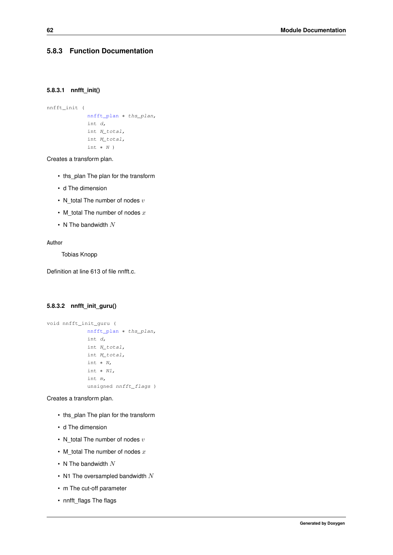### <span id="page-75-0"></span>**5.8.3 Function Documentation**

#### **5.8.3.1 nnfft\_init()**

```
nnfft_init (
             nnfft_plan ∗ ths_plan,
            int d,
            int N_total,
             int M_total,
             int ∗ N )
```
Creates a transform plan.

- ths\_plan The plan for the transform
- d The dimension
- N\_total The number of nodes  $v$
- M\_total The number of nodes  $x$
- N The bandwidth  $N$

#### **Author**

Tobias Knopp

<span id="page-75-1"></span>Definition at line 613 of file nnfft.c.

#### **5.8.3.2 nnfft\_init\_guru()**

```
void nnfft_init_guru (
            nnfft_plan ∗ ths_plan,
             int d,
             int N_total,
             int M_total,
             int ∗ N,
             int ∗ N1,
             int m,
             unsigned nnfft_flags )
```
Creates a transform plan.

- ths plan The plan for the transform
- d The dimension
- N\_total The number of nodes  $v$
- M total The number of nodes  $x$
- N The bandwidth  $N$
- N1 The oversampled bandwidth  $N$
- m The cut-off parameter
- nnfft\_flags The flags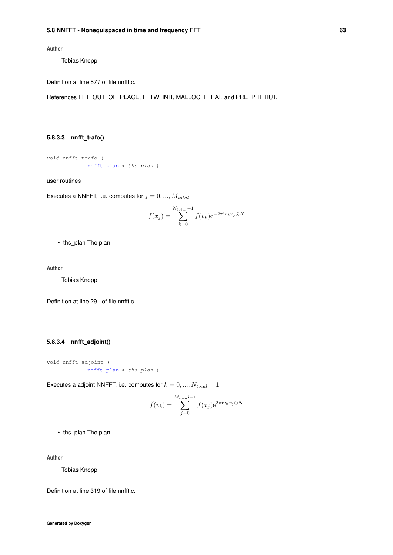**Author**

Tobias Knopp

Definition at line 577 of file nnfft.c.

<span id="page-76-0"></span>References FFT\_OUT\_OF\_PLACE, FFTW\_INIT, MALLOC\_F\_HAT, and PRE\_PHI\_HUT.

#### **5.8.3.3 nnfft\_trafo()**

void nnfft\_trafo ( [nnfft\\_plan](#page-176-0) ∗ ths\_plan )

user routines

Executes a NNFFT, i.e. computes for  $j = 0, ..., M_{total} - 1$ 

$$
f(x_j) = \sum_{k=0}^{N_{total}-1} \hat{f}(v_k) e^{-2\pi i v_k x_j \odot N}
$$

• ths\_plan The plan

**Author**

Tobias Knopp

<span id="page-76-1"></span>Definition at line 291 of file nnfft.c.

#### **5.8.3.4 nnfft\_adjoint()**

void nnfft\_adjoint ( [nnfft\\_plan](#page-176-0) ∗ ths\_plan )

Executes a adjoint NNFFT, i.e. computes for  $k = 0, ..., N_{total} - 1$ 

$$
\hat{f}(v_k) = \sum_{j=0}^{M_{total}-1} f(x_j) e^{2\pi i v_k x_j \odot N}
$$

• ths plan The plan

### **Author**

Tobias Knopp

<span id="page-76-2"></span>Definition at line 319 of file nnfft.c.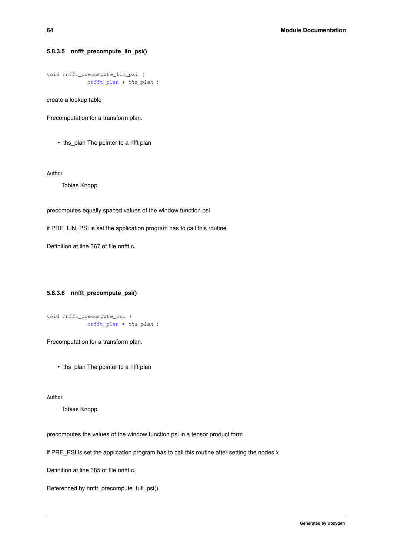#### **5.8.3.5 nnfft\_precompute\_lin\_psi()**

```
void nnfft_precompute_lin_psi (
            nnfft_plan ∗ ths_plan )
```
create a lookup table

Precomputation for a transform plan.

• ths plan The pointer to a nfft plan

**Author**

Tobias Knopp

precomputes equally spaced values of the window function psi

if PRE\_LIN\_PSI is set the application program has to call this routine

<span id="page-77-0"></span>Definition at line 367 of file nnfft.c.

#### **5.8.3.6 nnfft\_precompute\_psi()**

```
void nnfft_precompute_psi (
             nnfft_plan ∗ ths_plan )
```
Precomputation for a transform plan.

• ths\_plan The pointer to a nfft plan

**Author**

Tobias Knopp

precomputes the values of the window function psi in a tensor product form

if PRE PSI is set the application program has to call this routine after setting the nodes x

Definition at line 385 of file nnfft.c.

<span id="page-77-1"></span>Referenced by nnfft\_precompute\_full\_psi().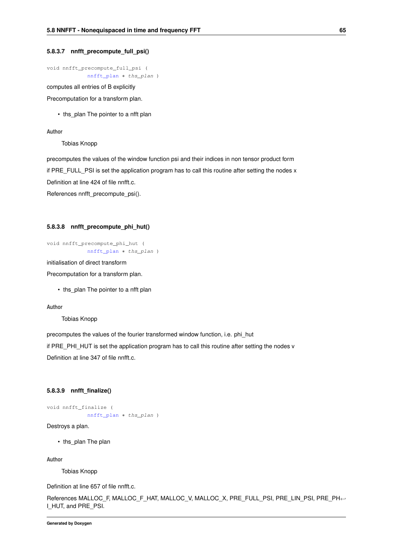#### **5.8.3.7 nnfft\_precompute\_full\_psi()**

void nnfft\_precompute\_full\_psi ( [nnfft\\_plan](#page-176-0) ∗ ths\_plan )

computes all entries of B explicitly

Precomputation for a transform plan.

• ths plan The pointer to a nfft plan

#### **Author**

Tobias Knopp

precomputes the values of the window function psi and their indices in non tensor product form if PRE\_FULL\_PSI is set the application program has to call this routine after setting the nodes x Definition at line 424 of file nnfft.c.

<span id="page-78-0"></span>References nnfft\_precompute\_psi().

#### **5.8.3.8 nnfft\_precompute\_phi\_hut()**

```
void nnfft_precompute_phi_hut (
             nnfft_plan ∗ ths_plan )
```
initialisation of direct transform

Precomputation for a transform plan.

• ths\_plan The pointer to a nfft plan

#### **Author**

Tobias Knopp

precomputes the values of the fourier transformed window function, i.e. phi\_hut

if PRE\_PHI\_HUT is set the application program has to call this routine after setting the nodes v

<span id="page-78-1"></span>Definition at line 347 of file nnfft.c.

#### **5.8.3.9 nnfft\_finalize()**

```
void nnfft_finalize (
             nnfft_plan ∗ ths_plan )
```
Destroys a plan.

• ths plan The plan

**Author**

Tobias Knopp

Definition at line 657 of file nnfft.c.

References MALLOC\_F, MALLOC\_F\_HAT, MALLOC\_V, MALLOC\_X, PRE\_FULL\_PSI, PRE\_LIN\_PSI, PRE\_PH←- I\_HUT, and PRE\_PSI.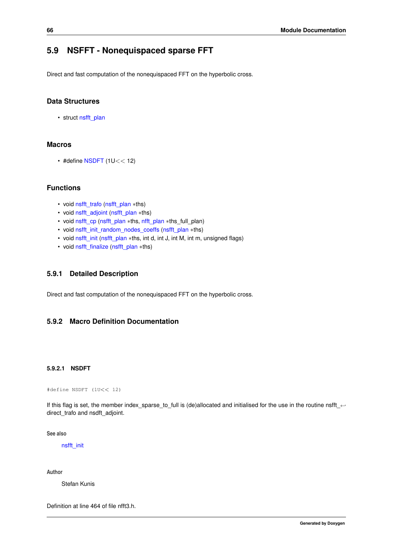## **5.9 NSFFT - Nonequispaced sparse FFT**

Direct and fast computation of the nonequispaced FFT on the hyperbolic cross.

## **Data Structures**

• struct [nsfft\\_plan](#page-178-0)

## **Macros**

 $\cdot$  #define [NSDFT](#page-79-0) (1U<< 12)

## **Functions**

- void [nsfft\\_trafo](#page-80-0) [\(nsfft\\_plan](#page-178-0) ∗ths)
- void [nsfft\\_adjoint](#page-80-1) [\(nsfft\\_plan](#page-178-0) ∗ths)
- void [nsfft\\_cp](#page-80-2) [\(nsfft\\_plan](#page-178-0) ∗ths, [nfft\\_plan](#page-164-0) ∗ths\_full\_plan)
- void [nsfft\\_init\\_random\\_nodes\\_coeffs](#page-81-0) [\(nsfft\\_plan](#page-178-0) ∗ths)
- void [nsfft\\_init](#page-81-1) [\(nsfft\\_plan](#page-178-0) ∗ths, int d, int J, int M, int m, unsigned flags)
- void [nsfft\\_finalize](#page-82-0) [\(nsfft\\_plan](#page-178-0) ∗ths)

#### **5.9.1 Detailed Description**

Direct and fast computation of the nonequispaced FFT on the hyperbolic cross.

## <span id="page-79-0"></span>**5.9.2 Macro Definition Documentation**

#### **5.9.2.1 NSDFT**

#define NSDFT (1U<< 12)

If this flag is set, the member index\_sparse\_to\_full is (de)allocated and initialised for the use in the routine nsfft\_← direct\_trafo and nsdft\_adjoint.

**See also**

[nsfft\\_init](#page-81-1)

**Author**

Stefan Kunis

Definition at line 464 of file nfft3.h.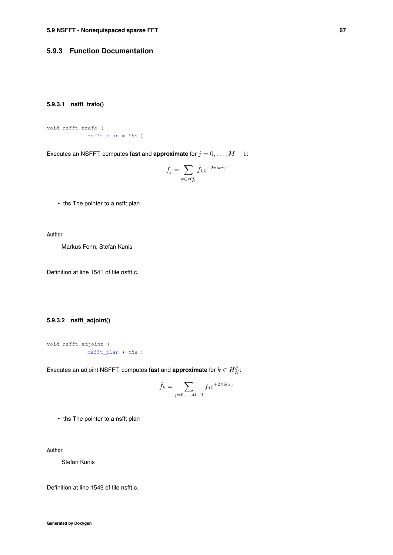## <span id="page-80-0"></span>**5.9.3 Function Documentation**

#### **5.9.3.1 nsfft\_trafo()**

```
void nsfft_trafo (
            nsfft_plan ∗ ths )
```
Executes an NSFFT, computes fast and **approximate** for  $j = 0, \ldots, M - 1$ :

$$
f_j = \sum_{k \in H_N^d} \hat{f}_k e^{-2\pi i k x_j}
$$

• ths The pointer to a nsfft plan

**Author**

Markus Fenn, Stefan Kunis

<span id="page-80-1"></span>Definition at line 1541 of file nsfft.c.

## **5.9.3.2 nsfft\_adjoint()**

```
void nsfft_adjoint (
            nsfft_plan ∗ ths )
```
Executes an adjoint NSFFT, computes fast and approximate for  $k \in H^d_N$ :

$$
\hat{f}_k = \sum_{j=0,...,M-1} f_j e^{+2\pi i k x_j}
$$

• ths The pointer to a nsfft plan

**Author**

Stefan Kunis

**Generated by Doxygen**

<span id="page-80-2"></span>Definition at line 1549 of file nsfft.c.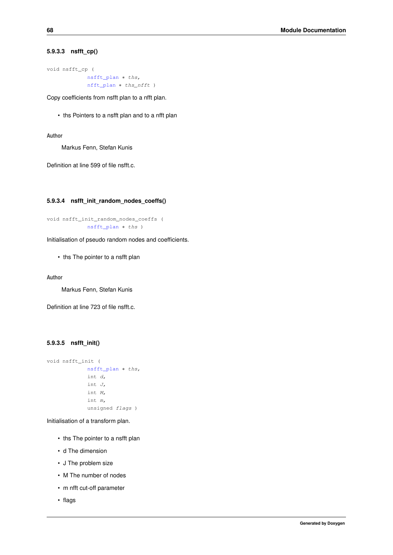#### **5.9.3.3 nsfft\_cp()**

void nsfft\_cp ( [nsfft\\_plan](#page-178-0) ∗ ths, [nfft\\_plan](#page-164-0) ∗ ths\_nfft )

Copy coefficients from nsfft plan to a nfft plan.

• ths Pointers to a nsfft plan and to a nfft plan

**Author**

Markus Fenn, Stefan Kunis

<span id="page-81-0"></span>Definition at line 599 of file nsfft.c.

#### **5.9.3.4 nsfft\_init\_random\_nodes\_coeffs()**

```
void nsfft_init_random_nodes_coeffs (
            nsfft_plan ∗ ths )
```
Initialisation of pseudo random nodes and coefficients.

• ths The pointer to a nsfft plan

**Author**

Markus Fenn, Stefan Kunis

<span id="page-81-1"></span>Definition at line 723 of file nsfft.c.

## **5.9.3.5 nsfft\_init()**

```
void nsfft_init (
             nsfft_plan ∗ ths,
             int d,
             int J,
             int M,
             int m,
             unsigned flags )
```
Initialisation of a transform plan.

- ths The pointer to a nsfft plan
- d The dimension
- J The problem size
- M The number of nodes
- m nfft cut-off parameter
- flags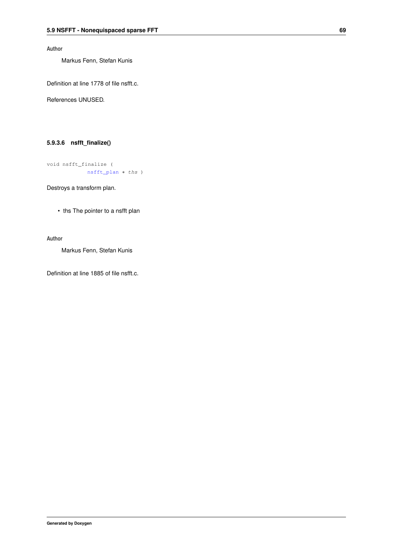**Author**

Markus Fenn, Stefan Kunis

Definition at line 1778 of file nsfft.c.

<span id="page-82-0"></span>References UNUSED.

### **5.9.3.6 nsfft\_finalize()**

void nsfft\_finalize ( [nsfft\\_plan](#page-178-0) ∗ ths )

Destroys a transform plan.

• ths The pointer to a nsfft plan

#### **Author**

Markus Fenn, Stefan Kunis

Definition at line 1885 of file nsfft.c.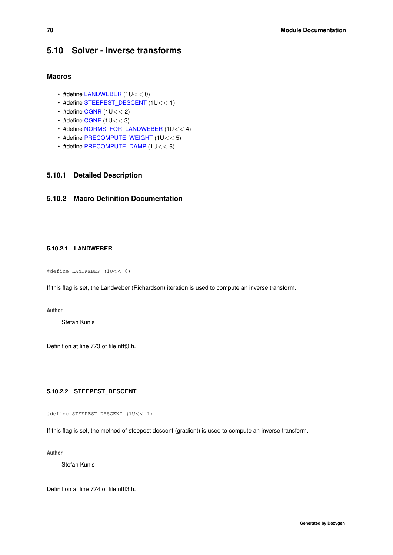## **5.10 Solver - Inverse transforms**

## **Macros**

- #define [LANDWEBER](#page-83-0) (1U<< 0)
- #define [STEEPEST\\_DESCENT](#page-83-1) (1U<< 1)
- $\cdot$  #define [CGNR](#page-83-2) (1U $<<$  2)
- $\cdot$  #define [CGNE](#page-84-0) (1U  $<<$  3)
- #define [NORMS\\_FOR\\_LANDWEBER](#page-84-1) (1U<< 4)
- #define [PRECOMPUTE\\_WEIGHT](#page-84-2) (1U<< 5)
- #define [PRECOMPUTE\\_DAMP](#page-84-3) (1U<< 6)

#### **5.10.1 Detailed Description**

## <span id="page-83-0"></span>**5.10.2 Macro Definition Documentation**

### **5.10.2.1 LANDWEBER**

#define LANDWEBER (1U<< 0)

If this flag is set, the Landweber (Richardson) iteration is used to compute an inverse transform.

#### **Author**

Stefan Kunis

<span id="page-83-1"></span>Definition at line 773 of file nfft3.h.

### **5.10.2.2 STEEPEST\_DESCENT**

#define STEEPEST\_DESCENT (1U<< 1)

If this flag is set, the method of steepest descent (gradient) is used to compute an inverse transform.

**Author**

Stefan Kunis

<span id="page-83-2"></span>Definition at line 774 of file nfft3.h.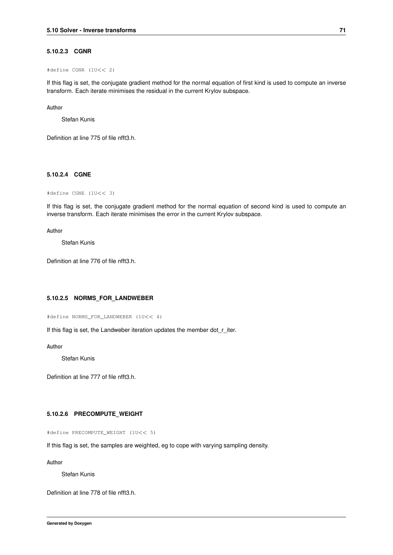#### **5.10.2.3 CGNR**

#define CGNR (1U<< 2)

If this flag is set, the conjugate gradient method for the normal equation of first kind is used to compute an inverse transform. Each iterate minimises the residual in the current Krylov subspace.

#### **Author**

Stefan Kunis

<span id="page-84-0"></span>Definition at line 775 of file nfft3.h.

#### **5.10.2.4 CGNE**

#define CGNE (1U<< 3)

If this flag is set, the conjugate gradient method for the normal equation of second kind is used to compute an inverse transform. Each iterate minimises the error in the current Krylov subspace.

#### **Author**

Stefan Kunis

<span id="page-84-1"></span>Definition at line 776 of file nfft3.h.

#### **5.10.2.5 NORMS\_FOR\_LANDWEBER**

#define NORMS\_FOR\_LANDWEBER (1U<< 4)

If this flag is set, the Landweber iteration updates the member dot\_r\_iter.

**Author**

Stefan Kunis

<span id="page-84-2"></span>Definition at line 777 of file nfft3.h.

#### **5.10.2.6 PRECOMPUTE\_WEIGHT**

#define PRECOMPUTE\_WEIGHT (1U<< 5)

If this flag is set, the samples are weighted, eg to cope with varying sampling density.

**Author**

Stefan Kunis

<span id="page-84-3"></span>Definition at line 778 of file nfft3.h.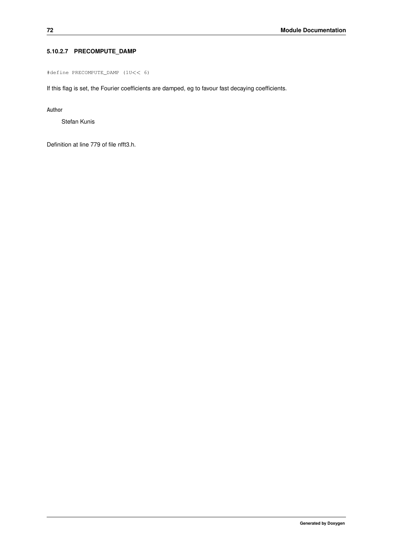## **5.10.2.7 PRECOMPUTE\_DAMP**

#define PRECOMPUTE\_DAMP (1U<< 6)

If this flag is set, the Fourier coefficients are damped, eg to favour fast decaying coefficients.

**Author**

Stefan Kunis

Definition at line 779 of file nfft3.h.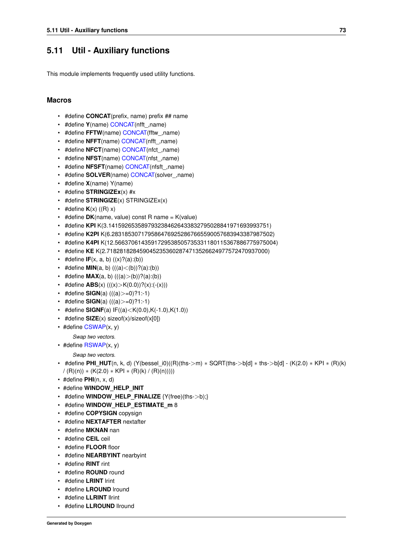## **5.11 Util - Auxiliary functions**

This module implements frequently used utility functions.

### **Macros**

- #define **CONCAT**(prefix, name) prefix ## name
- #define **Y**(name) [CONCAT\(](#page-222-0)nfft\_,name)
- #define **FFTW**(name) [CONCAT\(](#page-222-0)fftw\_,name)
- #define **NFFT**(name) [CONCAT\(](#page-222-0)nfft\_,name)
- #define **NFCT**(name) [CONCAT\(](#page-222-0)nfct\_,name)
- #define **NFST**(name) [CONCAT\(](#page-222-0)nfst\_,name)
- #define **NFSFT**(name) [CONCAT\(](#page-222-0)nfsft\_,name)
- #define **SOLVER**(name) [CONCAT\(](#page-222-0)solver\_,name)
- #define **X**(name) Y(name)
- #define **STRINGIZEx**(x) #x
- #define **STRINGIZE**(x) STRINGIZEx(x)
- #define  $K(x)$   $((R) x)$
- #define **DK**(name, value) const R name = K(value)
- #define **KPI** K(3.1415926535897932384626433832795028841971693993751)
- #define **K2PI** K(6.2831853071795864769252867665590057683943387987502)
- #define **K4PI** K(12.5663706143591729538505735331180115367886775975004)
- #define **KE** K(2.7182818284590452353602874713526624977572470937000)
- #define  $IF(x, a, b)$   $((x)?(a):(b))$
- #define **MIN**(a, b)  $(((a) < (b))$ ?(a):(b))
- #define **MAX**(a, b)  $(((a)>(b))$ ?(a):(b))
- #define  $\mathbf{ABS}(x)$  (((x)>K(0.0))?(x):(-(x)))
- #define **SIGN**(a)  $(((a) > = 0)$ ?1:-1)
- #define **SIGN**(a)  $(((a) > = 0)$ ?1:-1)
- #define **SIGNF**(a)  $IF((a) < K(0.0), K(-1.0), K(1.0))$
- #define **SIZE**(x) sizeof(x)/sizeof(x[0])
- #define [CSWAP\(](#page-90-0)x, y)

*Swap two vectors.*

• #define [RSWAP\(](#page-91-0)x, y)

*Swap two vectors.*

- #define **PHI\_HUT**(n, k, d) (Y(bessel\_i0)((R)(ths->m) ∗ SQRT(ths->b[d] ∗ ths->b[d] (K(2.0) ∗ KPI ∗ (R)(k)  $/(R)(n)) * (K(2.0) * KPI * (R)(k) / (R)(n))))$
- #define **PHI**(n, x, d)
- #define **WINDOW\_HELP\_INIT**
- #define **WINDOW\_HELP\_FINALIZE** {Y(free)(ths->b);}
- #define **WINDOW\_HELP\_ESTIMATE\_m** 8
- #define **COPYSIGN** copysign
- #define **NEXTAFTER** nextafter
- #define **MKNAN** nan
- #define **CEIL** ceil
- #define **FLOOR** floor
- #define **NEARBYINT** nearbyint
- #define **RINT** rint
- #define **ROUND** round
- #define **LRINT** lrint
- #define **LROUND** lround
- #define **LLRINT** llrint
- #define **LLROUND** llround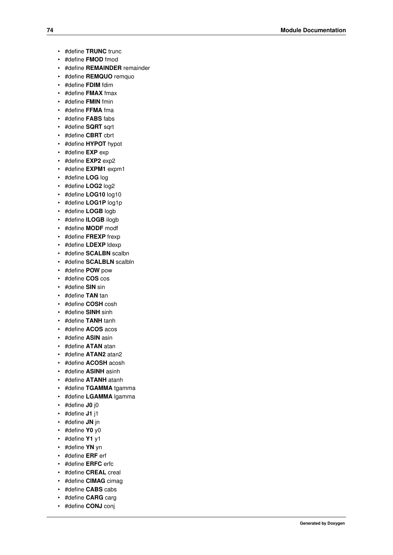- #define **TRUNC** trunc
- #define **FMOD** fmod
- #define **REMAINDER** remainder
- #define **REMQUO** remquo
- #define **FDIM** fdim
- #define **FMAX** fmax
- #define **FMIN** fmin
- #define **FFMA** fma
- #define **FABS** fabs
- #define **SQRT** sqrt
- #define **CBRT** cbrt
- #define **HYPOT** hypot
- #define **EXP** exp
- #define **EXP2** exp2
- #define **EXPM1** expm1
- #define **LOG** log
- #define **LOG2** log2
- #define **LOG10** log10
- #define **LOG1P** log1p
- #define **LOGB** logb
- #define **ILOGB** ilogb
- #define **MODF** modf
- #define **FREXP** frexp
- #define **LDEXP** ldexp
- #define **SCALBN** scalbn
- #define **SCALBLN** scalbln
- #define **POW** pow
- #define **COS** cos
- #define **SIN** sin
- #define **TAN** tan
- #define **COSH** cosh
- #define **SINH** sinh
- #define **TANH** tanh
- #define **ACOS** acos
- #define **ASIN** asin
- #define **ATAN** atan
- #define **ATAN2** atan2
- #define **ACOSH** acosh
- #define **ASINH** asinh
- #define **ATANH** atanh
- #define **TGAMMA** tgamma
- #define **LGAMMA** lgamma
- #define **J0** j0
- #define **J1** j1
- #define **JN** jn
- #define **Y0** y0
- #define **Y1** y1
- #define **YN** yn
- #define **ERF** erf
- #define **ERFC** erfc
- #define **CREAL** creal
- #define **CIMAG** cimag
- #define **CABS** cabs
- #define **CARG** carg
- #define **CONJ** conj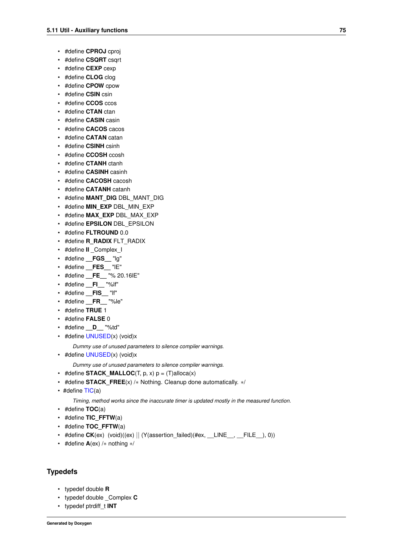- #define **CPROJ** cproj
- #define **CSQRT** csqrt
- #define **CEXP** cexp
- #define **CLOG** clog
- #define **CPOW** cpow
- #define **CSIN** csin
- #define **CCOS** ccos
- #define **CTAN** ctan
- #define **CASIN** casin
- #define **CACOS** cacos
- #define **CATAN** catan
- #define **CSINH** csinh
- #define **CCOSH** ccosh
- #define **CTANH** ctanh
- #define **CASINH** casinh
- #define **CACOSH** cacosh
- #define **CATANH** catanh
- #define **MANT\_DIG** DBL\_MANT\_DIG
- #define **MIN\_EXP** DBL\_MIN\_EXP
- #define **MAX\_EXP** DBL\_MAX\_EXP
- #define **EPSILON** DBL\_EPSILON
- #define **FLTROUND** 0.0
- #define **R\_RADIX** FLT\_RADIX
- #define **II** Complex I
- #define **\_\_FGS\_\_** "lg"
- #define **\_\_FES\_\_** "lE"
- #define **\_\_FE\_\_** "% 20.16lE"
- #define **\_\_FI\_\_** "%lf"
- #define **\_\_FIS\_\_** "lf"
- #define **\_\_FR\_\_** "%le"
- #define **TRUE** 1
- #define **FALSE** 0
- #define **\_\_D\_\_** "%td"
- <span id="page-88-0"></span>• #define [UNUSED\(](#page-88-0)x) (void)x

*Dummy use of unused parameters to silence compiler warnings.*

• #define [UNUSED\(](#page-88-0)x) (void)x

*Dummy use of unused parameters to silence compiler warnings.*

- #define **STACK MALLOC**(T, p, x)  $p = (T)$ alloca(x)
- #define **STACK\_FREE**(x) /∗ Nothing. Cleanup done automatically. ∗/
- $\cdot$  #define  $TIC(a)$  $TIC(a)$

*Timing, method works since the inaccurate timer is updated mostly in the measured function.*

- #define **TOC**(a)
- #define **TIC\_FFTW**(a)
- #define **TOC\_FFTW**(a)
- #define **CK**(ex) (void)((ex) || (Y(assertion\_failed)(#ex, \_\_LINE\_\_, \_\_FILE\_\_), 0))
- #define **A**(ex) /∗ nothing ∗/

## **Typedefs**

- typedef double **R**
- typedef double \_Complex **C**
- typedef ptrdiff\_t **INT**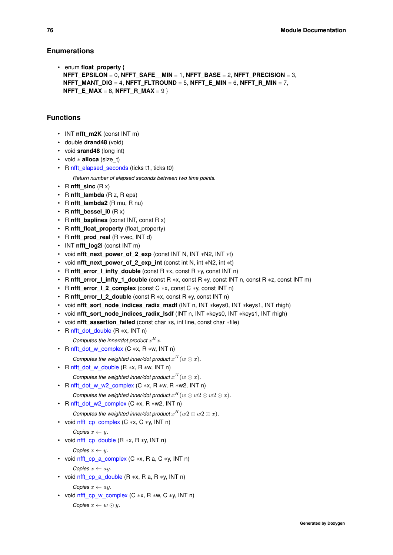### **Enumerations**

```
• enum float_property {
 NFFT_EPSILON = 0, NFFT_SAFE__MIN = 1, NFFT_BASE = 2, NFFT_PRECISION = 3,
 NFFT_MANT_DIG = 4, NFFT_FLTROUND = 5, NFFT_E_MIN = 6, NFFT_R_MIN = 7,
 NFFT_E_MAX = 8, NFFT_R_MAX = 9 }
```
## **Functions**

- INT **nfft\_m2K** (const INT m)
- double **drand48** (void)
- void **srand48** (long int)
- void ∗ **alloca** (size\_t)
- <span id="page-89-0"></span>• R [nfft\\_elapsed\\_seconds](#page-89-0) (ticks t1, ticks t0)

*Return number of elapsed seconds between two time points.*

- R **nfft** sinc  $(R x)$
- R **nfft\_lambda** (R z, R eps)
- R **nfft\_lambda2** (R mu, R nu)
- R **nfft\_bessel\_i0** (R x)
- R **nfft\_bsplines** (const INT, const R x)
- R nfft\_float\_property (float\_property)
- R **nfft\_prod\_real** (R ∗vec, INT d)
- INT **nfft\_log2i** (const INT m)
- void **nfft\_next\_power\_of\_2\_exp** (const INT N, INT ∗N2, INT ∗t)
- void **nfft\_next\_power\_of\_2\_exp\_int** (const int N, int ∗N2, int ∗t)
- R nfft\_error\_l\_infty\_double (const R ∗x, const R ∗y, const INT n)
- R nfft\_error\_l\_infty\_1\_double (const R ∗x, const R ∗y, const INT n, const R ∗z, const INT m)
- R **nfft\_error\_l\_2\_complex** (const C ∗x, const C ∗y, const INT n)
- R **nfft\_error\_l\_2\_double** (const R ∗x, const R ∗y, const INT n)
- void nfft\_sort\_node\_indices\_radix\_msdf (INT n, INT ∗keys0, INT ∗keys1, INT rhigh)
- void **nfft\_sort\_node\_indices\_radix\_lsdf** (INT n, INT ∗keys0, INT ∗keys1, INT rhigh)
- void **nfft assertion failed** (const char ∗s, int line, const char ∗file)
- <span id="page-89-1"></span>• R [nfft\\_dot\\_double](#page-89-1) (R ∗x, INT n)

Computes the inner/dot product  $x^H x$ .

- <span id="page-89-2"></span>• R [nfft\\_dot\\_w\\_complex](#page-89-2) (C ∗x, R ∗w, INT n)
	- Computes the weighted inner/dot product  $x^H(w \odot x)$ .
- <span id="page-89-3"></span>• R [nfft\\_dot\\_w\\_double](#page-89-3) (R ∗x, R ∗w, INT n)
	- Computes the weighted inner/dot product  $x^H(w \odot x)$ .
- <span id="page-89-4"></span>• R [nfft\\_dot\\_w\\_w2\\_complex](#page-89-4) (C ∗x, R ∗w, R ∗w2, INT n)
	- *Computes the weighted inner/dot product*  $x^H(w \odot w2 \odot w2 \odot x)$ *.*
- <span id="page-89-5"></span>• R [nfft\\_dot\\_w2\\_complex](#page-89-5) (C ∗x, R ∗w2, INT n)
- *Computes the weighted inner/dot product*  $x^H(w^2 \odot w^2 \odot x)$ *.*
- <span id="page-89-6"></span>• void nfft cp\_complex (C ∗x, C ∗y, INT n)

 $C$ opies  $x \leftarrow y$ .

<span id="page-89-7"></span>• void [nfft\\_cp\\_double](#page-89-7) (R ∗x, R ∗y, INT n)

```
Copies x \leftarrow y.
```
<span id="page-89-8"></span>• void [nfft\\_cp\\_a\\_complex](#page-89-8) (C ∗x, R a, C ∗y, INT n)

```
Copies x \leftarrow ay.
```
<span id="page-89-9"></span>• void nfft cp\_a\_double  $(R * x, R a, R * y, INT n)$ *Copies*  $x \leftarrow ay$ .

```
nfft_cp_w_complex (C *x, R *w, C *y, INT n)
```

```
Copies x \leftarrow w \odot y.
```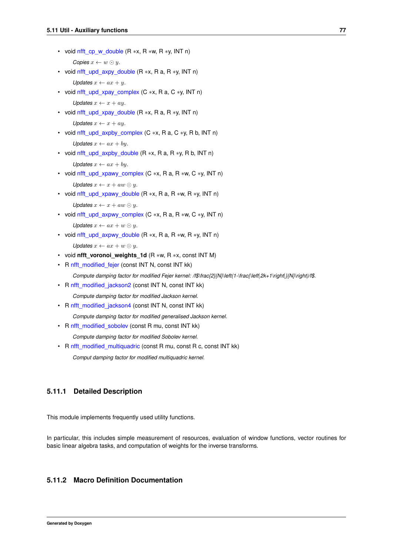- <span id="page-90-5"></span><span id="page-90-4"></span><span id="page-90-3"></span><span id="page-90-2"></span><span id="page-90-1"></span>• void [nfft\\_cp\\_w\\_double](#page-90-1) (R ∗x, R ∗w, R ∗y, INT n) *Copies*  $x \leftarrow w \odot y$ . • void nfft upd axpy double  $(R * x, R a, R * y, INT n)$ *Updates*  $x \leftarrow ax + y$ . • void [nfft\\_upd\\_xpay\\_complex](#page-90-3) (C  $*x$ , R a, C  $*y$ , INT n) *Updates*  $x \leftarrow x + ay$ . • void nfft upd xpay double  $(R * x, R a, R * y, INT n)$ *Updates*  $x \leftarrow x + ay$ . • void nfft upd axpby complex (C ∗x, R a, C ∗y, R b, INT n) *Updates*  $x \leftarrow ax + by$ *.* • void nfft upd axpby double  $(R * x, R a, R * y, R b, INT n)$ *Updates*  $x \leftarrow ax + by$ *.* • void nfft upd xpawy complex (C  $*x$ , R a, R  $*w$ , C  $*y$ , INT n) *Updates*  $x \leftarrow x + aw \odot y$ . • void nfft upd xpawy double (R ∗x, R a, R ∗w, R ∗y, INT n) *Updates*  $x \leftarrow x + aw \odot y$ . • void [nfft\\_upd\\_axpwy\\_complex](#page-90-9) (C ∗x, R a, R ∗w, C ∗y, INT n) *Updates*  $x \leftarrow ax + w \odot y$ . • void nfft upd axpwy double  $(R * x, R a, R * w, R * y, INT n)$ *Updates*  $x \leftarrow ax + w \odot y$ .
- <span id="page-90-10"></span><span id="page-90-9"></span><span id="page-90-8"></span><span id="page-90-7"></span><span id="page-90-6"></span>• void **nfft\_voronoi\_weights\_1d** (R ∗w, R ∗x, const INT M)
- <span id="page-90-11"></span>• R [nfft\\_modified\\_fejer](#page-90-11) (const INT N, const INT kk)
- *Compute damping factor for modified Fejer kernel: /f\$\frac{2}{N}\left(1-\frac{\left*|*2k+1\right*|*}{N}\right)/f\$.*
- <span id="page-90-12"></span>• R [nfft\\_modified\\_jackson2](#page-90-12) (const INT N, const INT kk) *Compute damping factor for modified Jackson kernel.*
- <span id="page-90-13"></span>• R [nfft\\_modified\\_jackson4](#page-90-13) (const INT N, const INT kk)

*Compute damping factor for modified generalised Jackson kernel.*

- <span id="page-90-14"></span>• R [nfft\\_modified\\_sobolev](#page-90-14) (const R mu, const INT kk) *Compute damping factor for modified Sobolev kernel.*
- <span id="page-90-15"></span>• R [nfft\\_modified\\_multiquadric](#page-90-15) (const R mu, const R c, const INT kk) *Comput damping factor for modified multiquadric kernel.*

## **5.11.1 Detailed Description**

This module implements frequently used utility functions.

In particular, this includes simple measurement of resources, evaluation of window functions, vector routines for basic linear algebra tasks, and computation of weights for the inverse transforms.

## <span id="page-90-0"></span>**5.11.2 Macro Definition Documentation**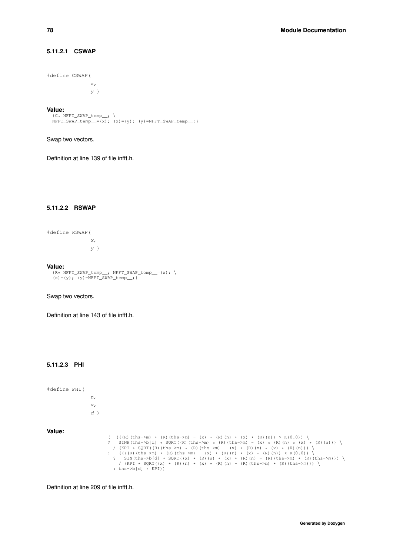## **5.11.2.1 CSWAP**

```
#define CSWAP(
             x,
              y)
```
#### **Value:**

```
{C* NFFT_SWAP_temp__; \<br>NFFT_SWAP_temp__=(x); (x)=(y); (y)=NFFT_SWAP_temp__; }
```
Swap two vectors.

<span id="page-91-0"></span>Definition at line 139 of file infft.h.

## **5.11.2.2 RSWAP**

#define RSWAP( x,  $\overline{y}$ )

#### **Value:**

```
{R* NFFT_SWAP_temp__; NFFT_SWAP_temp__=(x); \ \
```
#### Swap two vectors.

Definition at line 143 of file infft.h.

#### **5.11.2.3 PHI**

#define PHI( n, x,  $d$ ) **Value:**

```
((((R) (ths->m) * (R) (ths->m) - (x) * (R) (n) * (x) * (R) (n)) > K(0.0)) \<br>
? SINH (ths->b[d] * SQRT ((R) (ths->m) * (R) (ths->m) - (x) * (R) (n) * (x) * (R) (n)) ) \<br>
/ (KPI * SQRT ((R) (ths->m) * (R) (ths->m) - (x) * (
```
Definition at line 209 of file infft.h.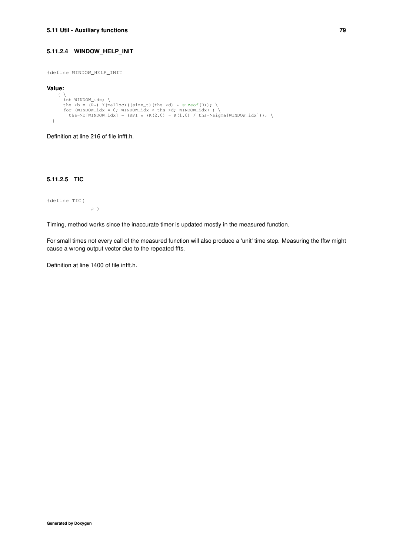#### **5.11.2.4 WINDOW\_HELP\_INIT**

#define WINDOW\_HELP\_INIT

#### **Value:**

```
\left\{ \begin{array}{c} \end{array} \right\}int WINDOW_idx; \<br>
ths->b = (R*) Y(malloc)((size_t)(ths->d) * sizeof(R)); \<br>
for (WINDOW_idx = 0; WINDOW_idx < ths->d; WINDOW_idx++) \<br>
ths->b[WINDOW_idx] = (KPI * (K(2.0) - K(1.0) / ths->sigma[WINDOW_idx])); \
}
```
<span id="page-92-0"></span>Definition at line 216 of file infft.h.

#### **5.11.2.5 TIC**

#define TIC(

Timing, method works since the inaccurate timer is updated mostly in the measured function.

For small times not every call of the measured function will also produce a 'unit' time step. Measuring the fftw might cause a wrong output vector due to the repeated ffts.

Definition at line 1400 of file infft.h.

a )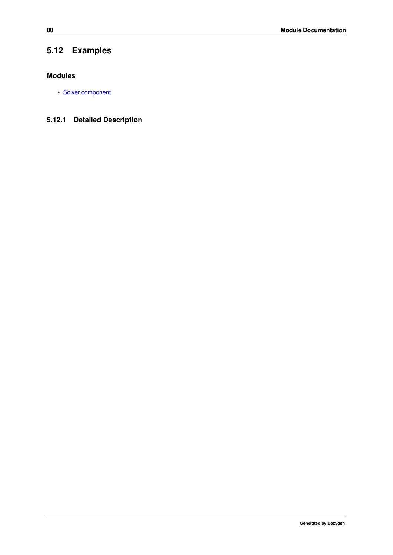# **5.12 Examples**

## **Modules**

• [Solver component](#page-94-0)

## **5.12.1 Detailed Description**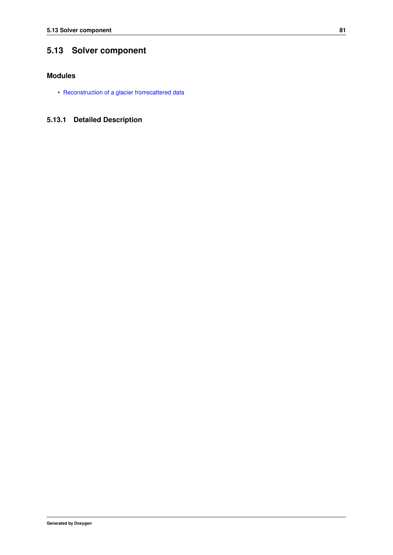# <span id="page-94-0"></span>**5.13 Solver component**

## **Modules**

• [Reconstruction of a glacier fromscattered data](#page-95-0)

## **5.13.1 Detailed Description**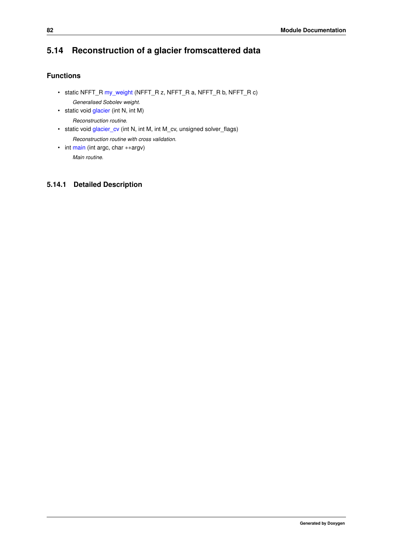# <span id="page-95-0"></span>**5.14 Reconstruction of a glacier fromscattered data**

## **Functions**

- <span id="page-95-1"></span>• static NFFT\_R [my\\_weight](#page-95-1) (NFFT\_R z, NFFT\_R a, NFFT\_R b, NFFT\_R c) *Generalised Sobolev weight.*
- <span id="page-95-2"></span>• static void [glacier](#page-95-2) (int N, int M)
	- *Reconstruction routine.*
- <span id="page-95-3"></span>• static void [glacier\\_cv](#page-95-3) (int N, int M, int M\_cv, unsigned solver\_flags) *Reconstruction routine with cross validation.*
- <span id="page-95-4"></span>• int [main](#page-95-4) (int argc, char ∗∗argv) *Main routine.*

## **5.14.1 Detailed Description**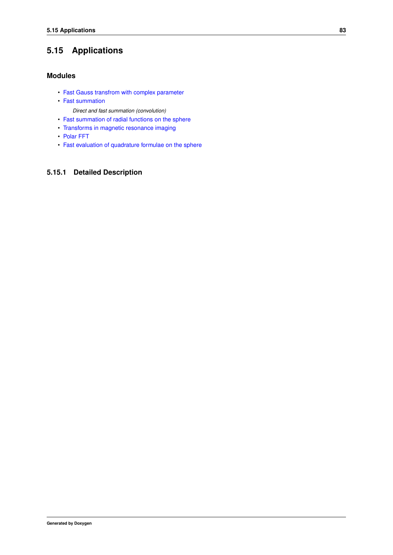# **5.15 Applications**

## **Modules**

- [Fast Gauss transfrom with complex parameter](#page-97-0)
- [Fast summation](#page-106-0)
	- *Direct and fast summation (convolution)*
- [Fast summation of radial functions on the sphere](#page-121-0)
- [Transforms in magnetic resonance imaging](#page-127-0)
- [Polar FFT](#page-143-0)
- [Fast evaluation of quadrature formulae on the sphere](#page-147-0)

## **5.15.1 Detailed Description**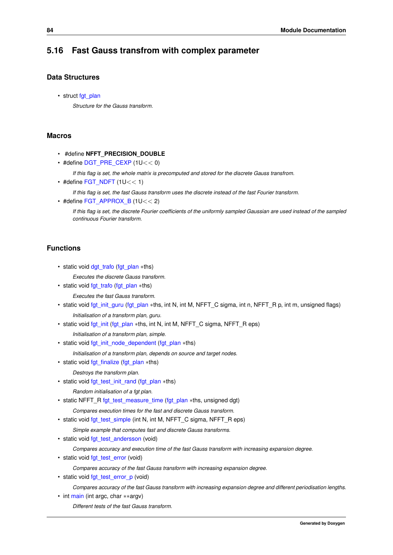## <span id="page-97-0"></span>**5.16 Fast Gauss transfrom with complex parameter**

## **Data Structures**

• struct [fgt\\_plan](#page-151-0)

*Structure for the Gauss transform.*

## **Macros**

- #define **NFFT\_PRECISION\_DOUBLE**
- $\cdot$  #define [DGT\\_PRE\\_CEXP](#page-98-0) (1U < < 0)

*If this flag is set, the whole matrix is precomputed and stored for the discrete Gauss transfrom.*

 $\cdot$  #define [FGT\\_NDFT](#page-99-0) (1U $<<$  1)

*If this flag is set, the fast Gauss transform uses the discrete instead of the fast Fourier transform.*

 $\cdot$  #define [FGT\\_APPROX\\_B](#page-99-1) (1U $<< 2$ )

*If this flag is set, the discrete Fourier coefficients of the uniformly sampled Gaussian are used instead of the sampled continuous Fourier transform.*

## **Functions**

- static void [dgt\\_trafo](#page-100-0) [\(fgt\\_plan](#page-151-0) ∗ths)
- *Executes the discrete Gauss transform.*
- static void [fgt\\_trafo](#page-100-1) [\(fgt\\_plan](#page-151-0) ∗ths)
	- *Executes the fast Gauss transform.*
- static void [fgt\\_init\\_guru](#page-100-2) [\(fgt\\_plan](#page-151-0) ∗ths, int N, int M, NFFT\_C sigma, int n, NFFT\_R p, int m, unsigned flags) *Initialisation of a transform plan, guru.*
- static void [fgt\\_init](#page-101-0) [\(fgt\\_plan](#page-151-0) ∗ths, int N, int M, NFFT\_C sigma, NFFT\_R eps)

*Initialisation of a transform plan, simple.*

• static void [fgt\\_init\\_node\\_dependent](#page-102-0) [\(fgt\\_plan](#page-151-0) ∗ths)

*Initialisation of a transform plan, depends on source and target nodes.*

• static void [fgt\\_finalize](#page-102-1) [\(fgt\\_plan](#page-151-0) ∗ths)

*Destroys the transform plan.*

• static void [fgt\\_test\\_init\\_rand](#page-102-2) [\(fgt\\_plan](#page-151-0) ∗ths)

*Random initialisation of a fgt plan.*

• static NFFT\_R [fgt\\_test\\_measure\\_time](#page-103-0) [\(fgt\\_plan](#page-151-0) ∗ths, unsigned dgt)

*Compares execution times for the fast and discrete Gauss transform.*

• static void [fgt\\_test\\_simple](#page-103-1) (int N, int M, NFFT\_C sigma, NFFT\_R eps)

*Simple example that computes fast and discrete Gauss transforms.*

• static void [fgt\\_test\\_andersson](#page-103-2) (void)

*Compares accuracy and execution time of the fast Gauss transform with increasing expansion degree.*

• static void [fgt\\_test\\_error](#page-104-0) (void)

*Compares accuracy of the fast Gauss transform with increasing expansion degree.*

• static void [fgt\\_test\\_error\\_p](#page-104-1) (void)

*Compares accuracy of the fast Gauss transform with increasing expansion degree and different periodisation lengths.*

• int [main](#page-104-2) (int argc, char ∗∗argv) *Different tests of the fast Gauss transform.*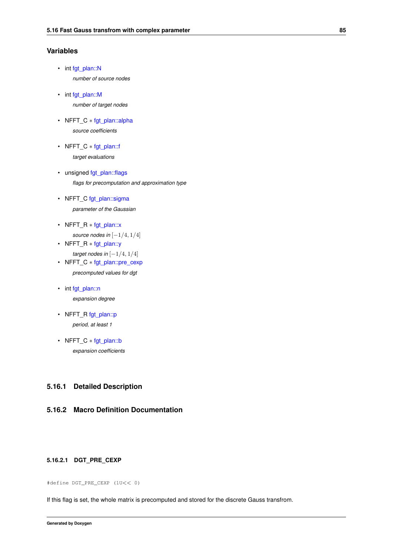## **Variables**

- <span id="page-98-1"></span>• int [fgt\\_plan::N](#page-98-1) *number of source nodes*
- <span id="page-98-2"></span>• int [fgt\\_plan::M](#page-98-2) *number of target nodes*
- <span id="page-98-3"></span>• NFFT C \* [fgt\\_plan::alpha](#page-98-3) *source coefficients*
- <span id="page-98-4"></span>• NFFT\_C ∗ [fgt\\_plan::f](#page-98-4) *target evaluations*
- <span id="page-98-5"></span>• unsigned [fgt\\_plan::flags](#page-98-5) *flags for precomputation and approximation type*
- <span id="page-98-6"></span>• NFFT C [fgt\\_plan::sigma](#page-98-6) *parameter of the Gaussian*
- <span id="page-98-7"></span>• NFFT\_R ∗ [fgt\\_plan::x](#page-98-7) *source nodes in*  $[-1/4, 1/4]$
- <span id="page-98-8"></span>• NFFT\_R ∗ [fgt\\_plan::y](#page-98-8) *target nodes in* [−1/4, 1/4]
- <span id="page-98-9"></span>• NFFT\_C ∗ [fgt\\_plan::pre\\_cexp](#page-98-9) *precomputed values for dgt*
- <span id="page-98-10"></span>• int [fgt\\_plan::n](#page-98-10) *expansion degree*
- <span id="page-98-11"></span>• NFFT\_R [fgt\\_plan::p](#page-98-11) *period, at least 1*
- <span id="page-98-12"></span>• NFFT\_C ∗ [fgt\\_plan::b](#page-98-12) *expansion coefficients*

## **5.16.1 Detailed Description**

## <span id="page-98-0"></span>**5.16.2 Macro Definition Documentation**

### **5.16.2.1 DGT\_PRE\_CEXP**

#define DGT\_PRE\_CEXP (1U<< 0)

If this flag is set, the whole matrix is precomputed and stored for the discrete Gauss transfrom.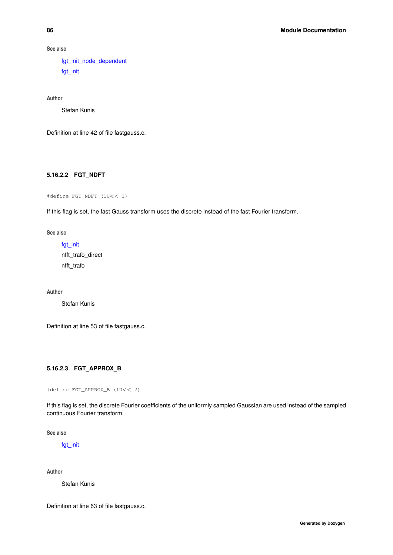**See also**

[fgt\\_init\\_node\\_dependent](#page-102-0) [fgt\\_init](#page-101-0)

**Author**

Stefan Kunis

<span id="page-99-0"></span>Definition at line 42 of file fastgauss.c.

#### **5.16.2.2 FGT\_NDFT**

#define FGT\_NDFT (1U<< 1)

If this flag is set, the fast Gauss transform uses the discrete instead of the fast Fourier transform.

**See also**

[fgt\\_init](#page-101-0) nfft\_trafo\_direct nfft\_trafo

**Author**

Stefan Kunis

<span id="page-99-1"></span>Definition at line 53 of file fastgauss.c.

#### **5.16.2.3 FGT\_APPROX\_B**

#define FGT\_APPROX\_B (1U<< 2)

If this flag is set, the discrete Fourier coefficients of the uniformly sampled Gaussian are used instead of the sampled continuous Fourier transform.

**See also**

[fgt\\_init](#page-101-0)

**Author**

Stefan Kunis

Definition at line 63 of file fastgauss.c.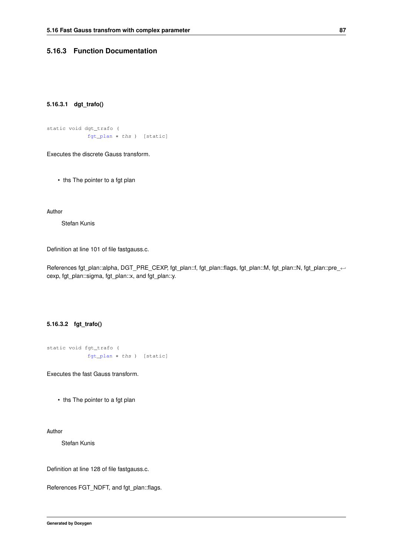## <span id="page-100-0"></span>**5.16.3 Function Documentation**

#### **5.16.3.1 dgt\_trafo()**

```
static void dgt_trafo (
            fgt_plan ∗ ths ) [static]
```
Executes the discrete Gauss transform.

• ths The pointer to a fgt plan

**Author**

Stefan Kunis

Definition at line 101 of file fastgauss.c.

<span id="page-100-1"></span>References fgt\_plan::alpha, DGT\_PRE\_CEXP, fgt\_plan::f, fgt\_plan::flags, fgt\_plan::M, fgt\_plan::N, fgt\_plan::pre\_← cexp, fgt\_plan::sigma, fgt\_plan::x, and fgt\_plan::y.

### **5.16.3.2 fgt\_trafo()**

```
static void fgt_trafo (
            fgt_plan ∗ ths ) [static]
```
Executes the fast Gauss transform.

• ths The pointer to a fgt plan

**Author**

Stefan Kunis

Definition at line 128 of file fastgauss.c.

<span id="page-100-2"></span>References FGT\_NDFT, and fgt\_plan::flags.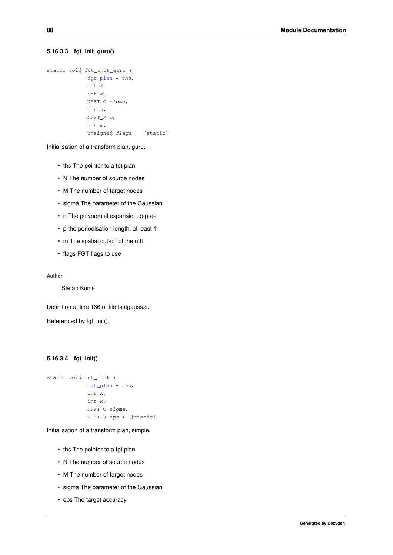#### **5.16.3.3 fgt\_init\_guru()**

```
static void fgt_init_guru (
            fgt plan * ths.
            int N,
            int M,
            NFFT_C sigma,
            int n,
            NFFT_R p,
             int m,
             unsigned flags ) [static]
```
Initialisation of a transform plan, guru.

- ths The pointer to a fpt plan
- N The number of source nodes
- M The number of target nodes
- sigma The parameter of the Gaussian
- n The polynomial expansion degree
- p the periodisation length, at least 1
- m The spatial cut-off of the nfft
- flags FGT flags to use

**Author**

Stefan Kunis

Definition at line 166 of file fastgauss.c.

<span id="page-101-0"></span>Referenced by fgt\_init().

## **5.16.3.4 fgt\_init()**

```
static void fgt_init (
            fgt_plan ∗ ths,
            int N,
            int M,
            NFFT C sigma,
            NFFT_R eps ) [static]
```
Initialisation of a transform plan, simple.

- ths The pointer to a fpt plan
- N The number of source nodes
- M The number of target nodes
- sigma The parameter of the Gaussian
- eps The target accuracy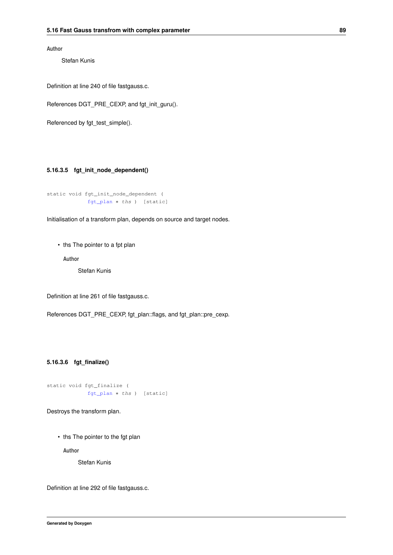**Author**

Stefan Kunis

Definition at line 240 of file fastgauss.c.

References DGT\_PRE\_CEXP, and fgt\_init\_guru().

<span id="page-102-0"></span>Referenced by fgt\_test\_simple().

#### **5.16.3.5 fgt\_init\_node\_dependent()**

```
static void fgt_init_node_dependent (
            fgt_plan ∗ ths ) [static]
```
Initialisation of a transform plan, depends on source and target nodes.

• ths The pointer to a fpt plan

**Author**

Stefan Kunis

Definition at line 261 of file fastgauss.c.

<span id="page-102-1"></span>References DGT\_PRE\_CEXP, fgt\_plan::flags, and fgt\_plan::pre\_cexp.

#### **5.16.3.6 fgt\_finalize()**

```
static void fgt_finalize (
            fgt_plan ∗ ths ) [static]
```
Destroys the transform plan.

• ths The pointer to the fgt plan

**Author**

Stefan Kunis

<span id="page-102-2"></span>Definition at line 292 of file fastgauss.c.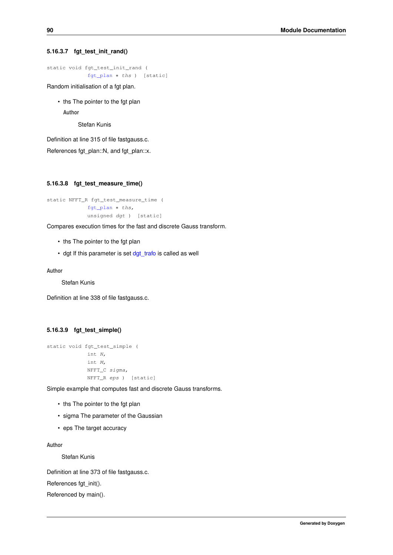#### **5.16.3.7 fgt\_test\_init\_rand()**

```
static void fgt_test_init_rand (
            fgt_plan ∗ ths ) [static]
```
Random initialisation of a fgt plan.

• ths The pointer to the fgt plan

**Author**

Stefan Kunis

Definition at line 315 of file fastgauss.c.

<span id="page-103-0"></span>References fgt\_plan::N, and fgt\_plan::x.

#### **5.16.3.8 fgt\_test\_measure\_time()**

```
static NFFT_R fgt_test_measure_time (
            fgt_plan ∗ ths,
            unsigned dgt ) [static]
```
Compares execution times for the fast and discrete Gauss transform.

- ths The pointer to the fgt plan
- dgt If this parameter is set dgt trafo is called as well

**Author**

Stefan Kunis

<span id="page-103-1"></span>Definition at line 338 of file fastgauss.c.

## **5.16.3.9 fgt\_test\_simple()**

```
static void fgt_test_simple (
            int N,
            int M,
             NFFT_C sigma,
             NFFT_R eps ) [static]
```
Simple example that computes fast and discrete Gauss transforms.

- ths The pointer to the fgt plan
- sigma The parameter of the Gaussian
- eps The target accuracy

#### **Author**

Stefan Kunis

Definition at line 373 of file fastgauss.c.

References fgt\_init().

<span id="page-103-2"></span>Referenced by main().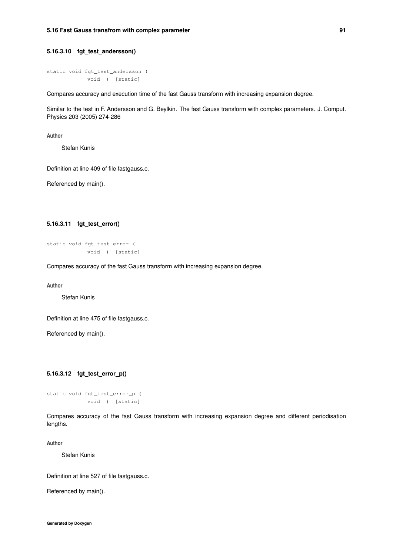#### **5.16.3.10 fgt\_test\_andersson()**

```
static void fgt_test_andersson (
           void ) [static]
```
Compares accuracy and execution time of the fast Gauss transform with increasing expansion degree.

Similar to the test in F. Andersson and G. Beylkin. The fast Gauss transform with complex parameters. J. Comput. Physics 203 (2005) 274-286

**Author**

Stefan Kunis

Definition at line 409 of file fastgauss.c.

<span id="page-104-0"></span>Referenced by main().

#### **5.16.3.11 fgt\_test\_error()**

```
static void fgt_test_error (
            void ) [static]
```
Compares accuracy of the fast Gauss transform with increasing expansion degree.

**Author**

Stefan Kunis

Definition at line 475 of file fastgauss.c.

<span id="page-104-1"></span>Referenced by main().

#### **5.16.3.12 fgt\_test\_error\_p()**

```
static void fgt_test_error_p (
           void ) [static]
```
Compares accuracy of the fast Gauss transform with increasing expansion degree and different periodisation lengths.

**Author**

Stefan Kunis

Definition at line 527 of file fastgauss.c.

<span id="page-104-2"></span>Referenced by main().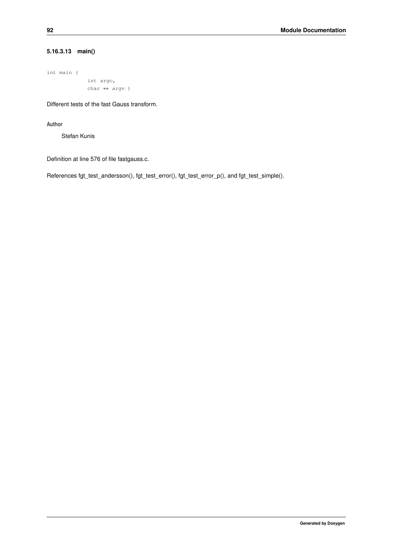## **5.16.3.13 main()**

```
int main (
            int argc,
            char ∗∗ argv )
```
Different tests of the fast Gauss transform.

**Author**

Stefan Kunis

Definition at line 576 of file fastgauss.c.

References fgt\_test\_andersson(), fgt\_test\_error(), fgt\_test\_error\_p(), and fgt\_test\_simple().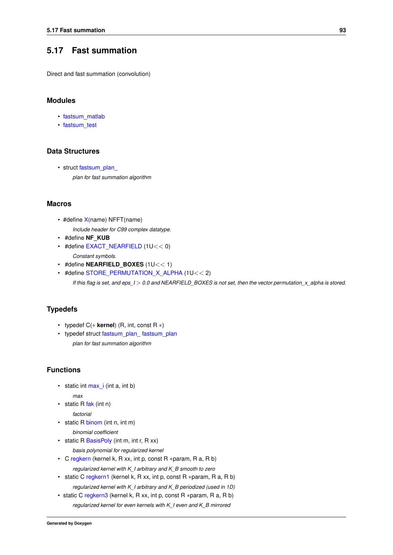## <span id="page-106-0"></span>**5.17 Fast summation**

Direct and fast summation (convolution)

### **Modules**

- [fastsum\\_matlab](#page-119-0)
- [fastsum\\_test](#page-120-0)

### **Data Structures**

• struct fastsum\_plan *plan for fast summation algorithm*

#### **Macros**

- #define [X\(](#page-109-0)name) NFFT(name) *Include header for C99 complex datatype.*
- #define **NF\_KUB**
- <span id="page-106-1"></span>• #define [EXACT\\_NEARFIELD](#page-106-1) (1U<< 0) *Constant symbols.*
- #define **NEARFIELD BOXES** (1U<< 1)
- <span id="page-106-2"></span>• #define [STORE\\_PERMUTATION\\_X\\_ALPHA](#page-106-2) (1U<< 2) *If this flag is set, and eps\_I* > *0.0 and NEARFIELD\_BOXES is not set, then the vector permutation\_x\_alpha is stored.*

## **Typedefs**

- typedef C(∗ **kernel**) (R, int, const R ∗)
- <span id="page-106-3"></span>• typedef struct [fastsum\\_plan\\_](#page-150-0) [fastsum\\_plan](#page-106-3) *plan for fast summation algorithm*

#### **Functions**

<span id="page-106-4"></span> $\cdot$  static int max  $i$  (int a, int b)

*max*

<span id="page-106-5"></span>• static R  $fak$  (int n)

<span id="page-106-6"></span>*factorial*

- static R [binom](#page-106-6) (int n, int m) *binomial coefficient*
- <span id="page-106-7"></span>• static R [BasisPoly](#page-106-7) (int m, int r, R xx)

*basis polynomial for regularized kernel*

- <span id="page-106-8"></span>• C [regkern](#page-106-8) (kernel k, R xx, int p, const R ∗param, R a, R b) *regularized kernel with K\_I arbitrary and K\_B smooth to zero*
- <span id="page-106-9"></span>• static C [regkern1](#page-106-9) (kernel k, R xx, int p, const R ∗param, R a, R b) *regularized kernel with K\_I arbitrary and K\_B periodized (used in 1D)*
- static C [regkern3](#page-110-0) (kernel k, R xx, int p, const R ∗param, R a, R b) *regularized kernel for even kernels with K\_I even and K\_B mirrored*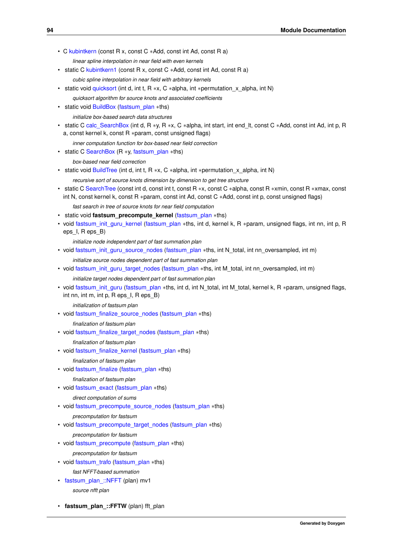- C [kubintkern](#page-110-1) (const R x, const C ∗Add, const int Ad, const R a)
	- *linear spline interpolation in near field with even kernels*
- <span id="page-107-0"></span>• static C [kubintkern1](#page-107-0) (const R x, const C ∗Add, const int Ad, const R a)
	- *cubic spline interpolation in near field with arbitrary kernels*
- <span id="page-107-1"></span>• static void [quicksort](#page-107-1) (int d, int t, R \*x, C \*alpha, int \*permutation x alpha, int N) *quicksort algorithm for source knots and associated coefficients*
- <span id="page-107-2"></span>• static void [BuildBox](#page-107-2) [\(fastsum\\_plan](#page-106-3) ∗ths)
	- *initialize box-based search data structures*
- <span id="page-107-3"></span>• static C [calc\\_SearchBox](#page-107-3) (int d, R ∗y, R ∗x, C ∗alpha, int start, int end\_lt, const C ∗Add, const int Ad, int p, R a, const kernel k, const R ∗param, const unsigned flags)
	- *inner computation function for box-based near field correction*
- <span id="page-107-4"></span>• static C [SearchBox](#page-107-4) (R ∗y, [fastsum\\_plan](#page-106-3) ∗ths)

*box-based near field correction*

- <span id="page-107-5"></span>• static void [BuildTree](#page-107-5) (int d, int t, R  $*x$ , C  $*$ alpha, int  $*$ permutation  $x$  alpha, int N)
	- *recursive sort of source knots dimension by dimension to get tree structure*
- <span id="page-107-6"></span>• static C [SearchTree](#page-107-6) (const int d, const int t, const R ∗x, const C ∗alpha, const R ∗xmin, const R ∗xmax, const int N, const kernel k, const R ∗param, const int Ad, const C ∗Add, const int p, const unsigned flags)
	- *fast search in tree of source knots for near field computation*
- static void **fastsum\_precompute\_kernel** [\(fastsum\\_plan](#page-106-3) ∗ths)
- void [fastsum\\_init\\_guru\\_kernel](#page-110-2) [\(fastsum\\_plan](#page-106-3) ∗ths, int d, kernel k, R ∗param, unsigned flags, int nn, int p, R eps\_I, R eps\_B)
	- *initialize node independent part of fast summation plan*
- void [fastsum\\_init\\_guru\\_source\\_nodes](#page-111-0) [\(fastsum\\_plan](#page-106-3) ∗ths, int N\_total, int nn\_oversampled, int m) *initialize source nodes dependent part of fast summation plan*
- void [fastsum\\_init\\_guru\\_target\\_nodes](#page-111-1) [\(fastsum\\_plan](#page-106-3) ∗ths, int M\_total, int nn\_oversampled, int m) *initialize target nodes dependent part of fast summation plan*
- void [fastsum\\_init\\_guru](#page-112-0) [\(fastsum\\_plan](#page-106-3) ∗ths, int d, int N\_total, int M\_total, kernel k, R ∗param, unsigned flags, int nn, int m, int p, R eps I, R eps B)
	- *initialization of fastsum plan*
- void [fastsum\\_finalize\\_source\\_nodes](#page-112-1) [\(fastsum\\_plan](#page-106-3) ∗ths)

*finalization of fastsum plan*

• void [fastsum\\_finalize\\_target\\_nodes](#page-113-0) [\(fastsum\\_plan](#page-106-3) ∗ths)

*finalization of fastsum plan*

- void [fastsum\\_finalize\\_kernel](#page-113-1) [\(fastsum\\_plan](#page-106-3) ∗ths)
	- *finalization of fastsum plan*
- void [fastsum\\_finalize](#page-114-0) [\(fastsum\\_plan](#page-106-3) ∗ths)

#### *finalization of fastsum plan*

• void [fastsum\\_exact](#page-114-1) [\(fastsum\\_plan](#page-106-3) ∗ths)

*direct computation of sums*

• void [fastsum\\_precompute\\_source\\_nodes](#page-114-2) [\(fastsum\\_plan](#page-106-3) ∗ths)

*precomputation for fastsum*

• void [fastsum\\_precompute\\_target\\_nodes](#page-116-0) [\(fastsum\\_plan](#page-106-3) ∗ths)

*precomputation for fastsum*

• void [fastsum\\_precompute](#page-116-1) [\(fastsum\\_plan](#page-106-3) ∗ths)

*precomputation for fastsum*

• void [fastsum\\_trafo](#page-116-2) [\(fastsum\\_plan](#page-106-3) ∗ths)

*fast NFFT-based summation*

<span id="page-107-7"></span>• [fastsum\\_plan\\_::NFFT](#page-107-7) (plan) mv1

*source nfft plan*

• **fastsum\_plan** ::FFTW (plan) fft\_plan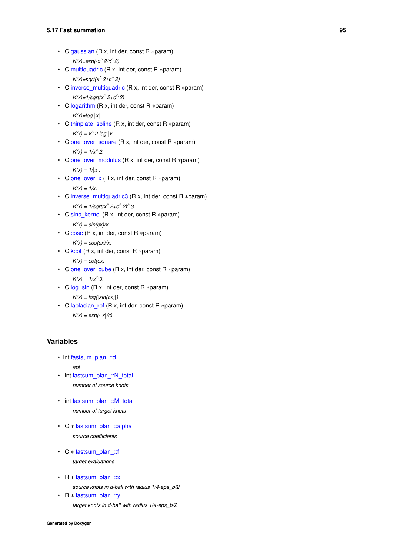- <span id="page-108-0"></span>• C [gaussian](#page-108-0) (R x, int der, const R ∗param) *K(x)=exp(-x*<sup>∧</sup> *2/c*<sup>∧</sup> *2)*
- <span id="page-108-1"></span>• C [multiquadric](#page-108-1) (R x, int der, const R ∗param) *K(x)=sqrt(x*<sup>∧</sup> *2+c*<sup>∧</sup> *2)*
- <span id="page-108-2"></span>• C [inverse\\_multiquadric](#page-108-2) (R x, int der, const R ∗param) *K(x)=1/sqrt(x*<sup>∧</sup> *2+c*<sup>∧</sup> *2)*
- <span id="page-108-3"></span>• C [logarithm](#page-108-3) (R x, int der, const R ∗param)  $K(x)=log |x|$ .
- <span id="page-108-4"></span>• C [thinplate\\_spline](#page-108-4) (R x, int der, const R ∗param)  $K(x) = x^2 \log |x|$ .
- <span id="page-108-5"></span>• C [one\\_over\\_square](#page-108-5) (R x, int der, const R ∗param)  $K(x) = 1/x^{2}$ .
- <span id="page-108-6"></span>• C [one\\_over\\_modulus](#page-108-6) (R x, int der, const R ∗param)  $K(x) = 1/x$ .
- <span id="page-108-7"></span>• C [one\\_over\\_x](#page-108-7) (R x, int der, const R ∗param) *K(x) = 1/x.*
- <span id="page-108-8"></span>• C [inverse\\_multiquadric3](#page-108-8) (R x, int der, const R ∗param)  $K(x) = 1/\sqrt{\frac{2}{c^2-1}}$
- <span id="page-108-9"></span>• C [sinc\\_kernel](#page-108-9) (R x, int der, const R ∗param)  $K(x) = \frac{\sin(cx)}{x}$ .
- <span id="page-108-10"></span>• C [cosc](#page-108-10) (R x, int der, const R ∗param)  $K(x) = \cos(cx)/x$ .
- <span id="page-108-11"></span>• C [kcot](#page-108-11) (R x, int der, const R ∗param)

```
K(x) = cot(cx)
```
- <span id="page-108-12"></span>• C [one\\_over\\_cube](#page-108-12) (R x, int der, const R ∗param)  $K(x) = 1/x^3$ .
- <span id="page-108-13"></span>• C [log\\_sin](#page-108-13) (R x, int der, const R ∗param) *K(x) = log(*|*sin(cx)*|*)*
- <span id="page-108-14"></span>• C [laplacian\\_rbf](#page-108-14) (R x, int der, const R ∗param) *K(x) = exp(-*|*x*|*/c)*

### **Variables**

- int fastsum\_plan ::d *api*
- <span id="page-108-15"></span>• int fastsum\_plan ::N\_total *number of source knots*
- <span id="page-108-16"></span>• int fastsum\_plan ::M\_total *number of target knots*
- <span id="page-108-17"></span>• C ∗ [fastsum\\_plan\\_::alpha](#page-108-17) *source coefficients*
- <span id="page-108-18"></span>• C ∗ [fastsum\\_plan\\_::f](#page-108-18) *target evaluations*
- <span id="page-108-19"></span>• R ∗ [fastsum\\_plan\\_::x](#page-108-19) *source knots in d-ball with radius 1/4-eps\_b/2*
- <span id="page-108-20"></span>• R ∗ [fastsum\\_plan\\_::y](#page-108-20) *target knots in d-ball with radius 1/4-eps\_b/2*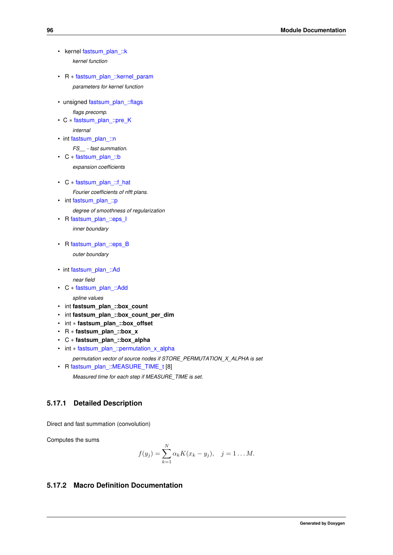- <span id="page-109-0"></span>• kernel [fastsum\\_plan\\_::k](#page-109-0) *kernel function*
- <span id="page-109-1"></span>• R ∗ [fastsum\\_plan\\_::kernel\\_param](#page-109-1) *parameters for kernel function*
- unsigned [fastsum\\_plan\\_::flags](#page-117-1)

*flags precomp.*

- C ∗ [fastsum\\_plan\\_::pre\\_K](#page-117-2) *internal*
- int [fastsum\\_plan\\_::n](#page-118-0)

*FS\_\_ - fast summation.*

<span id="page-109-2"></span>• C ∗ [fastsum\\_plan\\_::b](#page-109-2)

*expansion coefficients*

<span id="page-109-3"></span>• C ∗ [fastsum\\_plan\\_::f\\_hat](#page-109-3)

*Fourier coefficients of nfft plans.*

- <span id="page-109-4"></span>• int fastsum\_plan ::p *degree of smoothness of regularization*
- <span id="page-109-5"></span>• R [fastsum\\_plan\\_::eps\\_I](#page-109-5) *inner boundary*
- <span id="page-109-6"></span>• R [fastsum\\_plan\\_::eps\\_B](#page-109-6) *outer boundary*
- int fastsum\_plan :: Ad *near field*
- <span id="page-109-7"></span>• C ∗ [fastsum\\_plan\\_::Add](#page-109-7)

*spline values*

- int **fastsum\_plan\_::box\_count**
- int **fastsum\_plan\_::box\_count\_per\_dim**
- int ∗ **fastsum\_plan\_::box\_offset**
- R ∗ **fastsum\_plan\_::box\_x**
- C ∗ **fastsum\_plan\_::box\_alpha**
- <span id="page-109-8"></span>• int ∗ [fastsum\\_plan\\_::permutation\\_x\\_alpha](#page-109-8)
- *permutation vector of source nodes if STORE\_PERMUTATION\_X\_ALPHA is set*
- <span id="page-109-9"></span>• R [fastsum\\_plan\\_::MEASURE\\_TIME\\_t](#page-109-9) [8] *Measured time for each step if MEASURE\_TIME is set.*

# **5.17.1 Detailed Description**

Direct and fast summation (convolution)

Computes the sums

$$
f(y_j) = \sum_{k=1}^{N} \alpha_k K(x_k - y_j), \quad j = 1...M.
$$

### **5.17.2 Macro Definition Documentation**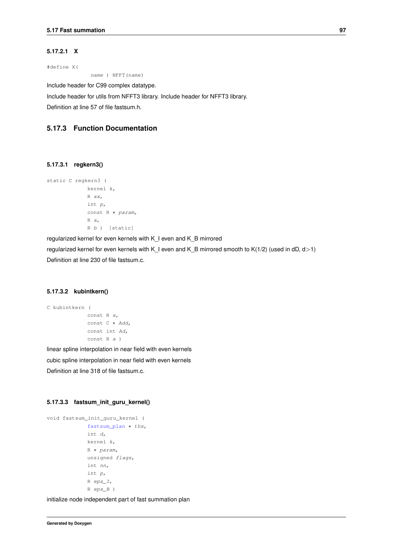#### **5.17.2.1 X**

#define X(

name ) NFFT(name)

Include header for C99 complex datatype.

Include header for utils from NFFT3 library. Include header for NFFT3 library.

Definition at line 57 of file fastsum.h.

### **5.17.3 Function Documentation**

#### **5.17.3.1 regkern3()**

```
static C regkern3 (
  kernel k,
  R xx,
 int p,
  const R ∗ param,
  R a,
  R b ) [static]
```
regularized kernel for even kernels with K\_I even and K\_B mirrored regularized kernel for even kernels with K\_I even and K\_B mirrored smooth to K(1/2) (used in dD, d>1) Definition at line 230 of file fastsum.c.

### **5.17.3.2 kubintkern()**

```
C kubintkern (
  const R x,
  const C ∗ Add,
  const int Ad,
  const R a )
```
linear spline interpolation in near field with even kernels cubic spline interpolation in near field with even kernels Definition at line 318 of file fastsum.c.

#### **5.17.3.3 fastsum\_init\_guru\_kernel()**

```
void fastsum_init_guru_kernel (
  fastsum_plan * ths,
  int d,
  kernel k,
  R ∗ param,
  unsigned flags,
  int nn,
  int p,
  R eps_I,
  R eps_B )
```
initialize node independent part of fast summation plan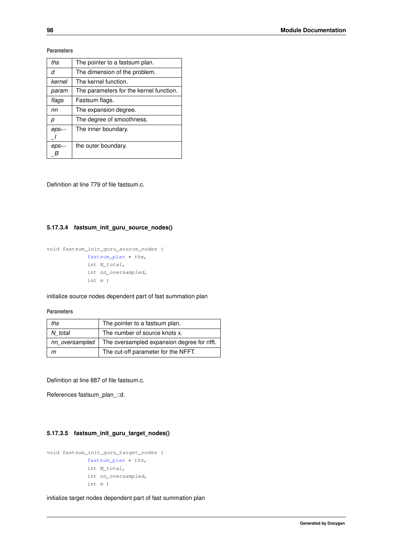#### **Parameters**

| ths                   | The pointer to a fastsum plan.          |
|-----------------------|-----------------------------------------|
| d                     | The dimension of the problem.           |
| kernel                | The kernel function.                    |
| param                 | The parameters for the kernel function. |
| flags                 | Fastsum flags.                          |
| nn                    | The expansion degree.                   |
| р                     | The degree of smoothness.               |
| $eps \leftrightarrow$ | The inner boundary.                     |
|                       |                                         |
| $eps \leftrightarrow$ | the outer boundary.                     |
|                       |                                         |

Definition at line 779 of file fastsum.c.

#### **5.17.3.4 fastsum\_init\_guru\_source\_nodes()**

```
void fastsum_init_guru_source_nodes (
fastsum_plan * ths,
 int N_total,
 int nn_oversampled,
 int m )
```
initialize source nodes dependent part of fast summation plan

#### **Parameters**

| ths            | The pointer to a fastsum plan.             |
|----------------|--------------------------------------------|
| N total        | The number of source knots x.              |
| nn oversampled | The oversampled expansion degree for nfft. |
|                | The cut-off parameter for the NFFT.        |

Definition at line 887 of file fastsum.c.

References fastsum\_plan\_::d.

#### **5.17.3.5 fastsum\_init\_guru\_target\_nodes()**

```
void fastsum_init_guru_target_nodes (
 fastsum_plan * ths,
 int M_total,
 int nn_oversampled,
 int m )
```
initialize target nodes dependent part of fast summation plan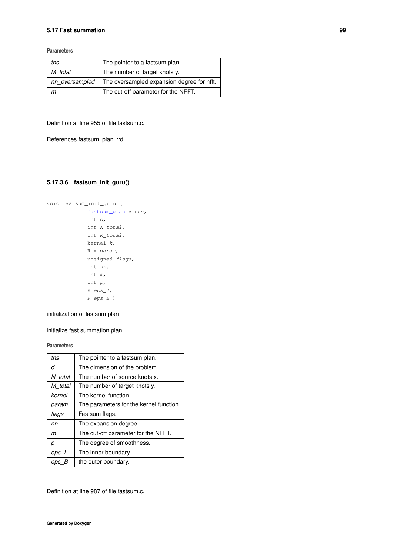**Parameters**

| ths            | The pointer to a fastsum plan.             |
|----------------|--------------------------------------------|
| M total        | The number of target knots y.              |
| nn oversampled | The oversampled expansion degree for nfft. |
| m              | The cut-off parameter for the NFFT.        |

Definition at line 955 of file fastsum.c.

References fastsum\_plan\_::d.

#### **5.17.3.6 fastsum\_init\_guru()**

```
void fastsum_init_guru (
 fastsum_plan * ths,
 int d,
 int N_total,
 int M_total,
 kernel k,
 R ∗ param,
  unsigned flags,
  int nn,
 int m,
  int p,
  R eps_I,
  R eps_B )
```
initialization of fastsum plan

initialize fast summation plan

#### **Parameters**

| ths     | The pointer to a fastsum plan.          |
|---------|-----------------------------------------|
| d       | The dimension of the problem.           |
| N total | The number of source knots x.           |
| M total | The number of target knots y.           |
| kernel  | The kernel function.                    |
| param   | The parameters for the kernel function. |
| flags   | Fastsum flags.                          |
| nn      | The expansion degree.                   |
| m       | The cut-off parameter for the NFFT.     |
| р       | The degree of smoothness.               |
| eps I   | The inner boundary.                     |
| eps B   | the outer boundary.                     |

Definition at line 987 of file fastsum.c.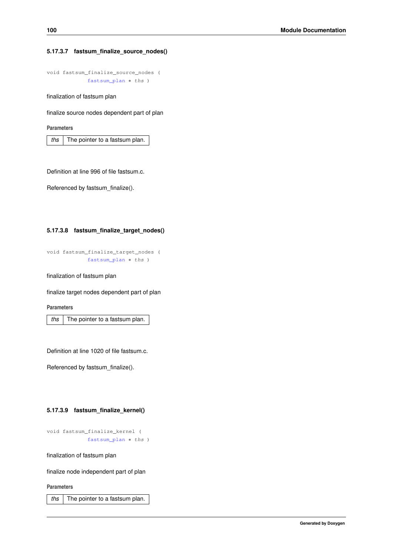#### **5.17.3.7 fastsum\_finalize\_source\_nodes()**

```
void fastsum_finalize_source_nodes (
 fastsum_plan * ths )
```
finalization of fastsum plan

finalize source nodes dependent part of plan

**Parameters**

*ths* The pointer to a fastsum plan.

Definition at line 996 of file fastsum.c.

Referenced by fastsum\_finalize().

#### **5.17.3.8 fastsum\_finalize\_target\_nodes()**

```
void fastsum_finalize_target_nodes (
  fastsum_plan * ths )
```
finalization of fastsum plan

finalize target nodes dependent part of plan

**Parameters**

*ths* The pointer to a fastsum plan.

Definition at line 1020 of file fastsum.c.

Referenced by fastsum\_finalize().

#### **5.17.3.9 fastsum\_finalize\_kernel()**

```
void fastsum_finalize_kernel (
  fastsum_plan * ths )
```
finalization of fastsum plan

finalize node independent part of plan

**Parameters**

*ths* The pointer to a fastsum plan.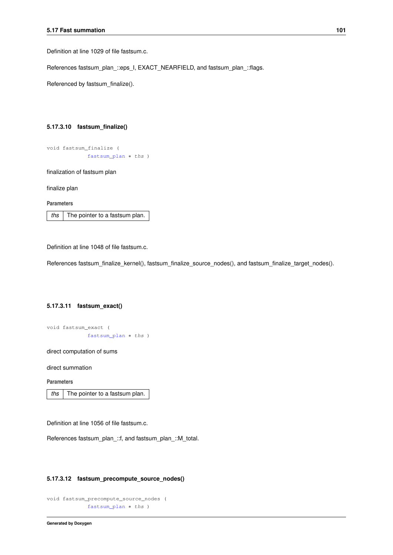Definition at line 1029 of file fastsum.c.

References fastsum\_plan\_::eps\_I, EXACT\_NEARFIELD, and fastsum\_plan\_::flags.

Referenced by fastsum\_finalize().

#### **5.17.3.10 fastsum\_finalize()**

```
void fastsum_finalize (
 fastsum_plan ∗ ths )
```
finalization of fastsum plan

finalize plan

**Parameters**

*ths* The pointer to a fastsum plan.

Definition at line 1048 of file fastsum.c.

References fastsum\_finalize\_kernel(), fastsum\_finalize\_source\_nodes(), and fastsum\_finalize\_target\_nodes().

#### **5.17.3.11 fastsum\_exact()**

void fastsum\_exact ( [fastsum\\_plan](#page-106-0) \* ths )

direct computation of sums

direct summation

**Parameters**

*ths* The pointer to a fastsum plan.

Definition at line 1056 of file fastsum.c.

References fastsum\_plan\_::f, and fastsum\_plan\_::M\_total.

#### **5.17.3.12 fastsum\_precompute\_source\_nodes()**

```
void fastsum_precompute_source_nodes (
  fastsum_plan * ths )
```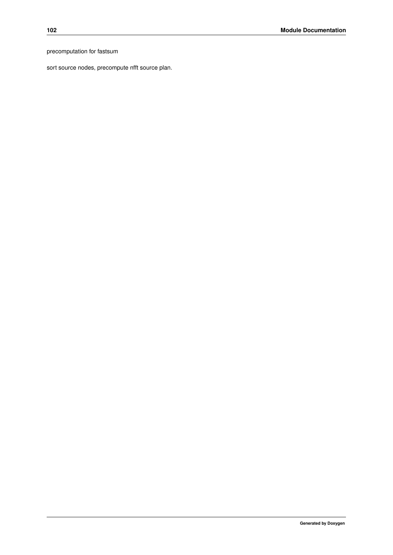precomputation for fastsum

sort source nodes, precompute nfft source plan.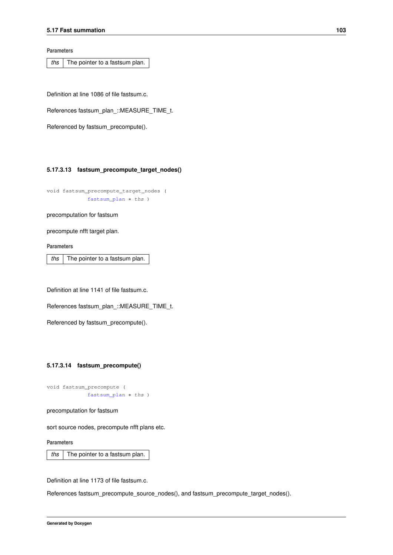**Parameters**

*ths* The pointer to a fastsum plan.

Definition at line 1086 of file fastsum.c.

References fastsum\_plan\_::MEASURE\_TIME\_t.

Referenced by fastsum\_precompute().

#### **5.17.3.13 fastsum\_precompute\_target\_nodes()**

void fastsum\_precompute\_target\_nodes ( [fastsum\\_plan](#page-106-0) \* ths )

precomputation for fastsum

precompute nfft target plan.

**Parameters**

*ths* The pointer to a fastsum plan.

Definition at line 1141 of file fastsum.c.

References fastsum\_plan\_::MEASURE\_TIME\_t.

Referenced by fastsum\_precompute().

#### **5.17.3.14 fastsum\_precompute()**

```
void fastsum_precompute (
 fastsum_plan ∗ ths )
```
precomputation for fastsum

sort source nodes, precompute nfft plans etc.

**Parameters**

*ths* The pointer to a fastsum plan.

Definition at line 1173 of file fastsum.c.

References fastsum\_precompute\_source\_nodes(), and fastsum\_precompute\_target\_nodes().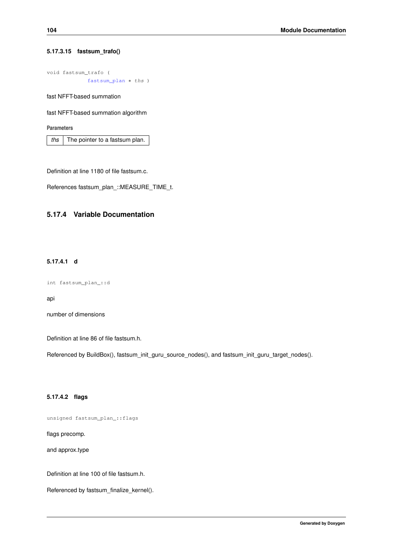#### **5.17.3.15 fastsum\_trafo()**

```
void fastsum_trafo (
 fastsum_plan * ths )
```
fast NFFT-based summation

fast NFFT-based summation algorithm

**Parameters**

*ths* The pointer to a fastsum plan.

Definition at line 1180 of file fastsum.c.

References fastsum\_plan\_::MEASURE\_TIME\_t.

## <span id="page-117-0"></span>**5.17.4 Variable Documentation**

#### **5.17.4.1 d**

```
int fastsum_plan_::d
```
api

number of dimensions

Definition at line 86 of file fastsum.h.

<span id="page-117-1"></span>Referenced by BuildBox(), fastsum\_init\_guru\_source\_nodes(), and fastsum\_init\_guru\_target\_nodes().

#### **5.17.4.2 flags**

unsigned fastsum\_plan\_::flags

flags precomp.

and approx.type

Definition at line 100 of file fastsum.h.

<span id="page-117-2"></span>Referenced by fastsum\_finalize\_kernel().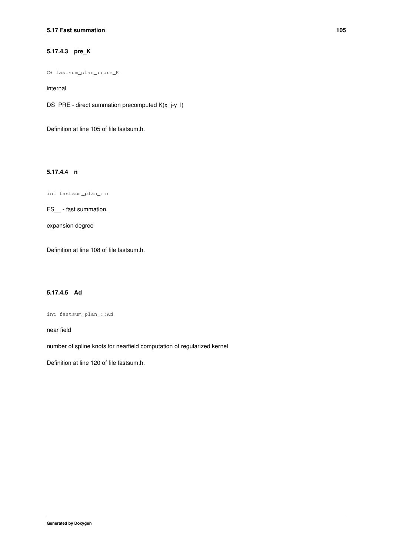#### **5.17.4.3 pre\_K**

C∗ fastsum\_plan\_::pre\_K

internal

DS\_PRE - direct summation precomputed K(x\_j-y\_l)

<span id="page-118-0"></span>Definition at line 105 of file fastsum.h.

#### **5.17.4.4 n**

int fastsum\_plan\_::n

FS\_\_ - fast summation.

expansion degree

<span id="page-118-1"></span>Definition at line 108 of file fastsum.h.

### **5.17.4.5 Ad**

int fastsum\_plan\_::Ad

near field

number of spline knots for nearfield computation of regularized kernel

Definition at line 120 of file fastsum.h.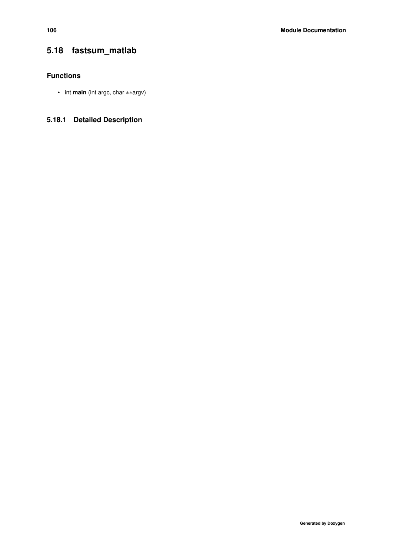# **5.18 fastsum\_matlab**

### **Functions**

• int **main** (int argc, char ∗∗argv)

# **5.18.1 Detailed Description**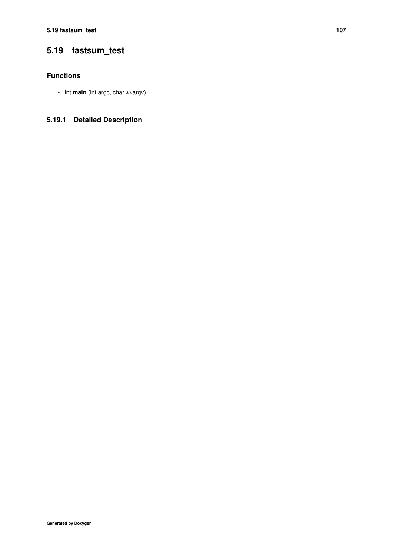# **5.19 fastsum\_test**

### **Functions**

• int **main** (int argc, char ∗∗argv)

# **5.19.1 Detailed Description**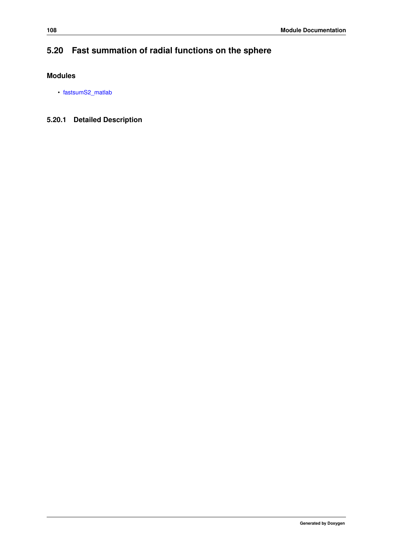# **5.20 Fast summation of radial functions on the sphere**

### **Modules**

• [fastsumS2\\_matlab](#page-122-0)

# **5.20.1 Detailed Description**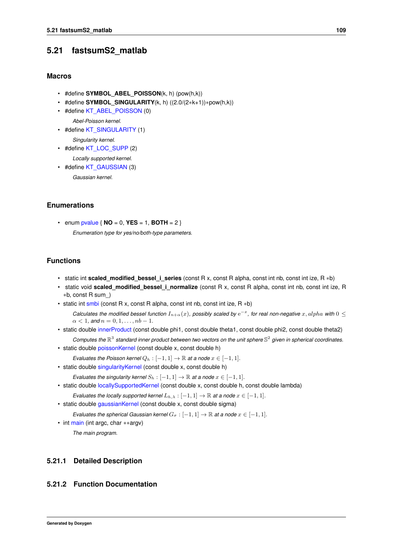## <span id="page-122-0"></span>**5.21 fastsumS2\_matlab**

### **Macros**

- #define **SYMBOL\_ABEL\_POISSON**(k, h) (pow(h,k))
- #define **SYMBOL\_SINGULARITY**(k, h) ((2.0/(2∗k+1))∗pow(h,k))
- <span id="page-122-1"></span>• #define [KT\\_ABEL\\_POISSON](#page-122-1) (0)
	- *Abel-Poisson kernel.*
- <span id="page-122-2"></span>• #define [KT\\_SINGULARITY](#page-122-2) (1) *Singularity kernel.*
- <span id="page-122-3"></span>• #define [KT\\_LOC\\_SUPP](#page-122-3) (2)
	- *Locally supported kernel.*
- <span id="page-122-4"></span>• #define [KT\\_GAUSSIAN](#page-122-4) (3)

*Gaussian kernel.*

### **Enumerations**

- <span id="page-122-5"></span>• enum  $pvalue \{ NO = 0, VES = 1, BOTH = 2 \}$  $pvalue \{ NO = 0, VES = 1, BOTH = 2 \}$ 
	- *Enumeration type for yes/no/both-type parameters.*

#### **Functions**

- static int **scaled modified bessel i series** (const R x, const R alpha, const int nb, const int ize, R ∗b)
- static void **scaled modified bessel i normalize** (const R x, const R alpha, const int nb, const int ize, R ∗b, const R sum\_)
- static int [smbi](#page-122-6) (const R x, const R alpha, const int nb, const int ize, R ∗b)

 $C$ alculates the modified bessel function  $I_{n+\alpha}(x)$ , possibly scaled by  $e^{-x}$ , for real non-negative  $x, alpha$  with  $0 \leq$  $\alpha < 1$ *, and*  $n = 0, 1, \ldots, nb - 1$ *.* 

- static double [innerProduct](#page-123-0) (const double phi1, const double theta1, const double phi2, const double theta2) *Computes the* R 3 *standard inner product between two vectors on the unit sphere* S 2 *given in spherical coordinates.*
- static double [poissonKernel](#page-124-0) (const double x, const double h)
- *Evaluates the Poisson kernel*  $Q_h : [-1,1] \to \mathbb{R}$  *at a node*  $x \in [-1,1]$ *.*
- static double [singularityKernel](#page-124-1) (const double x, const double h)
	- *Evaluates the singularity kernel*  $S_h : [-1,1] \to \mathbb{R}$  *at a node*  $x \in [-1,1]$ *.*
- static double [locallySupportedKernel](#page-125-0) (const double x, const double h, const double lambda)
	- *Evaluates the locally supported kernel*  $L_{h,\lambda} : [-1,1] \to \mathbb{R}$  *at a node*  $x \in [-1,1]$ *.*
- static double [gaussianKernel](#page-125-1) (const double x, const double sigma)
- *Evaluates the spherical Gaussian kernel*  $G_{\sigma}$  :  $[-1, 1] \rightarrow \mathbb{R}$  *at a node*  $x \in [-1, 1]$ *.*
- int [main](#page-126-0) (int argc, char ∗∗argv) *The main program.*

#### **5.21.1 Detailed Description**

#### <span id="page-122-6"></span>**5.21.2 Function Documentation**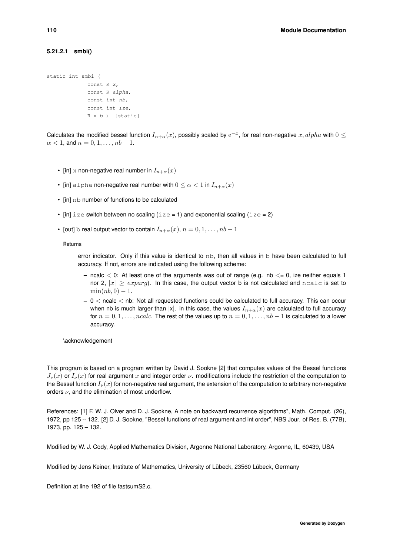#### **5.21.2.1 smbi()**

```
static int smbi (
  const R x,
  const R alpha,
  const int nb,
  const int ize,
  R ∗ b ) [static]
```
Calculates the modified bessel function  $I_{n+\alpha}(x)$ , possibly scaled by  $e^{-x}$ , for real non-negative  $x, alpha$  with  $0 \leq$  $\alpha < 1$ , and  $n = 0, 1, \ldots, nb - 1$ .

- [in] x non-negative real number in  $I_{n+\alpha}(x)$
- [in] alpha non-negative real number with  $0 \leq \alpha < 1$  in  $I_{n+\alpha}(x)$
- [in] nb number of functions to be calculated
- $\text{[in]}\, \text{ize}$  switch between no scaling (ize = 1) and exponential scaling (ize = 2)
- [out] b real output vector to contain  $I_{n+\alpha}(x)$ ,  $n = 0, 1, \ldots, nb 1$

**Returns**

error indicator. Only if this value is identical to nb, then all values in b have been calculated to full accuracy. If not, errors are indicated using the following scheme:

- $-$  ncalc  $<$  0: At least one of the arguments was out of range (e.g. nb  $<=$  0, ize neither equals 1 nor 2,  $|x| \geq \exp\{arg}$ . In this case, the output vector b is not calculated and ncalc is set to  $\min(nb, 0) - 1.$
- **–** 0 < ncalc < nb: Not all requested functions could be calculated to full accuracy. This can occur when nb is much larger than |x|. in this case, the values  $I_{n+\alpha}(x)$  are calculated to full accuracy for  $n = 0, 1, \ldots, ncalc$ . The rest of the values up to  $n = 0, 1, \ldots, nb - 1$  is calculated to a lower accuracy.

\acknowledgement

This program is based on a program written by David J. Sookne [2] that computes values of the Bessel functions  $J_{\nu}(x)$  or  $I_{\nu}(x)$  for real argument x and integer order  $\nu$ . modifications include the restriction of the computation to the Bessel function  $I_{\nu}(x)$  for non-negative real argument, the extension of the computation to arbitrary non-negative orders  $\nu$ , and the elimination of most underflow.

References: [1] F. W. J. Olver and D. J. Sookne, A note on backward recurrence algorithms", Math. Comput. (26), 1972, pp 125 -- 132. [2] D. J. Sookne, "Bessel functions of real argument and int order", NBS Jour. of Res. B. (77B), 1973, pp. 125 – 132.

Modified by W. J. Cody, Applied Mathematics Division, Argonne National Laboratory, Argonne, IL, 60439, USA

Modified by Jens Keiner, Institute of Mathematics, University of Lübeck, 23560 Lübeck, Germany

<span id="page-123-0"></span>Definition at line 192 of file fastsumS2.c.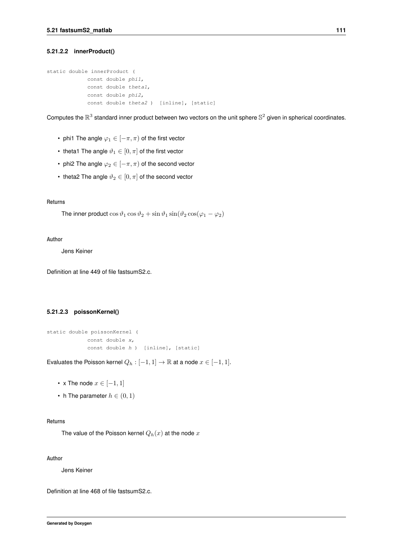#### **5.21.2.2 innerProduct()**

```
static double innerProduct (
 const double phi1,
 const double theta1,
 const double phi2,
 const double theta2 ) [inline], [static]
```
Computes the  $\mathbb{R}^3$  standard inner product between two vectors on the unit sphere  $\mathbb{S}^2$  given in spherical coordinates.

- phi1 The angle  $\varphi_1 \in [-\pi, \pi)$  of the first vector
- theta1 The angle  $\vartheta_1 \in [0, \pi]$  of the first vector
- phi2 The angle  $\varphi_2 \in [-\pi, \pi)$  of the second vector
- theta2 The angle  $\vartheta_2 \in [0, \pi]$  of the second vector

#### **Returns**

The inner product  $\cos \vartheta_1 \cos \vartheta_2 + \sin \vartheta_1 \sin(\vartheta_2 \cos(\varphi_1 - \varphi_2))$ 

#### **Author**

Jens Keiner

<span id="page-124-0"></span>Definition at line 449 of file fastsumS2.c.

#### **5.21.2.3 poissonKernel()**

```
static double poissonKernel (
 const double x,
 const double h ) [inline], [static]
```
Evaluates the Poisson kernel  $Q_h : [-1,1] \to \mathbb{R}$  at a node  $x \in [-1,1]$ .

- x The node  $x \in [-1, 1]$
- h The parameter  $h \in (0,1)$

#### **Returns**

The value of the Poisson kernel  $Q_h(x)$  at the node  $x$ 

#### **Author**

Jens Keiner

<span id="page-124-1"></span>Definition at line 468 of file fastsumS2.c.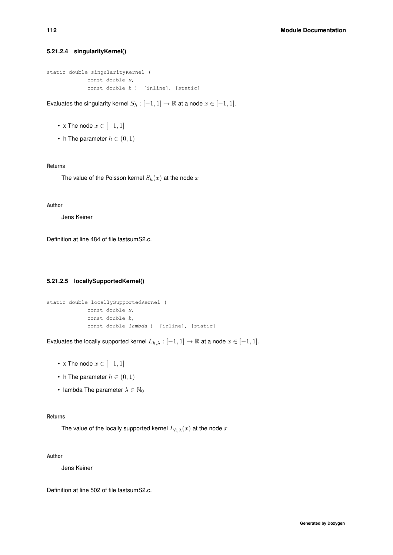#### **5.21.2.4 singularityKernel()**

```
static double singularityKernel (
 const double x,
 const double h ) [inline], [static]
```
Evaluates the singularity kernel  $S_h : [-1,1] \to \mathbb{R}$  at a node  $x \in [-1,1]$ .

- x The node  $x \in [-1, 1]$
- h The parameter  $h \in (0,1)$

#### **Returns**

The value of the Poisson kernel  $S_h(x)$  at the node x

#### **Author**

Jens Keiner

<span id="page-125-0"></span>Definition at line 484 of file fastsumS2.c.

#### **5.21.2.5 locallySupportedKernel()**

```
static double locallySupportedKernel (
 const double x,
 const double h,
 const double lambda ) [inline], [static]
```
Evaluates the locally supported kernel  $L_{h,\lambda} : [-1,1] \to \mathbb{R}$  at a node  $x \in [-1,1]$ .

- x The node  $x \in [-1, 1]$
- h The parameter  $h \in (0,1)$
- lambda The parameter  $\lambda \in \mathbb{N}_0$

#### **Returns**

The value of the locally supported kernel  $L_{h,\lambda}(x)$  at the node x

#### **Author**

Jens Keiner

<span id="page-125-1"></span>Definition at line 502 of file fastsumS2.c.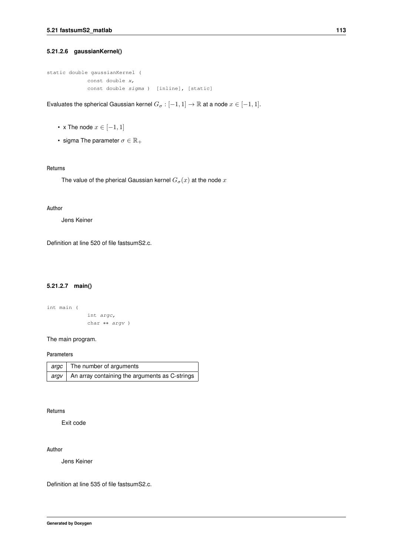#### **5.21.2.6 gaussianKernel()**

```
static double gaussianKernel (
 const double x,
 const double sigma ) [inline], [static]
```
Evaluates the spherical Gaussian kernel  $G_{\sigma} : [-1,1] \to \mathbb{R}$  at a node  $x \in [-1,1]$ .

- x The node  $x \in [-1, 1]$
- sigma The parameter  $\sigma \in \mathbb{R}_+$

#### **Returns**

The value of the pherical Gaussian kernel  $G_{\sigma}(x)$  at the node  $x$ 

#### **Author**

Jens Keiner

<span id="page-126-0"></span>Definition at line 520 of file fastsumS2.c.

#### **5.21.2.7 main()**

```
int main (
  int argc,
  char ∗∗ argv )
```
#### The main program.

#### **Parameters**

| argc   The number of arguments                            |
|-----------------------------------------------------------|
| $ $ argv   An array containing the arguments as C-strings |

#### **Returns**

Exit code

#### **Author**

Jens Keiner

Definition at line 535 of file fastsumS2.c.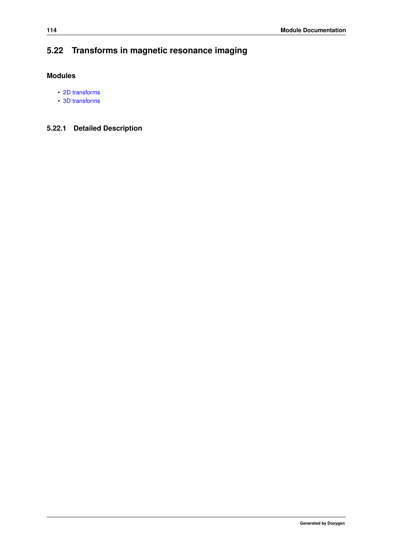# **5.22 Transforms in magnetic resonance imaging**

## **Modules**

- [2D transforms](#page-131-0)
- [3D transforms](#page-139-0)

# **5.22.1 Detailed Description**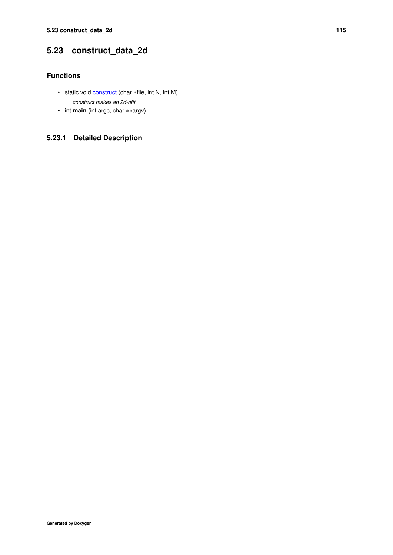# <span id="page-128-1"></span>**5.23 construct\_data\_2d**

### **Functions**

- <span id="page-128-0"></span>• static void [construct](#page-128-0) (char ∗file, int N, int M) *construct makes an 2d-nfft*
- int **main** (int argc, char ∗∗argv)

# **5.23.1 Detailed Description**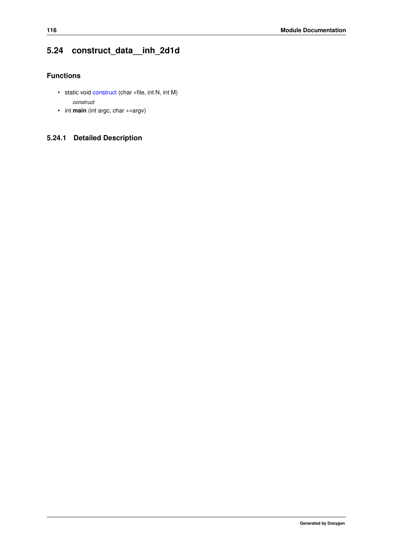# <span id="page-129-1"></span>**5.24 construct\_data\_\_inh\_2d1d**

## **Functions**

- <span id="page-129-0"></span>• static void [construct](#page-129-0) (char ∗file, int N, int M) *construct*
- int **main** (int argc, char ∗∗argv)

# **5.24.1 Detailed Description**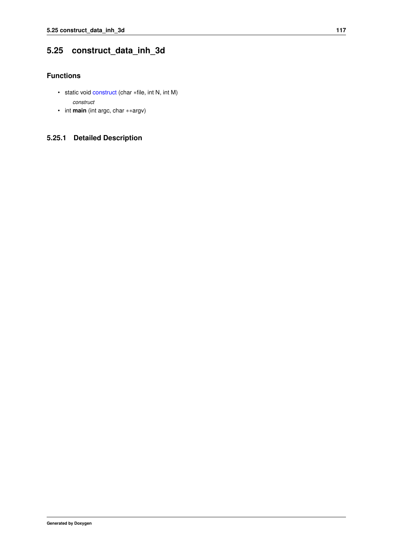# <span id="page-130-1"></span>**5.25 construct\_data\_inh\_3d**

### **Functions**

- <span id="page-130-0"></span>• static void [construct](#page-130-0) (char ∗file, int N, int M) *construct*
- int **main** (int argc, char ∗∗argv)

# **5.25.1 Detailed Description**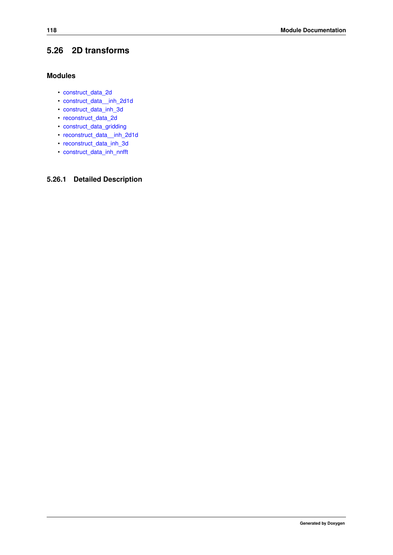# <span id="page-131-0"></span>**5.26 2D transforms**

### **Modules**

- [construct\\_data\\_2d](#page-128-1)
- [construct\\_data\\_\\_inh\\_2d1d](#page-129-1)
- [construct\\_data\\_inh\\_3d](#page-130-1)
- [reconstruct\\_data\\_2d](#page-132-0)
- [construct\\_data\\_gridding](#page-133-0)
- [reconstruct\\_data\\_\\_inh\\_2d1d](#page-134-0)
- [reconstruct\\_data\\_inh\\_3d](#page-135-0)
- [construct\\_data\\_inh\\_nnfft](#page-136-0)

### **5.26.1 Detailed Description**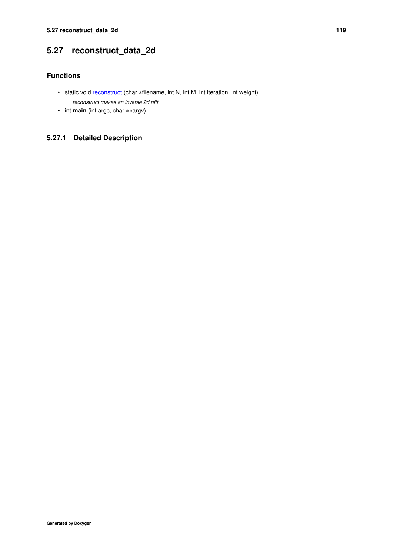# <span id="page-132-0"></span>**5.27 reconstruct\_data\_2d**

### **Functions**

- <span id="page-132-1"></span>• static void [reconstruct](#page-132-1) (char ∗filename, int N, int M, int iteration, int weight) *reconstruct makes an inverse 2d nfft*
- int **main** (int argc, char ∗∗argv)

# **5.27.1 Detailed Description**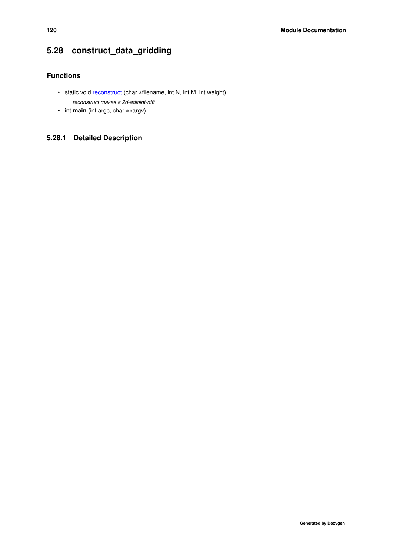# <span id="page-133-0"></span>**5.28 construct\_data\_gridding**

# **Functions**

- <span id="page-133-1"></span>• static void [reconstruct](#page-133-1) (char ∗filename, int N, int M, int weight) *reconstruct makes a 2d-adjoint-nfft*
- int **main** (int argc, char ∗∗argv)

# **5.28.1 Detailed Description**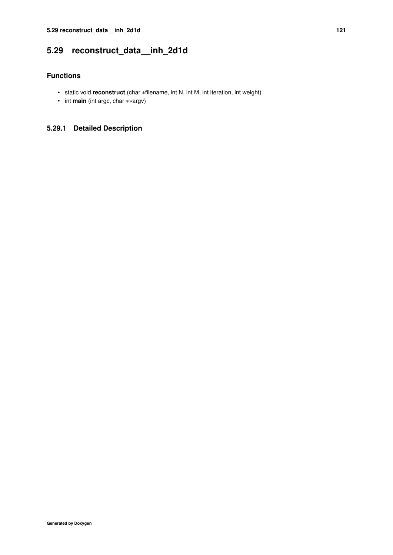# <span id="page-134-0"></span>**5.29 reconstruct\_data\_\_inh\_2d1d**

### **Functions**

- static void **reconstruct** (char ∗filename, int N, int M, int iteration, int weight)
- int **main** (int argc, char ∗∗argv)

### **5.29.1 Detailed Description**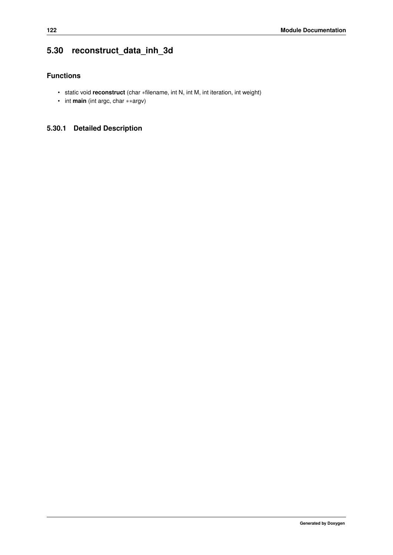# <span id="page-135-0"></span>**5.30 reconstruct\_data\_inh\_3d**

## **Functions**

- static void **reconstruct** (char ∗filename, int N, int M, int iteration, int weight)
- int **main** (int argc, char ∗∗argv)

# **5.30.1 Detailed Description**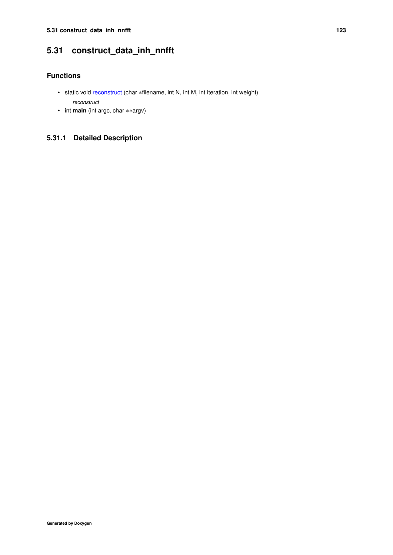# <span id="page-136-0"></span>**5.31 construct\_data\_inh\_nnfft**

### **Functions**

- <span id="page-136-1"></span>• static void [reconstruct](#page-136-1) (char ∗filename, int N, int M, int iteration, int weight) *reconstruct*
- int **main** (int argc, char ∗∗argv)

# **5.31.1 Detailed Description**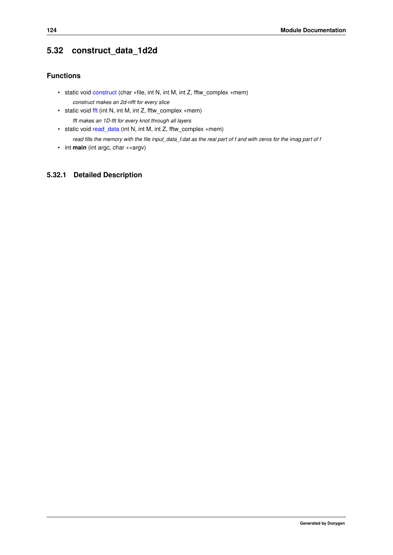# <span id="page-137-3"></span>**5.32 construct\_data\_1d2d**

### **Functions**

- <span id="page-137-0"></span>• static void [construct](#page-137-0) (char ∗file, int N, int M, int Z, fftw\_complex ∗mem) *construct makes an 2d-nfft for every slice*
- <span id="page-137-1"></span>• static void [fft](#page-137-1) (int N, int M, int Z, fftw\_complex ∗mem) *fft makes an 1D-ftt for every knot through all layers*
- <span id="page-137-2"></span>• static void [read\\_data](#page-137-2) (int N, int M, int Z, fftw\_complex ∗mem) *read fills the memory with the file input\_data\_f.dat as the real part of f and with zeros for the imag part of f*
- int **main** (int argc, char ∗∗argv)

### **5.32.1 Detailed Description**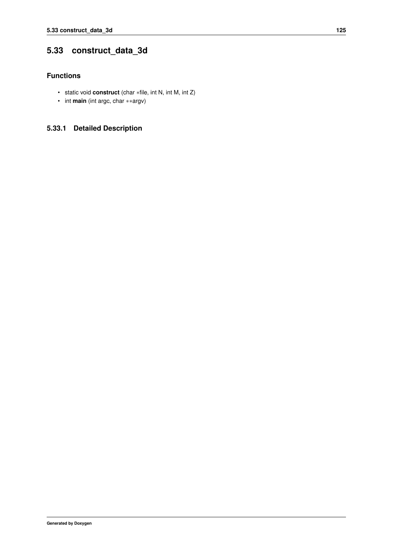# <span id="page-138-0"></span>**5.33 construct\_data\_3d**

### **Functions**

- static void **construct** (char ∗file, int N, int M, int Z)
- int **main** (int argc, char ∗∗argv)

### **5.33.1 Detailed Description**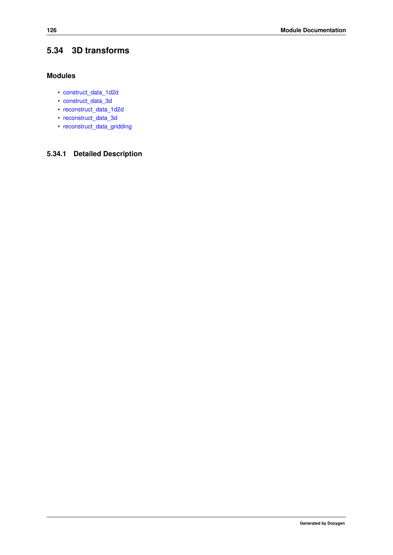# <span id="page-139-0"></span>**5.34 3D transforms**

### **Modules**

- [construct\\_data\\_1d2d](#page-137-3)
- [construct\\_data\\_3d](#page-138-0)
- [reconstruct\\_data\\_1d2d](#page-140-0)
- [reconstruct\\_data\\_3d](#page-141-0)
- [reconstruct\\_data\\_gridding](#page-142-0)

# **5.34.1 Detailed Description**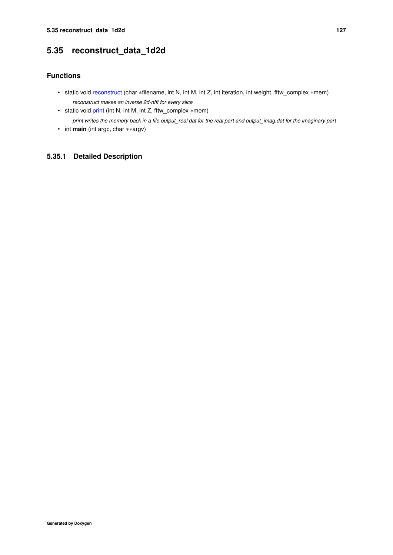# <span id="page-140-0"></span>**5.35 reconstruct\_data\_1d2d**

### **Functions**

- <span id="page-140-1"></span>• static void [reconstruct](#page-140-1) (char ∗filename, int N, int M, int Z, int iteration, int weight, fftw\_complex ∗mem) *reconstruct makes an inverse 2d-nfft for every slice*
- <span id="page-140-2"></span>• static void [print](#page-140-2) (int N, int M, int Z, fftw\_complex ∗mem)

*print writes the memory back in a file output\_real.dat for the real part and output\_imag.dat for the imaginary part*

• int **main** (int argc, char ∗∗argv)

### **5.35.1 Detailed Description**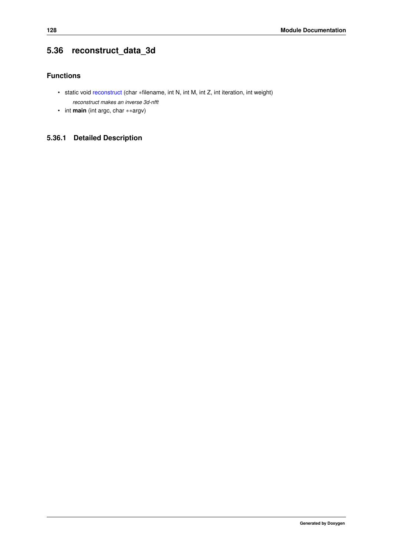# <span id="page-141-0"></span>**5.36 reconstruct\_data\_3d**

## **Functions**

- <span id="page-141-1"></span>• static void [reconstruct](#page-141-1) (char ∗filename, int N, int M, int Z, int iteration, int weight) *reconstruct makes an inverse 3d-nfft*
- int **main** (int argc, char ∗∗argv)

# **5.36.1 Detailed Description**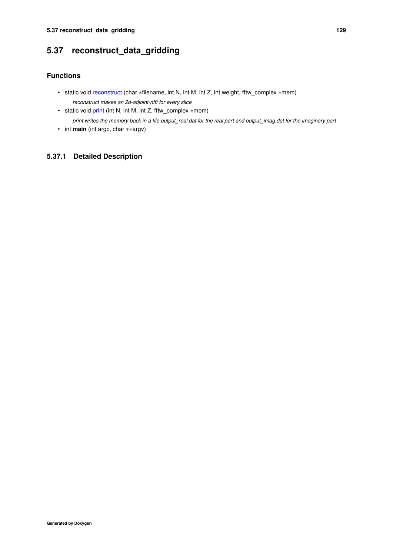# <span id="page-142-0"></span>**5.37 reconstruct\_data\_gridding**

### **Functions**

- <span id="page-142-1"></span>• static void [reconstruct](#page-142-1) (char ∗filename, int N, int M, int Z, int weight, fftw\_complex ∗mem) *reconstruct makes an 2d-adjoint-nfft for every slice*
- <span id="page-142-2"></span>• static void [print](#page-142-2) (int N, int M, int Z, fftw\_complex ∗mem)

*print writes the memory back in a file output\_real.dat for the real part and output\_imag.dat for the imaginary part*

• int **main** (int argc, char ∗∗argv)

### **5.37.1 Detailed Description**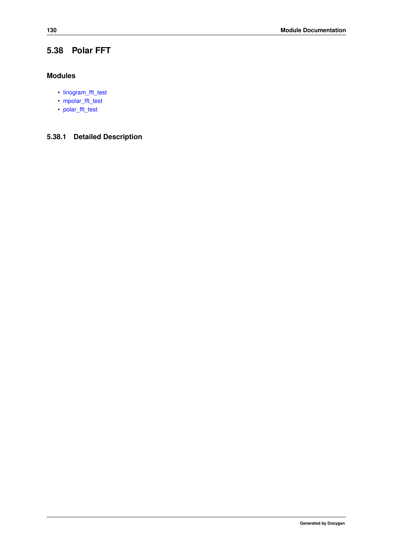# **5.38 Polar FFT**

### **Modules**

- [linogram\\_fft\\_test](#page-144-0)
- [mpolar\\_fft\\_test](#page-145-0)
- [polar\\_fft\\_test](#page-146-0)

# **5.38.1 Detailed Description**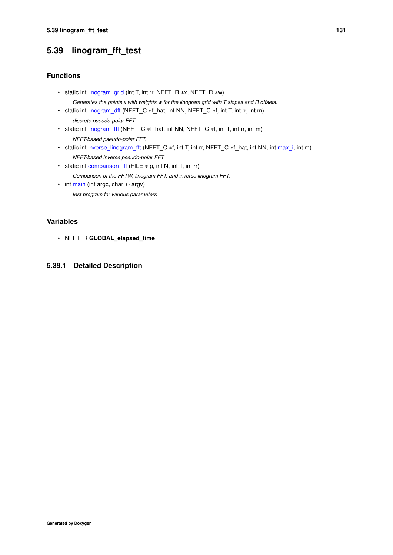# **5.39 linogram\_fft\_test**

### **Functions**

- <span id="page-144-0"></span>• static int [linogram\\_grid](#page-144-0) (int T, int rr, NFFT\_R ∗x, NFFT\_R ∗w) *Generates the points x with weights w for the linogram grid with T slopes and R offsets.*
- <span id="page-144-1"></span>• static int [linogram\\_dft](#page-144-1) (NFFT\_C ∗f\_hat, int NN, NFFT\_C ∗f, int T, int rr, int m) *discrete pseudo-polar FFT*
- <span id="page-144-2"></span>• static int [linogram\\_fft](#page-144-2) (NFFT\_C \*f\_hat, int NN, NFFT\_C \*f, int T, int rr, int m) *NFFT-based pseudo-polar FFT.*
- <span id="page-144-3"></span>• static int [inverse\\_linogram\\_fft](#page-144-3) (NFFT\_C ∗f, int T, int rr, NFFT\_C ∗f\_hat, int NN, int [max\\_i,](#page-106-0) int m) *NFFT-based inverse pseudo-polar FFT.*
- <span id="page-144-4"></span>• static int [comparison\\_fft](#page-144-4) (FILE ∗fp, int N, int T, int rr) *Comparison of the FFTW, linogram FFT, and inverse linogram FFT.*
- <span id="page-144-5"></span>• int [main](#page-144-5) (int argc, char ∗∗argv) *test program for various parameters*

# **Variables**

• NFFT\_R **GLOBAL\_elapsed\_time**

### **5.39.1 Detailed Description**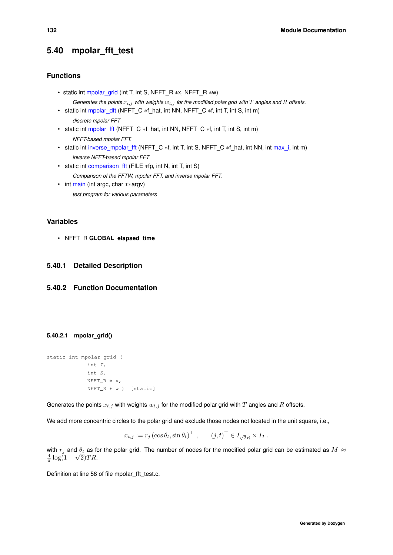# **5.40 mpolar\_fft\_test**

#### **Functions**

- static int [mpolar\\_grid](#page-145-0) (int T, int S, NFFT\_R ∗x, NFFT\_R ∗w) *Generates the points*  $x_{t,j}$  *with weights*  $w_{t,j}$  *for the modified polar grid with*  $T$  *angles and*  $R$  *offsets.*
- <span id="page-145-1"></span>• static int [mpolar\\_dft](#page-145-1) (NFFT\_C \*f\_hat, int NN, NFFT\_C \*f, int T, int S, int m) *discrete mpolar FFT*
- <span id="page-145-2"></span>• static int [mpolar\\_fft](#page-145-2) (NFFT\_C ∗f\_hat, int NN, NFFT\_C ∗f, int T, int S, int m) *NFFT-based mpolar FFT.*
- <span id="page-145-3"></span>• static int [inverse\\_mpolar\\_fft](#page-145-3) (NFFT\_C ∗f, int T, int S, NFFT\_C ∗f\_hat, int NN, int [max\\_i,](#page-106-0) int m) *inverse NFFT-based mpolar FFT*
- <span id="page-145-4"></span>• static int [comparison\\_fft](#page-145-4) (FILE ∗fp, int N, int T, int S) *Comparison of the FFTW, mpolar FFT, and inverse mpolar FFT.*
- <span id="page-145-5"></span>• int [main](#page-145-5) (int argc, char ∗∗argv) *test program for various parameters*

### **Variables**

• NFFT\_R **GLOBAL\_elapsed\_time**

#### **5.40.1 Detailed Description**

### <span id="page-145-0"></span>**5.40.2 Function Documentation**

#### **5.40.2.1 mpolar\_grid()**

```
static int mpolar_grid (
            int T,
             int S,
            NFFT_R ∗ x,
            NFFT_R ∗ w ) [static]
```
Generates the points  $x_{t,j}$  with weights  $w_{t,j}$  for the modified polar grid with T angles and R offsets.

We add more concentric circles to the polar grid and exclude those nodes not located in the unit square, i.e.,

$$
x_{t,j} := r_j \left(\cos \theta_t, \sin \theta_t\right)^\top, \qquad (j,t)^\top \in I_{\sqrt{2}R} \times I_T.
$$

with  $r_j$  and  $\theta_t$  as for the polar grid. The number of nodes for the modified polar grid can be estimated as  $M \approx$ with  $r_j$  and  $\theta_t$  as π<br>  $\frac{4}{\pi}$  log(1 +  $\sqrt{2}$ ) $TR$ .

Definition at line 58 of file mpolar\_fft\_test.c.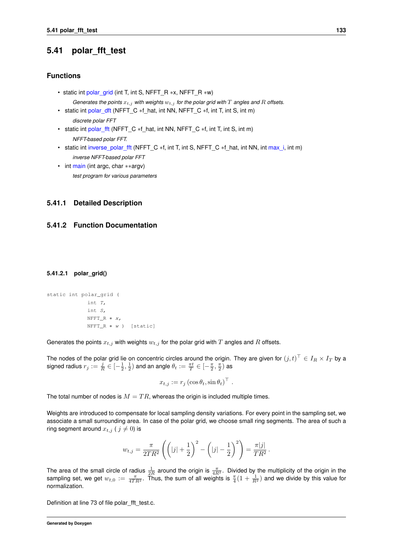# **5.41 polar\_fft\_test**

#### **Functions**

- static int [polar\\_grid](#page-146-0) (int T, int S, NFFT\_R ∗x, NFFT\_R ∗w) *Generates the points*  $x_{t,j}$  *with weights*  $w_{t,j}$  *for the polar grid with*  $T$  *angles and*  $R$  *offsets.*
- <span id="page-146-1"></span>• static int [polar\\_dft](#page-146-1) (NFFT\_C \*f\_hat, int NN, NFFT\_C \*f, int T, int S, int m) *discrete polar FFT*
- <span id="page-146-2"></span>• static int [polar\\_fft](#page-146-2) (NFFT\_C \*f\_hat, int NN, NFFT\_C \*f, int T, int S, int m) *NFFT-based polar FFT.*
- <span id="page-146-3"></span>• static int [inverse\\_polar\\_fft](#page-146-3) (NFFT\_C ∗f, int T, int S, NFFT\_C \*f\_hat, int NN, int [max\\_i,](#page-106-0) int m) *inverse NFFT-based polar FFT*
- <span id="page-146-4"></span>• int [main](#page-146-4) (int argc, char ∗∗argv) *test program for various parameters*

#### **5.41.1 Detailed Description**

#### <span id="page-146-0"></span>**5.41.2 Function Documentation**

#### **5.41.2.1 polar\_grid()**

```
static int polar_grid (
            int T,
             int S,
             NFFT_R * x,NFFT_R ∗ w ) [static]
```
Generates the points  $x_{t,j}$  with weights  $w_{t,j}$  for the polar grid with  $T$  angles and  $R$  offsets.

The nodes of the polar grid lie on concentric circles around the origin. They are given for  $(j,t)^{\top}\in I_R\times I_T$  by a signed radius  $r_j:=\frac{j}{R}\in [-\frac{1}{2},\frac{1}{2})$  and an angle  $\theta_t:=\frac{\pi t}{T}\in [-\frac{\pi}{2},\frac{\pi}{2})$  as

$$
x_{t,j} := r_j \left(\cos \theta_t, \sin \theta_t\right)^\top.
$$

The total number of nodes is  $M = TR$ , whereas the origin is included multiple times.

Weights are introduced to compensate for local sampling density variations. For every point in the sampling set, we associate a small surrounding area. In case of the polar grid, we choose small ring segments. The area of such a ring segment around  $x_{t,j}$  (  $j \neq 0$ ) is

$$
w_{t,j} = \frac{\pi}{2TR^2} \left( \left( |j| + \frac{1}{2} \right)^2 - \left( |j| - \frac{1}{2} \right)^2 \right) = \frac{\pi |j|}{TR^2}.
$$

The area of the small circle of radius  $\frac{1}{2R}$  around the origin is  $\frac{\pi}{4R^2}$ . Divided by the multiplicity of the origin in the sampling set, we get  $w_{t,0} := \frac{\pi}{4TR^2}$ . Thus, the sum of all weights is  $\frac{\pi}{4}(1+\frac{1}{R^2})$  and we divide by this value for normalization.

Definition at line 73 of file polar\_fft\_test.c.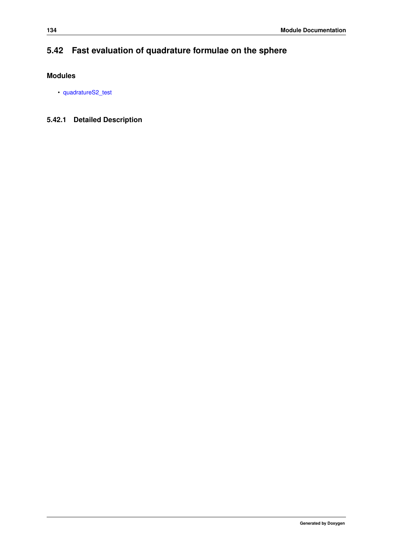# **5.42 Fast evaluation of quadrature formulae on the sphere**

# **Modules**

• [quadratureS2\\_test](#page-148-0)

# **5.42.1 Detailed Description**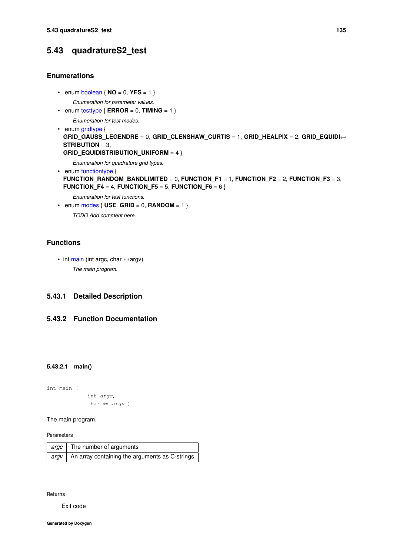# <span id="page-148-0"></span>**5.43 quadratureS2\_test**

#### **Enumerations**

- <span id="page-148-1"></span>• enum [boolean](#page-148-1)  $\{ NO = 0, VES = 1 \}$ *Enumeration for parameter values.*
- <span id="page-148-2"></span>• enum [testtype](#page-148-2)  $\{ \text{ERROR} = 0, \text{TIMING} = 1 \}$

*Enumeration for test modes.*

<span id="page-148-3"></span>• enum [gridtype](#page-148-3) { **GRID\_GAUSS\_LEGENDRE** = 0, **GRID\_CLENSHAW\_CURTIS** = 1, **GRID\_HEALPIX** = 2, **GRID\_EQUIDI**←- **STRIBUTION** = 3,

```
GRID_EQUIDISTRIBUTION_UNIFORM = 4 }
```
*Enumeration for quadrature grid types.*

```
• enum functiontype {
 FUNCTION_RANDOM_BANDLIMITED = 0, FUNCTION F1 = 1, FUNCTION F2 = 2, FUNCTION F3 = 3,
 FUNCTION F4 = 4, FUNCTION F5 = 5, FUNCTION F6 = 6 }
```
*Enumeration for test functions.*

<span id="page-148-5"></span>• enum  $\text{modes}$  $\text{modes}$  $\text{modes}$   $\{ \text{USE} \_\text{GRID} = 0, \text{ RANDOM} = 1 \}$ *TODO Add comment here.*

#### **Functions**

• int [main](#page-148-6) (int argc, char ∗∗argv) *The main program.*

### **5.43.1 Detailed Description**

#### <span id="page-148-6"></span>**5.43.2 Function Documentation**

**5.43.2.1 main()**

```
int main (
```
int argc, char ∗∗ argv )

The main program.

**Parameters**

| argc The number of arguments                                |
|-------------------------------------------------------------|
| $ $ argv $ $ An array containing the arguments as C-strings |

**Returns**

Exit code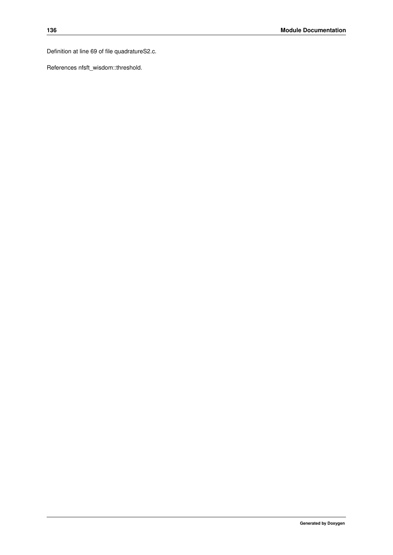Definition at line 69 of file quadratureS2.c.

References nfsft\_wisdom::threshold.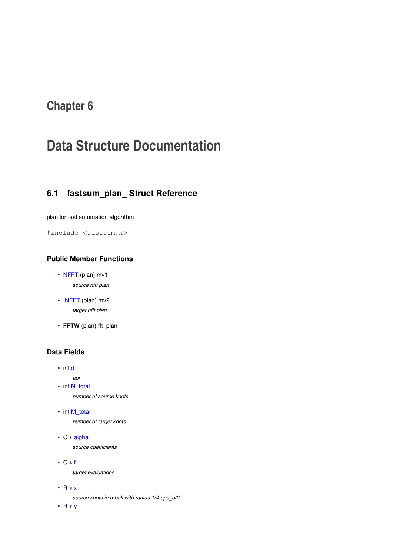# **Chapter 6**

# **Data Structure Documentation**

# **6.1 fastsum\_plan\_ Struct Reference**

plan for fast summation algorithm

#include <fastsum.h>

# **Public Member Functions**

- [NFFT](#page-107-0) (plan) mv1 *source nfft plan*
- <span id="page-150-0"></span>• [NFFT](#page-150-0) (plan) mv2 *target nfft plan*
- **FFTW** (plan) fft\_plan

### **Data Fields**

- int [d](#page-117-0)
	- *api*
- int [N\\_total](#page-108-0)

*number of source knots*

• int [M\\_total](#page-108-1)

*number of target knots*

• C ∗ [alpha](#page-108-2)

*source coefficients*

• C ∗ [f](#page-108-3)

*target evaluations*

• R ∗ [x](#page-108-4)

*source knots in d-ball with radius 1/4-eps\_b/2*

• R ∗ [y](#page-108-5)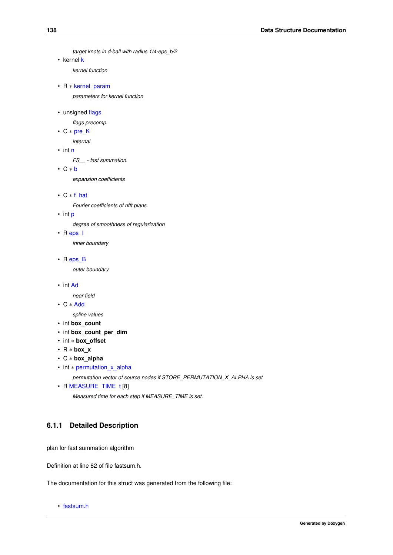```
target knots in d-ball with radius 1/4-eps_b/2
```
• kernel [k](#page-109-0)

*kernel function*

• R ∗ [kernel\\_param](#page-109-1)

*parameters for kernel function*

• unsigned [flags](#page-117-1)

*flags precomp.*

• C ∗ [pre\\_K](#page-117-2)

*internal*

• int [n](#page-118-0)

*FS\_\_ - fast summation.*

• C ∗ [b](#page-109-2)

*expansion coefficients*

• C ∗ [f\\_hat](#page-109-3)

*Fourier coefficients of nfft plans.*

• int [p](#page-109-4)

*degree of smoothness of regularization*

• R [eps\\_I](#page-109-5)

*inner boundary*

• R [eps\\_B](#page-109-6)

*outer boundary*

• int [Ad](#page-118-1)

*near field*

• C ∗ [Add](#page-109-7)

*spline values*

- int **box\_count**
- int **box\_count\_per\_dim**
- int ∗ **box\_offset**
- R ∗ **box\_x**
- C ∗ **box\_alpha**
- int ∗ [permutation\\_x\\_alpha](#page-109-8)

*permutation vector of source nodes if STORE\_PERMUTATION\_X\_ALPHA is set*

• R [MEASURE\\_TIME\\_t](#page-109-9) [8]

*Measured time for each step if MEASURE\_TIME is set.*

# **6.1.1 Detailed Description**

plan for fast summation algorithm

Definition at line 82 of file fastsum.h.

The documentation for this struct was generated from the following file:

• [fastsum.h](#page-190-0)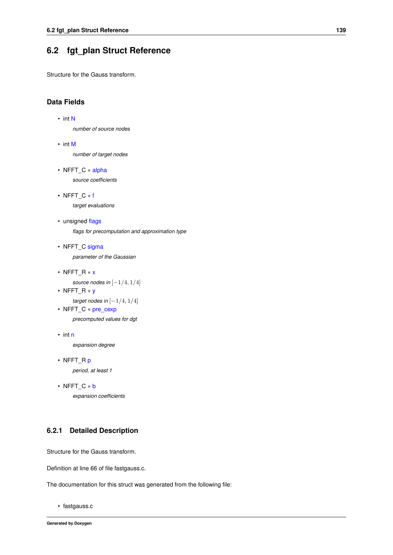# **6.2 fgt\_plan Struct Reference**

Structure for the Gauss transform.

### **Data Fields**

```
• int N
```
*number of source nodes*

- int [M](#page-98-1) *number of target nodes*
- NFFT C \* [alpha](#page-98-2) *source coefficients*
- NFFT\_C ∗ [f](#page-98-3) *target evaluations*
- unsigned [flags](#page-98-4) *flags for precomputation and approximation type*
- NFFT\_C [sigma](#page-98-5) *parameter of the Gaussian*
- NFFT\_R ∗ [x](#page-98-6)

*source nodes in* [−1/4, 1/4]

• NFFT\_R ∗ [y](#page-98-7) *target nodes in* [−1/4, 1/4] • NFFT\_C ∗ [pre\\_cexp](#page-98-8)

*precomputed values for dgt*

- int [n](#page-98-9) *expansion degree*
- NFFT\_R [p](#page-98-10) *period, at least 1*
- NFFT\_C ∗ [b](#page-98-11) *expansion coefficients*

### **6.2.1 Detailed Description**

Structure for the Gauss transform.

Definition at line 66 of file fastgauss.c.

The documentation for this struct was generated from the following file:

<span id="page-152-0"></span>• fastgauss.c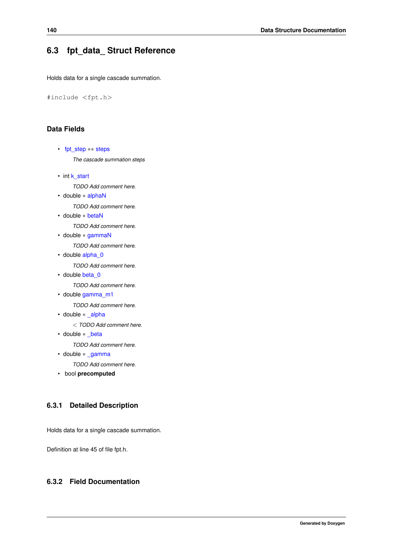# **6.3 fpt\_data\_ Struct Reference**

Holds data for a single cascade summation.

```
#include <fpt.h>
```
### **Data Fields**

```
• fpt_step ∗∗ steps
     The cascade summation steps
k_start
     TODO Add comment here.
• double ∗ alphaN
     TODO Add comment here.
• double ∗ betaN
     TODO Add comment here.
• double ∗ gammaN
     TODO Add comment here.
• double alpha_0
     TODO Add comment here.
beta_0
     TODO Add comment here.
• double gamma_m1
     TODO Add comment here.
• double * alpha
     < TODO Add comment here.
• double * beta
     TODO Add comment here.
```
• double ∗ [\\_gamma](#page-156-0)

*TODO Add comment here.*

• bool **precomputed**

### **6.3.1 Detailed Description**

Holds data for a single cascade summation.

Definition at line 45 of file fpt.h.

### <span id="page-153-1"></span>**6.3.2 Field Documentation**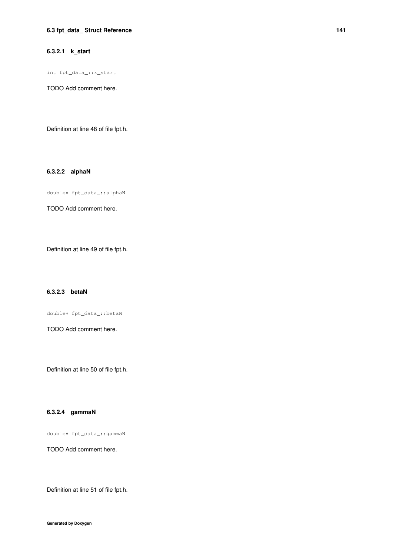#### **6.3.2.1 k\_start**

int fpt\_data\_::k\_start

TODO Add comment here.

<span id="page-154-0"></span>Definition at line 48 of file fpt.h.

#### **6.3.2.2 alphaN**

double∗ fpt\_data\_::alphaN

TODO Add comment here.

<span id="page-154-1"></span>Definition at line 49 of file fpt.h.

#### **6.3.2.3 betaN**

double∗ fpt\_data\_::betaN

TODO Add comment here.

<span id="page-154-2"></span>Definition at line 50 of file fpt.h.

#### **6.3.2.4 gammaN**

double∗ fpt\_data\_::gammaN

TODO Add comment here.

<span id="page-154-3"></span>Definition at line 51 of file fpt.h.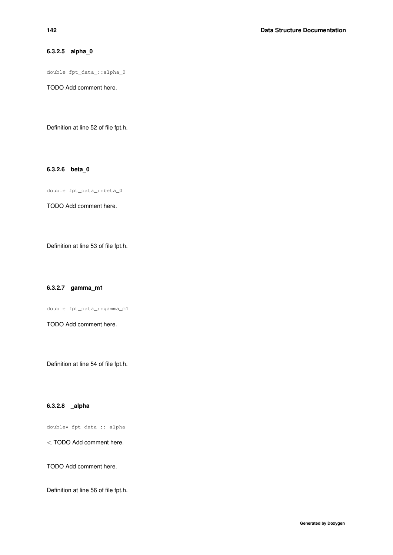### **6.3.2.5 alpha\_0**

double fpt\_data\_::alpha\_0

TODO Add comment here.

<span id="page-155-0"></span>Definition at line 52 of file fpt.h.

**6.3.2.6 beta\_0**

double fpt\_data\_::beta\_0

TODO Add comment here.

<span id="page-155-1"></span>Definition at line 53 of file fpt.h.

**6.3.2.7 gamma\_m1**

double fpt\_data\_::gamma\_m1

TODO Add comment here.

<span id="page-155-2"></span>Definition at line 54 of file fpt.h.

#### **6.3.2.8 \_alpha**

double∗ fpt\_data\_::\_alpha

< TODO Add comment here.

TODO Add comment here.

<span id="page-155-3"></span>Definition at line 56 of file fpt.h.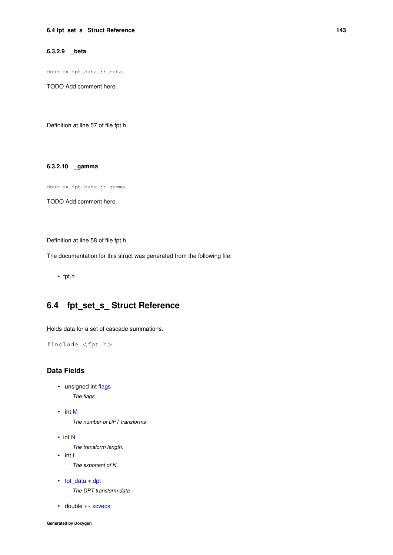#### **6.3.2.9 \_beta**

double∗ fpt\_data\_::\_beta

TODO Add comment here.

<span id="page-156-0"></span>Definition at line 57 of file fpt.h.

#### **6.3.2.10 \_gamma**

double∗ fpt\_data\_::\_gamma

TODO Add comment here.

Definition at line 58 of file fpt.h.

The documentation for this struct was generated from the following file:

• fpt.h

# **6.4 fpt\_set\_s\_ Struct Reference**

Holds data for a set of cascade summations.

```
#include <fpt.h>
```
#### **Data Fields**

- <span id="page-156-1"></span>• unsigned int [flags](#page-156-1) *The flags*
- <span id="page-156-2"></span>• int [M](#page-156-2)

*The number of DPT transforms*

• int [N](#page-157-0)

*The transform length.*

<span id="page-156-3"></span>• int [t](#page-156-3)

*The exponent of N*

<span id="page-156-4"></span>• [fpt\\_data](#page-152-0) ∗ [dpt](#page-156-4)

*The DPT transform data*

<span id="page-156-5"></span>• double ∗∗ [xcvecs](#page-156-5)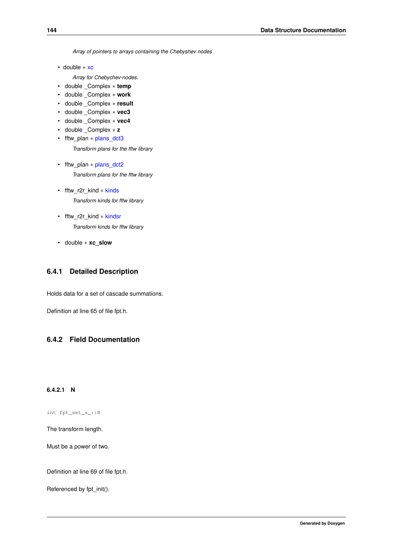*Array of pointers to arrays containing the Chebyshev nodes*

• double ∗ [xc](#page-157-1)

*Array for Chebychev-nodes.*

- double \_Complex ∗ **temp**
- double \_Complex ∗ **work**
- double \_Complex ∗ **result**
- double \_Complex ∗ **vec3**
- double \_Complex ∗ **vec4**
- double \_Complex ∗ **z**
- <span id="page-157-2"></span>• fftw\_plan ∗ [plans\\_dct3](#page-157-2)

*Transform plans for the fftw library*

- <span id="page-157-3"></span>• fftw\_plan \* [plans\\_dct2](#page-157-3) *Transform plans for the fftw library*
- <span id="page-157-4"></span>• fftw\_r2r\_kind ∗ [kinds](#page-157-4) *Transform kinds for fftw library*
- <span id="page-157-5"></span>• fftw\_r2r\_kind ∗ [kindsr](#page-157-5) *Transform kinds for fftw library*
- double ∗ **xc\_slow**

### **6.4.1 Detailed Description**

Holds data for a set of cascade summations.

Definition at line 65 of file fpt.h.

### <span id="page-157-0"></span>**6.4.2 Field Documentation**

#### **6.4.2.1 N**

int fpt\_set\_s\_::N

The transform length.

Must be a power of two.

Definition at line 69 of file fpt.h.

<span id="page-157-1"></span>Referenced by fpt\_init().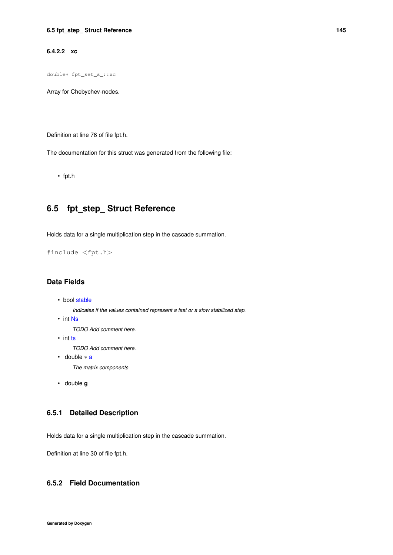#### **6.4.2.2 xc**

double∗ fpt\_set\_s\_::xc

Array for Chebychev-nodes.

Definition at line 76 of file fpt.h.

The documentation for this struct was generated from the following file:

<span id="page-158-0"></span>• fpt.h

# **6.5 fpt\_step\_ Struct Reference**

Holds data for a single multiplication step in the cascade summation.

#include <fpt.h>

### **Data Fields**

```
• bool stable
```
*Indicates if the values contained represent a fast or a slow stabilized step.*

• int [Ns](#page-159-0)

*TODO Add comment here.*

• int [ts](#page-159-1)

*TODO Add comment here.*

- <span id="page-158-2"></span>• double ∗ [a](#page-158-2) *The matrix components*
- double **g**

# **6.5.1 Detailed Description**

Holds data for a single multiplication step in the cascade summation.

Definition at line 30 of file fpt.h.

### <span id="page-158-1"></span>**6.5.2 Field Documentation**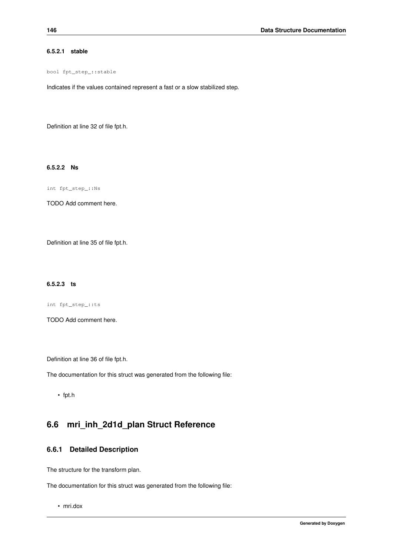#### **6.5.2.1 stable**

bool fpt\_step\_::stable

Indicates if the values contained represent a fast or a slow stabilized step.

<span id="page-159-0"></span>Definition at line 32 of file fpt.h.

#### **6.5.2.2 Ns**

int fpt\_step\_::Ns

TODO Add comment here.

<span id="page-159-1"></span>Definition at line 35 of file fpt.h.

#### **6.5.2.3 ts**

int fpt\_step\_::ts

TODO Add comment here.

Definition at line 36 of file fpt.h.

The documentation for this struct was generated from the following file:

• fpt.h

# **6.6 mri\_inh\_2d1d\_plan Struct Reference**

### **6.6.1 Detailed Description**

The structure for the transform plan.

The documentation for this struct was generated from the following file:

• mri.dox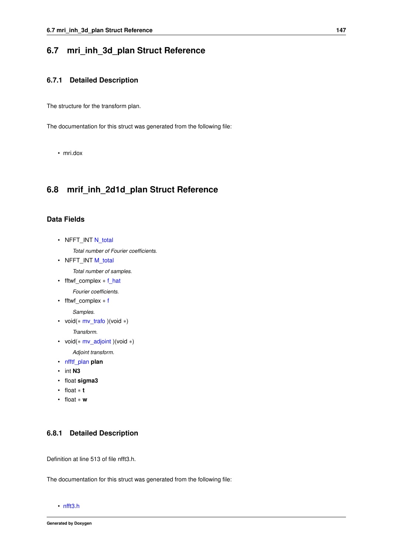### **6.7 mri\_inh\_3d\_plan Struct Reference**

### **6.7.1 Detailed Description**

The structure for the transform plan.

The documentation for this struct was generated from the following file:

• mri.dox

# **6.8 mrif\_inh\_2d1d\_plan Struct Reference**

#### **Data Fields**

<span id="page-160-0"></span>• NFFT\_INT [N\\_total](#page-160-0)

*Total number of Fourier coefficients.*

<span id="page-160-1"></span>• NFFT\_INT [M\\_total](#page-160-1)

*Total number of samples.*

<span id="page-160-2"></span>• fftwf\_complex ∗ [f\\_hat](#page-160-2)

*Fourier coefficients.*

<span id="page-160-3"></span>• fftwf\_complex ∗ [f](#page-160-3)

*Samples.*

<span id="page-160-4"></span>• void(∗ [mv\\_trafo](#page-160-4) )(void ∗)

*Transform.*

<span id="page-160-5"></span>• void(∗ [mv\\_adjoint](#page-160-5) )(void ∗)

*Adjoint transform.*

- [nfftf\\_plan](#page-165-0) **plan**
- int **N3**
- float **sigma3**
- float ∗ **t**
- float ∗ **w**

### **6.8.1 Detailed Description**

Definition at line 513 of file nfft3.h.

The documentation for this struct was generated from the following file:

• [nfft3.h](#page-204-0)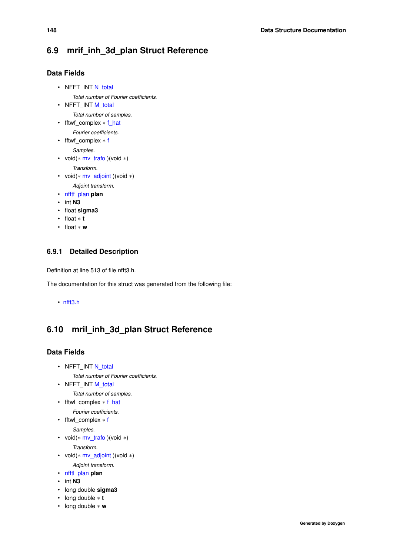# **6.9 mrif\_inh\_3d\_plan Struct Reference**

### **Data Fields**

- <span id="page-161-0"></span>• NFFT\_INT [N\\_total](#page-161-0) *Total number of Fourier coefficients.*
- <span id="page-161-1"></span>• NFFT\_INT [M\\_total](#page-161-1) *Total number of samples.*
- <span id="page-161-2"></span>• fftwf complex  $*$  [f\\_hat](#page-161-2)
	- *Fourier coefficients.*
- <span id="page-161-3"></span>• fftwf\_complex ∗ [f](#page-161-3)
	- *Samples.*
- <span id="page-161-4"></span>• void(∗ [mv\\_trafo](#page-161-4) )(void ∗)
	- *Transform.*
- <span id="page-161-5"></span>• void(∗ [mv\\_adjoint](#page-161-5) )(void ∗)
	- *Adjoint transform.*
- [nfftf\\_plan](#page-165-0) **plan**
- int **N3**
- float **sigma3**
- float ∗ **t**
- float ∗ **w**

### **6.9.1 Detailed Description**

Definition at line 513 of file nfft3.h.

The documentation for this struct was generated from the following file:

• [nfft3.h](#page-204-0)

# **6.10 mril\_inh\_3d\_plan Struct Reference**

### **Data Fields**

- <span id="page-161-6"></span>• NFFT\_INT [N\\_total](#page-161-6)
	- *Total number of Fourier coefficients.*
- <span id="page-161-7"></span>• NFFT\_INT [M\\_total](#page-161-7) *Total number of samples.*
- <span id="page-161-8"></span>• fftwl\_complex ∗ [f\\_hat](#page-161-8)
	- *Fourier coefficients.*
- <span id="page-161-9"></span>• fftwl\_complex ∗ [f](#page-161-9)

*Samples.*

- <span id="page-161-10"></span>• void(∗ [mv\\_trafo](#page-161-10) )(void ∗) *Transform.*
- <span id="page-161-11"></span>• void(∗ [mv\\_adjoint](#page-161-11) )(void ∗) *Adjoint transform.*
- [nfftl\\_plan](#page-168-0) **plan**
- int **N3**
- 
- long double **sigma3**
- long double ∗ **t**
- long double ∗ **w**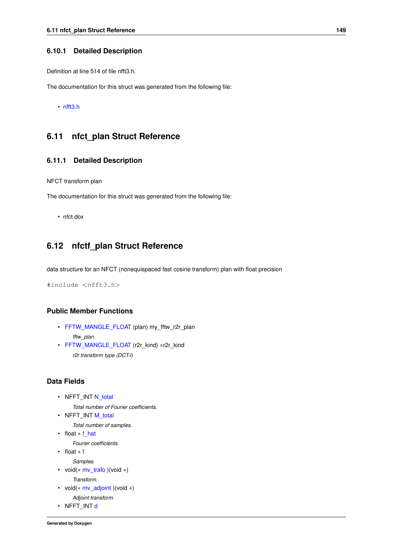#### **6.10.1 Detailed Description**

Definition at line 514 of file nfft3.h.

The documentation for this struct was generated from the following file:

• [nfft3.h](#page-204-0)

# **6.11 nfct\_plan Struct Reference**

#### **6.11.1 Detailed Description**

NFCT transform plan

The documentation for this struct was generated from the following file:

• nfct.dox

# **6.12 nfctf\_plan Struct Reference**

data structure for an NFCT (nonequispaced fast cosine transform) plan with float precision

#include <nfft3.h>

### **Public Member Functions**

- <span id="page-162-0"></span>• [FFTW\\_MANGLE\\_FLOAT](#page-162-0) (plan) my\_fftw\_r2r\_plan *fftw\_plan*
- <span id="page-162-1"></span>• [FFTW\\_MANGLE\\_FLOAT](#page-162-1) (r2r\_kind) ∗r2r\_kind *r2r transform type (DCT-I)*

#### **Data Fields**

<span id="page-162-2"></span>• NFFT\_INT [N\\_total](#page-162-2)

*Total number of Fourier coefficients.*

- <span id="page-162-3"></span>• NFFT\_INT [M\\_total](#page-162-3)
	- *Total number of samples.*
- <span id="page-162-4"></span>• float \* [f\\_hat](#page-162-4) *Fourier coefficients.*
- <span id="page-162-5"></span>• float ∗ [f](#page-162-5)
- *Samples.*
- <span id="page-162-6"></span>• void(∗ [mv\\_trafo](#page-162-6) )(void ∗)

*Transform.*

- <span id="page-162-7"></span>• void(∗ [mv\\_adjoint](#page-162-7) )(void ∗) *Adjoint transform.*
- <span id="page-162-8"></span>• NFFT\_INT [d](#page-162-8)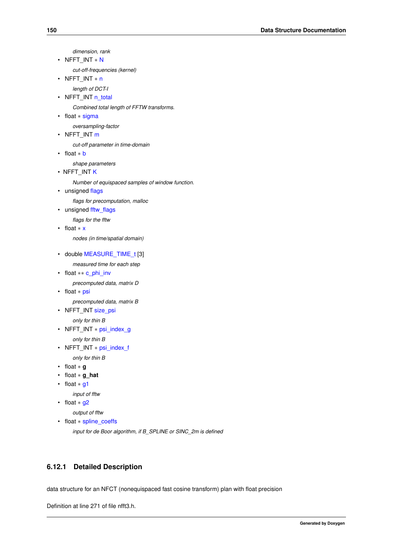*dimension, rank*

<span id="page-163-0"></span>• NFFT\_INT ∗ [N](#page-163-0)

*cut-off-frequencies (kernel)*

<span id="page-163-1"></span>• NFFT\_INT ∗ [n](#page-163-1)

*length of DCT-I*

<span id="page-163-2"></span>• NFFT\_INT [n\\_total](#page-163-2)

*Combined total length of FFTW transforms.*

- <span id="page-163-3"></span>• float ∗ [sigma](#page-163-3)
	- *oversampling-factor*
- <span id="page-163-4"></span>• NFFT INT  $m$

*cut-off parameter in time-domain*

<span id="page-163-5"></span>• float ∗ [b](#page-163-5)

*shape parameters*

• NFFT\_INT [K](#page-164-0)

*Number of equispaced samples of window function.*

<span id="page-163-6"></span>• unsigned [flags](#page-163-6)

*flags for precomputation, malloc*

<span id="page-163-7"></span>• unsigned [fftw\\_flags](#page-163-7)

*flags for the fftw*

<span id="page-163-8"></span>• float ∗ [x](#page-163-8)

*nodes (in time/spatial domain)*

- <span id="page-163-9"></span>• double [MEASURE\\_TIME\\_t](#page-163-9) [3]
	- *measured time for each step*
- <span id="page-163-10"></span>• float ∗∗ [c\\_phi\\_inv](#page-163-10)

*precomputed data, matrix D*

<span id="page-163-11"></span>• float ∗ [psi](#page-163-11)

*precomputed data, matrix B*

<span id="page-163-12"></span>• NFFT\_INT [size\\_psi](#page-163-12)

```
only for thin B
```
• NFFT\_INT ∗ [psi\\_index\\_g](#page-163-13)

*only for thin B*

- <span id="page-163-14"></span>• NFFT\_INT ∗ [psi\\_index\\_f](#page-163-14)
	- *only for thin B*
- float ∗ **g**
- float ∗ **g\_hat**
- <span id="page-163-15"></span>• float ∗ [g1](#page-163-15)

*input of fftw*

<span id="page-163-16"></span>• float ∗ [g2](#page-163-16)

*output of fftw*

<span id="page-163-17"></span>• float ∗ [spline\\_coeffs](#page-163-17)

*input for de Boor algorithm, if B\_SPLINE or SINC\_2m is defined*

### **6.12.1 Detailed Description**

data structure for an NFCT (nonequispaced fast cosine transform) plan with float precision

Definition at line 271 of file nfft3.h.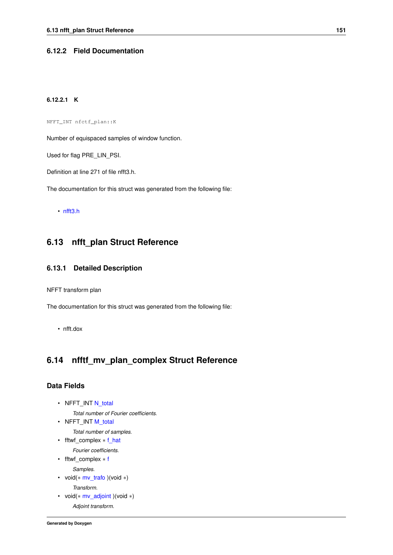#### <span id="page-164-0"></span>**6.12.2 Field Documentation**

### **6.12.2.1 K**

NFFT\_INT nfctf\_plan::K

Number of equispaced samples of window function.

Used for flag PRE\_LIN\_PSI.

Definition at line 271 of file nfft3.h.

The documentation for this struct was generated from the following file:

• [nfft3.h](#page-204-0)

# **6.13 nfft\_plan Struct Reference**

#### **6.13.1 Detailed Description**

NFFT transform plan

The documentation for this struct was generated from the following file:

• nfft.dox

# **6.14 nfftf\_mv\_plan\_complex Struct Reference**

### **Data Fields**

- <span id="page-164-1"></span>• NFFT\_INT [N\\_total](#page-164-1) *Total number of Fourier coefficients.*
- <span id="page-164-2"></span>• NFFT\_INT [M\\_total](#page-164-2) *Total number of samples.*
- <span id="page-164-3"></span>• fftwf complex  $*$  [f\\_hat](#page-164-3)
- <span id="page-164-4"></span>*Fourier coefficients.* • fftwf\_complex ∗ [f](#page-164-4)
	- *Samples.*
- <span id="page-164-5"></span>• void(∗ [mv\\_trafo](#page-164-5) )(void ∗) *Transform.*
- <span id="page-164-6"></span>• void(∗ [mv\\_adjoint](#page-164-6) )(void ∗) *Adjoint transform.*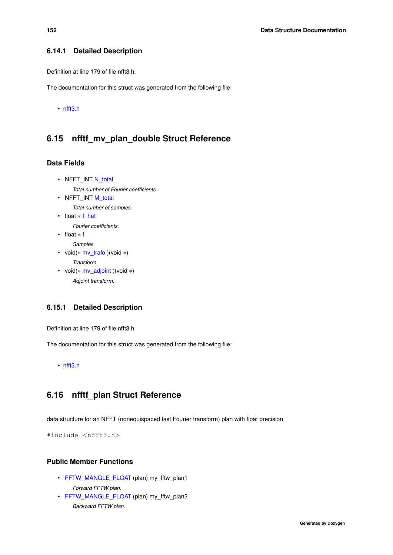#### **6.14.1 Detailed Description**

Definition at line 179 of file nfft3.h.

The documentation for this struct was generated from the following file:

• [nfft3.h](#page-204-0)

# **6.15 nfftf\_mv\_plan\_double Struct Reference**

### **Data Fields**

- <span id="page-165-2"></span><span id="page-165-1"></span>• NFFT\_INT [N\\_total](#page-165-1) *Total number of Fourier coefficients.* • NFFT\_INT [M\\_total](#page-165-2)
	- *Total number of samples.*
- <span id="page-165-3"></span>• float ∗ [f\\_hat](#page-165-3)

*Fourier coefficients.*

- <span id="page-165-4"></span>• float ∗ [f](#page-165-4)
- <span id="page-165-5"></span>*Samples.* • void(∗ [mv\\_trafo](#page-165-5) )(void ∗)
	- *Transform.*
- <span id="page-165-6"></span>• void( $*$  [mv\\_adjoint](#page-165-6) )(void  $*$ ) *Adjoint transform.*

### **6.15.1 Detailed Description**

Definition at line 179 of file nfft3.h.

The documentation for this struct was generated from the following file:

<span id="page-165-0"></span>• [nfft3.h](#page-204-0)

# **6.16 nfftf\_plan Struct Reference**

data structure for an NFFT (nonequispaced fast Fourier transform) plan with float precision

#include <nfft3.h>

### **Public Member Functions**

- <span id="page-165-7"></span>• [FFTW\\_MANGLE\\_FLOAT](#page-165-7) (plan) my\_fftw\_plan1 *Forward FFTW plan.*
- <span id="page-165-8"></span>• [FFTW\\_MANGLE\\_FLOAT](#page-165-8) (plan) my\_fftw\_plan2 *Backward FFTW plan.*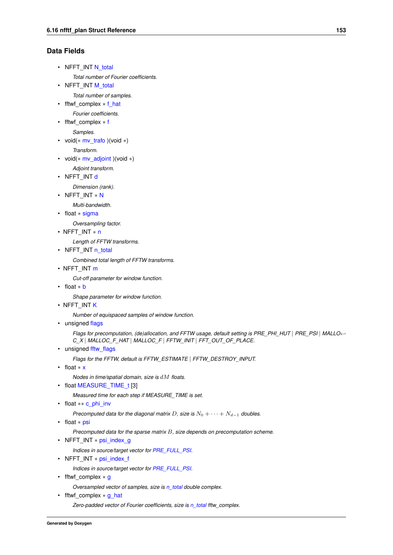### **Data Fields**

- <span id="page-166-0"></span>• NFFT\_INT [N\\_total](#page-166-0)
	- *Total number of Fourier coefficients.*
- <span id="page-166-1"></span>• NFFT\_INT [M\\_total](#page-166-1)

*Total number of samples.*

- <span id="page-166-2"></span>• fftwf complex  $*$  [f\\_hat](#page-166-2)
- *Fourier coefficients.*

<span id="page-166-3"></span>• fftwf\_complex ∗ [f](#page-166-3)

*Samples.*

<span id="page-166-4"></span>• void(∗ [mv\\_trafo](#page-166-4) )(void ∗)

*Transform.*

<span id="page-166-5"></span>• void( $*$  [mv\\_adjoint](#page-166-5) )(void  $*$ )

*Adjoint transform.*

<span id="page-166-6"></span>• NFFT\_INT [d](#page-166-6)

*Dimension (rank).*

<span id="page-166-7"></span>• NFFT\_INT ∗ [N](#page-166-7)

*Multi-bandwidth.*

<span id="page-166-8"></span>• float ∗ [sigma](#page-166-8)

*Oversampling factor.*

• NFFT\_INT ∗ [n](#page-167-0)

*Length of FFTW transforms.*

<span id="page-166-9"></span>• NFFT\_INT [n\\_total](#page-166-9)

*Combined total length of FFTW transforms.*

 $\cdot$  NFFT\_INT [m](#page-167-1)

*Cut-off parameter for window function.*

<span id="page-166-10"></span>• float ∗ [b](#page-166-10)

*Shape parameter for window function.*

• NFFT\_INT [K](#page-167-2)

*Number of equispaced samples of window function.*

<span id="page-166-11"></span>• unsigned [flags](#page-166-11)

*Flags for precomputation, (de)allocation, and FFTW usage, default setting is PRE\_PHI\_HUT* | *PRE\_PSI* | *MALLO*←- *C\_X* | *MALLOC\_F\_HAT* | *MALLOC\_F* | *FFTW\_INIT* | *FFT\_OUT\_OF\_PLACE.*

<span id="page-166-12"></span>• unsigned fftw flags

*Flags for the FFTW, default is FFTW\_ESTIMATE* | *FFTW\_DESTROY\_INPUT.*

<span id="page-166-13"></span>• float ∗ [x](#page-166-13)

*Nodes in time/spatial domain, size is* dM *floats.*

<span id="page-166-14"></span>• float [MEASURE\\_TIME\\_t](#page-166-14) [3]

*Measured time for each step if MEASURE\_TIME is set.*

<span id="page-166-15"></span>• float \*\* [c\\_phi\\_inv](#page-166-15)

*Precomputed data for the diagonal matrix*  $D$ , size is  $N_0 + \cdots + N_{d-1}$  *doubles.* 

<span id="page-166-16"></span>• float ∗ [psi](#page-166-16)

*Precomputed data for the sparse matrix* B*, size depends on precomputation scheme.*

<span id="page-166-17"></span>• NFFT\_INT ∗ [psi\\_index\\_g](#page-166-17)

*Indices in source/target vector for [PRE\\_FULL\\_PSI.](#page-35-0)*

<span id="page-166-18"></span>• NFFT\_INT \* [psi\\_index\\_f](#page-166-18)

*Indices in source/target vector for [PRE\\_FULL\\_PSI.](#page-35-0)*

<span id="page-166-19"></span>• fftwf complex ∗ [g](#page-166-19)

*Oversampled vector of samples, size is [n\\_total](#page-166-9) double complex.*

<span id="page-166-20"></span>• fftwf complex \* [g\\_hat](#page-166-20)

*Zero-padded vector of Fourier coefficients, size is [n\\_total](#page-166-9) fftw\_complex.*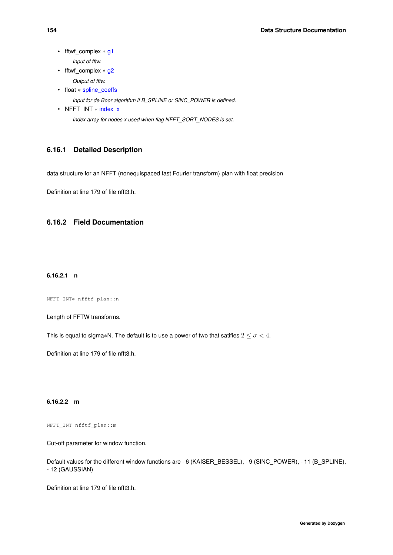- <span id="page-167-3"></span>• fftwf\_complex ∗ [g1](#page-167-3) *Input of fftw.*
- <span id="page-167-4"></span>• fftwf complex ∗ [g2](#page-167-4) *Output of fftw.*
- <span id="page-167-5"></span>• float ∗ [spline\\_coeffs](#page-167-5)

*Input for de Boor algorithm if B\_SPLINE or SINC\_POWER is defined.*

<span id="page-167-6"></span>• NFFT\_INT ∗ [index\\_x](#page-167-6) *Index array for nodes x used when flag NFFT\_SORT\_NODES is set.*

### **6.16.1 Detailed Description**

data structure for an NFFT (nonequispaced fast Fourier transform) plan with float precision

Definition at line 179 of file nfft3.h.

### <span id="page-167-0"></span>**6.16.2 Field Documentation**

#### **6.16.2.1 n**

NFFT\_INT∗ nfftf\_plan::n

Length of FFTW transforms.

This is equal to sigma\*N. The default is to use a power of two that satifies  $2 \leq \sigma < 4$ .

<span id="page-167-1"></span>Definition at line 179 of file nfft3.h.

**6.16.2.2 m**

NFFT\_INT nfftf\_plan::m

Cut-off parameter for window function.

Default values for the different window functions are - 6 (KAISER\_BESSEL), - 9 (SINC\_POWER), - 11 (B\_SPLINE), - 12 (GAUSSIAN)

<span id="page-167-2"></span>Definition at line 179 of file nfft3.h.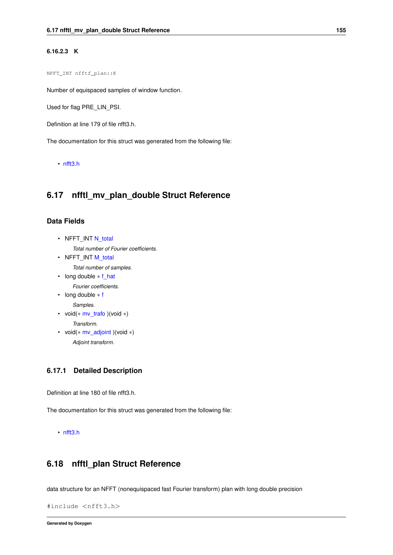#### **6.16.2.3 K**

NFFT\_INT nfftf\_plan::K

Number of equispaced samples of window function.

Used for flag PRE\_LIN\_PSI.

Definition at line 179 of file nfft3.h.

The documentation for this struct was generated from the following file:

• [nfft3.h](#page-204-0)

# **6.17 nfftl\_mv\_plan\_double Struct Reference**

### **Data Fields**

<span id="page-168-1"></span>• NFFT\_INT [N\\_total](#page-168-1)

*Total number of Fourier coefficients.*

<span id="page-168-2"></span>• NFFT\_INT [M\\_total](#page-168-2)

*Total number of samples.*

- <span id="page-168-3"></span>• long double ∗ [f\\_hat](#page-168-3)
	- *Fourier coefficients.*
- <span id="page-168-4"></span>• long double ∗ [f](#page-168-4)

*Samples.*

- <span id="page-168-5"></span>• void(∗ [mv\\_trafo](#page-168-5) )(void ∗) *Transform.*
- <span id="page-168-6"></span>• void(∗ [mv\\_adjoint](#page-168-6) )(void ∗) *Adjoint transform.*

#### **6.17.1 Detailed Description**

Definition at line 180 of file nfft3.h.

The documentation for this struct was generated from the following file:

```
• nfft3.h
```
### **6.18 nfftl\_plan Struct Reference**

data structure for an NFFT (nonequispaced fast Fourier transform) plan with long double precision

```
#include <nfft3.h>
```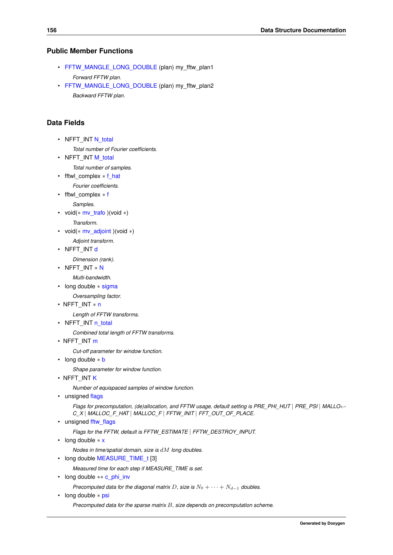#### **Public Member Functions**

- <span id="page-169-0"></span>• [FFTW\\_MANGLE\\_LONG\\_DOUBLE](#page-169-0) (plan) my\_fftw\_plan1 *Forward FFTW plan.*
- <span id="page-169-1"></span>• [FFTW\\_MANGLE\\_LONG\\_DOUBLE](#page-169-1) (plan) my\_fftw\_plan2 *Backward FFTW plan.*

#### **Data Fields**

- <span id="page-169-2"></span>• NFFT\_INT [N\\_total](#page-169-2)
	- *Total number of Fourier coefficients.*
- <span id="page-169-3"></span>• NFFT\_INT [M\\_total](#page-169-3)

*Total number of samples.*

<span id="page-169-4"></span>• fftwl\_complex \* [f\\_hat](#page-169-4)

*Fourier coefficients.*

<span id="page-169-5"></span>• fftwl\_complex ∗ [f](#page-169-5)

*Samples.*

<span id="page-169-6"></span>• void(∗ [mv\\_trafo](#page-169-6) )(void ∗)

*Transform.*

- <span id="page-169-7"></span>• void( $*$  [mv\\_adjoint](#page-169-7) )(void  $*$ )
	- *Adjoint transform.*
- <span id="page-169-8"></span>• NFFT\_INT [d](#page-169-8)

*Dimension (rank).*

<span id="page-169-9"></span>• NFFT\_INT ∗ [N](#page-169-9)

*Multi-bandwidth.*

<span id="page-169-10"></span>• long double ∗ [sigma](#page-169-10)

*Oversampling factor.*

• NFFT\_INT ∗ [n](#page-170-0)

*Length of FFTW transforms.*

<span id="page-169-11"></span>• NFFT\_INT [n\\_total](#page-169-11)

*Combined total length of FFTW transforms.*

• NFFT\_INT [m](#page-170-1)

*Cut-off parameter for window function.*

<span id="page-169-12"></span>• long double ∗ [b](#page-169-12)

*Shape parameter for window function.*

• NFFT\_INT [K](#page-170-2)

*Number of equispaced samples of window function.*

<span id="page-169-13"></span>• unsigned [flags](#page-169-13)

*Flags for precomputation, (de)allocation, and FFTW usage, default setting is PRE\_PHI\_HUT* | *PRE\_PSI* | *MALLO*←- *C\_X* | *MALLOC\_F\_HAT* | *MALLOC\_F* | *FFTW\_INIT* | *FFT\_OUT\_OF\_PLACE.*

<span id="page-169-14"></span>• unsigned fftw flags

*Flags for the FFTW, default is FFTW\_ESTIMATE* | *FFTW\_DESTROY\_INPUT.*

<span id="page-169-15"></span>• long double ∗ [x](#page-169-15)

*Nodes in time/spatial domain, size is* dM *long doubles.*

<span id="page-169-16"></span>• long double [MEASURE\\_TIME\\_t](#page-169-16) [3]

*Measured time for each step if MEASURE\_TIME is set.*

<span id="page-169-17"></span>• long double ∗∗ [c\\_phi\\_inv](#page-169-17)

*Precomputed data for the diagonal matrix* D, size is  $N_0 + \cdots + N_{d-1}$  *doubles.* 

<span id="page-169-18"></span>• long double ∗ [psi](#page-169-18)

*Precomputed data for the sparse matrix* B*, size depends on precomputation scheme.*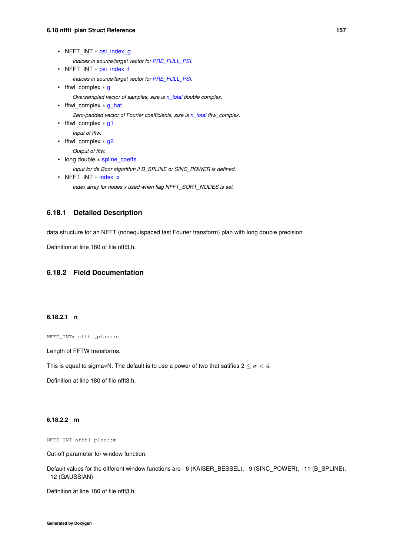<span id="page-170-7"></span><span id="page-170-6"></span><span id="page-170-5"></span><span id="page-170-4"></span><span id="page-170-3"></span>

| • NFFT INT $*$ psi index g                                                                                                                                 |  |
|------------------------------------------------------------------------------------------------------------------------------------------------------------|--|
| Indices in source/target vector for PRE FULL PSI.<br>• NFFT INT * psi index f                                                                              |  |
| Indices in source/target vector for PRE FULL PSI.<br>• fftwl complex $*$ g                                                                                 |  |
| Oversampled vector of samples, size is n_total double complex.<br>• fftwl complex $*$ q hat                                                                |  |
| Zero-padded vector of Fourier coefficients, size is n total fftw complex.<br>• fftwl_complex $*$ g1<br>Input of fftw.<br>fftwl complex $*$ g2<br>$\bullet$ |  |
| Output of fftw.<br>long double $*$ spline coeffs                                                                                                           |  |
| Input for de Boor algorithm if B SPLINE or SINC POWER is defined.<br>• NFFT INT * index x                                                                  |  |
| Index array for nodes x used when flag NFFT SORT NODES is set.                                                                                             |  |

#### <span id="page-170-10"></span><span id="page-170-9"></span><span id="page-170-8"></span>**6.18.1 Detailed Description**

data structure for an NFFT (nonequispaced fast Fourier transform) plan with long double precision

Definition at line 180 of file nfft3.h.

### <span id="page-170-0"></span>**6.18.2 Field Documentation**

#### **6.18.2.1 n**

NFFT\_INT∗ nfftl\_plan::n

Length of FFTW transforms.

This is equal to sigma\*N. The default is to use a power of two that satifies  $2 \leq \sigma < 4$ .

<span id="page-170-1"></span>Definition at line 180 of file nfft3.h.

#### **6.18.2.2 m**

NFFT\_INT nfftl\_plan::m

Cut-off parameter for window function.

Default values for the different window functions are - 6 (KAISER\_BESSEL), - 9 (SINC\_POWER), - 11 (B\_SPLINE), - 12 (GAUSSIAN)

<span id="page-170-2"></span>Definition at line 180 of file nfft3.h.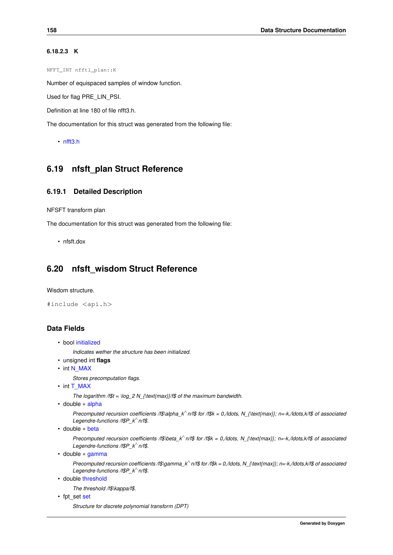#### **6.18.2.3 K**

NFFT\_INT nfftl\_plan::K

Number of equispaced samples of window function.

Used for flag PRE\_LIN\_PSI.

Definition at line 180 of file nfft3.h.

The documentation for this struct was generated from the following file:

```
• nfft3.h
```
# **6.19 nfsft\_plan Struct Reference**

#### **6.19.1 Detailed Description**

NFSFT transform plan

The documentation for this struct was generated from the following file:

• nfsft.dox

# **6.20 nfsft\_wisdom Struct Reference**

Wisdom structure.

```
#include <api.h>
```
# **Data Fields**

```
• bool initialized
```
*Indicates wether the structure has been initialized.*

- unsigned int **flags**
- int [N\\_MAX](#page-59-0)

*Stores precomputation flags.*

• int [T\\_MAX](#page-40-1)

*The logarithm /f\$t = \log\_2 N\_{\text{max}}/f\$ of the maximum bandwidth.*

• double ∗ [alpha](#page-40-2)

*Precomputed recursion coefficients /f\$\alpha\_k*<sup>∧</sup> *n/f\$ for /f\$k = 0,/ldots, N\_{\text{max}}; n=-k,/ldots,k/f\$ of associated Legendre-functions /f\$P\_k*<sup>∧</sup> *n/f\$.*

```
• double ∗ beta
```
*Precomputed recursion coefficients /f\$\beta\_k*<sup>∧</sup> *n/f\$ for /f\$k = 0,/ldots, N\_{\text{max}}; n=-k,/ldots,k/f\$ of associated Legendre-functions /f\$P\_k*<sup>∧</sup> *n/f\$.*

• double ∗ [gamma](#page-40-4)

*Precomputed recursion coefficients* /f\$\gamma\_k<sup>\</sup> n/f\$ for /f\$k = 0,/ldots, N\_{\text{max}}; n=-k,/ldots,k/f\$ of associated *Legendre-functions /f\$P\_k*<sup>∧</sup> *n/f\$.*

• double [threshold](#page-41-0)

*The threshold /f\$\kappa/f\$.*

• fpt\_[set](#page-41-1) set

*Structure for discrete polynomial transform (DPT)*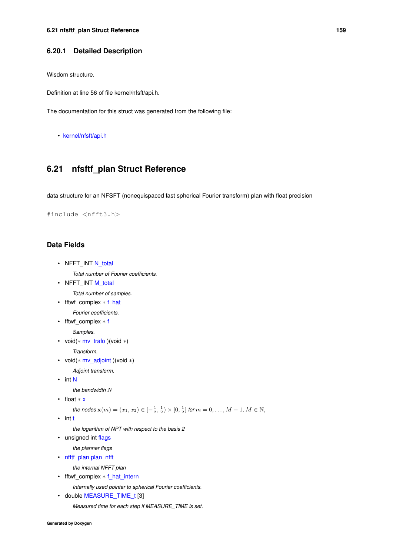#### **6.20.1 Detailed Description**

Wisdom structure.

Definition at line 56 of file kernel/nfsft/api.h.

The documentation for this struct was generated from the following file:

• [kernel/nfsft/api.h](#page-188-0)

# **6.21 nfsftf\_plan Struct Reference**

data structure for an NFSFT (nonequispaced fast spherical Fourier transform) plan with float precision

#include <nfft3.h>

#### **Data Fields**

- <span id="page-172-0"></span>• NFFT\_INT [N\\_total](#page-172-0) *Total number of Fourier coefficients.*
- <span id="page-172-1"></span>• NFFT\_INT [M\\_total](#page-172-1)

*Total number of samples.*

<span id="page-172-2"></span>• fftwf\_complex ∗ [f\\_hat](#page-172-2) *Fourier coefficients.*

<span id="page-172-3"></span>• fftwf\_complex ∗ [f](#page-172-3)

*Samples.*

<span id="page-172-4"></span>• void(∗ [mv\\_trafo](#page-172-4) )(void ∗)

*Transform.*

<span id="page-172-5"></span>• void( $*$  [mv\\_adjoint](#page-172-5) )(void  $*$ )

*Adjoint transform.*

<span id="page-172-6"></span>• int [N](#page-172-6)

*the bandwidth* N

<span id="page-172-7"></span>• float ∗ [x](#page-172-7)

```
the nodes \mathbf{x}(m) = (x_1, x_2) \in [-\frac{1}{2}, \frac{1}{2}) \times [0, \frac{1}{2}] for m = 0, \ldots, M - 1, M \in \mathbb{N},
```
<span id="page-172-8"></span>• int [t](#page-172-8)

*the logarithm of NPT with respect to the basis 2*

<span id="page-172-9"></span>• unsigned int [flags](#page-172-9)

<span id="page-172-10"></span>*the planner flags*

• [nfftf\\_plan](#page-165-0) [plan\\_nfft](#page-172-10)

*the internal NFFT plan*

<span id="page-172-11"></span>• fftwf\_complex ∗ [f\\_hat\\_intern](#page-172-11)

*Internally used pointer to spherical Fourier coefficients.*

<span id="page-172-12"></span>• double [MEASURE\\_TIME\\_t](#page-172-12) [3] *Measured time for each step if MEASURE\_TIME is set.*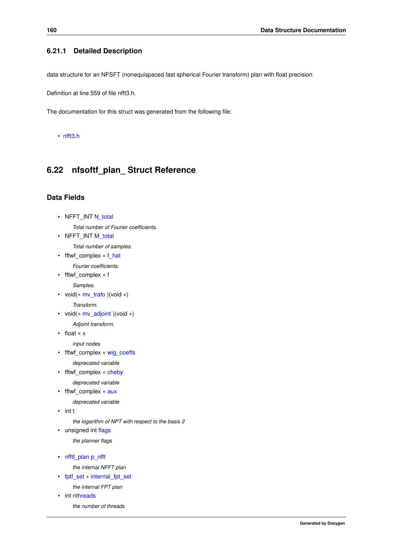#### **6.21.1 Detailed Description**

data structure for an NFSFT (nonequispaced fast spherical Fourier transform) plan with float precision

Definition at line 559 of file nfft3.h.

The documentation for this struct was generated from the following file:

• [nfft3.h](#page-204-0)

# **6.22 nfsoftf\_plan\_ Struct Reference**

#### **Data Fields**

- <span id="page-173-0"></span>• NFFT\_INT [N\\_total](#page-173-0) *Total number of Fourier coefficients.*
- <span id="page-173-1"></span>• NFFT\_INT [M\\_total](#page-173-1)

*Total number of samples.*

<span id="page-173-2"></span>• fftwf complex  $*$  [f\\_hat](#page-173-2) *Fourier coefficients.*

<span id="page-173-3"></span>• fftwf\_complex ∗ [f](#page-173-3)

- *Samples.*
- <span id="page-173-4"></span>• void(∗ [mv\\_trafo](#page-173-4) )(void ∗)

*Transform.*

<span id="page-173-5"></span>• void( $*$  [mv\\_adjoint](#page-173-5) )(void  $*$ )

*Adjoint transform.*

<span id="page-173-6"></span>• float ∗ [x](#page-173-6)

*input nodes*

<span id="page-173-7"></span>• fftwf\_complex ∗ [wig\\_coeffs](#page-173-7)

*deprecated variable*

<span id="page-173-8"></span>• fftwf\_complex ∗ [cheby](#page-173-8)

*deprecated variable*

- <span id="page-173-9"></span>• fftwf\_complex ∗ [aux](#page-173-9)
	- *deprecated variable*
- <span id="page-173-10"></span> $\cdot$  $\cdot$  int t

*the logarithm of NPT with respect to the basis 2*

<span id="page-173-11"></span>• unsigned int [flags](#page-173-11)

*the planner flags*

<span id="page-173-12"></span>• [nfftf\\_plan](#page-165-0) [p\\_nfft](#page-173-12)

*the internal NFFT plan*

<span id="page-173-13"></span>• [fptf\\_set](#page-207-0) ∗ [internal\\_fpt\\_set](#page-173-13)

*the internal FPT plan*

<span id="page-173-14"></span>• int [nthreads](#page-173-14)

*the number of threads*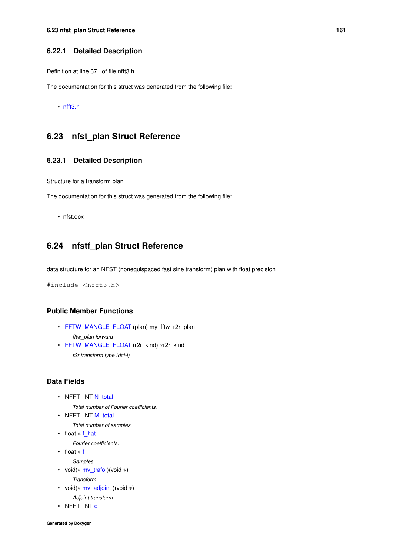#### **6.22.1 Detailed Description**

Definition at line 671 of file nfft3.h.

The documentation for this struct was generated from the following file:

• [nfft3.h](#page-204-0)

# **6.23 nfst\_plan Struct Reference**

#### **6.23.1 Detailed Description**

Structure for a transform plan

The documentation for this struct was generated from the following file:

• nfst.dox

# **6.24 nfstf\_plan Struct Reference**

data structure for an NFST (nonequispaced fast sine transform) plan with float precision

#include <nfft3.h>

### **Public Member Functions**

- <span id="page-174-0"></span>• [FFTW\\_MANGLE\\_FLOAT](#page-174-0) (plan) my\_fftw\_r2r\_plan *fftw\_plan forward*
- <span id="page-174-1"></span>• [FFTW\\_MANGLE\\_FLOAT](#page-174-1) (r2r\_kind) ∗r2r\_kind *r2r transform type (dct-i)*

#### **Data Fields**

<span id="page-174-2"></span>• NFFT\_INT [N\\_total](#page-174-2)

*Total number of Fourier coefficients.*

- <span id="page-174-3"></span>• NFFT\_INT [M\\_total](#page-174-3)
	- *Total number of samples.*
- <span id="page-174-4"></span>• float \* [f\\_hat](#page-174-4) *Fourier coefficients.*
- <span id="page-174-5"></span>• float ∗ [f](#page-174-5)
- 
- <span id="page-174-6"></span>*Samples.* • void(∗ [mv\\_trafo](#page-174-6) )(void ∗)
	- *Transform.*
- <span id="page-174-7"></span>• void(∗ [mv\\_adjoint](#page-174-7) )(void ∗)
- *Adjoint transform.*
- <span id="page-174-8"></span>• NFFT\_INT [d](#page-174-8)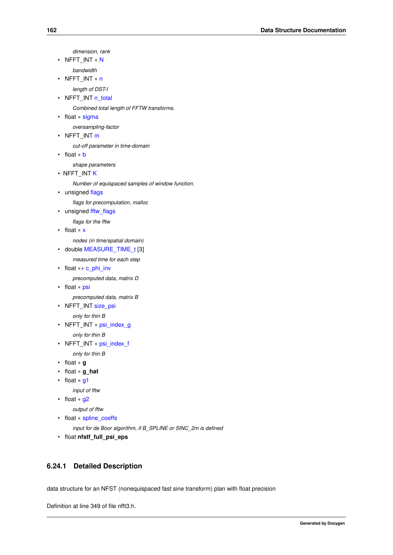*dimension, rank*

<span id="page-175-0"></span>• NFFT\_INT ∗ [N](#page-175-0)

*bandwidth*

<span id="page-175-1"></span>• NFFT\_INT ∗ [n](#page-175-1)

- <span id="page-175-2"></span>*length of DST-I*
- NFFT\_INT [n\\_total](#page-175-2)

*Combined total length of FFTW transforms.*

<span id="page-175-3"></span>• float ∗ [sigma](#page-175-3)

*oversampling-factor*

<span id="page-175-4"></span>• NFFT\_INT [m](#page-175-4)

*cut-off parameter in time-domain*

<span id="page-175-5"></span>• float ∗ [b](#page-175-5)

*shape parameters*

• NFFT\_INT [K](#page-176-0)

*Number of equispaced samples of window function.*

<span id="page-175-6"></span>• unsigned [flags](#page-175-6)

*flags for precomputation, malloc*

<span id="page-175-7"></span>• unsigned [fftw\\_flags](#page-175-7)

*flags for the fftw*

<span id="page-175-8"></span>• float ∗ [x](#page-175-8)

<span id="page-175-9"></span>*nodes (in time/spatial domain)*

• double [MEASURE\\_TIME\\_t](#page-175-9) [3]

*measured time for each step*

<span id="page-175-10"></span>• float ∗∗ [c\\_phi\\_inv](#page-175-10)

*precomputed data, matrix D*

<span id="page-175-11"></span>• float ∗ [psi](#page-175-11)

*precomputed data, matrix B*

<span id="page-175-12"></span>• NFFT\_INT [size\\_psi](#page-175-12)

*only for thin B*

<span id="page-175-13"></span>• NFFT\_INT ∗ [psi\\_index\\_g](#page-175-13)

*only for thin B*

<span id="page-175-14"></span>• NFFT\_INT ∗ [psi\\_index\\_f](#page-175-14)

*only for thin B*

- float ∗ **g**
- float ∗ **g\_hat**
- <span id="page-175-15"></span>• float ∗ [g1](#page-175-15)

```
input of fftw
```
• float ∗ [g2](#page-175-16)

*output of fftw*

<span id="page-175-17"></span>• float ∗ [spline\\_coeffs](#page-175-17)

*input for de Boor algorithm, if B\_SPLINE or SINC\_2m is defined*

• float **nfstf\_full\_psi\_eps**

### **6.24.1 Detailed Description**

data structure for an NFST (nonequispaced fast sine transform) plan with float precision

Definition at line 349 of file nfft3.h.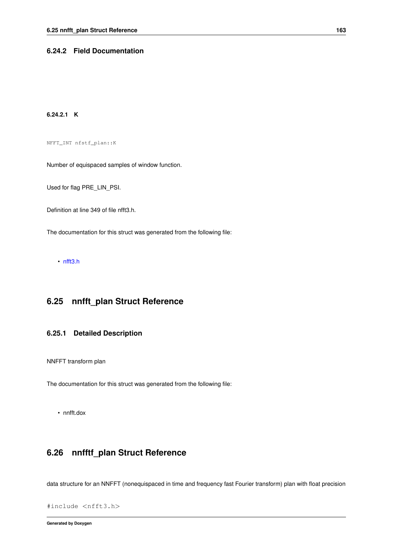#### <span id="page-176-0"></span>**6.24.2 Field Documentation**

#### **6.24.2.1 K**

NFFT\_INT nfstf\_plan::K

Number of equispaced samples of window function.

Used for flag PRE\_LIN\_PSI.

Definition at line 349 of file nfft3.h.

The documentation for this struct was generated from the following file:

• [nfft3.h](#page-204-0)

# **6.25 nnfft\_plan Struct Reference**

#### **6.25.1 Detailed Description**

NNFFT transform plan

The documentation for this struct was generated from the following file:

• nnfft.dox

# **6.26 nnfftf\_plan Struct Reference**

data structure for an NNFFT (nonequispaced in time and frequency fast Fourier transform) plan with float precision

```
#include <nfft3.h>
```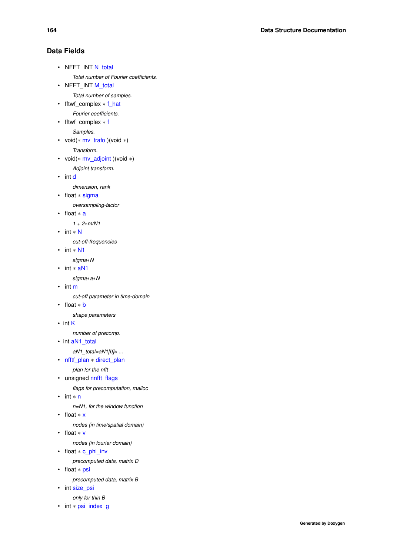### **Data Fields**

```
N_total
```
- *Total number of Fourier coefficients.*
- <span id="page-177-1"></span>• NFFT\_INT [M\\_total](#page-177-1)

*Total number of samples.*

- <span id="page-177-2"></span>• fftwf\_complex ∗ [f\\_hat](#page-177-2)
- *Fourier coefficients.*

<span id="page-177-3"></span>• fftwf\_complex ∗ [f](#page-177-3)

*Samples.*

<span id="page-177-4"></span>• void(∗ [mv\\_trafo](#page-177-4) )(void ∗) *Transform.*

<span id="page-177-5"></span>

• void( $*$  [mv\\_adjoint](#page-177-5) )(void  $*$ )

*Adjoint transform.*

<span id="page-177-6"></span>• int [d](#page-177-6)

*dimension, rank*

<span id="page-177-7"></span>• float ∗ [sigma](#page-177-7)

*oversampling-factor*

<span id="page-177-8"></span>• float ∗ [a](#page-177-8)

*1 + 2*∗*m/N1*

- <span id="page-177-9"></span>• int ∗ [N](#page-177-9)
	- *cut-off-frequencies*
- <span id="page-177-10"></span>• int ∗ [N1](#page-177-10)

*sigma*∗*N*

<span id="page-177-11"></span>• int ∗ [aN1](#page-177-11)

*sigma*∗*a*∗*N*

<span id="page-177-12"></span>• int [m](#page-177-12)

*cut-off parameter in time-domain*

<span id="page-177-13"></span>• float ∗ [b](#page-177-13)

*shape parameters*

• int [K](#page-178-0)

*number of precomp.*

• int [aN1\\_total](#page-178-1)

*aN1\_total=aN1[0]*∗ *...*

<span id="page-177-14"></span>• [nfftf\\_plan](#page-165-0) ∗ [direct\\_plan](#page-177-14)

*plan for the nfft*

<span id="page-177-15"></span>• unsigned [nnfft\\_flags](#page-177-15)

*flags for precomputation, malloc*

<span id="page-177-16"></span>• int ∗ [n](#page-177-16)

*n=N1, for the window function*

<span id="page-177-17"></span>• float ∗ [x](#page-177-17)

*nodes (in time/spatial domain)*

<span id="page-177-18"></span>• float ∗ [v](#page-177-18)

*nodes (in fourier domain)*

<span id="page-177-19"></span>• float ∗ [c\\_phi\\_inv](#page-177-19)

*precomputed data, matrix D*

<span id="page-177-20"></span>• float ∗ [psi](#page-177-20)

*precomputed data, matrix B*

<span id="page-177-21"></span>• int size psi

<span id="page-177-22"></span>*only for thin B*

• int ∗ [psi\\_index\\_g](#page-177-22)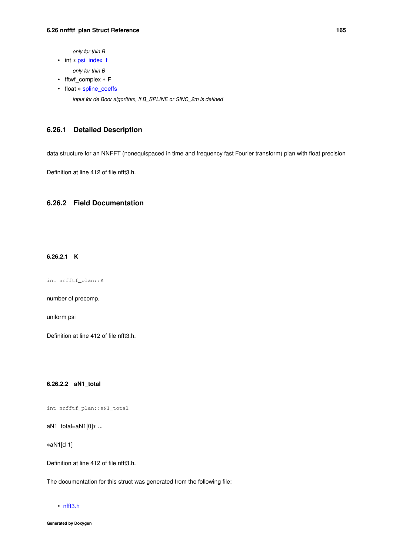*only for thin B*

<span id="page-178-2"></span>• int ∗ [psi\\_index\\_f](#page-178-2)

*only for thin B*

- fftwf\_complex ∗ **F**
- <span id="page-178-3"></span>• float ∗ [spline\\_coeffs](#page-178-3) *input for de Boor algorithm, if B\_SPLINE or SINC\_2m is defined*

### **6.26.1 Detailed Description**

data structure for an NNFFT (nonequispaced in time and frequency fast Fourier transform) plan with float precision

Definition at line 412 of file nfft3.h.

### <span id="page-178-0"></span>**6.26.2 Field Documentation**

#### **6.26.2.1 K**

int nnfftf\_plan::K

number of precomp.

uniform psi

<span id="page-178-1"></span>Definition at line 412 of file nfft3.h.

**6.26.2.2 aN1\_total**

int nnfftf\_plan::aN1\_total

aN1\_total=aN1[0]∗ ...

∗aN1[d-1]

Definition at line 412 of file nfft3.h.

The documentation for this struct was generated from the following file:

• [nfft3.h](#page-204-0)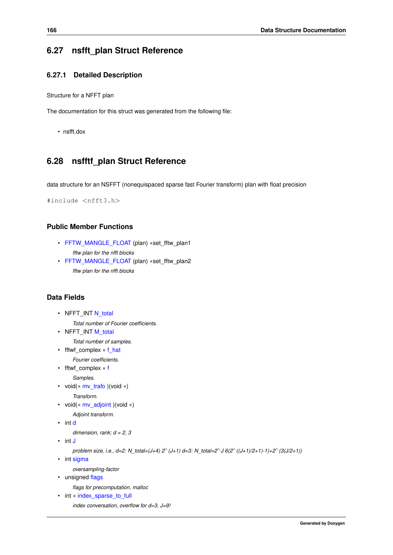### **6.27 nsfft\_plan Struct Reference**

#### **6.27.1 Detailed Description**

Structure for a NFFT plan

The documentation for this struct was generated from the following file:

• nsfft.dox

# **6.28 nsfftf\_plan Struct Reference**

data structure for an NSFFT (nonequispaced sparse fast Fourier transform) plan with float precision

#include <nfft3.h>

#### **Public Member Functions**

- <span id="page-179-0"></span>• [FFTW\\_MANGLE\\_FLOAT](#page-179-0) (plan) ∗set\_fftw\_plan1 *fftw plan for the nfft blocks*
- <span id="page-179-1"></span>• [FFTW\\_MANGLE\\_FLOAT](#page-179-1) (plan) ∗set\_fftw\_plan2 *fftw plan for the nfft blocks*

#### **Data Fields**

```
N_total
    Total number of Fourier coefficients.
```
<span id="page-179-3"></span>• NFFT\_INT [M\\_total](#page-179-3)

*Total number of samples.*

<span id="page-179-4"></span>• fftwf complex  $*$  [f\\_hat](#page-179-4)

*Fourier coefficients.*

<span id="page-179-5"></span>• fftwf\_complex ∗ [f](#page-179-5)

*Samples.*

<span id="page-179-6"></span>• void(∗ [mv\\_trafo](#page-179-6) )(void ∗)

*Transform.*

- <span id="page-179-7"></span>• void( $*$  [mv\\_adjoint](#page-179-7) )(void  $*$ )
	- *Adjoint transform.*
- <span id="page-179-8"></span>• int [d](#page-179-8)

*dimension, rank; d = 2, 3*

- <span id="page-179-9"></span>• int [J](#page-179-9)
	- *problem size, i.e., d=2: N\_total=(J+4) 2*<sup>∧</sup> *(J+1) d=3: N\_total=2*<sup>∧</sup> *J 6(2*<sup>∧</sup> *((J+1)/2+1)-1)+2*<sup>∧</sup> *(3(J/2+1))*
- <span id="page-179-10"></span>• int [sigma](#page-179-10)

*oversampling-factor*

<span id="page-179-11"></span>• unsigned [flags](#page-179-11)

*flags for precomputation, malloc*

<span id="page-179-12"></span>• int \* index sparse to full

*index conversation, overflow for d=3, J=9!*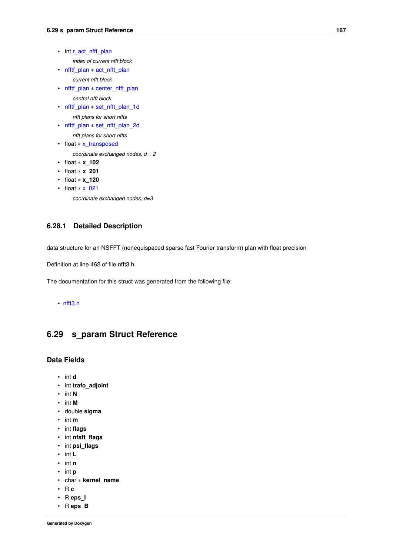<span id="page-180-0"></span>• int [r\\_act\\_nfft\\_plan](#page-180-0)

*index of current nfft block*

- <span id="page-180-1"></span>• [nfftf\\_plan](#page-165-0) \* [act\\_nfft\\_plan](#page-180-1)
	- *current nfft block*
- <span id="page-180-2"></span>• [nfftf\\_plan](#page-165-0) ∗ [center\\_nfft\\_plan](#page-180-2) *central nfft block*
- <span id="page-180-3"></span>• [nfftf\\_plan](#page-165-0) ∗ [set\\_nfft\\_plan\\_1d](#page-180-3)
	- *nfft plans for short nffts*
- <span id="page-180-4"></span>• [nfftf\\_plan](#page-165-0) ∗ [set\\_nfft\\_plan\\_2d](#page-180-4)
	- *nfft plans for short nffts*
- <span id="page-180-5"></span>• float \* [x\\_transposed](#page-180-5)

*coordinate exchanged nodes, d = 2*

- float ∗ **x\_102**
- float ∗ **x\_201**
- float ∗ **x\_120**
- <span id="page-180-6"></span>• float \* x 021

*coordinate exchanged nodes, d=3*

### **6.28.1 Detailed Description**

data structure for an NSFFT (nonequispaced sparse fast Fourier transform) plan with float precision

Definition at line 462 of file nfft3.h.

The documentation for this struct was generated from the following file:

#### <span id="page-180-7"></span>• [nfft3.h](#page-204-0)

# **6.29 s\_param Struct Reference**

### **Data Fields**

- int **d**
- int **trafo\_adjoint**
- int **N**
- int **M**
- double **sigma**
- int **m**
- int **flags**
- int **nfsft\_flags**
- int **psi\_flags**
- int **L**
- int **n**
- int **p**
- char ∗ **kernel\_name**
- R **c**
- R **eps\_I**
- R **eps\_B**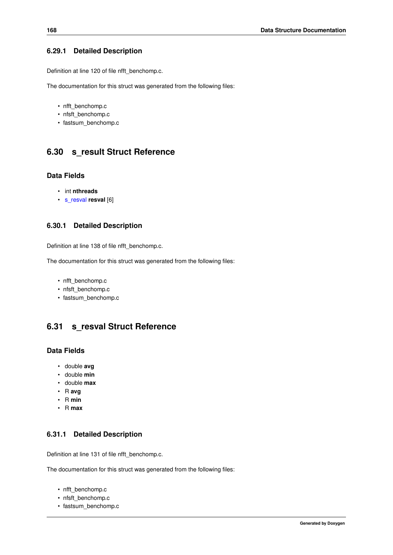### **6.29.1 Detailed Description**

Definition at line 120 of file nfft\_benchomp.c.

The documentation for this struct was generated from the following files:

- nfft\_benchomp.c
- nfsft\_benchomp.c
- <span id="page-181-1"></span>• fastsum\_benchomp.c

# **6.30 s\_result Struct Reference**

### **Data Fields**

- int **nthreads**
- [s\\_resval](#page-181-0) **resval** [6]

#### **6.30.1 Detailed Description**

Definition at line 138 of file nfft\_benchomp.c.

The documentation for this struct was generated from the following files:

- nfft\_benchomp.c
- nfsft\_benchomp.c
- <span id="page-181-0"></span>• fastsum\_benchomp.c

# **6.31 s\_resval Struct Reference**

### **Data Fields**

- double **avg**
- double **min**
- double **max**
- R **avg**
- R **min**
- R **max**

### **6.31.1 Detailed Description**

Definition at line 131 of file nfft\_benchomp.c.

The documentation for this struct was generated from the following files:

- nfft\_benchomp.c
- nfsft\_benchomp.c
- fastsum\_benchomp.c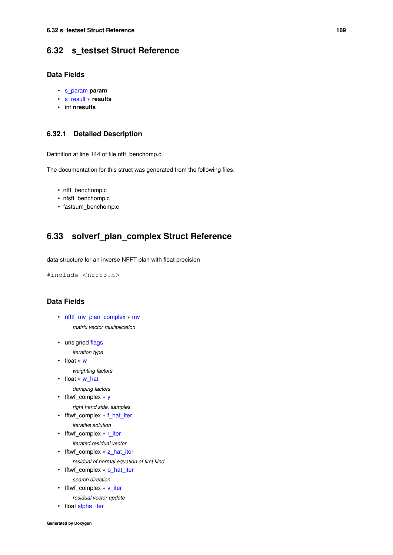# **6.32 s\_testset Struct Reference**

### **Data Fields**

- [s\\_param](#page-180-7) **param**
- [s\\_result](#page-181-1) ∗ **results**
- int **nresults**

### **6.32.1 Detailed Description**

Definition at line 144 of file nfft\_benchomp.c.

The documentation for this struct was generated from the following files:

- nfft\_benchomp.c
- nfsft\_benchomp.c
- <span id="page-182-11"></span>• fastsum\_benchomp.c

# **6.33 solverf\_plan\_complex Struct Reference**

data structure for an inverse NFFT plan with float precision

#include <nfft3.h>

### **Data Fields**

- <span id="page-182-0"></span>• [nfftf\\_mv\\_plan\\_complex](#page-164-0) ∗ [mv](#page-182-0) *matrix vector multiplication*
- <span id="page-182-1"></span>• unsigned [flags](#page-182-1) *iteration type*

<span id="page-182-2"></span>• float ∗ [w](#page-182-2)

- *weighting factors*
- <span id="page-182-3"></span>• float ∗ [w\\_hat](#page-182-3)
	- *damping factors*
- <span id="page-182-4"></span>• fftwf complex ∗ [y](#page-182-4) *right hand side, samples*
- <span id="page-182-5"></span>• fftwf\_complex ∗ [f\\_hat\\_iter](#page-182-5)
- *iterative solution*
- <span id="page-182-6"></span>• fftwf complex \* [r\\_iter](#page-182-6)
- <span id="page-182-7"></span>*iterated residual vector*
- fftwf complex \* [z\\_hat\\_iter](#page-182-7)
	- *residual of normal equation of first kind*
- <span id="page-182-8"></span>• fftwf\_complex ∗ [p\\_hat\\_iter](#page-182-8)

*search direction*

- <span id="page-182-9"></span>• fftwf\_complex ∗ [v\\_iter](#page-182-9) *residual vector update*
- <span id="page-182-10"></span>• float [alpha\\_iter](#page-182-10)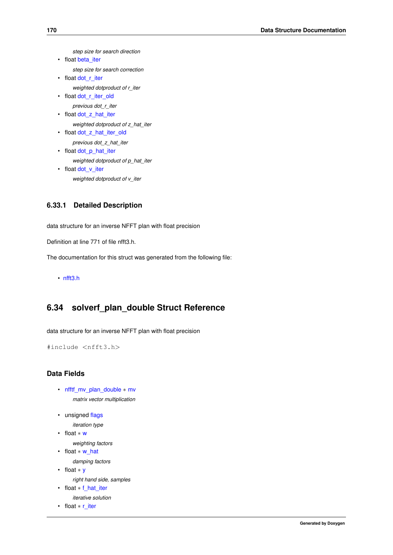<span id="page-183-0"></span>*step size for search direction*

```
beta_iter
     step size for search correction
• float dot r iter
     weighted dotproduct of r_iter
dot_r_iter_old
     previous dot_r_iter
dot_z_hat_iter
     weighted dotproduct of z_hat_iter
dot_z_hat_iter_old
     previous dot_z_hat_iter
dot_p_hat_iter
     weighted dotproduct of p_hat_iter
dot_v_iter
     weighted dotproduct of v_iter
```
### <span id="page-183-6"></span><span id="page-183-5"></span>**6.33.1 Detailed Description**

data structure for an inverse NFFT plan with float precision

Definition at line 771 of file nfft3.h.

The documentation for this struct was generated from the following file:

<span id="page-183-14"></span>• [nfft3.h](#page-204-0)

# **6.34 solverf\_plan\_double Struct Reference**

data structure for an inverse NFFT plan with float precision

```
#include <nfft3.h>
```
# **Data Fields**

- <span id="page-183-7"></span>• [nfftf\\_mv\\_plan\\_double](#page-165-1) ∗ [mv](#page-183-7) *matrix vector multiplication*
- <span id="page-183-8"></span>• unsigned [flags](#page-183-8)

```
iteration type
```
<span id="page-183-9"></span>• float ∗ [w](#page-183-9)

<span id="page-183-10"></span>*weighting factors*

• float ∗ [w\\_hat](#page-183-10)

*damping factors*

```
• float ∗ y
```
*right hand side, samples*

```
f_hat_iter
```

```
iterative solution
```

```
• float ∗ r_iter
```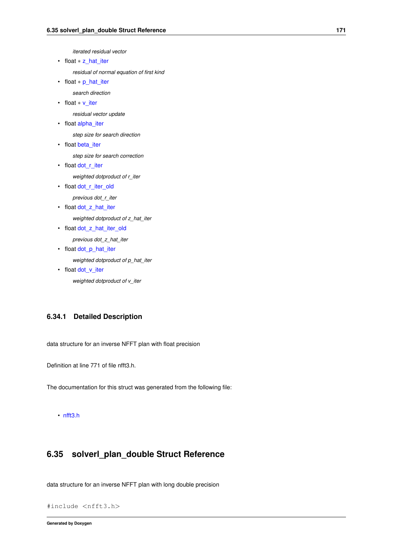*iterated residual vector*

<span id="page-184-0"></span>• float ∗ [z\\_hat\\_iter](#page-184-0)

*residual of normal equation of first kind*

<span id="page-184-1"></span>• float ∗ [p\\_hat\\_iter](#page-184-1)

*search direction*

<span id="page-184-2"></span>• float ∗ [v\\_iter](#page-184-2)

*residual vector update*

<span id="page-184-3"></span>• float [alpha\\_iter](#page-184-3)

*step size for search direction*

<span id="page-184-4"></span>• float [beta\\_iter](#page-184-4)

*step size for search correction*

- <span id="page-184-5"></span>• float [dot\\_r\\_iter](#page-184-5) *weighted dotproduct of r\_iter*
- <span id="page-184-6"></span>• float dot r iter old

*previous dot\_r\_iter*

<span id="page-184-7"></span>• float dot z hat iter

*weighted dotproduct of z\_hat\_iter*

<span id="page-184-8"></span>• float [dot\\_z\\_hat\\_iter\\_old](#page-184-8) *previous dot\_z\_hat\_iter*

<span id="page-184-9"></span>• float dot p hat iter

*weighted dotproduct of p\_hat\_iter*

<span id="page-184-10"></span>• float [dot\\_v\\_iter](#page-184-10)

*weighted dotproduct of v\_iter*

### **6.34.1 Detailed Description**

data structure for an inverse NFFT plan with float precision

Definition at line 771 of file nfft3.h.

The documentation for this struct was generated from the following file:

```
• nfft3.h
```
# **6.35 solverl\_plan\_double Struct Reference**

data structure for an inverse NFFT plan with long double precision

```
#include <nfft3.h>
```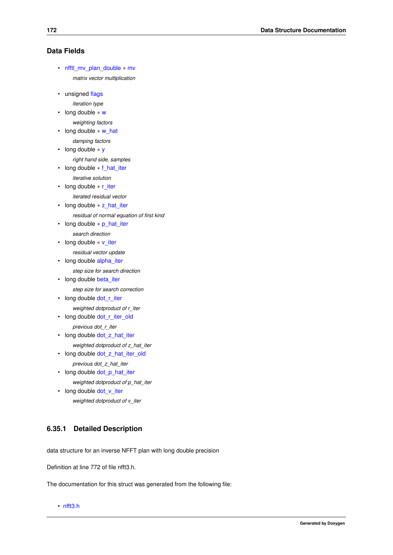### **Data Fields**

- <span id="page-185-0"></span>• [nfftl\\_mv\\_plan\\_double](#page-168-0) ∗ [mv](#page-185-0) *matrix vector multiplication*
- <span id="page-185-1"></span>• unsigned [flags](#page-185-1)
	- *iteration type*
- <span id="page-185-2"></span>• long double ∗ [w](#page-185-2)
	- *weighting factors*
- <span id="page-185-3"></span>• long double ∗ [w\\_hat](#page-185-3) *damping factors*
- <span id="page-185-4"></span>• long double ∗ [y](#page-185-4)
- <span id="page-185-5"></span>*right hand side, samples*
- long double ∗ [f\\_hat\\_iter](#page-185-5)
	- *iterative solution*
- <span id="page-185-6"></span>• long double ∗ [r\\_iter](#page-185-6) *iterated residual vector*
- <span id="page-185-7"></span>• long double ∗ [z\\_hat\\_iter](#page-185-7)
- *residual of normal equation of first kind*
- <span id="page-185-8"></span>• long double ∗ [p\\_hat\\_iter](#page-185-8) *search direction*
- <span id="page-185-9"></span>• long double ∗ [v\\_iter](#page-185-9)
	- *residual vector update*
- <span id="page-185-10"></span>• long double [alpha\\_iter](#page-185-10)

*step size for search direction*

- <span id="page-185-11"></span>• long double [beta\\_iter](#page-185-11) *step size for search correction*
- <span id="page-185-12"></span>• long double [dot\\_r\\_iter](#page-185-12) *weighted dotproduct of r\_iter*
- <span id="page-185-13"></span>• long double [dot\\_r\\_iter\\_old](#page-185-13) *previous dot\_r\_iter*
- <span id="page-185-14"></span>• long double [dot\\_z\\_hat\\_iter](#page-185-14)
- *weighted dotproduct of z\_hat\_iter*
- <span id="page-185-15"></span>• long double [dot\\_z\\_hat\\_iter\\_old](#page-185-15)
	- *previous dot\_z\_hat\_iter*
- <span id="page-185-16"></span>• long double [dot\\_p\\_hat\\_iter](#page-185-16) *weighted dotproduct of p\_hat\_iter*
- <span id="page-185-17"></span>• long double [dot\\_v\\_iter](#page-185-17) *weighted dotproduct of v\_iter*

### **6.35.1 Detailed Description**

data structure for an inverse NFFT plan with long double precision

Definition at line 772 of file nfft3.h.

The documentation for this struct was generated from the following file:

• [nfft3.h](#page-204-0)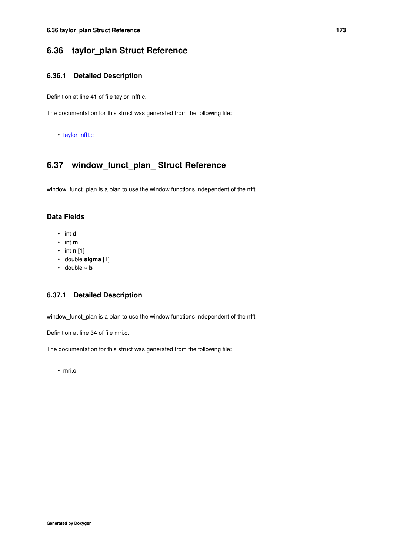# **6.36 taylor\_plan Struct Reference**

### **6.36.1 Detailed Description**

Definition at line 41 of file taylor\_nfft.c.

The documentation for this struct was generated from the following file:

• [taylor\\_nfft.c](#page-222-0)

# **6.37 window\_funct\_plan\_ Struct Reference**

window\_funct\_plan is a plan to use the window functions independent of the nfft

### **Data Fields**

- int **d**
- int **m**
- int **n** [1]
- double **sigma** [1]
- double ∗ **b**

### **6.37.1 Detailed Description**

window\_funct\_plan is a plan to use the window functions independent of the nfft

Definition at line 34 of file mri.c.

The documentation for this struct was generated from the following file:

• mri.c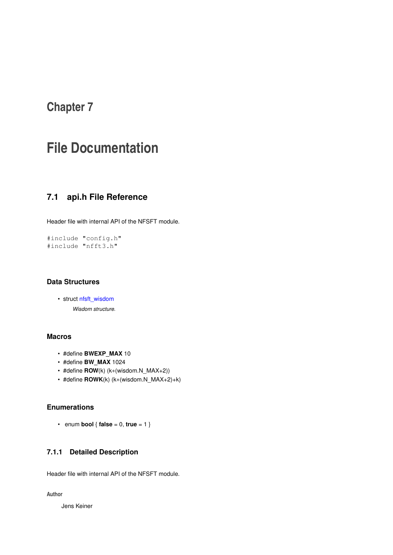# **Chapter 7**

# **File Documentation**

# **7.1 api.h File Reference**

Header file with internal API of the NFSFT module.

#include "config.h" #include "nfft3.h"

### **Data Structures**

```
• struct nfsft_wisdom
     Wisdom structure.
```
### **Macros**

- #define **BWEXP\_MAX** 10
- #define **BW\_MAX** 1024
- #define **ROW**(k) (k∗(wisdom.N\_MAX+2))
- #define **ROWK**(k) (k∗(wisdom.N\_MAX+2)+k)

### **Enumerations**

• enum **bool**  $\{$  **false** = 0, **true** = 1  $\}$ 

# **7.1.1 Detailed Description**

Header file with internal API of the NFSFT module.

**Author**

Jens Keiner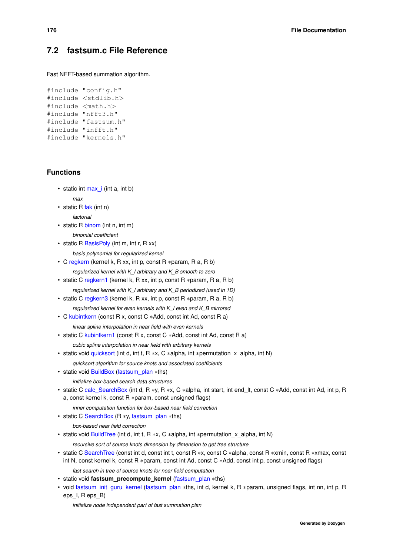# **7.2 fastsum.c File Reference**

Fast NFFT-based summation algorithm.

```
#include "config.h"
#include <stdlib.h>
#include <math.h>
#include "nfft3.h"
#include "fastsum.h"
#include "infft.h"
#include "kernels.h"
```
### **Functions**

• static int [max\\_i](#page-106-0) (int a, int b)

```
max
```
- static R [fak](#page-106-1) (int n)
	- *factorial*
- static R [binom](#page-106-2) (int n, int m) *binomial coefficient*
- static R [BasisPoly](#page-106-3) (int m, int r, R xx)

*basis polynomial for regularized kernel*

- C [regkern](#page-106-4) (kernel k, R xx, int p, const R ∗param, R a, R b)
	- *regularized kernel with K\_I arbitrary and K\_B smooth to zero*
- static C [regkern1](#page-106-5) (kernel k, R xx, int p, const R ∗param, R a, R b)
	- *regularized kernel with K\_I arbitrary and K\_B periodized (used in 1D)*
- static C [regkern3](#page-110-0) (kernel k, R xx, int p, const R ∗param, R a, R b) *regularized kernel for even kernels with K\_I even and K\_B mirrored*
- C [kubintkern](#page-110-1) (const R x, const C ∗Add, const int Ad, const R a)
	- *linear spline interpolation in near field with even kernels*
- static C [kubintkern1](#page-107-0) (const R x, const C ∗Add, const int Ad, const R a)
	- *cubic spline interpolation in near field with arbitrary kernels*
- static void [quicksort](#page-107-1) (int d, int t, R ∗x, C ∗alpha, int ∗permutation\_x\_alpha, int N)

*quicksort algorithm for source knots and associated coefficients*

- static void [BuildBox](#page-107-2) [\(fastsum\\_plan](#page-106-6) ∗ths)
	- *initialize box-based search data structures*
- static C [calc\\_SearchBox](#page-107-3) (int d, R ∗y, R ∗x, C ∗alpha, int start, int end\_lt, const C ∗Add, const int Ad, int p, R a, const kernel k, const R ∗param, const unsigned flags)
	- *inner computation function for box-based near field correction*
- static C [SearchBox](#page-107-4) (R ∗y, [fastsum\\_plan](#page-106-6) ∗ths)

*box-based near field correction*

• static void [BuildTree](#page-107-5) (int d, int t, R ∗x, C ∗alpha, int ∗permutation x alpha, int N)

*recursive sort of source knots dimension by dimension to get tree structure*

• static C [SearchTree](#page-107-6) (const int d, const int t, const R ∗x, const C ∗alpha, const R ∗xmin, const R ∗xmax, const int N, const kernel k, const R ∗param, const int Ad, const C ∗Add, const int p, const unsigned flags)

*fast search in tree of source knots for near field computation*

- static void **fastsum\_precompute\_kernel** [\(fastsum\\_plan](#page-106-6) ∗ths)
- void [fastsum\\_init\\_guru\\_kernel](#page-110-2) [\(fastsum\\_plan](#page-106-6) ∗ths, int d, kernel k, R ∗param, unsigned flags, int nn, int p, R eps\_I, R eps\_B)

*initialize node independent part of fast summation plan*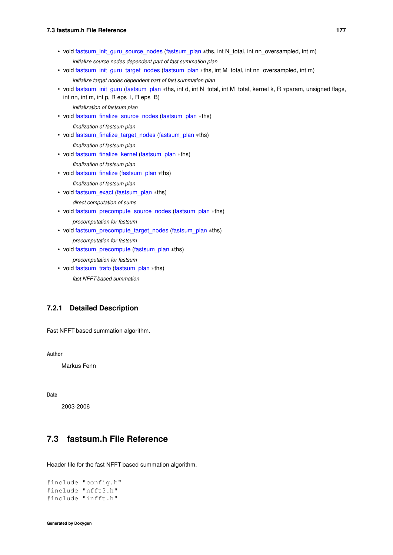- void [fastsum\\_init\\_guru\\_source\\_nodes](#page-111-0) [\(fastsum\\_plan](#page-106-6) ∗ths, int N\_total, int nn\_oversampled, int m) *initialize source nodes dependent part of fast summation plan*
- void [fastsum\\_init\\_guru\\_target\\_nodes](#page-111-1) [\(fastsum\\_plan](#page-106-6) ∗ths, int M\_total, int nn\_oversampled, int m) *initialize target nodes dependent part of fast summation plan*
- void [fastsum\\_init\\_guru](#page-112-0) [\(fastsum\\_plan](#page-106-6) ∗ths, int d, int N\_total, int M\_total, kernel k, R ∗param, unsigned flags, int nn, int m, int p, R eps\_I, R eps\_B)
	- *initialization of fastsum plan*
- void [fastsum\\_finalize\\_source\\_nodes](#page-112-1) [\(fastsum\\_plan](#page-106-6) ∗ths)
	- *finalization of fastsum plan*
- void [fastsum\\_finalize\\_target\\_nodes](#page-113-0) [\(fastsum\\_plan](#page-106-6) ∗ths)
	- *finalization of fastsum plan*
- void [fastsum\\_finalize\\_kernel](#page-113-1) [\(fastsum\\_plan](#page-106-6) ∗ths)
	- *finalization of fastsum plan*
- void [fastsum\\_finalize](#page-114-0) [\(fastsum\\_plan](#page-106-6) ∗ths)
	- *finalization of fastsum plan*
- void [fastsum\\_exact](#page-114-1) [\(fastsum\\_plan](#page-106-6) ∗ths)
	- *direct computation of sums*
- void [fastsum\\_precompute\\_source\\_nodes](#page-114-2) [\(fastsum\\_plan](#page-106-6) ∗ths) *precomputation for fastsum*
- void [fastsum\\_precompute\\_target\\_nodes](#page-116-0) [\(fastsum\\_plan](#page-106-6) ∗ths)
	- *precomputation for fastsum*
- void [fastsum\\_precompute](#page-116-1) [\(fastsum\\_plan](#page-106-6) ∗ths)

*precomputation for fastsum*

• void [fastsum\\_trafo](#page-116-2) [\(fastsum\\_plan](#page-106-6) ∗ths)

*fast NFFT-based summation*

### **7.2.1 Detailed Description**

Fast NFFT-based summation algorithm.

**Author**

Markus Fenn

**Date**

2003-2006

# **7.3 fastsum.h File Reference**

Header file for the fast NFFT-based summation algorithm.

```
#include "config.h"
#include "nfft3.h"
#include "infft.h"
```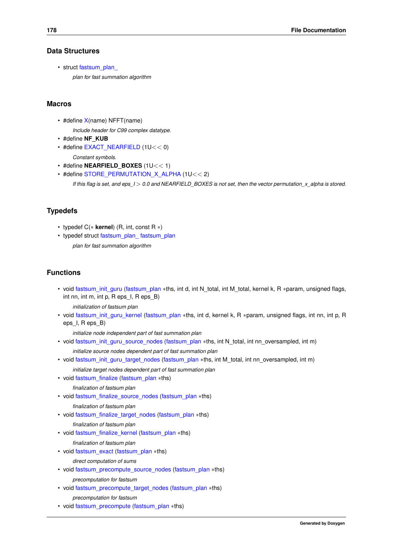### **Data Structures**

• struct fastsum\_plan

*plan for fast summation algorithm*

#### **Macros**

• #define [X\(](#page-109-0)name) NFFT(name)

*Include header for C99 complex datatype.*

- #define **NF\_KUB**
- #define [EXACT\\_NEARFIELD](#page-106-7) (1U<< 0) *Constant symbols.*
- #define **NEARFIELD\_BOXES** (1U<< 1)
- #define [STORE\\_PERMUTATION\\_X\\_ALPHA](#page-106-8) (1U<< 2)

*If this flag is set, and eps\_I* > *0.0 and NEARFIELD\_BOXES is not set, then the vector permutation\_x\_alpha is stored.*

### **Typedefs**

- typedef C(∗ **kernel**) (R, int, const R ∗)
- typedef struct [fastsum\\_plan\\_](#page-150-0) [fastsum\\_plan](#page-106-6) *plan for fast summation algorithm*

### **Functions**

- void [fastsum\\_init\\_guru](#page-112-0) [\(fastsum\\_plan](#page-106-6) ∗ths, int d, int N\_total, int M\_total, kernel k, R ∗param, unsigned flags, int nn, int m, int p, R eps I, R eps B)
	- *initialization of fastsum plan*
- void [fastsum\\_init\\_guru\\_kernel](#page-110-2) [\(fastsum\\_plan](#page-106-6) ∗ths, int d, kernel k, R ∗param, unsigned flags, int nn, int p, R eps\_I, R eps\_B)

*initialize node independent part of fast summation plan*

- void [fastsum\\_init\\_guru\\_source\\_nodes](#page-111-0) [\(fastsum\\_plan](#page-106-6) ∗ths, int N\_total, int nn\_oversampled, int m) *initialize source nodes dependent part of fast summation plan*
- void [fastsum\\_init\\_guru\\_target\\_nodes](#page-111-1) [\(fastsum\\_plan](#page-106-6) ∗ths, int M\_total, int nn\_oversampled, int m) *initialize target nodes dependent part of fast summation plan*
- void [fastsum\\_finalize](#page-114-0) [\(fastsum\\_plan](#page-106-6) ∗ths)
	- *finalization of fastsum plan*
- void [fastsum\\_finalize\\_source\\_nodes](#page-112-1) [\(fastsum\\_plan](#page-106-6) ∗ths)
	- *finalization of fastsum plan*
- void [fastsum\\_finalize\\_target\\_nodes](#page-113-0) [\(fastsum\\_plan](#page-106-6) ∗ths)

*finalization of fastsum plan*

• void [fastsum\\_finalize\\_kernel](#page-113-1) [\(fastsum\\_plan](#page-106-6) ∗ths)

*finalization of fastsum plan*

• void [fastsum\\_exact](#page-114-1) [\(fastsum\\_plan](#page-106-6) ∗ths)

```
direct computation of sums
```
• void [fastsum\\_precompute\\_source\\_nodes](#page-114-2) [\(fastsum\\_plan](#page-106-6) ∗ths)

*precomputation for fastsum*

- void [fastsum\\_precompute\\_target\\_nodes](#page-116-0) [\(fastsum\\_plan](#page-106-6) ∗ths)
	- *precomputation for fastsum*
- void [fastsum\\_precompute](#page-116-1) [\(fastsum\\_plan](#page-106-6) ∗ths)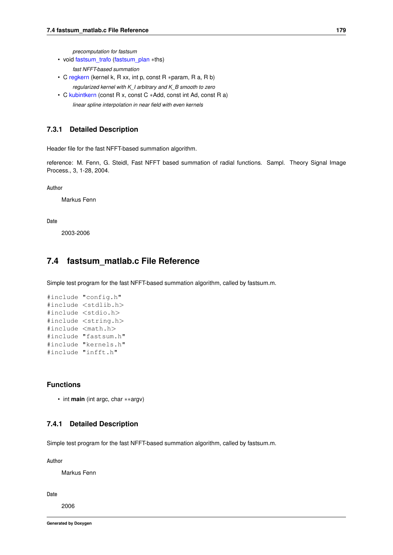*precomputation for fastsum*

• void [fastsum\\_trafo](#page-116-2) [\(fastsum\\_plan](#page-106-6) ∗ths)

*fast NFFT-based summation*

- C [regkern](#page-106-4) (kernel k, R xx, int p, const R ∗param, R a, R b) *regularized kernel with K\_I arbitrary and K\_B smooth to zero*
- C [kubintkern](#page-110-1) (const R x, const C ∗Add, const int Ad, const R a) *linear spline interpolation in near field with even kernels*

#### **7.3.1 Detailed Description**

Header file for the fast NFFT-based summation algorithm.

reference: M. Fenn, G. Steidl, Fast NFFT based summation of radial functions. Sampl. Theory Signal Image Process., 3, 1-28, 2004.

**Author**

Markus Fenn

#### **Date**

2003-2006

### **7.4 fastsum\_matlab.c File Reference**

Simple test program for the fast NFFT-based summation algorithm, called by fastsum.m.

```
#include "config.h"
#include <stdlib.h>
#include <stdio.h>
#include <string.h>
#include <math.h>
#include "fastsum.h"
#include "kernels.h"
#include "infft.h"
```
### **Functions**

• int **main** (int argc, char ∗∗argv)

### **7.4.1 Detailed Description**

Simple test program for the fast NFFT-based summation algorithm, called by fastsum.m.

**Author**

Markus Fenn

**Date**

2006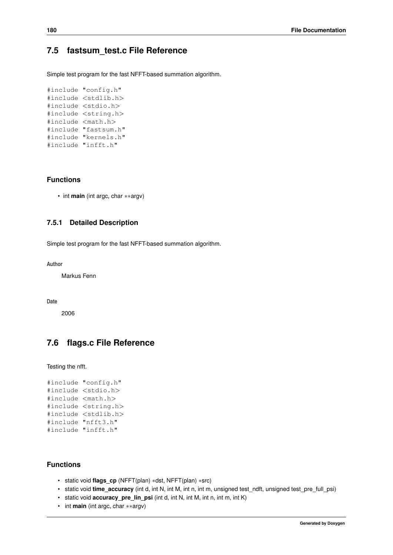# **7.5 fastsum\_test.c File Reference**

Simple test program for the fast NFFT-based summation algorithm.

```
#include "config.h"
#include <stdlib.h>
#include <stdio.h>
#include <string.h>
#include <math.h>
#include "fastsum.h"
#include "kernels.h"
#include "infft.h"
```
### **Functions**

• int **main** (int argc, char ∗∗argv)

### **7.5.1 Detailed Description**

Simple test program for the fast NFFT-based summation algorithm.

**Author**

Markus Fenn

**Date**

2006

# **7.6 flags.c File Reference**

Testing the nfft.

```
#include "config.h"
#include <stdio.h>
#include <math.h>
#include <string.h>
#include <stdlib.h>
#include "nfft3.h"
#include "infft.h"
```
### **Functions**

- static void **flags\_cp** (NFFT(plan) ∗dst, NFFT(plan) ∗src)
- static void **time\_accuracy** (int d, int N, int M, int m, int m, unsigned test ndft, unsigned test\_pre\_full\_psi)
- static void **accuracy** pre lin psi (int d, int N, int M, int n, int m, int K)
- int **main** (int argc, char ∗∗argv)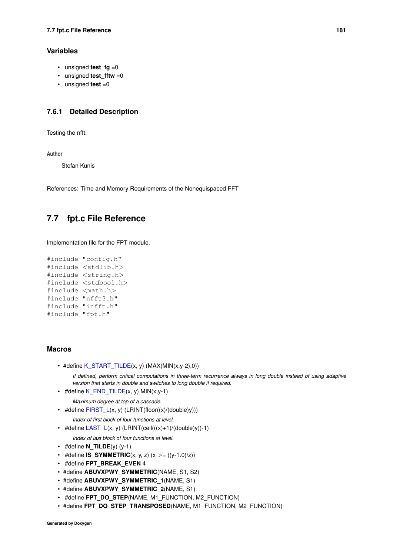### **Variables**

- unsigned **test\_fg** =0
- unsigned **test fftw** =0
- unsigned **test** =0

### **7.6.1 Detailed Description**

Testing the nfft.

**Author**

Stefan Kunis

References: Time and Memory Requirements of the Nonequispaced FFT

# **7.7 fpt.c File Reference**

Implementation file for the FPT module.

```
#include "config.h"
#include <stdlib.h>
#include <string.h>
#include <stdbool.h>
#include <math.h>
#include "nfft3.h"
#include "infft.h"
#include "fpt.h"
```
#### **Macros**

• #define  $K_START_TILDE(x, y)$  $K_START_TILDE(x, y)$  (MAX(MIN(x,y-2),0))

*If defined, perform critical computations in three-term recurrence always in long double instead of using adaptive version that starts in double and switches to long double if required.*

<span id="page-194-0"></span>• #define  $K$  END TILDE(x, y) MIN(x,y-1)

<span id="page-194-1"></span>*Maximum degree at top of a cascade.*

- #define  $FIRST L(x, y)$  (LRINT(floor( $(x)/(double)y)$ )) *Index of first block of four functions at level.*
- <span id="page-194-2"></span>• #define  $\text{LAST}_L(x, y)$  (LRINT(ceil(((x)+1)/(double)y))-1)
	- *Index of last block of four functions at level.*
- $\cdot$  #define **N\_TILDE**(y) (y-1)
- #define **IS\_SYMMETRIC**(x, y, z)  $(x > = ((y-1.0)/z))$
- #define **FPT\_BREAK\_EVEN** 4
- #define **ABUVXPWY\_SYMMETRIC**(NAME, S1, S2)
- #define **ABUVXPWY\_SYMMETRIC\_1**(NAME, S1)
- #define **ABUVXPWY\_SYMMETRIC\_2**(NAME, S1)
- #define **FPT\_DO\_STEP**(NAME, M1\_FUNCTION, M2\_FUNCTION)
- #define **FPT\_DO\_STEP\_TRANSPOSED**(NAME, M1\_FUNCTION, M2\_FUNCTION)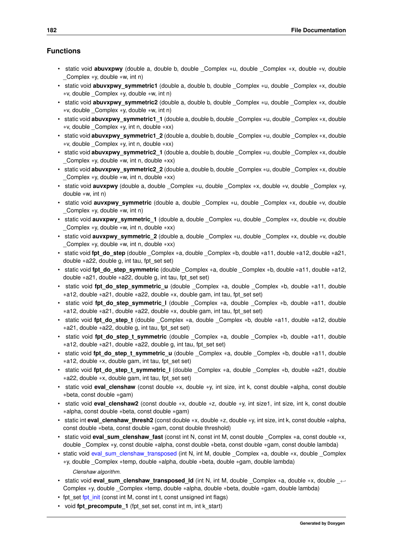- static void **abuvxpwy** (double a, double b, double \_Complex ∗u, double \_Complex ∗x, double ∗v, double Complex  $*y$ , double  $*w$ , int n)
- static void **abuvxpwy\_symmetric1** (double a, double b, double \_Complex ∗u, double \_Complex ∗x, double ∗v, double \_Complex ∗y, double ∗w, int n)
- static void **abuvxpwy\_symmetric2** (double a, double b, double \_Complex ∗u, double \_Complex ∗x, double ∗v, double \_Complex ∗y, double ∗w, int n)
- static void **abuvxpwy\_symmetric1\_1** (double a, double b, double \_Complex ∗u, double \_Complex ∗x, double ∗v, double \_Complex ∗y, int n, double ∗xx)
- static void **abuvxpwy\_symmetric1\_2** (double a, double b, double \_Complex ∗u, double \_Complex ∗x, double ∗v, double \_Complex ∗y, int n, double ∗xx)
- static void **abuvxpwy\_symmetric2\_1** (double a, double b, double \_Complex ∗u, double \_Complex ∗x, double Complex  $*$ y, double  $*$ w, int n, double  $*xx$ )
- static void **abuvxpwy\_symmetric2\_2** (double a, double b, double \_Complex ∗u, double \_Complex ∗x, double \_Complex ∗y, double ∗w, int n, double ∗xx)
- static void **auvxpwy** (double a, double \_Complex ∗u, double \_Complex ∗x, double ∗v, double \_Complex ∗y, double ∗w, int n)
- static void **auvxpwy\_symmetric** (double a, double \_Complex ∗u, double \_Complex ∗x, double ∗v, double \_Complex ∗y, double ∗w, int n)
- static void **auvxpwy\_symmetric\_1** (double a, double \_Complex ∗u, double \_Complex ∗x, double ∗v, double Complex  $*y$ , double  $*w$ , int n, double  $*xx$ )
- static void **auvxpwy\_symmetric\_2** (double a, double \_Complex ∗u, double \_Complex ∗x, double ∗v, double \_Complex ∗y, double ∗w, int n, double ∗xx)
- static void **fpt\_do\_step** (double \_Complex ∗a, double \_Complex ∗b, double ∗a11, double ∗a12, double ∗a21, double ∗a22, double g, int tau, fpt\_set set)
- static void **fpt\_do\_step\_symmetric** (double \_Complex ∗a, double \_Complex ∗b, double ∗a11, double ∗a12, double ∗a21, double ∗a22, double g, int tau, fpt\_set set)
- static void **fpt do step symmetric u** (double Complex ∗a, double Complex ∗b, double ∗a11, double ∗a12, double ∗a21, double ∗a22, double ∗x, double gam, int tau, fpt\_set set)
- static void **fpt do step symmetric I** (double Complex ∗a, double Complex ∗b, double ∗a11, double ∗a12, double ∗a21, double ∗a22, double ∗x, double gam, int tau, fpt\_set set)
- static void **fpt\_do\_step\_t** (double \_Complex ∗a, double \_Complex ∗b, double ∗a11, double ∗a12, double ∗a21, double ∗a22, double g, int tau, fpt\_set set)
- static void **fpt do step t symmetric** (double Complex ∗a, double Complex ∗b, double ∗a11, double ∗a12, double ∗a21, double ∗a22, double g, int tau, fpt\_set set)
- static void **fpt\_do\_step\_t\_symmetric\_u** (double \_Complex ∗a, double \_Complex ∗b, double ∗a11, double ∗a12, double ∗x, double gam, int tau, fpt\_set set)
- static void **fpt\_do\_step\_t\_symmetric\_l** (double \_Complex ∗a, double \_Complex ∗b, double ∗a21, double ∗a22, double ∗x, double gam, int tau, fpt\_set set)
- static void **eval clenshaw** (const double ∗x, double ∗y, int size, int k, const double ∗alpha, const double ∗beta, const double ∗gam)
- static void **eval\_clenshaw2** (const double ∗x, double ∗z, double ∗y, int size1, int size, int k, const double ∗alpha, const double ∗beta, const double ∗gam)
- static int **eval\_clenshaw\_thresh2** (const double ∗x, double ∗z, double ∗y, int size, int k, const double ∗alpha, const double ∗beta, const double ∗gam, const double threshold)
- static void **eval\_sum\_clenshaw\_fast** (const int N, const int M, const double Complex ∗a, const double ∗x, double \_Complex ∗y, const double ∗alpha, const double ∗beta, const double ∗gam, const double lambda)
- static void [eval\\_sum\\_clenshaw\\_transposed](#page-198-0) (int N, int M, double \_Complex ∗a, double ∗x, double \_Complex ∗y, double \_Complex ∗temp, double ∗alpha, double ∗beta, double ∗gam, double lambda)

#### *Clenshaw algorithm.*

- static void **eval sum clenshaw transposed Id** (int N, int M, double Complex ∗a, double ∗x, double ← Complex ∗y, double \_Complex ∗temp, double ∗alpha, double ∗beta, double ∗gam, double lambda)
- fpt\_set [fpt\\_init](#page-25-0) (const int M, const int t, const unsigned int flags)
- void fpt precompute 1 (fpt set set, const int m, int k start)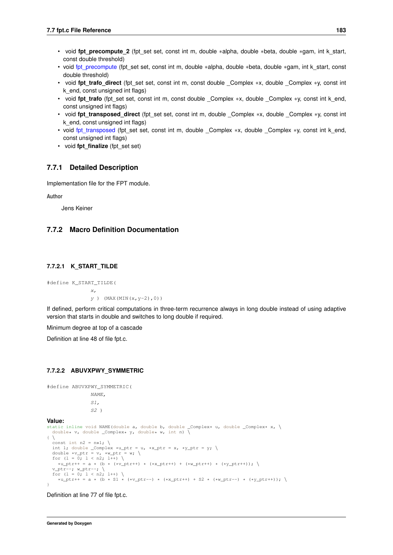- void **fpt\_precompute\_2** (fpt\_set set, const int m, double ∗alpha, double ∗beta, double ∗gam, int k\_start, const double threshold)
- void [fpt\\_precompute](#page-25-1) (fpt\_set set, const int m, double ∗alpha, double ∗beta, double ∗gam, int k\_start, const double threshold)
- void **fpt\_trafo\_direct** (fpt\_set set, const int m, const double \_Complex ∗x, double \_Complex ∗y, const int k\_end, const unsigned int flags)
- void **fpt\_trafo** (fpt\_set set, const int m, const double Complex ∗x, double Complex ∗y, const int k\_end, const unsigned int flags)
- void **fpt\_transposed\_direct** (fpt\_set set, const int m, double \_Complex ∗x, double \_Complex ∗y, const int k\_end, const unsigned int flags)
- void [fpt\\_transposed](#page-26-0) (fpt\_set set, const int m, double \_Complex ∗x, double \_Complex ∗y, const int k\_end, const unsigned int flags)
- void **fpt\_finalize** (fpt\_set set)

#### **7.7.1 Detailed Description**

Implementation file for the FPT module.

#### **Author**

Jens Keiner

### <span id="page-196-0"></span>**7.7.2 Macro Definition Documentation**

#### **7.7.2.1 K\_START\_TILDE**

#define K\_START\_TILDE( x,  $y$  ) (MAX(MIN(x, y-2),0))

If defined, perform critical computations in three-term recurrence always in long double instead of using adaptive version that starts in double and switches to long double if required.

Minimum degree at top of a cascade

Definition at line 48 of file fpt.c.

### **7.7.2.2 ABUVXPWY\_SYMMETRIC**

#define ABUVXPWY\_SYMMETRIC( NAME, S1, S2 ) **Value:** static inline void NAME(double a, double b, double \_Complex\* u, double \_Complex\* x, \<br>double\* v, double \_Complex\* y, double\* w, int n) \  $\left\{ \begin{array}{c} \end{array} \right\}$ const int  $n2 = n \times 1$ ; \ int 1; double \_Complex \*u\_ptr = u, \*x\_ptr = x, \*y\_ptr = y; \ double \*v\_ptr = v, \*w\_ptr = w; \ for  $(1 = 0; 1 < n2; 1++)$  $*u\_ptr++ = a * (b * (*v\_ptr++) * (*x\_ptr++) + (*w\_ptr++) * (*y\_ptr++));$  $v_{\perp}$ ptr--;  $w_{\perp}$ ptr--; \<br>for (1 = 0; 1 < n2; 1++) \  $*u_{\text{at}} + u_{\text{at}} = a * (b * s1 * (*v_{\text{at}} -) * (*x_{\text{at}} +) + s2 * (*w_{\text{at}} -) * (*y_{\text{at}} +))$ ; }

Definition at line 77 of file fpt.c.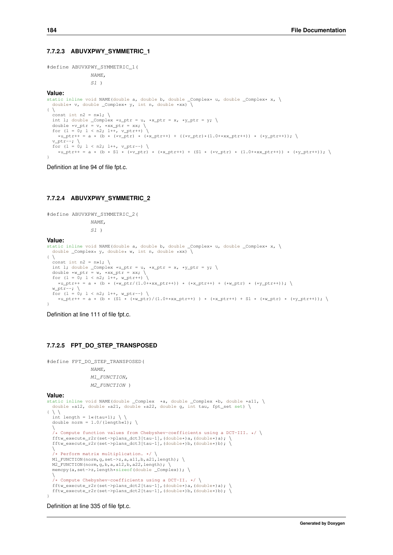#### **7.7.2.3 ABUVXPWY\_SYMMETRIC\_1**

#define ABUVXPWY\_SYMMETRIC\_1(

NAME,  $S1$ )

#### **Value:**

```
static inline void NAME(double a, double b, double _Complex* u, double _Complex* x, \<br>double* v, double _Complex* y, int n, double *xx) \
\left\{ \begin{array}{c} \lambda \end{array} \right\}const int n2 = n»1; \<br>int 1; double _Complex *u_ptr = u, *x_ptr = x, *y_ptr = y; \
   double *v_ptr = v, *xx_ptr = xx; \<br>for (1 = 0; 1 < n2; 1++, v\_ptr++) \
    *u_ptr++ = a * (b * (*v_ptr) * (*x_ptr++) + ((*v_ptr)*(1.0+*xx_ptr++)) * (*y_ptr++)); \
   v_ptr--; \<br>for (1 = 0; 1 < n2; 1++, v_ptr--) \
     *u_ptr++ = a * (b * S1 * (*v_ptr) * (*x_ptr++) + (S1 * (*v_ptr) * (1.0+*xx_ptr++)) * (*y_ptr++)); \
}
```
Definition at line 94 of file fpt.c.

#### **7.7.2.4 ABUVXPWY\_SYMMETRIC\_2**

```
#define ABUVXPWY_SYMMETRIC_2(
                     NAME,
                     S1Value:
static inline void NAME(double a, double b, double \text{\textsterling Complex* u}, double \text{\textsterling Complex* x}, \\ double Complex* v, double* w, int n, double *xx) \
   double \text{\_Complex* } y, double* w, int n, double *xx)
\left\{ \begin{array}{c} \end{array} \right\}const int n2 = n \times 1; \
  int 1; double _Complex *u_ptr = u, *x_ptr = x, *y_ptr = y; \
   double *w_ptr = w, *xx_ptr = xx; \<br>for (1 = 0; 1 < n2; 1++, w\_ptr++) \
    *u_{p}tr++ = a * (b * (*w_{p}tr)/(1.0+xxx_{p}tr++)) * (*x_{p}tr++) + (*w_{p}tr) * (*y_{p}tr++);
  w_{\text{ptr-}}; \
  for (1 = 0; 1 < n2; 1++, wptr--)*u_ptr++ = a * (b * (S1 * (*w_ptr)/(1.0+*xx_ptr++)) * (*x_ptr++) + S1 * (*w_ptr) * (*y_ptr++)); \
\lambda
```
Definition at line 111 of file fpt.c.

#### **7.7.2.5 FPT\_DO\_STEP\_TRANSPOSED**

```
#define FPT_DO_STEP_TRANSPOSED(
              NAME,
              M1_FUNCTION,
              M2_FUNCTION )
Value:
static inline void NAME(double _Complex *a, double _Complex *b, double *a11, \
```

```
double *a12, double *a21, double *a22, double g, int tau, fpt_set set) \
\{\ \ \setminus\ \ \}int length = 1 \times ( \tan^{-1} ); \
  double norm = 1.0/(length(1);\
/* Compute function values from Chebyshev-coefficients using a DCT-III. */ \
  fftw_execute_r2r(set->plans_dct3[tau-1],(double*)a,(double*)a);
  fftw_execute_r2r(set->plans_dct3[tau-1],(double*)b,(double*)b); \
  \
/* Perform matrix multiplication. */ \
 M1 FUNCTION(norm, q, set->z, a, a11, b, a21, length); \
 M2_FUNCTION(norm, g, b, a, a12, b, a22, length);
  memcpy(a,set->z,length*sizeof(double _Complex)); \
  \
/* Compute Chebyshev-coefficients using a DCT-II. */ \
fftw_execute_r2r(set->plans_dct2[tau-1],(double*)a,(double*)a); \
  fftw_execute_r2r(set->plans_dct2[tau-1],(double*)b,(double*)b);
}
```
Definition at line 335 of file fpt.c.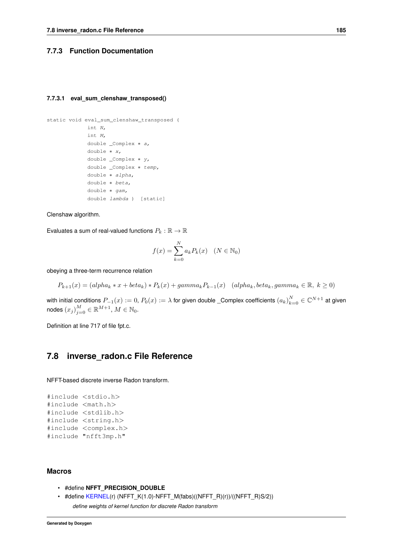#### <span id="page-198-0"></span>**7.7.3 Function Documentation**

#### **7.7.3.1 eval\_sum\_clenshaw\_transposed()**

```
static void eval_sum_clenshaw_transposed (
            int N,
             int M,
             double _Complex ∗ a,
             double ∗ x,
             double _Complex ∗ y,
             double _Complex ∗ temp,
             double ∗ alpha,
             double ∗ beta,
             double ∗ gam,
             double lambda ) [static]
```
Clenshaw algorithm.

Evaluates a sum of real-valued functions  $P_k : \mathbb{R} \to \mathbb{R}$ 

$$
f(x) = \sum_{k=0}^{N} a_k P_k(x) \quad (N \in \mathbb{N}_0)
$$

obeying a three-term recurrence relation

 $P_{k+1}(x) = (alpha_k * x + beta_k) * P_k(x) + gamma_k P_{k-1}(x)$  (alpha<sub>k</sub>, beta<sub>k</sub>, gamma<sub>k</sub> ∈ ℝ, k > 0)

with initial conditions  $P_{-1}(x):=0,$   $P_0(x):=\lambda$  for given double \_Complex coefficients  $(a_k)_{k=0}^N\in\mathbb{C}^{N+1}$  at given nodes  $(x_j)_{j=0}^M\in\mathbb{R}^{M+1},$   $M\in\mathbb{N}_0.$ 

Definition at line 717 of file fpt.c.

### **7.8 inverse\_radon.c File Reference**

NFFT-based discrete inverse Radon transform.

```
#include <stdio.h>
#include <math.h>
#include <stdlib.h>
#include <string.h>
#include <complex.h>
#include "nfft3mp.h"
```
### **Macros**

- #define **NFFT\_PRECISION\_DOUBLE**
- <span id="page-198-1"></span>• #define [KERNEL\(](#page-198-1)r) (NFFT\_K(1.0)-NFFT\_M(fabs)((NFFT\_R)(r))/((NFFT\_R)S/2)) *define weights of kernel function for discrete Radon transform*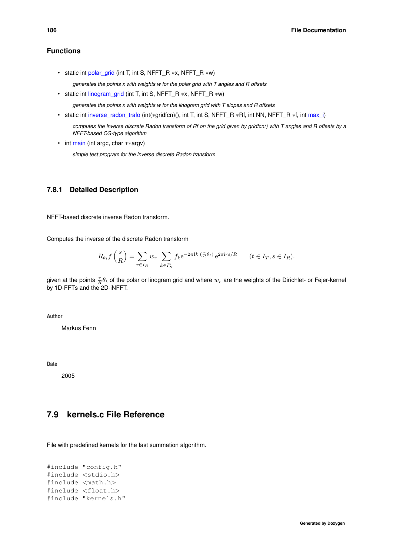<span id="page-199-0"></span>• static int [polar\\_grid](#page-199-0) (int T, int S, NFFT\_R ∗x, NFFT\_R ∗w)

*generates the points x with weights w for the polar grid with T angles and R offsets*

<span id="page-199-1"></span>• static int [linogram\\_grid](#page-199-1) (int T, int S, NFFT\_R ∗x, NFFT\_R ∗w)

*generates the points x with weights w for the linogram grid with T slopes and R offsets*

<span id="page-199-2"></span>• static int [inverse\\_radon\\_trafo](#page-199-2) (int(∗gridfcn)(), int T, int S, NFFT\_R ∗Rf, int NN, NFFT\_R ∗f, int [max\\_i\)](#page-106-0)

*computes the inverse discrete Radon transform of Rf on the grid given by gridfcn() with T angles and R offsets by a NFFT-based CG-type algorithm*

<span id="page-199-3"></span>• int [main](#page-199-3) (int argc, char ∗∗argv)

*simple test program for the inverse discrete Radon transform*

### **7.8.1 Detailed Description**

NFFT-based discrete inverse Radon transform.

Computes the inverse of the discrete Radon transform

$$
R_{\theta_t} f\left(\frac{s}{R}\right) = \sum_{r \in I_R} w_r \sum_{k \in I_N^2} f_k e^{-2\pi I k \left(\frac{r}{R}\theta_t\right)} e^{2\pi i rs/R} \qquad (t \in I_T, s \in I_R).
$$

given at the points  $\frac{r}{R}\theta_t$  of the polar or linogram grid and where  $w_r$  are the weights of the Dirichlet- or Fejer-kernel by 1D-FFTs and the 2D-iNFFT.

**Author**

Markus Fenn

**Date**

2005

# **7.9 kernels.c File Reference**

File with predefined kernels for the fast summation algorithm.

```
#include "config.h"
#include <stdio.h>
#include <math.h>
#include <float.h>
#include "kernels.h"
```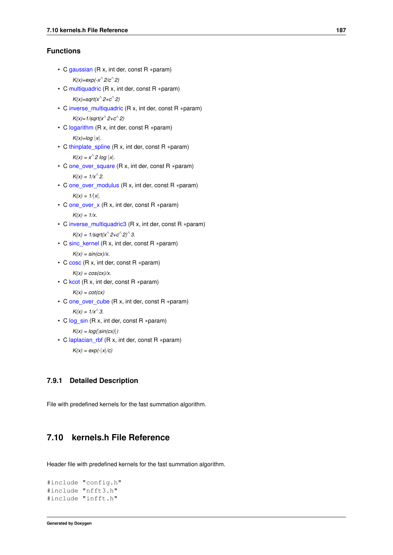```
• C gaussian (R x, int der, const R ∗param)
      K(x)=exp(-x∧
2/c∧
2)
```

```
• C multiquadric (R x, int der, const R ∗param)
      K(x)=sqrt(x∧
2+c∧
2)
```

```
• C inverse_multiquadric (R x, int der, const R ∗param)
      K(x)=1/sqrt(x∧
2+c∧
2)
```
• C [logarithm](#page-108-3) (R x, int der, const R ∗param)  $K(x)=log |x|$ .

```
• C thinplate_spline (R x, int der, const R ∗param)
      K(x) = x^2 \log |x|.
```

```
one_over_square (R x, int der, const R ∗param)
     K(x) = 1/x^{2}.
```
- C [one\\_over\\_modulus](#page-108-6) (R x, int der, const R ∗param)  $K(x) = 1/x$ .
- C [one\\_over\\_x](#page-108-7) (R x, int der, const R ∗param) *K(x) = 1/x.*
- C [inverse\\_multiquadric3](#page-108-8) (R x, int der, const R ∗param)  $K(x) = 1/\sqrt{\frac{2}{c^2-1}}$
- C [sinc\\_kernel](#page-108-9) (R x, int der, const R ∗param)

```
K(x) = \frac{\sin(cx)}{x}.
```
• C [cosc](#page-108-10) (R x, int der, const R ∗param)

 $K(x) = \cos(cx)/x$ .

• C [kcot](#page-108-11) (R x, int der, const R ∗param)

*K(x) = cot(cx)*

• C [one\\_over\\_cube](#page-108-12) (R x, int der, const R ∗param)

```
K(x) = 1/x^3.
```
- C [log\\_sin](#page-108-13) (R x, int der, const R ∗param) *K(x) = log(*|*sin(cx)*|*)*
- C [laplacian\\_rbf](#page-108-14) (R x, int der, const R ∗param) *K(x) = exp(-*|*x*|*/c)*

### **7.9.1 Detailed Description**

File with predefined kernels for the fast summation algorithm.

# **7.10 kernels.h File Reference**

Header file with predefined kernels for the fast summation algorithm.

```
#include "config.h"
#include "nfft3.h"
#include "infft.h"
```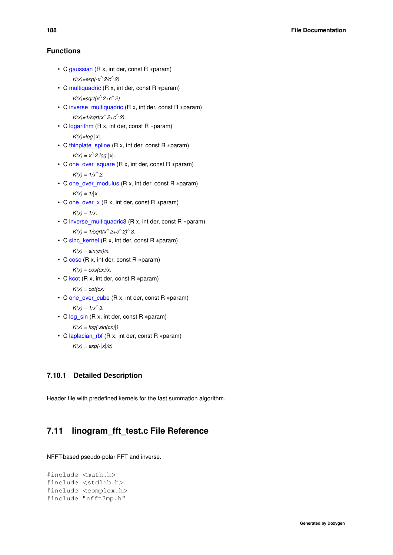```
• C gaussian (R x, int der, const R ∗param)
      K(x)=exp(-x∧
2/c∧
2)
• C multiquadric (R x, int der, const R ∗param)
      K(x)=sqrt(x∧
2+c∧
2)
```

```
• C inverse_multiquadric (R x, int der, const R ∗param)
      K(x)=1/sqrt(x∧
2+c∧
2)
```
• C [logarithm](#page-108-3) (R x, int der, const R ∗param)  $K(x)=log |x|$ .

```
• C thinplate_spline (R x, int der, const R ∗param)
      K(x) = x^2 \log |x|.
```
- C [one\\_over\\_square](#page-108-5) (R x, int der, const R ∗param)  $K(x) = 1/x^{2}$ .
- C [one\\_over\\_modulus](#page-108-6) (R x, int der, const R ∗param)  $K(x) = 1/x$ .
- C [one\\_over\\_x](#page-108-7) (R x, int der, const R ∗param) *K(x) = 1/x.*
- C [inverse\\_multiquadric3](#page-108-8) (R x, int der, const R ∗param)  $K(x) = 1/\sqrt{\frac{2}{c^2-1}}$
- C [sinc\\_kernel](#page-108-9) (R x, int der, const R ∗param)  $K(x) = \frac{\sin(cx)}{x}$ .
- C [cosc](#page-108-10) (R x, int der, const R ∗param)  $K(x) = \cos(cx)/x$ .
- C [kcot](#page-108-11) (R x, int der, const R ∗param)

```
K(x) = cot(cx)
```
- C [one\\_over\\_cube](#page-108-12) (R x, int der, const R ∗param)  $K(x) = 1/x^{^2}3$ .
- C [log\\_sin](#page-108-13) (R x, int der, const R ∗param) *K(x) = log(*|*sin(cx)*|*)*
- C [laplacian\\_rbf](#page-108-14) (R x, int der, const R ∗param) *K(x) = exp(-*|*x*|*/c)*

### **7.10.1 Detailed Description**

Header file with predefined kernels for the fast summation algorithm.

# **7.11 linogram\_fft\_test.c File Reference**

NFFT-based pseudo-polar FFT and inverse.

```
#include <math.h>
#include <stdlib.h>
#include <complex.h>
#include "nfft3mp.h"
```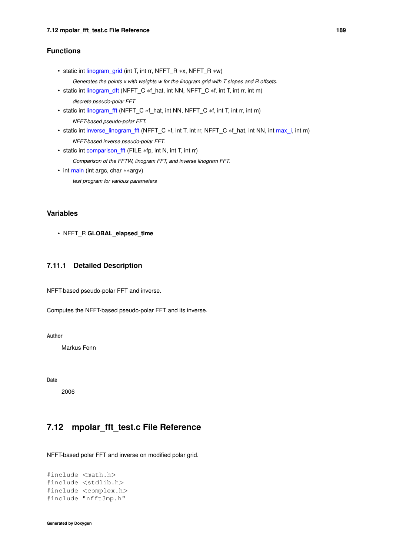- static int [linogram\\_grid](#page-144-0) (int T, int rr, NFFT\_R ∗x, NFFT\_R ∗w)
	- *Generates the points x with weights w for the linogram grid with T slopes and R offsets.*
- static int [linogram\\_dft](#page-144-1) (NFFT\_C \*f\_hat, int NN, NFFT\_C \*f, int T, int rr, int m) *discrete pseudo-polar FFT*
- static int [linogram\\_fft](#page-144-2) (NFFT\_C \*f\_hat, int NN, NFFT\_C \*f, int T, int rr, int m) *NFFT-based pseudo-polar FFT.*
- static int [inverse\\_linogram\\_fft](#page-144-3) (NFFT\_C \*f, int T, int rr, NFFT\_C \*f\_hat, int NN, int [max\\_i,](#page-106-0) int m) *NFFT-based inverse pseudo-polar FFT.*
- static int [comparison\\_fft](#page-144-4) (FILE ∗fp, int N, int T, int rr)
	- *Comparison of the FFTW, linogram FFT, and inverse linogram FFT.*
- int [main](#page-144-5) (int argc, char ∗∗argv) *test program for various parameters*

### **Variables**

• NFFT\_R **GLOBAL\_elapsed\_time**

### **7.11.1 Detailed Description**

NFFT-based pseudo-polar FFT and inverse.

Computes the NFFT-based pseudo-polar FFT and its inverse.

**Author**

Markus Fenn

**Date**

2006

# **7.12 mpolar\_fft\_test.c File Reference**

NFFT-based polar FFT and inverse on modified polar grid.

```
#include <math.h>
#include <stdlib.h>
#include <complex.h>
#include "nfft3mp.h"
```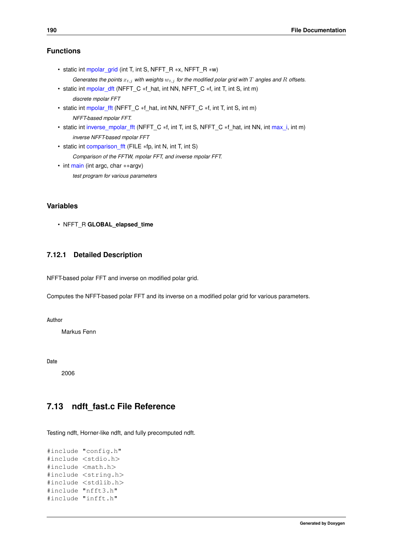- static int [mpolar\\_grid](#page-145-0) (int T, int S, NFFT\_R ∗x, NFFT\_R ∗w)
- *Generates the points*  $x_{t,j}$  *with weights*  $w_{t,j}$  *for the modified polar grid with*  $T$  *angles and*  $R$  *offsets.*
- static int [mpolar\\_dft](#page-145-1) (NFFT\_C \*f\_hat, int NN, NFFT\_C \*f, int T, int S, int m) *discrete mpolar FFT*
- static int [mpolar\\_fft](#page-145-2) (NFFT\_C ∗f\_hat, int NN, NFFT\_C ∗f, int T, int S, int m) *NFFT-based mpolar FFT.*
- static int [inverse\\_mpolar\\_fft](#page-145-3) (NFFT\_C \*f, int T, int S, NFFT\_C \*f\_hat, int NN, int [max\\_i,](#page-106-0) int m) *inverse NFFT-based mpolar FFT*
- static int comparison fft (FILE ∗fp, int N, int T, int S) *Comparison of the FFTW, mpolar FFT, and inverse mpolar FFT.*
- int [main](#page-145-5) (int argc, char ∗∗argv) *test program for various parameters*

### **Variables**

• NFFT\_R **GLOBAL\_elapsed\_time**

### **7.12.1 Detailed Description**

NFFT-based polar FFT and inverse on modified polar grid.

Computes the NFFT-based polar FFT and its inverse on a modified polar grid for various parameters.

**Author**

Markus Fenn

**Date**

2006

# **7.13 ndft\_fast.c File Reference**

Testing ndft, Horner-like ndft, and fully precomputed ndft.

```
#include "config.h"
#include <stdio.h>
#include <math.h>
#include <string.h>
#include <stdlib.h>
#include "nfft3.h"
#include "infft.h"
```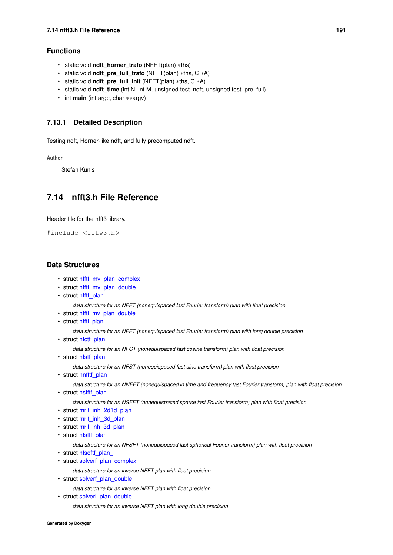- static void **ndft\_horner\_trafo** (NFFT(plan) ∗ths)
- static void **ndft\_pre\_full\_trafo** (NFFT(plan) ∗ths, C ∗A)
- static void **ndft\_pre\_full\_init** (NFFT(plan) ∗ths, C ∗A)
- static void **ndft\_time** (int N, int M, unsigned test\_ndft, unsigned test\_pre\_full)
- int **main** (int argc, char ∗∗argv)

### **7.13.1 Detailed Description**

Testing ndft, Horner-like ndft, and fully precomputed ndft.

**Author**

Stefan Kunis

# <span id="page-204-0"></span>**7.14 nfft3.h File Reference**

Header file for the nfft3 library.

#include <fftw3.h>

### **Data Structures**

- struct [nfftf\\_mv\\_plan\\_complex](#page-164-0)
- struct [nfftf\\_mv\\_plan\\_double](#page-165-1)
- struct [nfftf\\_plan](#page-165-0)

*data structure for an NFFT (nonequispaced fast Fourier transform) plan with float precision*

- struct [nfftl\\_mv\\_plan\\_double](#page-168-0)
- struct [nfftl\\_plan](#page-168-1)

*data structure for an NFFT (nonequispaced fast Fourier transform) plan with long double precision*

• struct nfctf plan

*data structure for an NFCT (nonequispaced fast cosine transform) plan with float precision*

• struct [nfstf\\_plan](#page-174-0)

*data structure for an NFST (nonequispaced fast sine transform) plan with float precision*

• struct [nnfftf\\_plan](#page-176-0)

*data structure for an NNFFT (nonequispaced in time and frequency fast Fourier transform) plan with float precision*

• struct [nsfftf\\_plan](#page-179-0)

*data structure for an NSFFT (nonequispaced sparse fast Fourier transform) plan with float precision*

- struct [mrif\\_inh\\_2d1d\\_plan](#page-160-0)
- struct [mrif\\_inh\\_3d\\_plan](#page-160-1)
- struct [mril\\_inh\\_3d\\_plan](#page-161-0)
- struct [nfsftf\\_plan](#page-172-0)

*data structure for an NFSFT (nonequispaced fast spherical Fourier transform) plan with float precision*

- struct nfsoftf\_plan
- struct [solverf\\_plan\\_complex](#page-182-11)
	- *data structure for an inverse NFFT plan with float precision*
- struct solverf plan\_double

*data structure for an inverse NFFT plan with float precision*

• struct [solverl\\_plan\\_double](#page-184-11)

*data structure for an inverse NFFT plan with long double precision*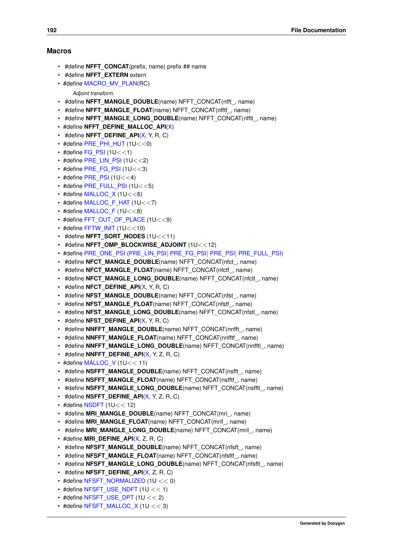#### **Macros**

- #define **NFFT\_CONCAT**(prefix, name) prefix ## name
- #define **NFFT\_EXTERN** extern
- #define [MACRO\\_MV\\_PLAN\(](#page-214-0)RC)
	- *Adjoint transform.*
- #define **NFFT\_MANGLE\_DOUBLE**(name) NFFT\_CONCAT(nfft\_, name)
- #define **NFFT\_MANGLE\_FLOAT**(name) NFFT\_CONCAT(nfftf\_, name)
- #define **NFFT\_MANGLE\_LONG\_DOUBLE**(name) NFFT\_CONCAT(nfftl\_, name)
- #define **NFFT\_DEFINE\_MALLOC\_API[\(X\)](#page-27-0)**
- #define **NFFT\_DEFINE\_API[\(X,](#page-27-0) Y, R, C)**
- $\cdot$  #define [PRE\\_PHI\\_HUT](#page-33-0) (1U  $<<$ 0)
- $\cdot$  #define [FG\\_PSI](#page-33-1) (1U $<<$ 1)
- $\cdot$  #define [PRE\\_LIN\\_PSI](#page-33-2) (1U $<<$ 2)
- $\cdot$  #define [PRE\\_FG\\_PSI](#page-34-0) (1U<<3)
- $\cdot$  #define [PRE\\_PSI](#page-34-1) (1U $<<$ 4)
- $\cdot$  #define [PRE\\_FULL\\_PSI](#page-35-0) (1U $<<$ 5)
- $\cdot$  #define [MALLOC\\_X](#page-35-1) (1U $<<$ 6)
- $\cdot$  #define MALLOC F HAT (1U<<7)
- #define [MALLOC\\_F](#page-36-1) (1U<<8)
- #define [FFT\\_OUT\\_OF\\_PLACE](#page-37-0) (1U<<9)
- $\cdot$  #define [FFTW\\_INIT](#page-37-1) (1U  $<<$  10)
- #define **NFFT\_SORT\_NODES** (1U<<11)
- #define **NFFT\_OMP\_BLOCKWISE\_ADJOINT** (1U<<12)
- #define [PRE\\_ONE\\_PSI](#page-38-0) [\(PRE\\_LIN\\_PSI](#page-33-2)| [PRE\\_FG\\_PSI](#page-34-0)| [PRE\\_PSI](#page-34-1)| [PRE\\_FULL\\_PSI\)](#page-35-0)
- #define **NFCT\_MANGLE\_DOUBLE**(name) NFFT\_CONCAT(nfct\_, name)
- #define **NFCT\_MANGLE\_FLOAT**(name) NFFT\_CONCAT(nfctf\_, name)
- #define **NFCT\_MANGLE\_LONG\_DOUBLE**(name) NFFT\_CONCAT(nfctl\_, name)
- #define **NFCT\_DEFINE\_API**[\(X,](#page-27-0) Y, R, C)
- #define **NFST\_MANGLE\_DOUBLE**(name) NFFT\_CONCAT(nfst\_, name)
- #define **NFST\_MANGLE\_FLOAT**(name) NFFT\_CONCAT(nfstf\_, name)
- #define **NFST\_MANGLE\_LONG\_DOUBLE**(name) NFFT\_CONCAT(nfstl\_, name)
- #define **NFST\_DEFINE\_API**[\(X,](#page-27-0) Y, R, C)
- #define **NNFFT\_MANGLE\_DOUBLE**(name) NFFT\_CONCAT(nnfft\_, name)
- #define **NNFFT\_MANGLE\_FLOAT**(name) NFFT\_CONCAT(nnfftf\_, name)
- #define **NNFFT\_MANGLE\_LONG\_DOUBLE**(name) NFFT\_CONCAT(nnfftl\_, name)
- #define **NNFFT** DEFINE API[\(X,](#page-27-0) Y, Z, R, C)
- $\cdot$  #define [MALLOC\\_V](#page-74-0) (1U<< 11)
- #define **NSFFT\_MANGLE\_DOUBLE**(name) NFFT\_CONCAT(nsfft\_, name)
- #define **NSFFT\_MANGLE\_FLOAT**(name) NFFT\_CONCAT(nsfftf\_, name)
- #define **NSFFT\_MANGLE\_LONG\_DOUBLE**(name) NFFT\_CONCAT(nsfftl\_, name)
- #define **NSFFT\_DEFINE\_API**[\(X,](#page-27-0) Y, Z, R, C)
- $\cdot$  #define [NSDFT](#page-79-0) (1U $<<$  12)
- #define **MRI\_MANGLE\_DOUBLE**(name) NFFT\_CONCAT(mri\_, name)
- #define **MRI\_MANGLE\_FLOAT**(name) NFFT\_CONCAT(mrif\_, name)
- #define MRI\_MANGLE\_LONG\_DOUBLE(name) NFFT\_CONCAT(mril\_, name)
- #define **MRI\_DEFINE\_API**[\(X,](#page-27-0) Z, R, C)
- #define **NFSFT\_MANGLE\_DOUBLE**(name) NFFT\_CONCAT(nfsft\_, name)
- #define **NFSFT\_MANGLE\_FLOAT**(name) NFFT\_CONCAT(nfsftf\_, name)
- #define **NFSFT\_MANGLE\_LONG\_DOUBLE**(name) NFFT\_CONCAT(nfsftl\_, name)
- #define **NFSFT\_DEFINE\_API**[\(X,](#page-27-0) Z, R, C)
- #define [NFSFT\\_NORMALIZED](#page-44-0) (1U << 0)
- $\cdot$  #define [NFSFT\\_USE\\_NDFT](#page-45-0) (1U << 1)
- $\cdot$  #define [NFSFT\\_USE\\_DPT](#page-45-1) (1U << 2)
- $\cdot$  #define [NFSFT\\_MALLOC\\_X](#page-45-2) (1U << 3)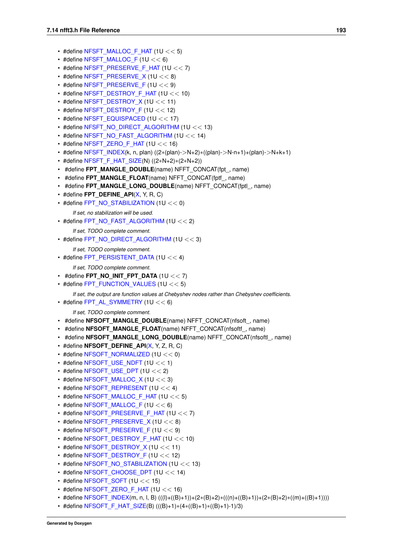- #define [NFSFT\\_MALLOC\\_F\\_HAT](#page-46-0)  $(1U << 5)$
- $\cdot$  #define [NFSFT\\_MALLOC\\_F](#page-46-1) (1U << 6)
- #define [NFSFT\\_PRESERVE\\_F\\_HAT](#page-47-0) (1U << 7)
- $\cdot$  #define [NFSFT\\_PRESERVE\\_X](#page-47-1) (1U << 8)
- $\cdot$  #define [NFSFT\\_PRESERVE\\_F](#page-48-0) (1U << 9)
- #define [NFSFT\\_DESTROY\\_F\\_HAT](#page-48-1) (1U << 10)
- $\cdot$  #define [NFSFT\\_DESTROY\\_X](#page-49-0) (1U << 11)
- #define [NFSFT\\_DESTROY\\_F](#page-49-1) (1U  $<< 12$ )
- $\cdot$  #define [NFSFT\\_EQUISPACED](#page-51-0) (1U << 17)
- #define [NFSFT\\_NO\\_DIRECT\\_ALGORITHM](#page-50-0) (1U << 13)
- #define [NFSFT\\_NO\\_FAST\\_ALGORITHM](#page-50-1) (1U << 14)
- #define [NFSFT\\_ZERO\\_F\\_HAT](#page-51-1) (1U  $<< 16$ )
- #define [NFSFT\\_INDEX\(](#page-51-2)k, n, plan) ((2∗(plan)->N+2)∗((plan)->N-n+1)+(plan)->N+k+1)
- #define [NFSFT\\_F\\_HAT\\_SIZE\(](#page-52-0)N) ((2∗N+2)∗(2∗N+2))
- #define **FPT\_MANGLE\_DOUBLE**(name) NFFT\_CONCAT(fpt\_, name)
- #define **FPT\_MANGLE\_FLOAT**(name) NFFT\_CONCAT(fptf\_, name)
- #define **FPT\_MANGLE\_LONG\_DOUBLE**(name) NFFT\_CONCAT(fptl\_, name)
- #define **FPT\_DEFINE\_API**[\(X,](#page-27-0) Y, R, C)
- #define [FPT\\_NO\\_STABILIZATION](#page-24-0) (1U << 0)

*If set, no stabilization will be used.*

• #define [FPT\\_NO\\_FAST\\_ALGORITHM](#page-24-1)  $(1U << 2)$ 

*If set, TODO complete comment.*

• #define [FPT\\_NO\\_DIRECT\\_ALGORITHM](#page-24-2) (1U << 3)

*If set, TODO complete comment.*

• #define [FPT\\_PERSISTENT\\_DATA](#page-24-3)  $(1U << 4)$ 

*If set, TODO complete comment.*

- $\cdot$  #define **FPT\_NO\_INIT\_FPT\_DATA** (1U  $<< 7$ )
- $\cdot$  #define [FPT\\_FUNCTION\\_VALUES](#page-24-4) (1U << 5)

*If set, the output are function values at Chebyshev nodes rather than Chebyshev coefficients.*

 $\cdot$  #define [FPT\\_AL\\_SYMMETRY](#page-24-5) (1U << 6)

*If set, TODO complete comment.*

- #define **NFSOFT\_MANGLE\_DOUBLE**(name) NFFT\_CONCAT(nfsoft\_, name)
- #define **NFSOFT\_MANGLE\_FLOAT**(name) NFFT\_CONCAT(nfsoftf\_, name)
- #define **NFSOFT\_MANGLE\_LONG\_DOUBLE**(name) NFFT\_CONCAT(nfsoftl\_, name)
- #define **NFSOFT\_DEFINE\_API**[\(X,](#page-27-0) Y, Z, R, C)
- #define [NFSOFT\\_NORMALIZED](#page-60-0) (1U << 0)
- $\cdot$  #define NFSOFT USE\_NDFT (1U  $<< 1$ )
- $\cdot$  #define [NFSOFT\\_USE\\_DPT](#page-61-1) (1U << 2)
- $\cdot$  #define [NFSOFT\\_MALLOC\\_X](#page-62-0) (1U << 3)
- $\cdot$  #define [NFSOFT\\_REPRESENT](#page-62-1) (1U << 4)
- #define [NFSOFT\\_MALLOC\\_F\\_HAT](#page-63-0) (1U << 5)
- #define [NFSOFT\\_MALLOC\\_F](#page-63-1)  $(1U << 6)$
- #define [NFSOFT\\_PRESERVE\\_F\\_HAT](#page-64-0) (1U << 7)
- #define [NFSOFT\\_PRESERVE\\_X](#page-64-1) (1U << 8)
- #define [NFSOFT\\_PRESERVE\\_F](#page-65-0)  $(1U << 9)$
- #define [NFSOFT\\_DESTROY\\_F\\_HAT](#page-65-1)  $(1U << 10)$
- #define [NFSOFT\\_DESTROY\\_X](#page-66-0) (1U  $<< 11$ )
- #define [NFSOFT\\_DESTROY\\_F](#page-66-1) (1U  $<<$  12)
- #define [NFSOFT\\_NO\\_STABILIZATION](#page-67-0) (1U << 13)
- #define [NFSOFT\\_CHOOSE\\_DPT](#page-67-1) (1U << 14)
- $\cdot$  #define NFSOFT SOFT (1U << 15)
- $\cdot$  #define [NFSOFT\\_ZERO\\_F\\_HAT](#page-68-0) (1U << 16)
- #define [NFSOFT\\_INDEX\(](#page-68-1)m, n, l, B) (((l)+((B)+1))+(2∗(B)+2)∗(((n)+((B)+1))+(2∗(B)+2)∗((m)+((B)+1))))
- #define [NFSOFT\\_F\\_HAT\\_SIZE\(](#page-68-2)B) (((B)+1)\*(4\*((B)+1)\*((B)+1)-1)/3)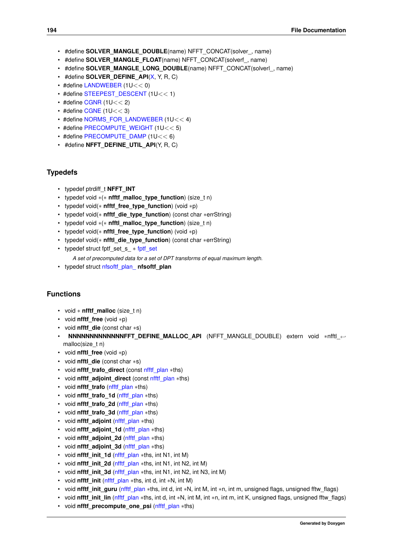- #define **SOLVER\_MANGLE\_DOUBLE**(name) NFFT\_CONCAT(solver\_, name)
- #define **SOLVER\_MANGLE\_FLOAT**(name) NFFT\_CONCAT(solverf\_, name)
- #define **SOLVER\_MANGLE\_LONG\_DOUBLE**(name) NFFT\_CONCAT(solverl\_, name)
- #define **SOLVER\_DEFINE\_API**[\(X,](#page-27-0) Y, R, C)
- #define [LANDWEBER](#page-83-0) (1U<< 0)
- #define [STEEPEST\\_DESCENT](#page-83-1) (1U<< 1)
- $\cdot$  #define [CGNR](#page-83-2) (1U $<<$  2)
- $\cdot$  #define [CGNE](#page-84-0) (1U  $<<$  3)
- #define [NORMS\\_FOR\\_LANDWEBER](#page-84-1) (1U<< 4)
- #define [PRECOMPUTE\\_WEIGHT](#page-84-2) (1U<< 5)
- #define [PRECOMPUTE\\_DAMP](#page-84-3) (1U<< 6)
- #define **NFFT\_DEFINE\_UTIL\_API**(Y, R, C)

### **Typedefs**

- typedef ptrdiff\_t **NFFT\_INT**
- typedef void ∗(∗ **nfftf\_malloc\_type\_function**) (size\_t n)
- typedef void(∗ **nfftf\_free\_type\_function**) (void ∗p)
- typedef void(∗ **nfftf\_die\_type\_function**) (const char ∗errString)
- typedef void ∗(∗ **nfftl\_malloc\_type\_function**) (size\_t n)
- typedef void(∗ **nfftl\_free\_type\_function**) (void ∗p)
- typedef void(∗ **nfftl\_die\_type\_function**) (const char ∗errString)
- <span id="page-207-0"></span>• typedef struct fptf\_set\_s\_ ∗ [fptf\\_set](#page-207-0)

*A set of precomputed data for a set of DPT transforms of equal maximum length.*

• typedef struct [nfsoftf\\_plan\\_](#page-173-0) **nfsoftf\_plan**

### **Functions**

- void ∗ **nfftf\_malloc** (size\_t n)
- void **nfftf\_free** (void ∗p)
- void **nfftf\_die** (const char ∗s)
- **NNNNNNNNNNNNNNFFT\_DEFINE\_MALLOC\_API** (NFFT\_MANGLE\_DOUBLE) extern void \*nfftl ← malloc(size\_t n)
- void **nfftl\_free** (void ∗p)
- void **nfftl\_die** (const char ∗s)
- void **nfftf** trafo direct (const nfftf plan \*ths)
- void **nfftf\_adjoint\_direct** (const [nfftf\\_plan](#page-165-0) ∗ths)
- void **nfftf** trafo (nfftf plan \*ths)
- void **nfftf** trafo\_1d [\(nfftf\\_plan](#page-165-0) ∗ths)
- void **nfftf\_trafo\_2d** [\(nfftf\\_plan](#page-165-0) ∗ths)
- void **nfftf** trafo 3d (nfftf plan \*ths)
- void **nfftf\_adjoint** [\(nfftf\\_plan](#page-165-0) ∗ths)
- void **nfftf\_adjoint\_1d** [\(nfftf\\_plan](#page-165-0) ∗ths)
- void **nfftf** adjoint 2d (nfftf plan ∗ths)
- void **nfftf\_adjoint\_3d** [\(nfftf\\_plan](#page-165-0) ∗ths)
- void **nfftf init 1d** (nfftf plan ∗ths, int N1, int M)
- void **nfftf\_init\_2d** [\(nfftf\\_plan](#page-165-0) ∗ths, int N1, int N2, int M)
- void **nfftf\_init\_3d** [\(nfftf\\_plan](#page-165-0) ∗ths, int N1, int N2, int N3, int M)
- void **nfftf** init (nfftf plan ∗ths, int d, int ∗N, int M)
- void **nfftf\_init\_guru** [\(nfftf\\_plan](#page-165-0) ∗ths, int d, int ∗N, int M, int ∗n, int m, unsigned flags, unsigned fftw\_flags)
- void **nfftf** init lin (nfftf plan ∗ths, int d, int ∗N, int M, int ∗n, int m, int K, unsigned flags, unsigned fftw flags)
- void **nfftf** precompute one psi (nfftf plan ∗ths)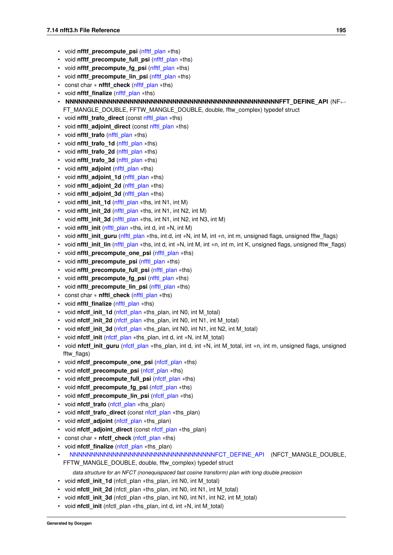- void **nfftf** precompute psi (nfftf plan ∗ths)
- void **nfftf\_precompute\_full\_psi** [\(nfftf\\_plan](#page-165-0) ∗ths)
- void **nfftf\_precompute\_fg\_psi** [\(nfftf\\_plan](#page-165-0) ∗ths)
- void **nfftf** precompute lin psi (nfftf plan ∗ths)
- const char ∗ **nfftf\_check** [\(nfftf\\_plan](#page-165-0) ∗ths)
- void **nfftf\_finalize** [\(nfftf\\_plan](#page-165-0) ∗ths)
- **NNNNNNNNNNNNNNNNNNNNNNNNNNNNNNNNNNNNNNNNNNNNNNNNNNFFT\_DEFINE\_API** (NF←- FT\_MANGLE\_DOUBLE, FFTW\_MANGLE\_DOUBLE, double, fftw\_complex) typedef struct
- void **nfftl\_trafo\_direct** (const [nfftl\\_plan](#page-168-1) ∗ths)
- void **nfftl\_adjoint\_direct** (const [nfftl\\_plan](#page-168-1) ∗ths)
- void **nfftl\_trafo** [\(nfftl\\_plan](#page-168-1) ∗ths)
- void **nfftl\_trafo\_1d** [\(nfftl\\_plan](#page-168-1) ∗ths)
- void **nfftl\_trafo\_2d** [\(nfftl\\_plan](#page-168-1) ∗ths)
- void **nfftl\_trafo\_3d** [\(nfftl\\_plan](#page-168-1) ∗ths)
- void **nfftl\_adjoint** [\(nfftl\\_plan](#page-168-1) ∗ths)
- void **nfftl\_adjoint\_1d** [\(nfftl\\_plan](#page-168-1) ∗ths)
- void **nfftl\_adjoint\_2d** [\(nfftl\\_plan](#page-168-1) ∗ths)
- void **nfftl\_adjoint\_3d** [\(nfftl\\_plan](#page-168-1) ∗ths)
- void **nfftl\_init\_1d** [\(nfftl\\_plan](#page-168-1) ∗ths, int N1, int M)
- void **nfftl init 2d** (nfftl plan ∗ths, int N1, int N2, int M)
- void **nfftl\_init\_3d** [\(nfftl\\_plan](#page-168-1) ∗ths, int N1, int N2, int N3, int M)
- void **nfftl\_init** [\(nfftl\\_plan](#page-168-1) ∗ths, int d, int ∗N, int M)
- void **nfftl\_init\_guru** [\(nfftl\\_plan](#page-168-1) ∗ths, int d, int ∗N, int M, int ∗n, int m, unsigned flags, unsigned fftw\_flags)
- void **nfftl init lin** (nfftl plan ∗ths, int d, int ∗N, int M, int ∗n, int m, int K, unsigned flags, unsigned fftw flags)
- void **nfftl\_precompute\_one\_psi** [\(nfftl\\_plan](#page-168-1) ∗ths)
- void **nfftl\_precompute\_psi** [\(nfftl\\_plan](#page-168-1) ∗ths)
- void **nfftl\_precompute\_full\_psi** [\(nfftl\\_plan](#page-168-1) ∗ths)
- void **nfftl\_precompute\_fg\_psi** [\(nfftl\\_plan](#page-168-1) ∗ths)
- void **nfftl\_precompute\_lin\_psi** [\(nfftl\\_plan](#page-168-1) ∗ths)
- const char ∗ **nfftl\_check** [\(nfftl\\_plan](#page-168-1) ∗ths)
- void **nfftl\_finalize** [\(nfftl\\_plan](#page-168-1) ∗ths)
- void **nfctf\_init\_1d** [\(nfctf\\_plan](#page-162-0) ∗ths\_plan, int N0, int M\_total)
- void **nfctf\_init\_2d** [\(nfctf\\_plan](#page-162-0) ∗ths\_plan, int N0, int N1, int M\_total)
- void **nfctf** init 3d (nfctf plan ∗ths plan, int N0, int N1, int N2, int M\_total)
- void **nfctf\_init** [\(nfctf\\_plan](#page-162-0) ∗ths\_plan, int d, int ∗N, int M\_total)
- void **nfctf\_init\_guru** [\(nfctf\\_plan](#page-162-0) ∗ths\_plan, int d, int ∗N, int M\_total, int ∗n, int m, unsigned flags, unsigned fftw\_flags)
- void **nfctf\_precompute\_one\_psi** [\(nfctf\\_plan](#page-162-0) ∗ths)
- void **nfctf\_precompute\_psi** [\(nfctf\\_plan](#page-162-0) ∗ths)
- void **nfctf** precompute full psi (nfctf plan \*ths)
- void **nfctf** precompute fg psi (nfctf plan ∗ths)
- void **nfctf** precompute lin psi (nfctf plan ∗ths)
- void **nfctf\_trafo** [\(nfctf\\_plan](#page-162-0) \*ths\_plan)
- void **nfctf\_trafo\_direct** (const [nfctf\\_plan](#page-162-0) ∗ths\_plan)
- void **nfctf\_adjoint** [\(nfctf\\_plan](#page-162-0) ∗ths\_plan)
- void **nfctf\_adjoint\_direct** (const [nfctf\\_plan](#page-162-0) ∗ths\_plan)
- const char ∗ **nfctf\_check** [\(nfctf\\_plan](#page-162-0) ∗ths)
- void **nfctf\_finalize** [\(nfctf\\_plan](#page-162-0) ∗ths\_plan)
- <span id="page-208-0"></span>• [NNNNNNNNNNNNNNNNNNNNNNNNNNNNNNNNNNFCT\\_DEFINE\\_API](#page-208-0) (NFCT\_MANGLE\_DOUBLE, FFTW\_MANGLE\_DOUBLE, double, fftw\_complex) typedef struct
	- *data structure for an NFCT (nonequispaced fast cosine transform) plan with long double precision*
- void **nfctl init 1d** (nfctl plan ∗ths plan, int N0, int M\_total)
- void **nfctl\_init\_2d** (nfctl\_plan ∗ths\_plan, int N0, int N1, int M\_total)
- void **nfctl\_init\_3d** (nfctl\_plan ∗ths\_plan, int N0, int N1, int N2, int M\_total)
- void **nfctl\_init** (nfctl\_plan ∗ths\_plan, int d, int ∗N, int M\_total)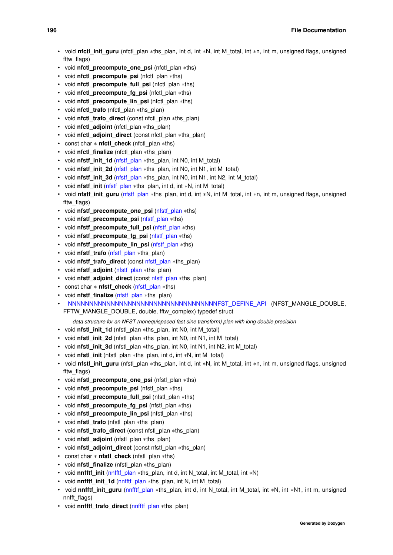- void **nfctl\_init\_guru** (nfctl\_plan ∗ths\_plan, int d, int ∗N, int M\_total, int ∗n, int m, unsigned flags, unsigned fftw\_flags)
- void **nfctl\_precompute\_one\_psi** (nfctl\_plan ∗ths)
- void **nfctl\_precompute\_psi** (nfctl\_plan ∗ths)
- void **nfctl\_precompute\_full\_psi** (nfctl\_plan \*ths)
- void **nfctl\_precompute\_fg\_psi** (nfctl\_plan ∗ths)
- void **nfctl\_precompute\_lin\_psi** (nfctl\_plan ∗ths)
- void **nfctl\_trafo** (nfctl\_plan ∗ths\_plan)
- void **nfctl\_trafo\_direct** (const nfctl\_plan ∗ths\_plan)
- void **nfctl\_adjoint** (nfctl\_plan ∗ths\_plan)
- void **nfctl\_adjoint\_direct** (const nfctl\_plan ∗ths\_plan)
- const char ∗ **nfctl\_check** (nfctl\_plan ∗ths)
- void **nfctl\_finalize** (nfctl\_plan ∗ths\_plan)
- void **nfstf\_init\_1d** [\(nfstf\\_plan](#page-174-0) ∗ths\_plan, int N0, int M\_total)
- void **nfstf\_init\_2d** [\(nfstf\\_plan](#page-174-0) ∗ths\_plan, int N0, int N1, int M\_total)
- void **nfstf\_init\_3d** [\(nfstf\\_plan](#page-174-0) ∗ths\_plan, int N0, int N1, int N2, int M\_total)
- void **nfstf\_init** [\(nfstf\\_plan](#page-174-0) ∗ths\_plan, int d, int ∗N, int M\_total)
- void **nfstf\_init\_guru** [\(nfstf\\_plan](#page-174-0) ∗ths\_plan, int d, int ∗N, int M\_total, int ∗n, int m, unsigned flags, unsigned fftw\_flags)
- void **nfstf** precompute one psi (nfstf plan ∗ths)
- void **nfstf\_precompute\_psi** [\(nfstf\\_plan](#page-174-0) ∗ths)
- void **nfstf** precompute full psi (nfstf plan ∗ths)
- void **nfstf** precompute fg psi (nfstf plan ∗ths)
- void **nfstf** precompute lin psi (nfstf plan ∗ths)
- void **nfstf\_trafo** [\(nfstf\\_plan](#page-174-0) ∗ths\_plan)
- void **nfstf\_trafo\_direct** (const [nfstf\\_plan](#page-174-0) ∗ths\_plan)
- void **nfstf\_adjoint** [\(nfstf\\_plan](#page-174-0) ∗ths\_plan)
- void **nfstf\_adjoint\_direct** (const [nfstf\\_plan](#page-174-0) ∗ths\_plan)
- const char ∗ **nfstf\_check** [\(nfstf\\_plan](#page-174-0) ∗ths)
- void **nfstf\_finalize** [\(nfstf\\_plan](#page-174-0) ∗ths\_plan)
- <span id="page-209-0"></span>• [NNNNNNNNNNNNNNNNNNNNNNNNNNNNNNNNNNNFST\\_DEFINE\\_API](#page-209-0) (NFST\_MANGLE\_DOUBLE,

FFTW\_MANGLE\_DOUBLE, double, fftw\_complex) typedef struct

- *data structure for an NFST (nonequispaced fast sine transform) plan with long double precision*
- void **nfstl\_init\_1d** (nfstl\_plan ∗ths\_plan, int N0, int M\_total)
- void **nfstl init 2d** (nfstl plan ∗ths plan, int N0, int N1, int M\_total)
- void **nfstl\_init\_3d** (nfstl\_plan ∗ths\_plan, int N0, int N1, int N2, int M\_total)
- void **nfstl init** (nfstl\_plan ∗ths\_plan, int d, int ∗N, int M\_total)
- void **nfstl\_init\_guru** (nfstl\_plan ∗ths\_plan, int d, int ∗N, int M\_total, int ∗n, int m, unsigned flags, unsigned fftw\_flags)
- void **nfstl\_precompute\_one\_psi** (nfstl\_plan ∗ths)
- void **nfstl\_precompute\_psi** (nfstl\_plan ∗ths)
- void **nfstl\_precompute\_full\_psi** (nfstl\_plan ∗ths)
- void **nfstl\_precompute\_fg\_psi** (nfstl\_plan ∗ths)
- void **nfstl\_precompute\_lin\_psi** (nfstl\_plan \*ths)
- void **nfstl\_trafo** (nfstl\_plan ∗ths\_plan)
- void **nfstl\_trafo\_direct** (const nfstl\_plan ∗ths\_plan)
- void **nfstl\_adjoint** (nfstl\_plan ∗ths\_plan)
- void **nfstl\_adjoint\_direct** (const nfstl\_plan ∗ths\_plan)
- const char ∗ **nfstl\_check** (nfstl\_plan ∗ths)
- void **nfstl\_finalize** (nfstl\_plan ∗ths\_plan)
- void **nnfftf** init (nnfftf plan ∗ths plan, int d, int N\_total, int M\_total, int ∗N)
- void **nnfftf init 1d** (nnfftf plan ∗ths plan, int N, int M\_total)
- void **nnfftf\_init\_guru** [\(nnfftf\\_plan](#page-176-0) ∗ths\_plan, int d, int N\_total, int M\_total, int ∗N, int ∗N1, int m, unsigned nnfft\_flags)
- void **nnfftf** trafo direct (nnfftf plan ∗ths plan)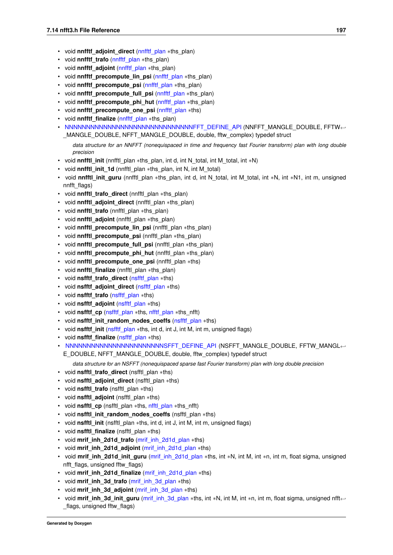- void **nnfftf** adjoint direct (nnfftf plan ∗ths plan)
- void **nnfftf\_trafo** [\(nnfftf\\_plan](#page-176-0) \*ths\_plan)
- void **nnfftf\_adjoint** [\(nnfftf\\_plan](#page-176-0) ∗ths\_plan)
- void **nnfftf** precompute lin psi (nnfftf plan ∗ths plan)
- void **nnfftf** precompute psi (nnfftf plan ∗ths plan)
- void **nnfftf\_precompute\_full\_psi** [\(nnfftf\\_plan](#page-176-0) \*ths\_plan)
- void **nnfftf** precompute phi hut (nnfftf plan ∗ths plan)
- void **nnfftf\_precompute\_one\_psi** [\(nnfftf\\_plan](#page-176-0) ∗ths)
- void **nnfftf\_finalize** [\(nnfftf\\_plan](#page-176-0) ∗ths\_plan)
- <span id="page-210-0"></span>• NNNNNNNNNNNNNNNNNNNNNNNNNNNNNNNNNFFT DEFINE API (NNFFT\_MANGLE\_DOUBLE, FFTW← \_MANGLE\_DOUBLE, NFFT\_MANGLE\_DOUBLE, double, fftw\_complex) typedef struct
	- *data structure for an NNFFT (nonequispaced in time and frequency fast Fourier transform) plan with long double precision*
- void **nnfftl\_init** (nnfftl\_plan ∗ths\_plan, int d, int N\_total, int M\_total, int ∗N)
- void **nnfftl\_init\_1d** (nnfftl\_plan ∗ths\_plan, int N, int M\_total)
- void **nnfftl init guru** (nnfftl plan ∗ths plan, int d, int N\_total, int M\_total, int ∗N, int ∗N1, int m, unsigned nnfft\_flags)
- void **nnfftl\_trafo\_direct** (nnfftl\_plan ∗ths\_plan)
- void **nnfftl\_adjoint\_direct** (nnfftl\_plan ∗ths\_plan)
- void **nnfftl\_trafo** (nnfftl\_plan ∗ths\_plan)
- void **nnfftl\_adjoint** (nnfftl\_plan ∗ths\_plan)
- void **nnfftl\_precompute\_lin\_psi** (nnfftl\_plan ∗ths\_plan)
- void **nnfftl\_precompute\_psi** (nnfftl\_plan ∗ths\_plan)
- void **nnfftl\_precompute\_full\_psi** (nnfftl\_plan ∗ths\_plan)
- void **nnfftl\_precompute\_phi\_hut** (nnfftl\_plan ∗ths\_plan)
- void **nnfftl precompute one psi** (nnfftl plan \*ths)
- void **nnfftl\_finalize** (nnfftl\_plan ∗ths\_plan)
- void **nsfftf\_trafo\_direct** [\(nsfftf\\_plan](#page-179-0) ∗ths)
- void **nsfftf** adioint direct (nsfftf plan ∗ths)
- void **nsfftf\_trafo** [\(nsfftf\\_plan](#page-179-0) ∗ths)
- void **nsfftf\_adjoint** [\(nsfftf\\_plan](#page-179-0) ∗ths)
- void **nsfftf\_cp** [\(nsfftf\\_plan](#page-179-0) \*ths, [nfftf\\_plan](#page-165-0) \*ths\_nfft)
- void **nsfftf\_init\_random\_nodes\_coeffs** [\(nsfftf\\_plan](#page-179-0) ∗ths)
- void **nsfftf** init (nsfftf plan ∗ths, int d, int J, int M, int m, unsigned flags)
- void **nsfftf\_finalize** [\(nsfftf\\_plan](#page-179-0) ∗ths)
- <span id="page-210-1"></span>• NN[NNNNNNNNNNNNNNNNNNNNNNNSFFT\\_DEFINE\\_API](#page-210-1) (NSFFT\_MANGLE\_DOUBLE, FFTW\_MANGL← E\_DOUBLE, NFFT\_MANGLE\_DOUBLE, double, fftw\_complex) typedef struct

*data structure for an NSFFT (nonequispaced sparse fast Fourier transform) plan with long double precision*

- void **nsfftl\_trafo\_direct** (nsfftl\_plan ∗ths)
- void **nsfftl adjoint direct** (nsfftl plan \*ths)
- void **nsfftl\_trafo** (nsfftl\_plan ∗ths)
- void **nsfftl\_adjoint** (nsfftl\_plan ∗ths)
- void **nsfftl\_cp** (nsfftl\_plan ∗ths, [nfftl\\_plan](#page-168-1) ∗ths\_nfft)
- void **nsfftl init random nodes coeffs** (nsfftl plan \*ths)
- void **nsfftl init** (nsfftl plan \*ths, int d, int J, int M, int m, unsigned flags)
- void **nsfftl\_finalize** (nsfftl\_plan ∗ths)
- void **mrif\_inh\_2d1d\_trafo** [\(mrif\\_inh\\_2d1d\\_plan](#page-160-0) ∗ths)
- void **mrif\_inh\_2d1d\_adjoint** [\(mrif\\_inh\\_2d1d\\_plan](#page-160-0) ∗ths)
- void **mrif\_inh\_2d1d\_init\_guru** [\(mrif\\_inh\\_2d1d\\_plan](#page-160-0) ∗ths, int ∗N, int M, int ∗n, int m, float sigma, unsigned nfft\_flags, unsigned fftw\_flags)
- void **mrif\_inh\_2d1d\_finalize** [\(mrif\\_inh\\_2d1d\\_plan](#page-160-0) ∗ths)
- void **mrif\_inh\_3d\_trafo** [\(mrif\\_inh\\_3d\\_plan](#page-160-1) ∗ths)
- void **mrif\_inh\_3d\_adjoint** [\(mrif\\_inh\\_3d\\_plan](#page-160-1) ∗ths)
- void mrif\_inh\_3d\_init\_guru [\(mrif\\_inh\\_3d\\_plan](#page-160-1) ∗ths, int ∗N, int M, int ∗n, int m, float sigma, unsigned nfft← flags, unsigned fftw flags)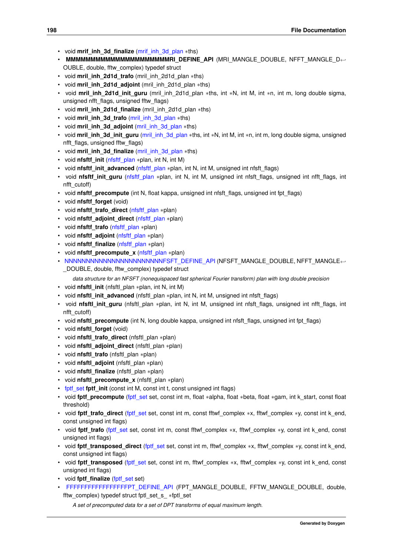- void **mrif\_inh\_3d\_finalize** [\(mrif\\_inh\\_3d\\_plan](#page-160-1) ∗ths)
- **MMMMMMMMMMMMMMMMMMMMMRI\_DEFINE\_API** (MRI\_MANGLE\_DOUBLE, NFFT\_MANGLE\_D←- OUBLE, double, fftw\_complex) typedef struct
- void **mril\_inh\_2d1d\_trafo** (mril\_inh\_2d1d\_plan ∗ths)
- void **mril\_inh\_2d1d\_adjoint** (mril\_inh\_2d1d\_plan ∗ths)
- void **mril\_inh\_2d1d\_init\_guru** (mril\_inh\_2d1d\_plan ∗ths, int ∗N, int M, int ∗n, int m, long double sigma, unsigned nfft\_flags, unsigned fftw\_flags)
- void **mril\_inh\_2d1d\_finalize** (mril\_inh\_2d1d\_plan ∗ths)
- void **mril\_inh\_3d\_trafo** [\(mril\\_inh\\_3d\\_plan](#page-161-0) ∗ths)
- void **mril\_inh\_3d\_adjoint** [\(mril\\_inh\\_3d\\_plan](#page-161-0) ∗ths)
- void **mril inh 3d init quru** (mril inh 3d plan ∗ths, int ∗N, int M, int ∗n, int m, long double sigma, unsigned nfft\_flags, unsigned fftw\_flags)
- void **mril\_inh\_3d\_finalize** [\(mril\\_inh\\_3d\\_plan](#page-161-0) ∗ths)
- void **nfsftf\_init** [\(nfsftf\\_plan](#page-172-0) ∗plan, int N, int M)
- void **nfsftf\_init\_advanced** [\(nfsftf\\_plan](#page-172-0) ∗plan, int N, int M, unsigned int nfsft\_flags)
- void **nfsftf\_init\_guru** [\(nfsftf\\_plan](#page-172-0) ∗plan, int N, int M, unsigned int nfsft\_flags, unsigned int nfft\_flags, int nfft\_cutoff)
- void **nfsftf\_precompute** (int N, float kappa, unsigned int nfsft\_flags, unsigned int fpt\_flags)
- void **nfsftf\_forget** (void)
- void **nfsftf\_trafo\_direct** [\(nfsftf\\_plan](#page-172-0) ∗plan)
- void **nfsftf** adjoint direct (nfsftf plan ∗plan)
- void **nfsftf\_trafo** [\(nfsftf\\_plan](#page-172-0) ∗plan)
- void **nfsftf\_adjoint** [\(nfsftf\\_plan](#page-172-0) ∗plan)
- void **nfsftf\_finalize** [\(nfsftf\\_plan](#page-172-0) ∗plan)
- void **nfsftf\_precompute\_x** [\(nfsftf\\_plan](#page-172-0) ∗plan)
- <span id="page-211-0"></span>• NN[NNNNNNNNNNNNNNNNNNNNNNNFSFT\\_DEFINE\\_API](#page-211-0) (NFSFT\_MANGLE\_DOUBLE, NFFT\_MANGLE←-\_DOUBLE, double, fftw\_complex) typedef struct

*data structure for an NFSFT (nonequispaced fast spherical Fourier transform) plan with long double precision*

- void **nfsftl\_init** (nfsftl\_plan ∗plan, int N, int M)
- void **nfsftl\_init\_advanced** (nfsftl\_plan \*plan, int N, int M, unsigned int nfsft\_flags)
- void **nfsftl\_init\_guru** (nfsftl\_plan ∗plan, int N, int M, unsigned int nfsft\_flags, unsigned int nfft\_flags, int nfft\_cutoff)
- void **nfsftl\_precompute** (int N, long double kappa, unsigned int nfsft\_flags, unsigned int fpt\_flags)
- void **nfsftl\_forget** (void)
- void **nfsftl\_trafo\_direct** (nfsftl\_plan ∗plan)
- void **nfsftl\_adjoint\_direct** (nfsftl\_plan ∗plan)
- void **nfsftl\_trafo** (nfsftl\_plan ∗plan)
- void **nfsftl\_adjoint** (nfsftl\_plan ∗plan)
- void **nfsftl\_finalize** (nfsftl\_plan ∗plan)
- void **nfsftl\_precompute\_x** (nfsftl\_plan ∗plan)
- fott set fott init (const int M, const int t, const unsigned int flags)
- void fptf\_precompute [\(fptf\\_set](#page-207-0) set, const int m, float ∗alpha, float ∗beta, float ∗gam, int k\_start, const float threshold)
- void **fptf\_trafo\_direct** [\(fptf\\_set](#page-207-0) set, const int m, const fftwf\_complex ∗x, fftwf\_complex ∗y, const int k\_end, const unsigned int flags)
- void **fptf** trafo (fptf set set, const int m, const fftwf complex ∗x, fftwf complex ∗y, const int k end, const unsigned int flags)
- void fptf\_transposed\_direct [\(fptf\\_set](#page-207-0) set, const int m, fftwf\_complex ∗x, fftwf\_complex ∗y, const int k\_end, const unsigned int flags)
- void **fptf** transposed (fptf set set, const int m, fftwf complex ∗x, fftwf complex ∗y, const int k\_end, const unsigned int flags)
- void **fptf\_finalize** [\(fptf\\_set](#page-207-0) set)
- <span id="page-211-1"></span>• FF[FFFFFFFFFFFFFFFFFPT\\_DEFINE\\_API](#page-211-1) (FPT\_MANGLE\_DOUBLE, FFTW\_MANGLE\_DOUBLE, double, fftw\_complex) typedef struct fptl\_set\_s\_ ∗fptl\_set

*A set of precomputed data for a set of DPT transforms of equal maximum length.*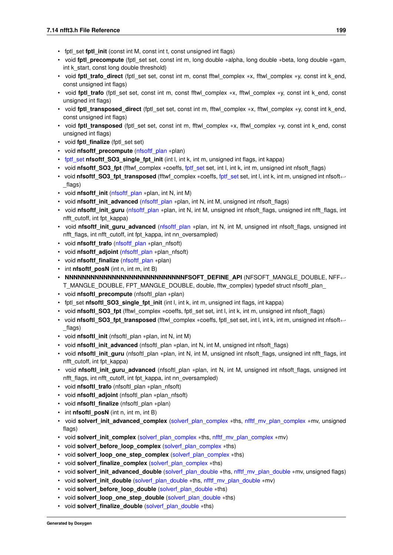- fptl\_set **fptl\_init** (const int M, const int t, const unsigned int flags)
- void **fptl\_precompute** (fptl\_set set, const int m, long double ∗alpha, long double ∗beta, long double ∗gam, int k\_start, const long double threshold)
- void **fptl\_trafo\_direct** (fptl\_set set, const int m, const fftwl\_complex ∗x, fftwl\_complex ∗y, const int k\_end, const unsigned int flags)
- void **fptl trafo** (fptl set set, const int m, const fftwl complex ∗x, fftwl complex ∗y, const int k end, const unsigned int flags)
- void **fptl\_transposed\_direct** (fptl\_set set, const int m, fftwl\_complex ∗x, fftwl\_complex ∗y, const int k\_end, const unsigned int flags)
- void **fptl\_transposed** (fptl\_set set, const int m, fftwl\_complex ∗x, fftwl\_complex ∗y, const int k\_end, const unsigned int flags)
- void **fptl\_finalize** (fptl\_set set)
- void **nfsoftf\_precompute** [\(nfsoftf\\_plan](#page-173-0) ∗plan)
- [fptf\\_set](#page-207-0) **nfsoftf\_SO3\_single\_fpt\_init** (int l, int k, int m, unsigned int flags, int kappa)
- void **nfsoftf\_SO3\_fpt** (fftwf\_complex ∗coeffs, [fptf\\_set](#page-207-0) set, int l, int k, int m, unsigned int nfsoft\_flags)
- void **nfsoftf\_SO3\_fpt\_transposed** (fftwf\_complex ∗coeffs, [fptf\\_set](#page-207-0) set, int l, int k, int m, unsigned int nfsoft←-\_flags)
- void **nfsoftf\_init** [\(nfsoftf\\_plan](#page-173-0) ∗plan, int N, int M)
- void **nfsoftf** init advanced (nfsoftf plan ∗plan, int N, int M, unsigned int nfsoft flags)
- void **nfsoftf\_init\_guru** [\(nfsoftf\\_plan](#page-173-0) ∗plan, int N, int M, unsigned int nfsoft\_flags, unsigned int nfft\_flags, int nfft\_cutoff, int fpt\_kappa)
- void **nfsoftf\_init\_guru\_advanced** [\(nfsoftf\\_plan](#page-173-0) ∗plan, int N, int M, unsigned int nfsoft\_flags, unsigned int nfft\_flags, int nfft\_cutoff, int fpt\_kappa, int nn\_oversampled)
- void **nfsoftf\_trafo** [\(nfsoftf\\_plan](#page-173-0) ∗plan\_nfsoft)
- void **nfsoftf\_adjoint** [\(nfsoftf\\_plan](#page-173-0) ∗plan\_nfsoft)
- void **nfsoftf\_finalize** [\(nfsoftf\\_plan](#page-173-0) ∗plan)
- int **nfsoftf\_posN** (int n, int m, int B)
- **NNNNNNNNNNNNNNNNNNNNNNNNNNNNNNFSOFT DEFINE API (NFSOFT MANGLE DOUBLE, NFF←** T\_MANGLE\_DOUBLE, FPT\_MANGLE\_DOUBLE, double, fftw\_complex) typedef struct nfsoftl\_plan
- void **nfsoftl\_precompute** (nfsoftl\_plan ∗plan)
- fptl\_set **nfsoftl\_SO3\_single\_fpt\_init** (int l, int k, int m, unsigned int flags, int kappa)
- void **nfsoftl\_SO3\_fpt** (fftwl\_complex ∗coeffs, fptl\_set set, int l, int k, int m, unsigned int nfsoft\_flags)
- void **nfsoftl SO3 fpt transposed** (fftwl complex ∗coeffs, fptl set set, int l, int k, int m, unsigned int nfsoft← \_flags)
- void **nfsoftl\_init** (nfsoftl\_plan ∗plan, int N, int M)
- void **nfsoftl\_init\_advanced** (nfsoftl\_plan ∗plan, int N, int M, unsigned int nfsoft\_flags)
- void **nfsoftl\_init\_guru** (nfsoftl\_plan ∗plan, int N, int M, unsigned int nfsoft\_flags, unsigned int nfft\_flags, int nfft\_cutoff, int fpt\_kappa)
- void **nfsoftl\_init\_guru\_advanced** (nfsoftl\_plan ∗plan, int N, int M, unsigned int nfsoft\_flags, unsigned int nfft\_flags, int nfft\_cutoff, int fpt\_kappa, int nn\_oversampled)
- void **nfsoftl\_trafo** (nfsoftl\_plan ∗plan\_nfsoft)
- void **nfsoftl\_adjoint** (nfsoftl\_plan ∗plan\_nfsoft)
- void **nfsoftl\_finalize** (nfsoftl\_plan ∗plan)
- int **nfsoftl\_posN** (int n, int m, int B)
- void **solverf\_init\_advanced\_complex** [\(solverf\\_plan\\_complex](#page-182-11) ∗ths, [nfftf\\_mv\\_plan\\_complex](#page-164-0) ∗mv, unsigned flags)
- void **solverf init complex** (solverf plan complex \*ths, nfftf mv\_plan\_complex \*mv)
- void **solverf** before loop complex (solverf plan complex ∗ths)
- void **solverf\_loop\_one\_step\_complex** [\(solverf\\_plan\\_complex](#page-182-11) ∗ths)
- void **solverf finalize complex** (solverf plan\_complex ∗ths)
- void **solverf init advanced\_double** (solverf plan\_double ∗ths, [nfftf\\_mv\\_plan\\_double](#page-165-1) ∗mv, unsigned flags)
- void **solverf\_init\_double** [\(solverf\\_plan\\_double](#page-183-14) ∗ths, nfftf\_my\_plan\_double ∗mv)
- void **solverf before loop double** (solverf plan double ∗ths)
- void **solverf** loop one step double (solverf plan double ∗ths)
- void **solverf finalize double** (solverf plan double ∗ths)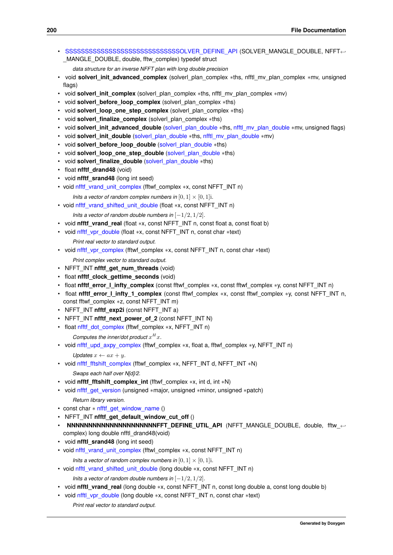- <span id="page-213-0"></span>• SSS[SSSSSSSSSSSSSSSSSSSSSSSSSSSSSOLVER\\_DEFINE\\_API](#page-213-0) (SOLVER\_MANGLE\_DOUBLE, NFFT← MANGLE\_DOUBLE, double, fftw\_complex) typedef struct
	- *data structure for an inverse NFFT plan with long double precision*
- void **solverl init advanced complex** (solverl plan complex ∗ths, nfftl mv plan complex ∗mv, unsigned flags)
- void **solverl init complex** (solverl plan complex ∗ths, nfftl\_mv\_plan\_complex ∗mv)
- void **solverl before loop complex** (solverl plan complex \*ths)
- void **solverl\_loop\_one\_step\_complex** (solverl\_plan\_complex ∗ths)
- void **solverl\_finalize\_complex** (solverl\_plan\_complex ∗ths)
- void **solverl\_init\_advanced\_double** [\(solverl\\_plan\\_double](#page-184-11) ∗ths, [nfftl\\_mv\\_plan\\_double](#page-168-0) ∗mv, unsigned flags)
- void **solverl init double** (solverl plan double ∗ths, [nfftl\\_mv\\_plan\\_double](#page-168-0) ∗mv)
- void **solverl before loop double** (solverl plan double ∗ths)
- void **solverl\_loop\_one\_step\_double** [\(solverl\\_plan\\_double](#page-184-11) ∗ths)
- void **solverl\_finalize\_double** [\(solverl\\_plan\\_double](#page-184-11) ∗ths)
- float **nfftf\_drand48** (void)
- void **nfftf** srand48 (long int seed)
- void [nfftf\\_vrand\\_unit\\_complex](#page-217-0) (fftwf\_complex ∗x, const NFFT\_INT n)
	- *Inits a vector of random complex numbers in*  $[0, 1] \times [0, 1]$ *i.*
- void [nfftf\\_vrand\\_shifted\\_unit\\_double](#page-217-1) (float ∗x, const NFFT\_INT n)
	- *Inits a vector of random double numbers in*  $[-1/2, 1/2]$ *.*
- void **nfftf vrand real** (float ∗x, const NFFT INT n, const float a, const float b)
- <span id="page-213-1"></span>• void [nfftf\\_vpr\\_double](#page-213-1) (float ∗x, const NFFT\_INT n, const char ∗text)
	- *Print real vector to standard output.*
- <span id="page-213-2"></span>• void [nfftf\\_vpr\\_complex](#page-213-2) (fftwf\_complex ∗x, const NFFT\_INT n, const char ∗text) *Print complex vector to standard output.*
- NFFT\_INT nfftf\_get\_num\_threads (void)
- float **nfftf\_clock\_gettime\_seconds** (void)
- float **nfftf\_error\_l\_infty\_complex** (const fftwf\_complex ∗x, const fftwf\_complex ∗y, const NFFT\_INT n)
- float **nfftf** error I infty 1 complex (const fftwf complex ∗x, const fftwf complex ∗y, const NFFT\_INT n, const fftwf\_complex ∗z, const NFFT\_INT m)
- NFFT\_INT **nfftf\_exp2i** (const NFFT\_INT a)
- NFFT\_INT **nfftf\_next\_power\_of\_2** (const NFFT\_INT N)
- <span id="page-213-3"></span>• float [nfftf\\_dot\\_complex](#page-213-3) (fftwf\_complex ∗x, NFFT\_INT n)

Computes the inner/dot product  $x^H x$ .

```
• void nfftf_upd_axpy_complex (fftwf_complex ∗x, float a, fftwf_complex ∗y, NFFT_INT n)
```
*Updates*  $x \leftarrow ax + y$ .

- <span id="page-213-5"></span>• void [nfftf\\_fftshift\\_complex](#page-213-5) (fftwf\_complex ∗x, NFFT\_INT d, NFFT\_INT ∗N) *Swaps each half over N[d]/2.*
- void **nfftf\_fftshift\_complex\_int** (fftwf\_complex ∗x, int d, int ∗N)
- <span id="page-213-6"></span>• void nfftf get version (unsigned ∗major, unsigned ∗minor, unsigned ∗patch)

```
Return library version.
```
- const char  $*$  [nfftf\\_get\\_window\\_name](#page-217-2) ()
- NFFT\_INT nfftf\_get\_default\_window\_cut\_off ()
- **NNNNNNNNNNNNNNNNNNNNNNFFT\_DEFINE\_UTIL\_API** (NFFT\_MANGLE\_DOUBLE, double, fftw ← complex) long double nfftl\_drand48(void)
- void **nfftl\_srand48** (long int seed)
- void [nfftl\\_vrand\\_unit\\_complex](#page-217-3) (fftwl\_complex ∗x, const NFFT\_INT n)
	- *Inits a vector of random complex numbers in*  $[0, 1] \times [0, 1]$ *i.*
- void [nfftl\\_vrand\\_shifted\\_unit\\_double](#page-218-0) (long double ∗x, const NFFT\_INT n)

*Inits a vector of random double numbers in* [−1/2, 1/2]*.*

- void **nfftl\_vrand\_real** (long double ∗x, const NFFT\_INT n, const long double a, const long double b)
- <span id="page-213-7"></span>• void [nfftl\\_vpr\\_double](#page-213-7) (long double ∗x, const NFFT\_INT n, const char ∗text)

*Print real vector to standard output.*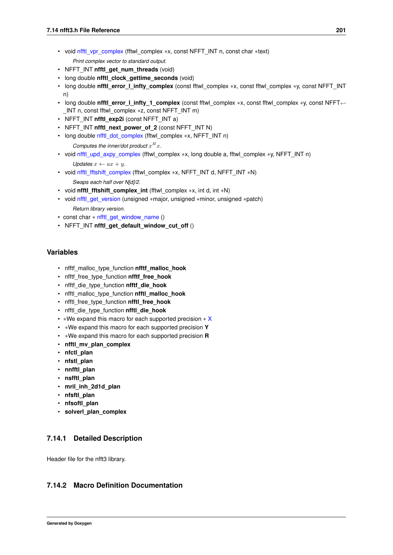<span id="page-214-1"></span>• void [nfftl\\_vpr\\_complex](#page-214-1) (fftwl\_complex ∗x, const NFFT\_INT n, const char ∗text)

*Print complex vector to standard output.*

- NFFT\_INT nfftl\_get\_num\_threads (void)
- long double **nfftl\_clock\_gettime\_seconds** (void)
- long double **nfftl\_error\_l\_infty\_complex** (const fftwl\_complex ∗x, const fftwl\_complex ∗y, const NFFT\_INT n)
- long double **nfftl\_error\_l\_infty\_1\_complex** (const fftwl\_complex ∗x, const fftwl\_complex ∗y, const NFFT← \_INT n, const fftwl\_complex ∗z, const NFFT\_INT m)
- NFFT\_INT **nfftl\_exp2i** (const NFFT\_INT a)
- NFFT\_INT nfftl\_next\_power\_of\_2 (const NFFT\_INT N)
- <span id="page-214-2"></span>• long double [nfftl\\_dot\\_complex](#page-214-2) (fftwl\_complex ∗x, NFFT\_INT n) Computes the inner/dot product  $x^H x$ .
- <span id="page-214-3"></span>• void [nfftl\\_upd\\_axpy\\_complex](#page-214-3) (fftwl\_complex ∗x, long double a, fftwl\_complex ∗y, NFFT\_INT n) *Updates*  $x \leftarrow ax + y$ .
- <span id="page-214-4"></span>• void [nfftl\\_fftshift\\_complex](#page-214-4) (fftwl\_complex \*x, NFFT\_INT d, NFFT\_INT \*N) *Swaps each half over N[d]/2.*
- void **nfftl\_fftshift\_complex\_int** (fftwl\_complex ∗x, int d, int ∗N)
- <span id="page-214-5"></span>• void [nfftl\\_get\\_version](#page-214-5) (unsigned ∗major, unsigned ∗minor, unsigned ∗patch) *Return library version.*
- const char ∗ [nfftl\\_get\\_window\\_name](#page-218-1) ()
- NFFT\_INT **nfftl\_get\_default\_window\_cut\_off** ()

### **Variables**

- nfftf\_malloc\_type\_function **nfftf\_malloc\_hook**
- nfftf\_free\_type\_function **nfftf\_free\_hook**
- nfftf\_die\_type\_function **nfftf\_die\_hook**
- nfftl\_malloc\_type\_function **nfftl\_malloc\_hook**
- nfftl\_free\_type\_function **nfftl\_free\_hook**
- nfftl\_die\_type\_function **nfftl\_die\_hook**
- ∗We expand this macro for each supported precision ∗ [X](#page-27-0)
- ∗We expand this macro for each supported precision **Y**
- ∗We expand this macro for each supported precision **R**
- **nfftl\_mv\_plan\_complex**
- **nfctl\_plan**
- **nfstl\_plan**
- **nnfftl\_plan**
- **nsfftl\_plan**
- **mril\_inh\_2d1d\_plan**
- **nfsftl\_plan**
- **nfsoftl\_plan**
- **solverl\_plan\_complex**

### **7.14.1 Detailed Description**

Header file for the nfft3 library.

### <span id="page-214-0"></span>**7.14.2 Macro Definition Documentation**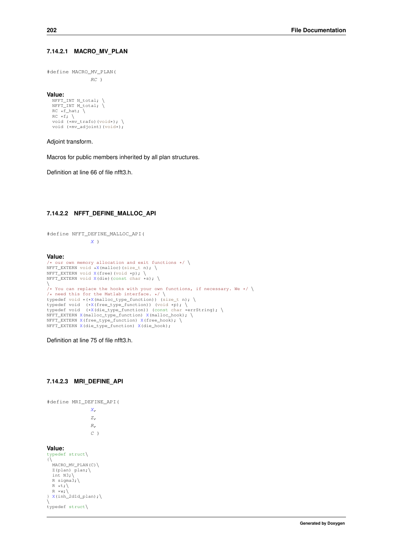#define MACRO\_MV\_PLAN(  $RC$ )

**Value:**

```
NFFT_INT N_total; \
NFFT_INT M_total; \
RC *f_hat; \ \n\RC \star f; \
void (*mv_trafo)(void*); \
void (*mv_adjoint)(void*);
```
Adjoint transform.

Macros for public members inherited by all plan structures.

Definition at line 66 of file nfft3.h.

#### **7.14.2.2 NFFT\_DEFINE\_MALLOC\_API**

```
#define NFFT_DEFINE_MALLOC_API(
             X)
```
### **Value:** /\* our own memory allocation and exit functions  $*/ \n\big\}$ NFFT\_EXTERN void  $\star$ X(malloc)(size\_t n); \ NFFT\_EXTERN void [X\(](#page-27-0)free)(void \*p); \<br>NFFT\_EXTERN void X(die)(const char \*s); \ \ /\* You can replace the hooks with your own functions, if necessary. We \*/ \ /\* need this for the Matlab interface. \*/ \ typedef void \*([\\*X\(](#page-27-0)malloc\_type\_function)) (size\_t n); \ typedef void ([\\*X\(](#page-27-0)free\_type\_function)) (void \*p); \<br>typedef void (\*X(die\_type\_function)) (const char \*errString); \ NFFT\_EXTERN [X\(](#page-27-0)malloc\_type\_function) [X\(](#page-27-0)malloc\_hook); \ NFFT\_EXTERN [X\(](#page-27-0)free\_type\_function) [X\(](#page-27-0)free\_hook); \ NFFT\_EXTERN [X\(](#page-27-0)die\_type\_function) [X\(](#page-27-0)die\_hook);

Definition at line 75 of file nfft3.h.

#### **7.14.2.3 MRI\_DEFINE\_API**

```
#define MRI_DEFINE_API(
```
 $\overline{X}$ Z, R,  $C$ )

#### **Value:**

```
typedef struct\
{\scriptstyle {\{\bigwedge \limits_{\text{MACRO\_MV\_PLAN(C)} \backslash \right\}}}}Z(plan) plan;
   int N3;R sigma3;\
  R *t; \n\big\}R \times wX(inh_2d1d_plan); \
\setminustypedef struct\
```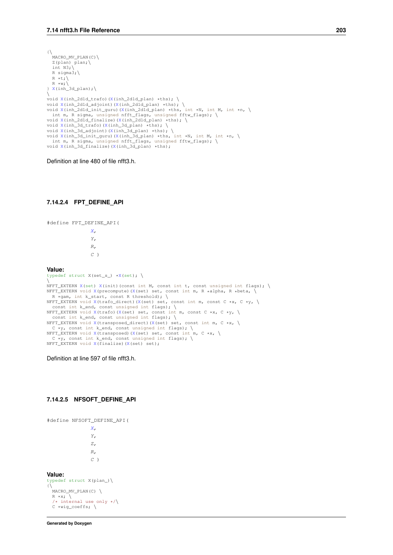```
{\scriptstyle {\{\bigwedge \limits_{\text{MACRO\_MV\_PLAN(C)} \backslash \right\}}}}Z(plan) plan;
  int N3;R sigma3:\
  R *t; \R \times w;
} X(inh_3d_plan);\
\
void X(inh_2d1d_trafo)(X(inh_2d1d_plan) *ths); \
X((X(inh_2d1d_plan) *ths); \<br>void X(inh_2d1d_init_guru)(X(inh_2d1d_plan) *ths, int *N, int M, int *n, \<br>int m, R sigma, unsigned nfft_flags, unsigned fftw_flags); \
X((X(inh_2d1d_plan) *ths);
X((X(inh_3d_plan) *ths); \
void X(inh_3d_adjoint)(X(inh_3d_plan) *ths); \
X((X(inh_3d_plan) *ths, int *N, int M, int *n, \
int m, R sigma, unsigned nfft_flags, unsigned fftw_flags); \
void X(inh_3d_finalize)(X(inh_3d_plan) *ths);
```
Definition at line 480 of file nfft3.h.

#### **7.14.2.4 FPT\_DEFINE\_API**

```
#define FPT_DEFINE_API(
                  X,
                  Y,
                  R,
                  C)
Value:
typedef struct X(\text{set_s}) \star X(\text{set}); \
\setminusX(set) X(init)(const int M, const int t, const unsigned int flags); \
X((X(set) set, const int m, R *alpha, R *beta, \sqrt{ }X((X(set) set, const int m, const C *x, C *y, \
  const int k_end, const unsigned int flags); \setminusX((X(set) set, const int m, const C *x, C *y, \const int k_end, const unsigned int flags); \<br>NFFT_EXTERN void X(transposed_direct)(X(set) set, const int m, C *x, \cx, \cx, const int k_end, const unsi
X((X(set) set, const int m, C *x, \
    \overline{y}, const int k_end, const unsigned int flags); \
NFFT_EXTERN void X(\text{finalize})(X(set) set);
```
Definition at line 597 of file nfft3.h.

#### **7.14.2.5 NFSOFT\_DEFINE\_API**

```
#define NFSOFT_DEFINE_API(
                    \overline{X}Y,
                    Z,
                    R,
                    \overline{C})
Value:
typedef struct X(plan_)\
\{\setminusMACRO_MV_PLAN(C)R \star x; \
```
/\* internal use only \*/\ C \*wig\_coeffs; \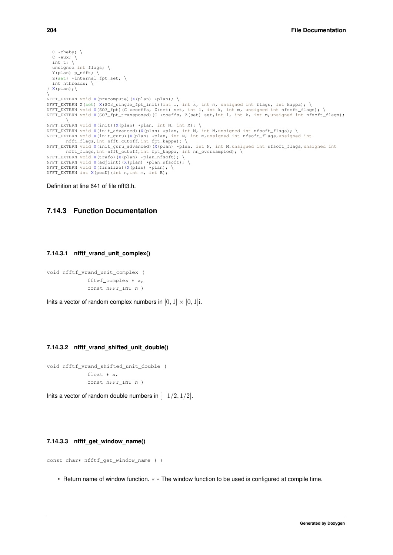```
C *cheby; \
   C \times aux;int t; \langleunsigned int flags; \
   Y(plan) p nfft; \langleZ(\text{set}) *internal fpt set: \
   int nthreads; \setminus\}X(plan);
X((X(plan) *plan); \<br>NFFT_EXTERN Z(set) X(SO3_single_fpt_init)(int l, int k, int m, unsigned int flags, int kappa); \<br>NFFT_EXTERN void X(SO3_fpt)(C *coeffs, Z(set) set, int l, int k, int m, u
X((X(plan) *plan, int N, int M); \<br>NFFT_EXTERN void X(init_advanced)(X(plan) *plan, int N, int M,unsigned int nfsoft_flags); \<br>NFFT_EXTERN void X(init_guru)(X(plan) *plan, int N, int M,unsigned int
nfft_flags,int nfft_cutoff,int fpt_kappa); \
NFFT_EXTERN void X(init_guru_advanced)(X(plan) *plan, int N, int M,unsigned int nfsoft_flags,unsigned int
nfft_flags,int nfft_cutoff,int fpt_kappa, int nn_oversampled); \
NFFT_EXTERN void X(trafo)(X(plan) *plan_nfsoft); \
NFFTX((X(plan) *plan_nfsoft); \
NFFT_EXTERN void X(finalize)(X(plan) *plan); \
NFFT_EXTERN int X(posN)(int n,int m, int B);
```
Definition at line 641 of file nfft3.h.

# **7.14.3 Function Documentation**

#### **7.14.3.1 nfftf\_vrand\_unit\_complex()**

```
void nfftf_vrand_unit_complex (
             fftwf_complex ∗ x,
             const NFFT_INT n )
```
Inits a vector of random complex numbers in  $[0, 1] \times [0, 1]$ i.

#### **7.14.3.2 nfftf\_vrand\_shifted\_unit\_double()**

```
void nfftf vrand shifted unit double (
             float ∗ x,
             const NFFT_INT n )
```
Inits a vector of random double numbers in  $[-1/2, 1/2]$ .

#### **7.14.3.3 nfftf\_get\_window\_name()**

```
const char∗ nfftf_get_window_name ( )
```
• Return name of window function. ∗ ∗ The window function to be used is configured at compile time.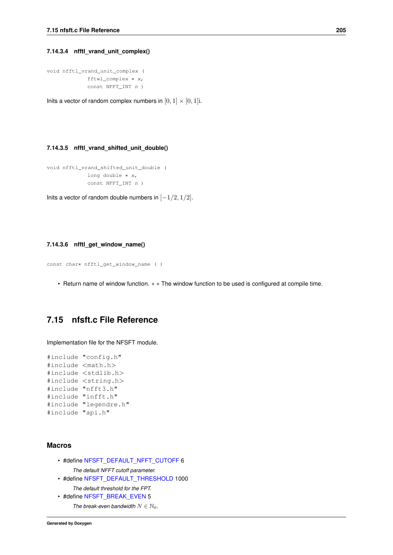#### <span id="page-218-0"></span>**7.14.3.4 nfftl\_vrand\_unit\_complex()**

```
void nfftl_vrand_unit_complex (
            fftwl_complex ∗ x,
             const NFFT_INT n )
```
Inits a vector of random complex numbers in  $[0, 1] \times [0, 1]$ i.

#### **7.14.3.5 nfftl\_vrand\_shifted\_unit\_double()**

```
void nfftl_vrand_shifted_unit_double (
            long double ∗ x,
             const NFFT_INT n )
```
Inits a vector of random double numbers in  $[-1/2, 1/2]$ .

#### **7.14.3.6 nfftl\_get\_window\_name()**

```
const char∗ nfftl_get_window_name ( )
```
• Return name of window function. ∗ ∗ The window function to be used is configured at compile time.

# **7.15 nfsft.c File Reference**

Implementation file for the NFSFT module.

```
#include "config.h"
#include <math.h>
#include <stdlib.h>
#include <string.h>
#include "nfft3.h"
#include "infft.h"
#include "legendre.h"
#include "api.h"
```
#### **Macros**

- #define [NFSFT\\_DEFAULT\\_NFFT\\_CUTOFF](#page-52-0) 6
	- *The default NFFT cutoff parameter.*
- #define [NFSFT\\_DEFAULT\\_THRESHOLD](#page-52-1) 1000 *The default threshold for the FPT.*
- #define [NFSFT\\_BREAK\\_EVEN](#page-52-2) 5
	- *The break-even bandwidth*  $N \in \mathbb{N}_0$ .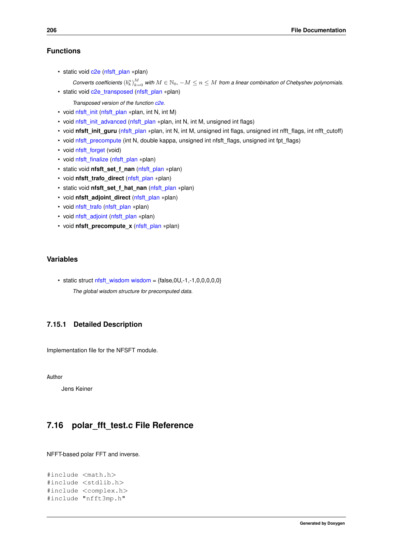<span id="page-219-0"></span>• static void [c2e](#page-55-0) [\(nfsft\\_plan](#page-171-0) ∗plan)

 ${\it Conversely}$  *Converts coefficients*  $(b_k^n)_{k=0}^M$  *with*  $M\in\mathbb N_0$ ,  $-M\le n\le M$  from a linear combination of Chebyshev polynomials. • static void [c2e\\_transposed](#page-56-0) [\(nfsft\\_plan](#page-171-0) ∗plan)

*Transposed version of the function [c2e.](#page-55-0)*

- void [nfsft\\_init](#page-56-1) [\(nfsft\\_plan](#page-171-0) ∗plan, int N, int M)
- void [nfsft\\_init\\_advanced](#page-56-2) [\(nfsft\\_plan](#page-171-0) ∗plan, int N, int M, unsigned int flags)
- void **nfsft\_init\_guru** [\(nfsft\\_plan](#page-171-0) ∗plan, int N, int M, unsigned int flags, unsigned int nfft\_flags, int nfft\_cutoff)
- void [nfsft\\_precompute](#page-57-0) (int N, double kappa, unsigned int nfsft\_flags, unsigned int fpt\_flags)
- void [nfsft\\_forget](#page-57-1) (void)
- void [nfsft\\_finalize](#page-58-0) [\(nfsft\\_plan](#page-171-0) ∗plan)
- static void **nfsft\_set\_f\_nan** [\(nfsft\\_plan](#page-171-0) ∗plan)
- void **nfsft\_trafo\_direct** [\(nfsft\\_plan](#page-171-0) ∗plan)
- static void **nfsft\_set\_f\_hat\_nan** [\(nfsft\\_plan](#page-171-0) ∗plan)
- void **nfsft\_adjoint\_direct** [\(nfsft\\_plan](#page-171-0) ∗plan)
- void [nfsft\\_trafo](#page-58-1) [\(nfsft\\_plan](#page-171-0) ∗plan)
- void [nfsft\\_adjoint](#page-58-2) [\(nfsft\\_plan](#page-171-0) ∗plan)
- void **nfsft\_precompute\_x** [\(nfsft\\_plan](#page-171-0) ∗plan)

# **Variables**

• static struct [nfsft\\_wisdom](#page-171-1) [wisdom](#page-59-0) =  ${false, 0U, -1, -1,0,0,0,0,0}$ *The global wisdom structure for precomputed data.*

# **7.15.1 Detailed Description**

Implementation file for the NFSFT module.

**Author**

Jens Keiner

# **7.16 polar\_fft\_test.c File Reference**

NFFT-based polar FFT and inverse.

```
#include <math.h>
#include <stdlib.h>
#include <complex.h>
#include "nfft3mp.h"
```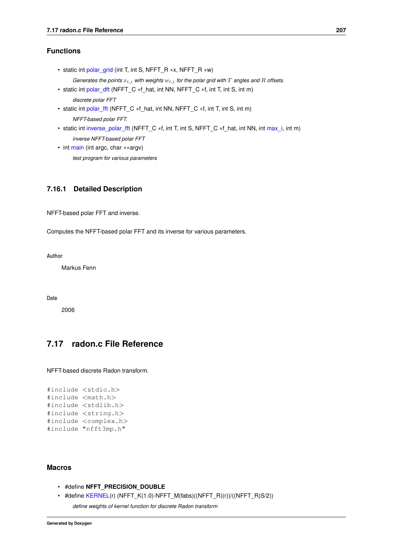- <span id="page-220-1"></span>• static int [polar\\_grid](#page-146-0) (int T, int S, NFFT\_R ∗x, NFFT\_R ∗w)
- *Generates the points*  $x_{t,j}$  *with weights*  $w_{t,j}$  *for the polar grid with*  $T$  *angles and*  $R$  *offsets.*
- static int [polar\\_dft](#page-146-1) (NFFT\_C \*f\_hat, int NN, NFFT\_C \*f, int T, int S, int m) *discrete polar FFT*
- static int [polar\\_fft](#page-146-2) (NFFT\_C \*f\_hat, int NN, NFFT\_C \*f, int T, int S, int m) *NFFT-based polar FFT.*
- static int [inverse\\_polar\\_fft](#page-146-3) (NFFT\_C ∗f, int T, int S, NFFT\_C ∗f\_hat, int NN, int [max\\_i,](#page-106-0) int m) *inverse NFFT-based polar FFT*
- int [main](#page-146-4) (int argc, char ∗∗argv) *test program for various parameters*

# **7.16.1 Detailed Description**

NFFT-based polar FFT and inverse.

Computes the NFFT-based polar FFT and its inverse for various parameters.

**Author**

Markus Fenn

**Date**

2006

# **7.17 radon.c File Reference**

NFFT-based discrete Radon transform.

```
#include <stdio.h>
#include <math.h>
#include <stdlib.h>
#include <string.h>
#include <complex.h>
#include "nfft3mp.h"
```
#### **Macros**

- #define **NFFT\_PRECISION\_DOUBLE**
- <span id="page-220-0"></span>• #define [KERNEL\(](#page-220-0)r) (NFFT\_K(1.0)-NFFT\_M(fabs)((NFFT\_R)(r))/((NFFT\_R)S/2)) *define weights of kernel function for discrete Radon transform*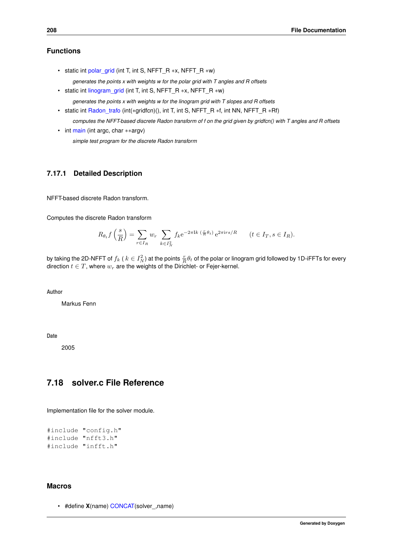- <span id="page-221-4"></span><span id="page-221-0"></span>• static int [polar\\_grid](#page-221-0) (int T, int S, NFFT\_R ∗x, NFFT\_R ∗w)
	- *generates the points x with weights w for the polar grid with T angles and R offsets*
- <span id="page-221-1"></span>• static int [linogram\\_grid](#page-221-1) (int T, int S, NFFT\_R ∗x, NFFT\_R ∗w)
	- *generates the points x with weights w for the linogram grid with T slopes and R offsets*
- <span id="page-221-2"></span>• static int [Radon\\_trafo](#page-221-2) (int(\*gridfcn)(), int T, int S, NFFT\_R \*f, int NN, NFFT\_R \*Rf)

*computes the NFFT-based discrete Radon transform of f on the grid given by gridfcn() with T angles and R offsets*

<span id="page-221-3"></span>• int [main](#page-221-3) (int argc, char ∗∗argv)

*simple test program for the discrete Radon transform*

## **7.17.1 Detailed Description**

NFFT-based discrete Radon transform.

Computes the discrete Radon transform

$$
R_{\theta_t} f\left(\frac{s}{R}\right) = \sum_{r \in I_R} w_r \sum_{k \in I_N^2} f_k e^{-2\pi \mathrm{I} k \left(\frac{r}{R}\theta_t\right)} e^{2\pi \mathrm{I} r s/R} \qquad (t \in I_T, s \in I_R).
$$

by taking the 2D-NFFT of  $f_k$  (  $k\in I_N^2)$  at the points  $\frac{r}{R}\theta_t$  of the polar or linogram grid followed by 1D-iFFTs for every direction  $t \in T$ , where  $w_r$  are the weights of the Dirichlet- or Fejer-kernel.

**Author**

Markus Fenn

**Date**

2005

# **7.18 solver.c File Reference**

Implementation file for the solver module.

```
#include "config.h"
#include "nfft3.h"
#include "infft.h"
```
#### **Macros**

• #define **X**(name) [CONCAT\(](#page-222-0)solver\_,name)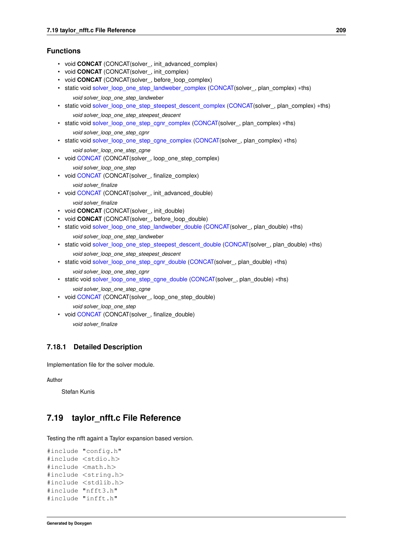- <span id="page-222-13"></span>• void **CONCAT** (CONCAT(solver, init advanced complex)
- void **CONCAT** (CONCAT(solver, init\_complex)
- void **CONCAT** (CONCAT(solver\_, before\_loop\_complex)
- <span id="page-222-1"></span>• static void [solver\\_loop\\_one\\_step\\_landweber\\_complex](#page-222-1) [\(CONCAT\(](#page-222-0)solver\_, plan\_complex) ∗ths) *void solver\_loop\_one\_step\_landweber*
- <span id="page-222-2"></span>• static void [solver\\_loop\\_one\\_step\\_steepest\\_descent\\_complex](#page-222-2) [\(CONCAT\(](#page-222-0)solver\_, plan\_complex) ∗ths) *void solver\_loop\_one\_step\_steepest\_descent*
- <span id="page-222-3"></span>• static void [solver\\_loop\\_one\\_step\\_cgnr\\_complex](#page-222-3) [\(CONCAT\(](#page-222-0)solver, plan\_complex) ∗ths) *void solver\_loop\_one\_step\_cgnr*
- <span id="page-222-4"></span>• static void [solver\\_loop\\_one\\_step\\_cgne\\_complex](#page-222-4) [\(CONCAT\(](#page-222-0)solver\_, plan\_complex) ∗ths) *void solver\_loop\_one\_step\_cgne*
- <span id="page-222-5"></span>• void [CONCAT](#page-222-5) (CONCAT (solver, loop one step complex) *void solver\_loop\_one\_step*
- <span id="page-222-6"></span>• void [CONCAT](#page-222-6) (CONCAT(solver\_, finalize\_complex)
	- *void solver\_finalize*
- <span id="page-222-7"></span>• void [CONCAT](#page-222-7) (CONCAT (solver, init\_advanced\_double) *void solver\_finalize*
- void **CONCAT** (CONCAT(solver, init\_double)
- void **CONCAT** (CONCAT(solver\_, before\_loop\_double)
- <span id="page-222-8"></span>• static void [solver\\_loop\\_one\\_step\\_landweber\\_double](#page-222-8) [\(CONCAT\(](#page-222-0)solver\_, plan\_double) ∗ths) *void solver\_loop\_one\_step\_landweber*
- <span id="page-222-9"></span>• static void [solver\\_loop\\_one\\_step\\_steepest\\_descent\\_double](#page-222-9) [\(CONCAT\(](#page-222-0)solver\_, plan\_double) ∗ths) *void solver\_loop\_one\_step\_steepest\_descent*
- <span id="page-222-10"></span>• static void [solver\\_loop\\_one\\_step\\_cgnr\\_double](#page-222-10) [\(CONCAT\(](#page-222-0)solver\_, plan\_double) ∗ths) *void solver\_loop\_one\_step\_cgnr*
- <span id="page-222-11"></span>• static void [solver\\_loop\\_one\\_step\\_cgne\\_double](#page-222-11) [\(CONCAT\(](#page-222-0)solver\_, plan\_double) \*ths) *void solver\_loop\_one\_step\_cgne*
- <span id="page-222-12"></span>• void [CONCAT](#page-222-12) (CONCAT (solver, loop one step double) *void solver\_loop\_one\_step*
- <span id="page-222-0"></span>• void [CONCAT](#page-222-0) (CONCAT (solver, finalize\_double) *void solver\_finalize*

# **7.18.1 Detailed Description**

Implementation file for the solver module.

**Author**

Stefan Kunis

# **7.19 taylor\_nfft.c File Reference**

Testing the nfft againt a Taylor expansion based version.

```
#include "config.h"
#include <stdio.h>
#include <math.h>
#include <string.h>
#include <stdlib.h>
#include "nfft3.h"
#include "infft.h"
```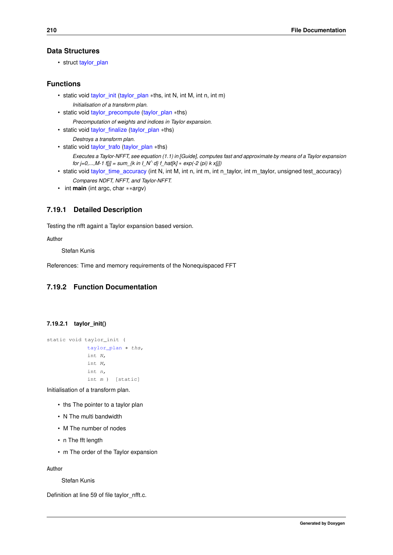# <span id="page-223-2"></span>**Data Structures**

• struct taylor plan

# **Functions**

- static void [taylor\\_init](#page-223-0) [\(taylor\\_plan](#page-185-0) ∗ths, int N, int M, int n, int m) *Initialisation of a transform plan.*
- static void taylor precompute (taylor plan ∗ths) *Precomputation of weights and indices in Taylor expansion.*
- static void [taylor\\_finalize](#page-224-0) [\(taylor\\_plan](#page-185-0) ∗ths) *Destroys a transform plan.*
- static void [taylor\\_trafo](#page-224-1) [\(taylor\\_plan](#page-185-0) ∗ths) *Executes a Taylor-NFFT, see equation (1.1) in [Guide], computes fast and approximate by means of a Taylor expansion for j=0,...,M-1 f[j] = sum\_{k in I\_N*<sup>∧</sup> *d} f\_hat[k]* ∗ *exp(-2 (pi) k x[j])*
- static void [taylor\\_time\\_accuracy](#page-224-2) (int N, int M, int n, int m, int n\_taylor, int m\_taylor, unsigned test\_accuracy) *Compares NDFT, NFFT, and Taylor-NFFT.*
- int **main** (int argc, char ∗∗argv)

# **7.19.1 Detailed Description**

Testing the nfft againt a Taylor expansion based version.

**Author**

Stefan Kunis

References: Time and memory requirements of the Nonequispaced FFT

# <span id="page-223-0"></span>**7.19.2 Function Documentation**

## **7.19.2.1 taylor\_init()**

```
static void taylor_init (
            taylor_plan ∗ ths,
             int N,
             int M,
             int n,
             int m ) [static]
```
Initialisation of a transform plan.

- ths The pointer to a taylor plan
- N The multi bandwidth
- M The number of nodes
- n The fft length
- m The order of the Taylor expansion

**Author**

Stefan Kunis

<span id="page-223-1"></span>Definition at line 59 of file taylor nfft.c.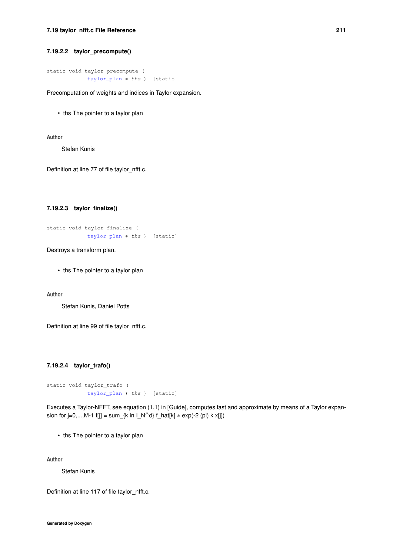#### <span id="page-224-3"></span>**7.19.2.2 taylor\_precompute()**

```
static void taylor_precompute (
            taylor_plan ∗ ths ) [static]
```
Precomputation of weights and indices in Taylor expansion.

• ths The pointer to a taylor plan

#### **Author**

Stefan Kunis

<span id="page-224-0"></span>Definition at line 77 of file taylor\_nfft.c.

#### **7.19.2.3 taylor\_finalize()**

```
static void taylor_finalize (
            taylor_plan ∗ ths ) [static]
```
Destroys a transform plan.

• ths The pointer to a taylor plan

**Author**

Stefan Kunis, Daniel Potts

<span id="page-224-1"></span>Definition at line 99 of file taylor\_nfft.c.

## **7.19.2.4 taylor\_trafo()**

```
static void taylor_trafo (
            taylor_plan ∗ ths ) [static]
```
Executes a Taylor-NFFT, see equation (1.1) in [Guide], computes fast and approximate by means of a Taylor expansion for j=0,...,M-1 f[j] = sum\_{k in  $\lfloor N^\wedge d \rfloor$  f\_hat[k]  $*$  exp(-2 (pi) k x[j])

• ths The pointer to a taylor plan

**Author**

Stefan Kunis

<span id="page-224-2"></span>Definition at line 117 of file taylor nfft.c.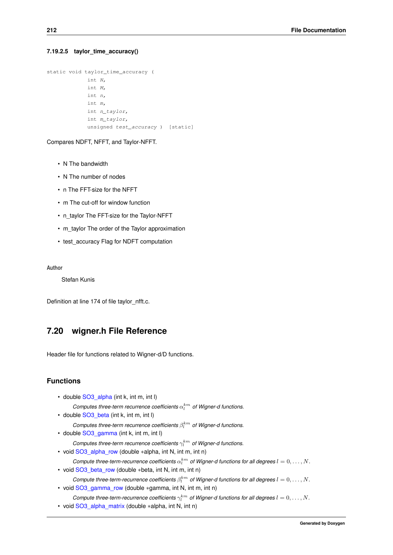#### <span id="page-225-0"></span>**7.19.2.5 taylor\_time\_accuracy()**

```
static void taylor_time_accuracy (
            int N,
            int M,
             int n,
             int m,
             int n_taylor,
             int m_taylor,
             unsigned test_accuracy ) [static]
```
Compares NDFT, NFFT, and Taylor-NFFT.

- N The bandwidth
- N The number of nodes
- n The FFT-size for the NFFT
- m The cut-off for window function
- n\_taylor The FFT-size for the Taylor-NFFT
- m taylor The order of the Taylor approximation
- test\_accuracy Flag for NDFT computation

**Author**

Stefan Kunis

Definition at line 174 of file taylor nfft.c.

# **7.20 wigner.h File Reference**

Header file for functions related to Wigner-d/D functions.

# **Functions**

• double SO3 alpha (int k, int m, int l)

 $\emph{Complexs three-term recurrence coefficients $\alpha_l^{km}$ of Wigner-d functions.}$ 

- double SO3 beta (int k, int m, int l)
	- $\emph{Complexs three-term recurrence coefficients $\beta_l^{km}$ of Wigner-d functions.}$
- double [SO3\\_gamma](#page-227-0) (int k, int m, int l)

Computes three-term recurrence coefficients  $\gamma_l^{km}$  of Wigner-d functions.

- void [SO3\\_alpha\\_row](#page-227-1) (double ∗alpha, int N, int m, int n)
- *Compute three-term-recurrence coefficients*  $\alpha_l^{km}$  of Wigner-d functions for all degrees  $l = 0, \ldots, N$ . • void [SO3\\_beta\\_row](#page-227-2) (double ∗beta, int N, int m, int n)
	- *Compute three-term-recurrence coefficients*  $\beta_l^{km}$  of Wigner-d functions for all degrees  $l = 0, \ldots, N$ .
- void [SO3\\_gamma\\_row](#page-228-0) (double ∗gamma, int N, int m, int n)
	- *Compute three-term-recurrence coefficients*  $\gamma_l^{km}$  *of Wigner-d functions for all degrees*  $l = 0, \ldots, N$ .
- void [SO3\\_alpha\\_matrix](#page-228-1) (double ∗alpha, int N, int n)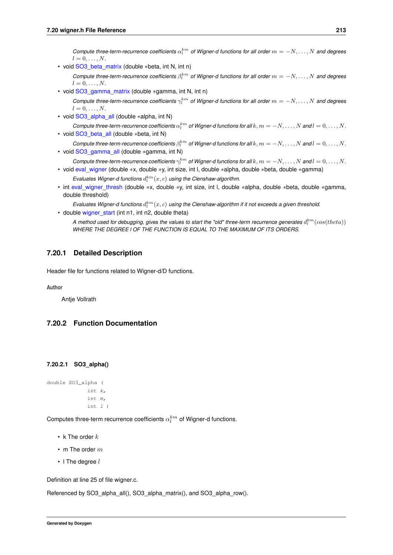<span id="page-226-2"></span>*Compute three-term-recurrence coefficients*  $\alpha_l^{km}$  of Wigner-d functions for all order  $m = -N, \ldots, N$  and degrees  $l = 0, \ldots, N$ .

• void SO3 beta\_matrix (double ∗beta, int N, int n)

*Compute three-term-recurrence coefficients*  $\beta_l^{km}$  of Wigner-d functions for all order  $m = -N, \ldots, N$  and degrees  $l = 0, \ldots, N$ .

• void [SO3\\_gamma\\_matrix](#page-229-1) (double ∗gamma, int N, int n)

*Compute three-term-recurrence coefficients*  $\gamma_l^{km}$  of Wigner-d functions for all order  $m = -N, \ldots, N$  and degrees  $l = 0, \ldots, N$ .

- void [SO3\\_alpha\\_all](#page-229-2) (double ∗alpha, int N)
- *Compute three-term-recurrence coefficients*  $\alpha_l^{km}$  *of Wigner-d functions for all*  $k, m = -N, \ldots, N$  *and*  $l = 0, \ldots, N$ . • void [SO3\\_beta\\_all](#page-230-0) (double ∗beta, int N)

*Compute three-term-recurrence coefficients*  $\beta_l^{km}$  *of Wigner-d functions for all*  $k, m = -N, \ldots, N$  *and*  $l = 0, \ldots, N$ . • void [SO3\\_gamma\\_all](#page-230-1) (double ∗gamma, int N)

- *Compute three-term-recurrence coefficients*  $\gamma_l^{km}$  *of Wigner-d functions for all*  $k, m = -N, \ldots, N$  *and*  $l = 0, \ldots, N$ . • void [eval\\_wigner](#page-230-2) (double ∗x, double ∗y, int size, int l, double ∗alpha, double ∗beta, double ∗gamma)
	- Evaluates Wigner-d functions  $d_l^{km}(x, c)$  using the Clenshaw-algorithm.
- int [eval\\_wigner\\_thresh](#page-231-0) (double ∗x, double ∗y, int size, int l, double ∗alpha, double ∗beta, double ∗gamma, double threshold)

Evaluates Wigner-d functions  $d_l^{km}(x, c)$  using the Clenshaw-algorithm if it not exceeds a given threshold. • double [wigner\\_start](#page-231-1) (int n1, int n2, double theta)

A method used for debugging, gives the values to start the "old" three-term recurrence generates  $d_l^{km}(cos(theta))$ *WHERE THE DEGREE l OF THE FUNCTION IS EQUAL TO THE MAXIMUM OF ITS ORDERS.*

## **7.20.1 Detailed Description**

Header file for functions related to Wigner-d/D functions.

**Author**

Antje Vollrath

# <span id="page-226-0"></span>**7.20.2 Function Documentation**

#### **7.20.2.1 SO3\_alpha()**

```
double SO3_alpha (
             int k,
             int m,
             int l )
```
Computes three-term recurrence coefficients  $\alpha_l^{km}$  of Wigner-d functions.

- k The order  $k$
- m The order  $m$
- $\cdot$  I The degree  $l$

Definition at line 25 of file wigner.c.

<span id="page-226-1"></span>Referenced by SO3\_alpha\_all(), SO3\_alpha\_matrix(), and SO3\_alpha\_row().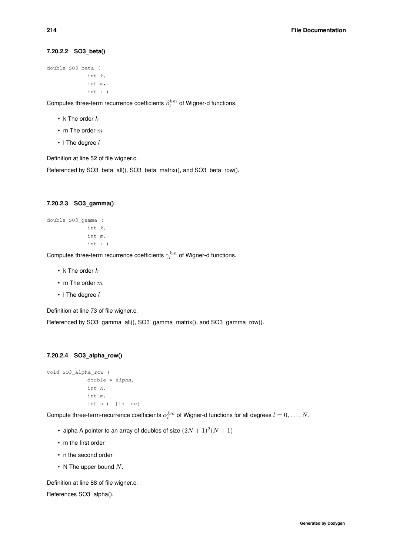## <span id="page-227-3"></span>**7.20.2.2 SO3\_beta()**

```
double SO3_beta (
             int k,
             int m,
             int l )
```
Computes three-term recurrence coefficients  $\beta_l^{km}$  of Wigner-d functions.

- k The order  $k$
- m The order  $m$
- $\cdot$  I The degree  $l$

Definition at line 52 of file wigner.c.

<span id="page-227-0"></span>Referenced by SO3\_beta\_all(), SO3\_beta\_matrix(), and SO3\_beta\_row().

#### **7.20.2.3 SO3\_gamma()**

```
double SO3_gamma (
            int k,
             int m,
             int l )
```
Computes three-term recurrence coefficients  $\gamma_l^{km}$  of Wigner-d functions.

- k The order  $k$
- m The order  $m$
- $\cdot$  I The degree  $l$

Definition at line 73 of file wigner.c.

<span id="page-227-1"></span>Referenced by SO3\_gamma\_all(), SO3\_gamma\_matrix(), and SO3\_gamma\_row().

#### **7.20.2.4 SO3\_alpha\_row()**

```
void SO3_alpha_row (
             double ∗ alpha,
             int N,
             int m,
             int n ) [inline]
```
Compute three-term-recurrence coefficients  $\alpha^{km}_l$  of Wigner-d functions for all degrees  $l=0,\ldots,N.$ 

- alpha A pointer to an array of doubles of size  $(2N + 1)^2(N + 1)$
- m the first order
- n the second order
- N The upper bound  $N$ .

Definition at line 88 of file wigner.c.

<span id="page-227-2"></span>References SO3\_alpha().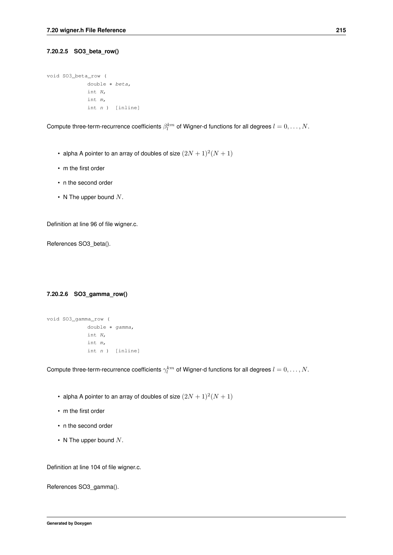## <span id="page-228-2"></span>**7.20.2.5 SO3\_beta\_row()**

```
void SO3_beta_row (
            double ∗ beta,
             int N,
             int m,
             int n ) [inline]
```
Compute three-term-recurrence coefficients  $\beta_l^{km}$  of Wigner-d functions for all degrees  $l=0,\ldots,N.$ 

- alpha A pointer to an array of doubles of size  $(2N + 1)^2(N + 1)$
- m the first order
- n the second order
- N The upper bound  $N$ .

Definition at line 96 of file wigner.c.

<span id="page-228-0"></span>References SO3\_beta().

# **7.20.2.6 SO3\_gamma\_row()**

```
void SO3_gamma_row (
            double ∗ gamma,
            int N,
            int m,
            int n ) [inline]
```
Compute three-term-recurrence coefficients  $\gamma^{km}_l$  of Wigner-d functions for all degrees  $l=0,\ldots,N.$ 

- alpha A pointer to an array of doubles of size  $(2N + 1)^2(N + 1)$
- m the first order
- n the second order
- N The upper bound  $N$ .

Definition at line 104 of file wigner.c.

<span id="page-228-1"></span>References SO3\_gamma().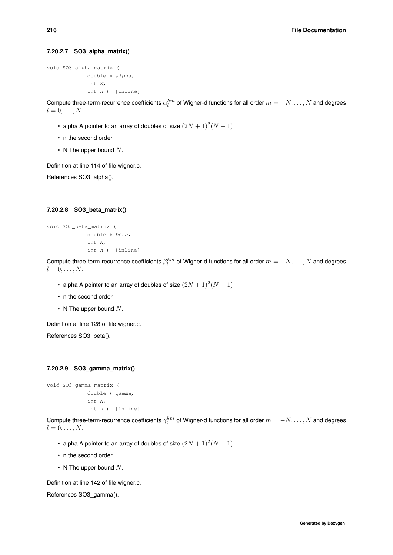#### <span id="page-229-3"></span>**7.20.2.7 SO3\_alpha\_matrix()**

void SO3\_alpha\_matrix ( double ∗ alpha, int N, int n ) [inline]

Compute three-term-recurrence coefficients  $\alpha^{km}_l$  of Wigner-d functions for all order  $m=-N,\ldots,N$  and degrees  $l = 0, \ldots, N$ .

- alpha A pointer to an array of doubles of size  $(2N+1)^2(N+1)$
- n the second order
- N The upper bound  $N$ .

Definition at line 114 of file wigner.c.

<span id="page-229-0"></span>References SO3\_alpha().

## **7.20.2.8 SO3\_beta\_matrix()**

```
void SO3_beta_matrix (
            double ∗ beta,
             int N,
             int n ) [inline]
```
Compute three-term-recurrence coefficients  $\beta^{km}_l$  of Wigner-d functions for all order  $m=-N,\ldots,N$  and degrees  $l = 0, \ldots, N$ .

- alpha A pointer to an array of doubles of size  $(2N + 1)^2(N + 1)$
- n the second order
- N The upper bound  $N$ .

Definition at line 128 of file wigner.c.

<span id="page-229-1"></span>References SO3\_beta().

#### **7.20.2.9 SO3\_gamma\_matrix()**

```
void SO3_gamma_matrix (
            double ∗ gamma,
            int N,
             int n ) [inline]
```
Compute three-term-recurrence coefficients  $\gamma^{km}_l$  of Wigner-d functions for all order  $m=-N,\ldots,N$  and degrees  $l = 0, \ldots, N$ .

- alpha A pointer to an array of doubles of size  $(2N + 1)^2(N + 1)$
- n the second order
- N The upper bound  $N$ .

Definition at line 142 of file wigner.c.

<span id="page-229-2"></span>References SO3\_gamma().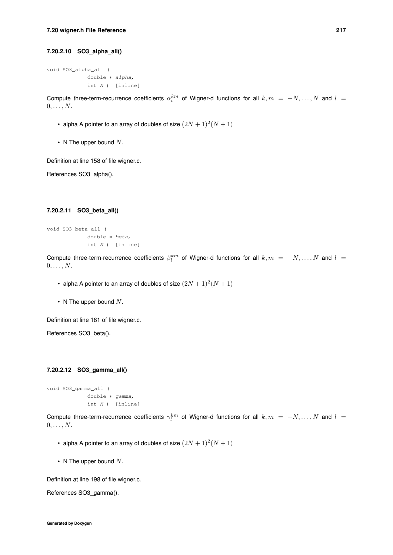#### <span id="page-230-3"></span>**7.20.2.10 SO3\_alpha\_all()**

```
void SO3_alpha_all (
             double ∗ alpha,
             int N ) [inline]
```
Compute three-term-recurrence coefficients  $\alpha_l^{km}$  of Wigner-d functions for all  $k,m = -N, \ldots, N$  and  $l =$  $0, \ldots, N$ .

- alpha A pointer to an array of doubles of size  $(2N + 1)^2(N + 1)$
- N The upper bound  $N$ .

Definition at line 158 of file wigner.c.

<span id="page-230-0"></span>References SO3\_alpha().

#### **7.20.2.11 SO3\_beta\_all()**

```
void SO3_beta_all (
             double ∗ beta,
             int N ) [inline]
```
Compute three-term-recurrence coefficients  $\beta_l^{km}$  of Wigner-d functions for all  $k,m = -N, \ldots, N$  and  $l =$  $0, \ldots, N$ .

- alpha A pointer to an array of doubles of size  $(2N + 1)^2(N + 1)$
- N The upper bound  $N$ .

Definition at line 181 of file wigner.c.

<span id="page-230-1"></span>References SO3\_beta().

#### **7.20.2.12 SO3\_gamma\_all()**

```
void SO3_gamma_all (
            double ∗ gamma,
            int N ) [inline]
```
Compute three-term-recurrence coefficients  $\gamma_l^{km}$  of Wigner-d functions for all  $k,m = -N,\ldots,N$  and  $l =$  $0, \ldots, N$ .

- alpha A pointer to an array of doubles of size  $(2N + 1)^2(N + 1)$
- N The upper bound  $N$ .

Definition at line 198 of file wigner.c.

<span id="page-230-2"></span>References SO3\_gamma().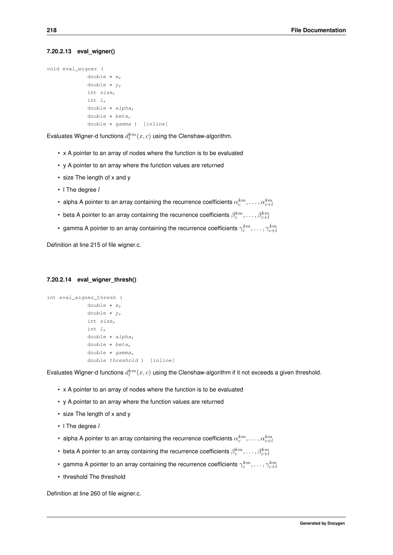#### <span id="page-231-2"></span>**7.20.2.13 eval\_wigner()**

```
void eval_wigner (
             double ∗ x,
             double ∗ y,
             int size,
             int l,
             double ∗ alpha,
             double ∗ beta,
             double ∗ gamma ) [inline]
```
Evaluates Wigner-d functions  $d_l^{km}(x,c)$  using the Clenshaw-algorithm.

- x A pointer to an array of nodes where the function is to be evaluated
- y A pointer to an array where the function values are returned
- size The length of x and y
- $\cdot$  I The degree  $l$
- alpha A pointer to an array containing the recurrence coefficients  $\alpha_c^{km},\ldots,\alpha_{c+l}^{km}$
- beta A pointer to an array containing the recurrence coefficients  $\beta^{km}_c,\ldots,\beta^{km}_{c+l}$
- gamma A pointer to an array containing the recurrence coefficients  $\gamma_c^{km},\ldots,\gamma_{c+l}^{km}$

<span id="page-231-0"></span>Definition at line 215 of file wigner.c.

#### **7.20.2.14 eval\_wigner\_thresh()**

```
int eval_wigner_thresh (
            double ∗ x,
             double ∗ y,
             int size,
             int l,
             double ∗ alpha,
             double ∗ beta,
             double ∗ gamma,
             double threshold ) [inline]
```
Evaluates Wigner-d functions  $d_l^{km}(x, c)$  using the Clenshaw-algorithm if it not exceeds a given threshold.

- x A pointer to an array of nodes where the function is to be evaluated
- y A pointer to an array where the function values are returned
- size The length of x and y
- $\cdot$  I The degree  $l$
- alpha A pointer to an array containing the recurrence coefficients  $\alpha_c^{km},\ldots,\alpha_{c+l}^{km}$
- beta A pointer to an array containing the recurrence coefficients  $\beta^{km}_c,\ldots,\beta^{km}_{c+l}$
- gamma A pointer to an array containing the recurrence coefficients  $\gamma_c^{km},\ldots,\gamma_{c+l}^{km}$
- threshold The threshold

<span id="page-231-1"></span>Definition at line 260 of file wigner.c.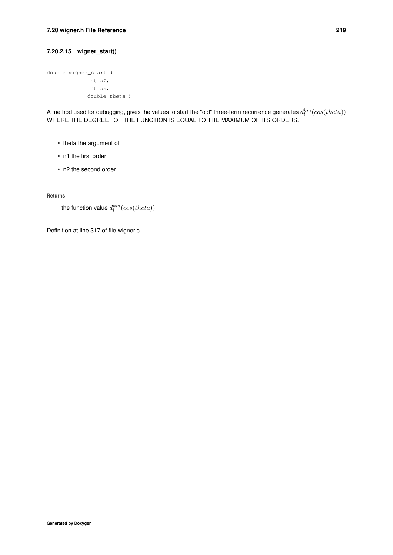#### **7.20.2.15 wigner\_start()**

```
double wigner_start (
            int n1,
            int n2,
             double theta )
```
A method used for debugging, gives the values to start the "old" three-term recurrence generates  $d_l^{km}(cos(theta))$ WHERE THE DEGREE l OF THE FUNCTION IS EQUAL TO THE MAXIMUM OF ITS ORDERS.

- theta the argument of
- n1 the first order
- n2 the second order

**Returns**

```
the function value d_l^{km}(cos(theta))
```
Definition at line 317 of file wigner.c.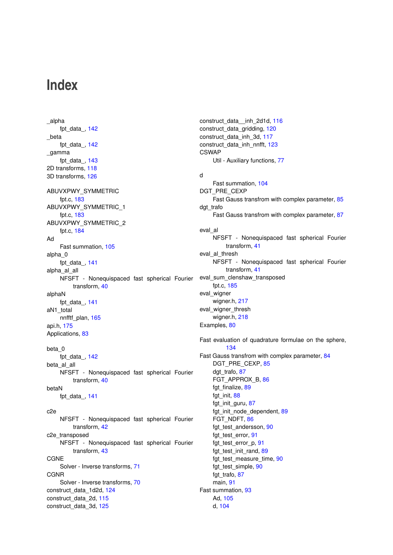# **Index**

\_alpha fpt\_data\_, [142](#page-155-0) \_beta fpt\_data\_, [142](#page-155-0) \_gamma fpt data, [143](#page-156-0) 2D transforms, [118](#page-131-0) 3D transforms, [126](#page-139-0) ABUVXPWY\_SYMMETRIC fpt.c, [183](#page-196-0) ABUVXPWY\_SYMMETRIC\_1 fpt.c, [183](#page-196-0) ABUVXPWY\_SYMMETRIC\_2 fpt.c, [184](#page-197-0) Ad Fast summation, [105](#page-118-0) alpha\_0 fpt\_data\_, [141](#page-154-0) alpha\_al\_all NFSFT - Nonequispaced fast spherical Fourier transform, [40](#page-53-0) alphaN fpt\_data\_, [141](#page-154-0) aN1\_total nnfftf\_plan, [165](#page-178-0) api.h, [175](#page-188-0) Applications, [83](#page-96-0) beta\_0 fpt\_data, [142](#page-155-0) beta al all NFSFT - Nonequispaced fast spherical Fourier transform, [40](#page-53-0) betaN fpt\_data\_, [141](#page-154-0) c2e NFSFT - Nonequispaced fast spherical Fourier transform, [42](#page-55-1) c2e\_transposed NFSFT - Nonequispaced fast spherical Fourier transform, [43](#page-56-3) CGNE Solver - Inverse transforms, [71](#page-84-0) CGNR Solver - Inverse transforms, [70](#page-83-0) construct\_data\_1d2d, [124](#page-137-0) construct\_data\_2d, [115](#page-128-0) construct\_data\_3d, [125](#page-138-0)

construct\_data\_\_inh\_2d1d, [116](#page-129-0) construct\_data\_gridding, [120](#page-133-0) construct\_data\_inh\_3d, [117](#page-130-0) construct data inh\_nnfft, [123](#page-136-0) **CSWAP** Util - Auxiliary functions, [77](#page-90-0) d Fast summation, [104](#page-117-0) DGT\_PRE\_CEXP Fast Gauss transfrom with complex parameter, [85](#page-98-0) dgt\_trafo Fast Gauss transfrom with complex parameter, [87](#page-100-0) eval\_al NFSFT - Nonequispaced fast spherical Fourier transform, [41](#page-54-0) eval\_al\_thresh NFSFT - Nonequispaced fast spherical Fourier transform, [41](#page-54-0) eval\_sum\_clenshaw\_transposed fpt.c, [185](#page-198-0) eval\_wigner wigner.h, [217](#page-230-3) eval wigner thresh wigner.h, [218](#page-231-2) Examples, [80](#page-93-0) Fast evaluation of quadrature formulae on the sphere, [134](#page-147-0) Fast Gauss transfrom with complex parameter, [84](#page-97-0) DGT\_PRE\_CEXP, [85](#page-98-0) dgt\_trafo, [87](#page-100-0) FGT\_APPROX\_B, [86](#page-99-0) fgt\_finalize, [89](#page-102-0) fgt\_init, [88](#page-101-0) fgt\_init\_guru, [87](#page-100-0) fgt\_init\_node\_dependent, [89](#page-102-0) FGT\_NDFT, [86](#page-99-0) fgt\_test\_andersson, [90](#page-103-0) fgt\_test\_error, [91](#page-104-0) fgt\_test\_error\_p, [91](#page-104-0) fgt\_test\_init\_rand, [89](#page-102-0) fgt\_test\_measure\_time, [90](#page-103-0) fgt\_test\_simple, [90](#page-103-0) fgt\_trafo, [87](#page-100-0) main, [91](#page-104-0) Fast summation, [93](#page-106-1) Ad, [105](#page-118-0) d, [104](#page-117-0)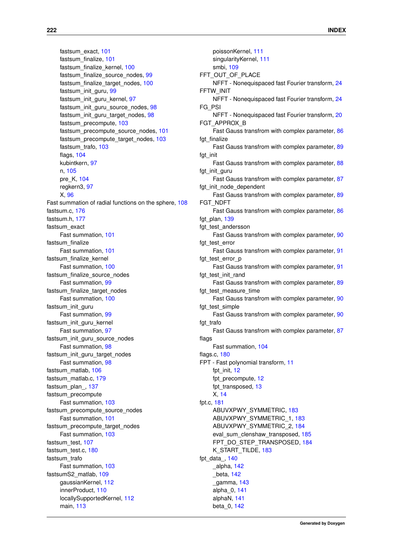fastsum\_exact, [101](#page-114-0) fastsum\_finalize, [101](#page-114-0) fastsum\_finalize\_kernel, [100](#page-113-0) fastsum\_finalize\_source\_nodes, [99](#page-112-0) fastsum\_finalize\_target\_nodes, [100](#page-113-0) fastsum\_init\_guru, [99](#page-112-0) fastsum\_init\_guru\_kernel, [97](#page-110-0) fastsum\_init\_guru\_source\_nodes, [98](#page-111-0) fastsum\_init\_guru\_target\_nodes, [98](#page-111-0) fastsum\_precompute, [103](#page-116-0) fastsum\_precompute\_source\_nodes, [101](#page-114-0) fastsum\_precompute\_target\_nodes, [103](#page-116-0) fastsum\_trafo, [103](#page-116-0) flags, [104](#page-117-0) kubintkern, [97](#page-110-0) n, [105](#page-118-0) pre\_K, [104](#page-117-0) regkern3, [97](#page-110-0) X, [96](#page-109-0) Fast summation of radial functions on the sphere, [108](#page-121-0) fastsum.c, [176](#page-189-0) fastsum.h, [177](#page-190-0) fastsum\_exact Fast summation, [101](#page-114-0) fastsum\_finalize Fast summation, [101](#page-114-0) fastsum finalize kernel Fast summation, [100](#page-113-0) fastsum\_finalize\_source\_nodes Fast summation, [99](#page-112-0) fastsum\_finalize\_target\_nodes Fast summation, [100](#page-113-0) fastsum\_init\_guru Fast summation, [99](#page-112-0) fastsum\_init\_guru\_kernel Fast summation, [97](#page-110-0) fastsum\_init\_guru\_source\_nodes Fast summation, [98](#page-111-0) fastsum\_init\_guru\_target\_nodes Fast summation, [98](#page-111-0) fastsum\_matlab, [106](#page-119-0) fastsum\_matlab.c, [179](#page-192-0) fastsum\_plan\_, [137](#page-150-0) fastsum\_precompute Fast summation, [103](#page-116-0) fastsum\_precompute\_source\_nodes Fast summation, [101](#page-114-0) fastsum precompute target nodes Fast summation, [103](#page-116-0) fastsum\_test, [107](#page-120-0) fastsum\_test.c, [180](#page-193-0) fastsum\_trafo Fast summation, [103](#page-116-0) fastsumS2\_matlab, [109](#page-122-0) gaussianKernel, [112](#page-125-0) innerProduct, [110](#page-123-0) locallySupportedKernel, [112](#page-125-0) main, [113](#page-126-0)

poissonKernel, [111](#page-124-0) singularityKernel, [111](#page-124-0) smbi, [109](#page-122-0) FFT\_OUT\_OF\_PLACE NFFT - Nonequispaced fast Fourier transform, [24](#page-37-0) FFTW\_INIT NFFT - Nonequispaced fast Fourier transform, [24](#page-37-0) FG\_PSI NFFT - Nonequispaced fast Fourier transform, [20](#page-33-0) FGT\_APPROX\_B Fast Gauss transfrom with complex parameter, [86](#page-99-0) fgt\_finalize Fast Gauss transfrom with complex parameter, [89](#page-102-0) fgt\_init Fast Gauss transfrom with complex parameter, [88](#page-101-0) fat init auru Fast Gauss transfrom with complex parameter, [87](#page-100-0) fat init node dependent Fast Gauss transfrom with complex parameter, [89](#page-102-0) FGT\_NDFT Fast Gauss transfrom with complex parameter, [86](#page-99-0) fgt plan, [139](#page-152-0) fgt\_test\_andersson Fast Gauss transfrom with complex parameter, [90](#page-103-0) fat test error Fast Gauss transfrom with complex parameter, [91](#page-104-0) fgt\_test\_error\_p Fast Gauss transfrom with complex parameter, [91](#page-104-0) fgt test init rand Fast Gauss transfrom with complex parameter, [89](#page-102-0) fgt\_test\_measure\_time Fast Gauss transfrom with complex parameter, [90](#page-103-0) fgt\_test\_simple Fast Gauss transfrom with complex parameter, [90](#page-103-0) fgt\_trafo Fast Gauss transfrom with complex parameter, [87](#page-100-0) flags Fast summation, [104](#page-117-0) flags.c, [180](#page-193-0) FPT - Fast polynomial transform, [11](#page-24-0) fpt\_init, [12](#page-25-0) fpt\_precompute, [12](#page-25-0) fpt\_transposed, [13](#page-26-0) X, [14](#page-27-1) fpt.c, [181](#page-194-0) ABUVXPWY\_SYMMETRIC, [183](#page-196-0) ABUVXPWY\_SYMMETRIC\_1, [183](#page-196-0) ABUVXPWY\_SYMMETRIC\_2, [184](#page-197-0) eval sum clenshaw transposed, [185](#page-198-0) FPT\_DO\_STEP\_TRANSPOSED, [184](#page-197-0) K\_START\_TILDE, [183](#page-196-0) fpt\_data, [140](#page-153-0) \_alpha, [142](#page-155-0) \_beta, [142](#page-155-0) \_gamma, [143](#page-156-0) alpha\_0, [141](#page-154-0) alphaN, [141](#page-154-0) beta\_0, [142](#page-155-0)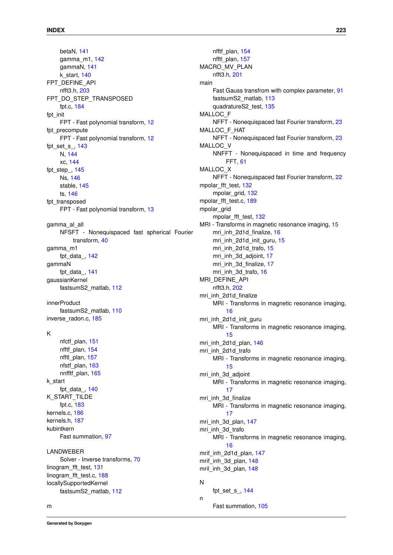betaN, [141](#page-154-0) gamma\_m1, [142](#page-155-0) gammaN, [141](#page-154-0) k\_start, [140](#page-153-0) FPT\_DEFINE\_API nfft3.h, [203](#page-216-0) FPT\_DO\_STEP\_TRANSPOSED fpt.c, [184](#page-197-0) fpt\_init FPT - Fast polynomial transform, [12](#page-25-0) fpt precompute FPT - Fast polynomial transform, [12](#page-25-0) fpt\_set\_s\_, [143](#page-156-0) N, [144](#page-157-0) xc, [144](#page-157-0) fpt\_step\_, [145](#page-158-0) Ns, [146](#page-159-0) stable, [145](#page-158-0) ts, [146](#page-159-0) fpt\_transposed FPT - Fast polynomial transform, [13](#page-26-0) gamma\_al\_all NFSFT - Nonequispaced fast spherical Fourier transform, [40](#page-53-0) gamma\_m1 fpt\_data\_, [142](#page-155-0) gammaN fpt\_data\_, [141](#page-154-0) gaussianKernel fastsumS2\_matlab, [112](#page-125-0) innerProduct fastsumS2\_matlab, [110](#page-123-0) inverse\_radon.c, [185](#page-198-0) K nfctf\_plan, [151](#page-164-0) nfftf plan, [154](#page-167-0) nfftl\_plan, [157](#page-170-0) nfstf\_plan, [163](#page-176-0) nnfftf plan, [165](#page-178-0) k\_start fpt\_data\_, [140](#page-153-0) K\_START\_TILDE fpt.c, [183](#page-196-0) kernels.c, [186](#page-199-0) kernels.h, [187](#page-200-0) kubintkern Fast summation, [97](#page-110-0) LANDWEBER Solver - Inverse transforms, [70](#page-83-0) linogram\_fft\_test, [131](#page-144-0) linogram\_fft\_test.c, [188](#page-201-0) locallySupportedKernel fastsumS2\_matlab, [112](#page-125-0)

nfftf\_plan, [154](#page-167-0) nfftl\_plan, [157](#page-170-0) MACRO\_MV\_PLAN nfft3.h, [201](#page-214-0) main Fast Gauss transfrom with complex parameter, [91](#page-104-0) fastsumS2\_matlab, [113](#page-126-0) quadratureS2\_test, [135](#page-148-0) MALLOC\_F NFFT - Nonequispaced fast Fourier transform, [23](#page-36-0) MALLOC\_F\_HAT NFFT - Nonequispaced fast Fourier transform, [23](#page-36-0) MALLOC\_V NNFFT - Nonequispaced in time and frequency FFT, [61](#page-74-0) MALLOC\_X NFFT - Nonequispaced fast Fourier transform, [22](#page-35-0) mpolar\_fft\_test, [132](#page-145-0) mpolar\_grid, [132](#page-145-0) mpolar\_fft\_test.c, [189](#page-202-0) mpolar\_grid mpolar\_fft\_test, [132](#page-145-0) MRI - Transforms in magnetic resonance imaging, [15](#page-28-0) mri\_inh\_2d1d\_finalize, [16](#page-29-0) mri\_inh\_2d1d\_init\_guru, [15](#page-28-0) mri\_inh\_2d1d\_trafo, [15](#page-28-0) mri\_inh\_3d\_adjoint, [17](#page-30-0) mri\_inh\_3d\_finalize, [17](#page-30-0) mri inh 3d trafo, [16](#page-29-0) MRI\_DEFINE\_API nfft3.h, [202](#page-215-0) mri\_inh\_2d1d\_finalize MRI - Transforms in magnetic resonance imaging, [16](#page-29-0) mri\_inh\_2d1d\_init\_guru MRI - Transforms in magnetic resonance imaging, [15](#page-28-0) mri inh 2d1d plan, [146](#page-159-0) mri\_inh\_2d1d\_trafo MRI - Transforms in magnetic resonance imaging, [15](#page-28-0) mri\_inh\_3d\_adjoint MRI - Transforms in magnetic resonance imaging, [17](#page-30-0) mri\_inh\_3d\_finalize MRI - Transforms in magnetic resonance imaging, [17](#page-30-0) mri inh 3d plan, [147](#page-160-0) mri\_inh\_3d\_trafo MRI - Transforms in magnetic resonance imaging, [16](#page-29-0) mrif inh 2d1d plan, [147](#page-160-0) mrif inh 3d plan, [148](#page-161-0) mril\_inh\_3d\_plan, [148](#page-161-0) N fpt\_set\_s\_, [144](#page-157-0) n

**Generated by Doxygen**

Fast summation, [105](#page-118-0)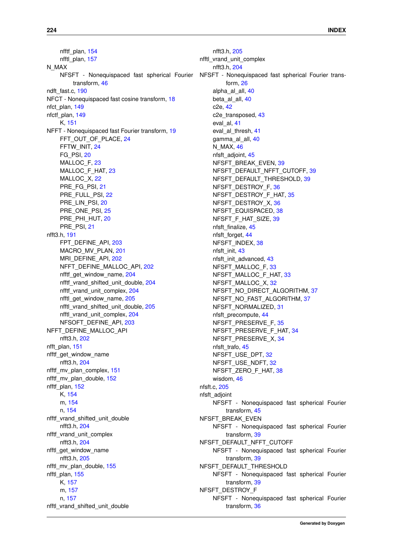nfftf\_plan, [154](#page-167-0) nfftl\_plan, [157](#page-170-0) N\_MAX NFSFT - Nonequispaced fast spherical Fourier transform, [46](#page-59-1) ndft\_fast.c, [190](#page-203-0) NFCT - Nonequispaced fast cosine transform, [18](#page-31-0) nfct\_plan, [149](#page-162-0) nfctf\_plan, [149](#page-162-0) K, [151](#page-164-0) NFFT - Nonequispaced fast Fourier transform, [19](#page-32-0) FFT\_OUT\_OF\_PLACE, [24](#page-37-0) FFTW\_INIT, [24](#page-37-0) FG\_PSI, [20](#page-33-0) MALLOC\_F, [23](#page-36-0) MALLOC\_F\_HAT, [23](#page-36-0) MALLOC<sub>X</sub>, [22](#page-35-0) PRE\_FG\_PSI, [21](#page-34-0) PRE\_FULL\_PSI, [22](#page-35-0) PRE\_LIN\_PSI, [20](#page-33-0) PRE\_ONE\_PSI, [25](#page-38-0) PRE\_PHI\_HUT, [20](#page-33-0) PRE\_PSI, [21](#page-34-0) nfft3.h, [191](#page-204-0) FPT\_DEFINE\_API, [203](#page-216-0) MACRO MV PLAN, [201](#page-214-0) MRI\_DEFINE\_API, [202](#page-215-0) NFFT\_DEFINE\_MALLOC\_API, [202](#page-215-0) nfftf\_get\_window\_name, [204](#page-217-0) nfftf\_vrand\_shifted\_unit\_double, [204](#page-217-0) nfftf\_vrand\_unit\_complex, [204](#page-217-0) nfftl\_get\_window\_name, [205](#page-218-0) nfftl\_vrand\_shifted\_unit\_double, [205](#page-218-0) nfftl\_vrand\_unit\_complex, [204](#page-217-0) NFSOFT\_DEFINE\_API, [203](#page-216-0) NFFT\_DEFINE\_MALLOC\_API nfft3.h, [202](#page-215-0) nfft\_plan, [151](#page-164-0) nfftf\_get\_window\_name nfft3.h, [204](#page-217-0) nfftf\_mv\_plan\_complex, [151](#page-164-0) nfftf\_mv\_plan\_double, [152](#page-165-0) nfftf\_plan, [152](#page-165-0) K, [154](#page-167-0) m, [154](#page-167-0) n, [154](#page-167-0) nfftf\_vrand\_shifted\_unit\_double nfft3.h, [204](#page-217-0) nfftf\_vrand\_unit\_complex nfft3.h, [204](#page-217-0) nfftl\_get\_window\_name nfft3.h, [205](#page-218-0) nfftl\_mv\_plan\_double, [155](#page-168-0) nfftl\_plan, [155](#page-168-0) K, [157](#page-170-0) m, [157](#page-170-0) n, [157](#page-170-0) nfftl\_vrand\_shifted\_unit\_double

nfft3.h, [205](#page-218-0) nfftl\_vrand\_unit\_complex nfft3.h, [204](#page-217-0) NFSFT - Nonequispaced fast spherical Fourier transform, [26](#page-39-0) alpha\_al\_all, [40](#page-53-0) beta al all, [40](#page-53-0) c2e, [42](#page-55-1) c2e\_transposed, [43](#page-56-3) eval\_al, [41](#page-54-0) eval al thresh, [41](#page-54-0) gamma\_al\_all, [40](#page-53-0) N\_MAX, [46](#page-59-1) nfsft\_adjoint, [45](#page-58-3) NFSFT\_BREAK\_EVEN, [39](#page-52-3) NFSFT\_DEFAULT\_NFFT\_CUTOFF, [39](#page-52-3) NFSFT\_DEFAULT\_THRESHOLD, [39](#page-52-3) NFSFT\_DESTROY\_F, [36](#page-49-0) NFSFT\_DESTROY\_F\_HAT, [35](#page-48-0) NFSFT\_DESTROY\_X, [36](#page-49-0) NFSFT\_EQUISPACED, [38](#page-51-0) NFSFT\_F\_HAT\_SIZE, [39](#page-52-3) nfsft\_finalize, [45](#page-58-3) nfsft\_forget, [44](#page-57-2) NFSFT\_INDEX, [38](#page-51-0) nfsft\_init, [43](#page-56-3) nfsft\_init\_advanced, [43](#page-56-3) NFSFT\_MALLOC\_F, [33](#page-46-0) NFSFT\_MALLOC\_F\_HAT, [33](#page-46-0) NFSFT\_MALLOC\_X, [32](#page-45-0) NFSFT\_NO\_DIRECT\_ALGORITHM, [37](#page-50-0) NFSFT\_NO\_FAST\_ALGORITHM, [37](#page-50-0) NFSFT\_NORMALIZED, [31](#page-44-0) nfsft\_precompute, [44](#page-57-2) NFSFT\_PRESERVE\_F, [35](#page-48-0) NFSFT\_PRESERVE\_F\_HAT, [34](#page-47-0) NFSFT\_PRESERVE\_X, [34](#page-47-0) nfsft\_trafo, [45](#page-58-3) NFSFT\_USE\_DPT, [32](#page-45-0) NFSFT\_USE\_NDFT, [32](#page-45-0) NFSFT\_ZERO\_F\_HAT, [38](#page-51-0) wisdom, [46](#page-59-1) nfsft.c, [205](#page-218-0) nfsft\_adjoint NFSFT - Nonequispaced fast spherical Fourier transform, [45](#page-58-3) NFSFT\_BREAK\_EVEN NFSFT - Nonequispaced fast spherical Fourier transform, [39](#page-52-3) NFSFT\_DEFAULT\_NFFT\_CUTOFF NFSFT - Nonequispaced fast spherical Fourier transform, [39](#page-52-3) NFSFT\_DEFAULT\_THRESHOLD NFSFT - Nonequispaced fast spherical Fourier transform, [39](#page-52-3) NFSFT\_DESTROY\_F NFSFT - Nonequispaced fast spherical Fourier transform, [36](#page-49-0)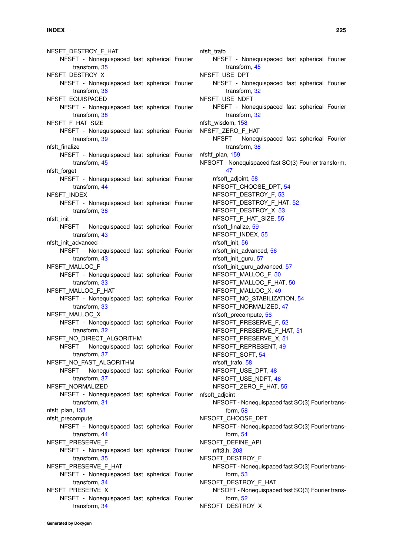NFSFT\_DESTROY\_F\_HAT NFSFT - Nonequispaced fast spherical Fourier transform, [35](#page-48-0) NFSFT\_DESTROY\_X NFSFT - Nonequispaced fast spherical Fourier transform, [36](#page-49-0) NFSFT\_EQUISPACED NFSFT - Nonequispaced fast spherical Fourier transform, [38](#page-51-0) NFSFT\_F\_HAT\_SIZE NFSFT - Nonequispaced fast spherical Fourier transform, [39](#page-52-3) nfsft\_finalize NFSFT - Nonequispaced fast spherical Fourier transform, [45](#page-58-3) nfsft\_forget NFSFT - Nonequispaced fast spherical Fourier transform, [44](#page-57-2) NFSFT\_INDEX NFSFT - Nonequispaced fast spherical Fourier transform, [38](#page-51-0) nfsft\_init NFSFT - Nonequispaced fast spherical Fourier transform, [43](#page-56-3) nfsft\_init\_advanced NFSFT - Nonequispaced fast spherical Fourier transform, [43](#page-56-3) NFSFT\_MALLOC\_F NFSFT - Nonequispaced fast spherical Fourier transform, [33](#page-46-0) NFSFT\_MALLOC\_F\_HAT NFSFT - Nonequispaced fast spherical Fourier transform, [33](#page-46-0) NFSFT\_MALLOC\_X NFSFT - Nonequispaced fast spherical Fourier transform, [32](#page-45-0) NFSFT\_NO\_DIRECT\_ALGORITHM NFSFT - Nonequispaced fast spherical Fourier transform, [37](#page-50-0) NFSFT\_NO\_FAST\_ALGORITHM NFSFT - Nonequispaced fast spherical Fourier transform, [37](#page-50-0) NFSFT\_NORMALIZED NFSFT - Nonequispaced fast spherical Fourier transform, [31](#page-44-0) nfsft\_plan, [158](#page-171-2) nfsft\_precompute NFSFT - Nonequispaced fast spherical Fourier transform, [44](#page-57-2) NFSFT\_PRESERVE\_F NFSFT - Nonequispaced fast spherical Fourier transform, [35](#page-48-0) NFSFT\_PRESERVE\_F\_HAT NFSFT - Nonequispaced fast spherical Fourier transform, [34](#page-47-0) NFSFT\_PRESERVE\_X NFSFT - Nonequispaced fast spherical Fourier transform, [34](#page-47-0)

nfsft\_trafo NFSFT - Nonequispaced fast spherical Fourier transform, [45](#page-58-3) NFSFT\_USE\_DPT NFSFT - Nonequispaced fast spherical Fourier transform, [32](#page-45-0) NFSFT\_USE\_NDFT NFSFT - Nonequispaced fast spherical Fourier transform, [32](#page-45-0) nfsft\_wisdom, [158](#page-171-2) NFSFT\_ZERO\_F\_HAT NFSFT - Nonequispaced fast spherical Fourier transform, [38](#page-51-0) nfsftf\_plan, [159](#page-172-0) NFSOFT - Nonequispaced fast SO(3) Fourier transform, [47](#page-60-0) nfsoft\_adjoint, [58](#page-71-0) NFSOFT\_CHOOSE\_DPT, [54](#page-67-0) NFSOFT\_DESTROY\_F, [53](#page-66-0) NFSOFT\_DESTROY\_F\_HAT, [52](#page-65-0) NFSOFT\_DESTROY\_X, [53](#page-66-0) NFSOFT\_F\_HAT\_SIZE, [55](#page-68-0) nfsoft\_finalize, [59](#page-72-0) NFSOFT\_INDEX, [55](#page-68-0) nfsoft\_init, [56](#page-69-0) nfsoft\_init\_advanced, [56](#page-69-0) nfsoft\_init\_guru, [57](#page-70-0) nfsoft\_init\_guru\_advanced, [57](#page-70-0) NFSOFT\_MALLOC\_F, [50](#page-63-0) NFSOFT\_MALLOC\_F\_HAT, [50](#page-63-0) NFSOFT\_MALLOC\_X, [49](#page-62-0) NFSOFT\_NO\_STABILIZATION, [54](#page-67-0) NFSOFT\_NORMALIZED, [47](#page-60-0) nfsoft\_precompute, [56](#page-69-0) NFSOFT\_PRESERVE\_F, [52](#page-65-0) NFSOFT\_PRESERVE\_F\_HAT, [51](#page-64-0) NFSOFT\_PRESERVE\_X, [51](#page-64-0) NFSOFT\_REPRESENT, [49](#page-62-0) NFSOFT SOFT, [54](#page-67-0) nfsoft\_trafo, [58](#page-71-0) NFSOFT\_USE\_DPT, [48](#page-61-0) NFSOFT\_USE\_NDFT, [48](#page-61-0) NFSOFT ZERO F HAT, [55](#page-68-0) nfsoft\_adjoint NFSOFT - Nonequispaced fast SO(3) Fourier transform, [58](#page-71-0) NFSOFT\_CHOOSE\_DPT NFSOFT - Nonequispaced fast SO(3) Fourier transform, [54](#page-67-0) NFSOFT\_DEFINE\_API nfft3.h, [203](#page-216-0) NFSOFT\_DESTROY\_F NFSOFT - Nonequispaced fast SO(3) Fourier transform, [53](#page-66-0) NFSOFT\_DESTROY\_F\_HAT NFSOFT - Nonequispaced fast SO(3) Fourier transform, [52](#page-65-0) NFSOFT\_DESTROY\_X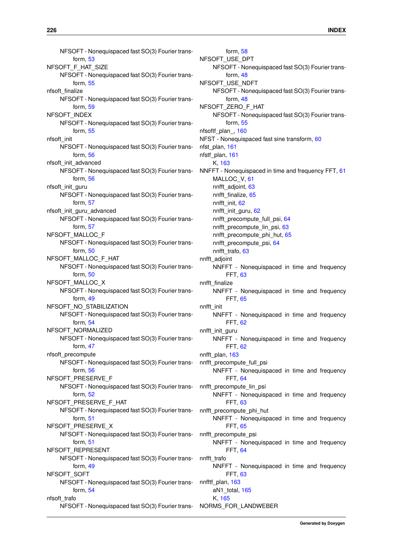NFSOFT - Nonequispaced fast SO(3) Fourier transform, [53](#page-66-0) NFSOFT\_F\_HAT\_SIZE NFSOFT - Nonequispaced fast SO(3) Fourier transform, [55](#page-68-0) nfsoft\_finalize NFSOFT - Nonequispaced fast SO(3) Fourier transform, [59](#page-72-0) NFSOFT\_INDEX NFSOFT - Nonequispaced fast SO(3) Fourier transform, [55](#page-68-0) nfsoft\_init NFSOFT - Nonequispaced fast SO(3) Fourier transform, [56](#page-69-0) nfsoft\_init\_advanced NFSOFT - Nonequispaced fast SO(3) Fourier transform, [56](#page-69-0) nfsoft\_init\_guru NFSOFT - Nonequispaced fast SO(3) Fourier transform, [57](#page-70-0) nfsoft\_init\_guru\_advanced NFSOFT - Nonequispaced fast SO(3) Fourier transform, [57](#page-70-0) NFSOFT\_MALLOC\_F NFSOFT - Nonequispaced fast SO(3) Fourier transform, [50](#page-63-0) NFSOFT\_MALLOC\_F\_HAT NFSOFT - Nonequispaced fast SO(3) Fourier transform, [50](#page-63-0) NFSOFT\_MALLOC\_X NFSOFT - Nonequispaced fast SO(3) Fourier transform, [49](#page-62-0) NFSOFT\_NO\_STABILIZATION NFSOFT - Nonequispaced fast SO(3) Fourier transform, [54](#page-67-0) NFSOFT\_NORMALIZED NFSOFT - Nonequispaced fast SO(3) Fourier transform, [47](#page-60-0) nfsoft\_precompute NFSOFT - Nonequispaced fast SO(3) Fourier transform, [56](#page-69-0) NFSOFT\_PRESERVE\_F NFSOFT - Nonequispaced fast SO(3) Fourier transform, [52](#page-65-0) NFSOFT\_PRESERVE\_F\_HAT NFSOFT - Nonequispaced fast SO(3) Fourier transform, [51](#page-64-0) NFSOFT\_PRESERVE\_X NFSOFT - Nonequispaced fast SO(3) Fourier transform, [51](#page-64-0) NFSOFT\_REPRESENT NFSOFT - Nonequispaced fast SO(3) Fourier transform, [49](#page-62-0) NFSOFT\_SOFT NFSOFT - Nonequispaced fast SO(3) Fourier transform, [54](#page-67-0) nfsoft\_trafo NFSOFT - Nonequispaced fast SO(3) Fourier trans-

form, [58](#page-71-0) NFSOFT\_USE\_DPT NFSOFT - Nonequispaced fast SO(3) Fourier transform, [48](#page-61-0) NFSOFT\_USE\_NDFT NFSOFT - Nonequispaced fast SO(3) Fourier transform, [48](#page-61-0) NFSOFT\_ZERO\_F\_HAT NFSOFT - Nonequispaced fast SO(3) Fourier transform, [55](#page-68-0) nfsoftf\_plan\_, [160](#page-173-0) NFST - Nonequispaced fast sine transform, [60](#page-73-0) nfst\_plan, [161](#page-174-0) nfstf\_plan, [161](#page-174-0) K, [163](#page-176-0) NNFFT - Nonequispaced in time and frequency FFT, [61](#page-74-0) MALLOC\_V, [61](#page-74-0) nnfft\_adjoint, [63](#page-76-0) nnfft\_finalize, [65](#page-78-0) nnfft\_init, [62](#page-75-0) nnfft\_init\_guru, [62](#page-75-0) nnfft\_precompute\_full\_psi, [64](#page-77-0) nnfft\_precompute\_lin\_psi, [63](#page-76-0) nnfft\_precompute\_phi\_hut, [65](#page-78-0) nnfft\_precompute\_psi, [64](#page-77-0) nnfft\_trafo, [63](#page-76-0) nnfft\_adjoint NNFFT - Nonequispaced in time and frequency FFT, [63](#page-76-0) nnfft\_finalize NNFFT - Nonequispaced in time and frequency FFT, [65](#page-78-0) nnfft\_init NNFFT - Nonequispaced in time and frequency FFT, [62](#page-75-0) nnfft\_init\_guru NNFFT - Nonequispaced in time and frequency FFT, [62](#page-75-0) nnfft\_plan, [163](#page-176-0) nnfft\_precompute\_full\_psi NNFFT - Nonequispaced in time and frequency FFT, [64](#page-77-0) nnfft\_precompute\_lin\_psi NNFFT - Nonequispaced in time and frequency FFT, [63](#page-76-0) nnfft\_precompute\_phi\_hut NNFFT - Nonequispaced in time and frequency FFT, [65](#page-78-0) nnfft\_precompute\_psi NNFFT - Nonequispaced in time and frequency FFT, [64](#page-77-0) nnfft\_trafo NNFFT - Nonequispaced in time and frequency FFT, [63](#page-76-0) nnfftf\_plan, [163](#page-176-0) aN1\_total, [165](#page-178-0) K, [165](#page-178-0) NORMS\_FOR\_LANDWEBER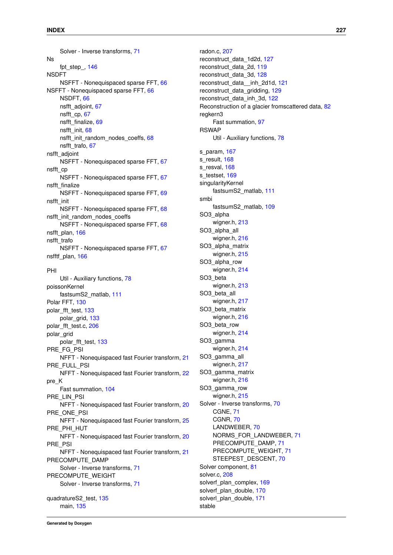Solver - Inverse transforms, [71](#page-84-0) Ns fpt\_step\_, [146](#page-159-0) NSDFT NSFFT - Nonequispaced sparse FFT, [66](#page-79-0) NSFFT - Nonequispaced sparse FFT, [66](#page-79-0) NSDFT, [66](#page-79-0) nsfft\_adjoint, [67](#page-80-0) nsfft\_cp, [67](#page-80-0) nsfft\_finalize, [69](#page-82-0) nsfft\_init, [68](#page-81-0) nsfft\_init\_random\_nodes\_coeffs, [68](#page-81-0) nsfft\_trafo, [67](#page-80-0) nsfft\_adjoint NSFFT - Nonequispaced sparse FFT, [67](#page-80-0) nsfft\_cp NSFFT - Nonequispaced sparse FFT, [67](#page-80-0) nsfft\_finalize NSFFT - Nonequispaced sparse FFT, [69](#page-82-0) nsfft\_init NSFFT - Nonequispaced sparse FFT, [68](#page-81-0) nsfft\_init\_random\_nodes\_coeffs NSFFT - Nonequispaced sparse FFT, [68](#page-81-0) nsfft\_plan, [166](#page-179-0) nsfft\_trafo NSFFT - Nonequispaced sparse FFT, [67](#page-80-0)

nsfftf\_plan, [166](#page-179-0)

#### PHI

Util - Auxiliary functions, [78](#page-91-0) poissonKernel fastsumS2\_matlab, [111](#page-124-0) Polar FFT, [130](#page-143-0) polar\_fft\_test, [133](#page-146-5) polar\_grid, [133](#page-146-5) polar\_fft\_test.c, [206](#page-219-0) polar\_grid polar\_fft\_test, [133](#page-146-5) PRE\_FG\_PSI NFFT - Nonequispaced fast Fourier transform, [21](#page-34-0) PRE\_FULL\_PSI NFFT - Nonequispaced fast Fourier transform, [22](#page-35-0) pre\_K Fast summation, [104](#page-117-0) PRE\_LIN\_PSI NFFT - Nonequispaced fast Fourier transform, [20](#page-33-0) PRE\_ONE\_PSI NFFT - Nonequispaced fast Fourier transform, [25](#page-38-0) PRE\_PHI\_HUT NFFT - Nonequispaced fast Fourier transform, [20](#page-33-0) PRE\_PSI NFFT - Nonequispaced fast Fourier transform, [21](#page-34-0) PRECOMPUTE\_DAMP Solver - Inverse transforms, [71](#page-84-0) PRECOMPUTE\_WEIGHT Solver - Inverse transforms, [71](#page-84-0) quadratureS2\_test, [135](#page-148-0)

main, [135](#page-148-0)

radon.c, [207](#page-220-1) reconstruct\_data\_1d2d, [127](#page-140-0) reconstruct\_data\_2d, [119](#page-132-0) reconstruct\_data\_3d, [128](#page-141-0) reconstruct\_data\_\_inh\_2d1d, [121](#page-134-0) reconstruct data gridding, [129](#page-142-0) reconstruct\_data\_inh\_3d, [122](#page-135-0) Reconstruction of a glacier fromscattered data, [82](#page-95-0) regkern3 Fast summation, [97](#page-110-0) **RSWAP** Util - Auxiliary functions, [78](#page-91-0) s param, [167](#page-180-0) s result, [168](#page-181-0) s\_resval, [168](#page-181-0) s\_testset, [169](#page-182-0) singularityKernel fastsumS2\_matlab, [111](#page-124-0) smbi fastsumS2\_matlab, [109](#page-122-0) SO3\_alpha wigner.h, [213](#page-226-2) SO<sub>3</sub> alpha all wigner.h, [216](#page-229-3) SO3\_alpha\_matrix wigner.h, [215](#page-228-2) SO<sub>3</sub> alpha\_row wigner.h, [214](#page-227-3) SO3\_beta wigner.h, [213](#page-226-2) SO<sub>3</sub> beta all wigner.h, [217](#page-230-3) SO<sub>3</sub> beta matrix wigner.h, [216](#page-229-3) SO3\_beta\_row wigner.h, [214](#page-227-3) SO3\_gamma wigner.h, [214](#page-227-3) SO3\_gamma\_all wigner.h, [217](#page-230-3) SO3\_gamma\_matrix wigner.h, [216](#page-229-3) SO3\_gamma\_row wigner.h, [215](#page-228-2) Solver - Inverse transforms, [70](#page-83-0) CGNE, [71](#page-84-0) CGNR, [70](#page-83-0) LANDWEBER, [70](#page-83-0) NORMS\_FOR\_LANDWEBER, [71](#page-84-0) PRECOMPUTE\_DAMP, [71](#page-84-0) PRECOMPUTE\_WEIGHT, [71](#page-84-0) STEEPEST\_DESCENT, [70](#page-83-0) Solver component, [81](#page-94-0) solver.c, [208](#page-221-4) solverf\_plan\_complex, [169](#page-182-0) solverf\_plan\_double, [170](#page-183-0) solverl\_plan\_double, [171](#page-184-0) stable